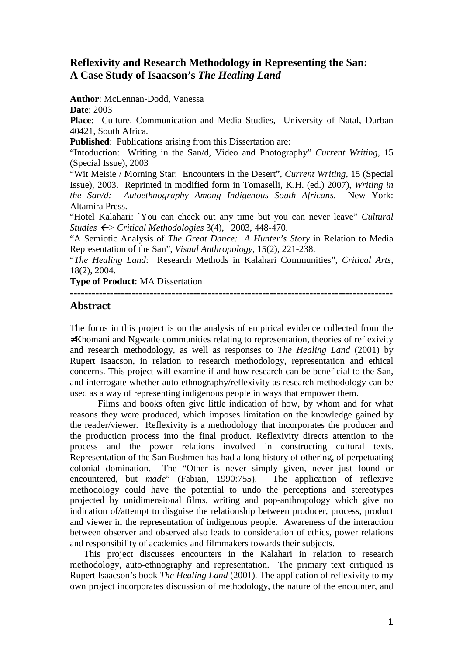# **Reflexivity and Research Methodology in Representing the San: A Case Study of Isaacson's** *The Healing Land*

**Author**: McLennan-Dodd, Vanessa

**Date**: 2003

**Place**: Culture. Communication and Media Studies, University of Natal, Durban 40421, South Africa.

**Published**: Publications arising from this Dissertation are:

"Intoduction: Writing in the San/d, Video and Photography" *Current Writing*, 15 (Special Issue), 2003

"Wit Meisie / Morning Star: Encounters in the Desert", *Current Writing*, 15 (Special Issue), 2003. Reprinted in modified form in Tomaselli, K.H. (ed.) 2007), *Writing in the San/d: Autoethnography Among Indigenous South Africans*. New York: Altamira Press.

"Hotel Kalahari: `You can check out any time but you can never leave" *Cultural Studies > Critical Methodologies* 3(4), 2003, 448-470.

"A Semiotic Analysis of *The Great Dance: A Hunter's Story* in Relation to Media Representation of the San", *Visual Anthropology*, 15(2), 221-238.

"*The Healing Land*: Research Methods in Kalahari Communities", *Critical Arts*, 18(2), 2004.

**Type of Product**: MA Dissertation

**-----------------------------------------------------------------------------------------** 

## **Abstract**

The focus in this project is on the analysis of empirical evidence collected from the ≠Khomani and Ngwatle communities relating to representation, theories of reflexivity and research methodology, as well as responses to *The Healing Land* (2001) by Rupert Isaacson, in relation to research methodology, representation and ethical concerns. This project will examine if and how research can be beneficial to the San, and interrogate whether auto-ethnography/reflexivity as research methodology can be used as a way of representing indigenous people in ways that empower them.

 Films and books often give little indication of how, by whom and for what reasons they were produced, which imposes limitation on the knowledge gained by the reader/viewer. Reflexivity is a methodology that incorporates the producer and the production process into the final product. Reflexivity directs attention to the process and the power relations involved in constructing cultural texts. Representation of the San Bushmen has had a long history of othering, of perpetuating colonial domination. The "Other is never simply given, never just found or encountered, but *made*" (Fabian, 1990:755). The application of reflexive methodology could have the potential to undo the perceptions and stereotypes projected by unidimensional films, writing and pop-anthropology which give no indication of/attempt to disguise the relationship between producer, process, product and viewer in the representation of indigenous people. Awareness of the interaction between observer and observed also leads to consideration of ethics, power relations and responsibility of academics and filmmakers towards their subjects.

This project discusses encounters in the Kalahari in relation to research methodology, auto-ethnography and representation. The primary text critiqued is Rupert Isaacson's book *The Healing Land* (2001)*.* The application of reflexivity to my own project incorporates discussion of methodology, the nature of the encounter, and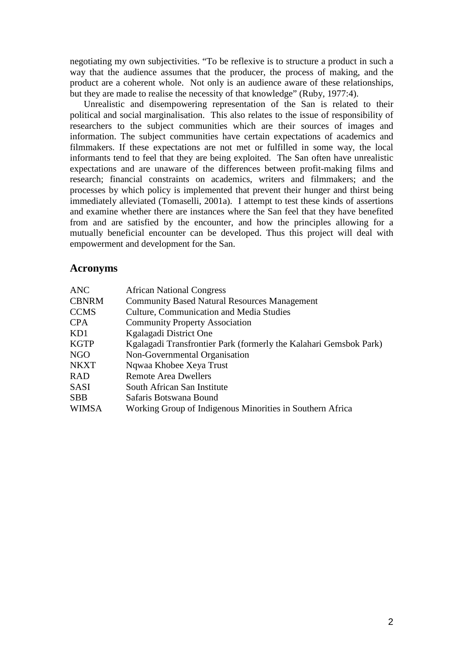negotiating my own subjectivities. "To be reflexive is to structure a product in such a way that the audience assumes that the producer, the process of making, and the product are a coherent whole. Not only is an audience aware of these relationships, but they are made to realise the necessity of that knowledge" (Ruby, 1977:4).

Unrealistic and disempowering representation of the San is related to their political and social marginalisation. This also relates to the issue of responsibility of researchers to the subject communities which are their sources of images and information. The subject communities have certain expectations of academics and filmmakers. If these expectations are not met or fulfilled in some way, the local informants tend to feel that they are being exploited. The San often have unrealistic expectations and are unaware of the differences between profit-making films and research; financial constraints on academics, writers and filmmakers; and the processes by which policy is implemented that prevent their hunger and thirst being immediately alleviated (Tomaselli, 2001a). I attempt to test these kinds of assertions and examine whether there are instances where the San feel that they have benefited from and are satisfied by the encounter, and how the principles allowing for a mutually beneficial encounter can be developed. Thus this project will deal with empowerment and development for the San.

## **Acronyms**

| ANC          | <b>African National Congress</b>                                  |
|--------------|-------------------------------------------------------------------|
| <b>CBNRM</b> | <b>Community Based Natural Resources Management</b>               |
| <b>CCMS</b>  | Culture, Communication and Media Studies                          |
| <b>CPA</b>   | <b>Community Property Association</b>                             |
| KD1          | Kgalagadi District One                                            |
| <b>KGTP</b>  | Kgalagadi Transfrontier Park (formerly the Kalahari Gemsbok Park) |
| <b>NGO</b>   | Non-Governmental Organisation                                     |
| <b>NKXT</b>  | Ngwaa Khobee Xeya Trust                                           |
| <b>RAD</b>   | <b>Remote Area Dwellers</b>                                       |
| <b>SASI</b>  | South African San Institute                                       |
| <b>SBB</b>   | Safaris Botswana Bound                                            |
| <b>WIMSA</b> | Working Group of Indigenous Minorities in Southern Africa         |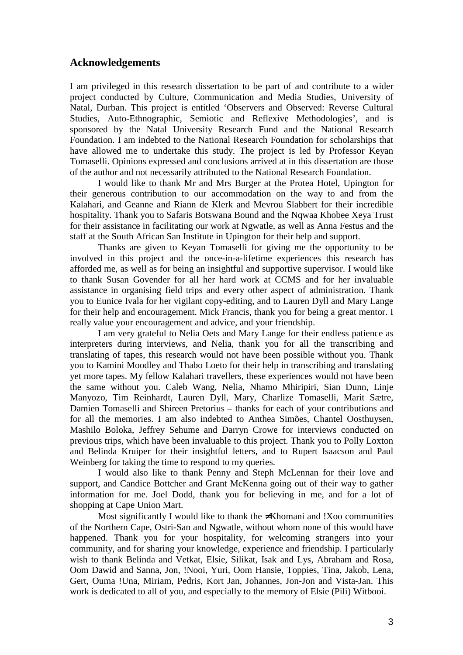## **Acknowledgements**

I am privileged in this research dissertation to be part of and contribute to a wider project conducted by Culture, Communication and Media Studies, University of Natal, Durban. This project is entitled 'Observers and Observed: Reverse Cultural Studies, Auto-Ethnographic, Semiotic and Reflexive Methodologies', and is sponsored by the Natal University Research Fund and the National Research Foundation. I am indebted to the National Research Foundation for scholarships that have allowed me to undertake this study. The project is led by Professor Keyan Tomaselli. Opinions expressed and conclusions arrived at in this dissertation are those of the author and not necessarily attributed to the National Research Foundation.

I would like to thank Mr and Mrs Burger at the Protea Hotel, Upington for their generous contribution to our accommodation on the way to and from the Kalahari, and Geanne and Riann de Klerk and Mevrou Slabbert for their incredible hospitality. Thank you to Safaris Botswana Bound and the Nqwaa Khobee Xeya Trust for their assistance in facilitating our work at Ngwatle, as well as Anna Festus and the staff at the South African San Institute in Upington for their help and support.

Thanks are given to Keyan Tomaselli for giving me the opportunity to be involved in this project and the once-in-a-lifetime experiences this research has afforded me, as well as for being an insightful and supportive supervisor. I would like to thank Susan Govender for all her hard work at CCMS and for her invaluable assistance in organising field trips and every other aspect of administration. Thank you to Eunice Ivala for her vigilant copy-editing, and to Lauren Dyll and Mary Lange for their help and encouragement. Mick Francis, thank you for being a great mentor. I really value your encouragement and advice, and your friendship.

I am very grateful to Nelia Oets and Mary Lange for their endless patience as interpreters during interviews, and Nelia, thank you for all the transcribing and translating of tapes, this research would not have been possible without you. Thank you to Kamini Moodley and Thabo Loeto for their help in transcribing and translating yet more tapes. My fellow Kalahari travellers, these experiences would not have been the same without you. Caleb Wang, Nelia, Nhamo Mhiripiri, Sian Dunn, Linje Manyozo, Tim Reinhardt, Lauren Dyll, Mary, Charlize Tomaselli, Marit Sætre, Damien Tomaselli and Shireen Pretorius – thanks for each of your contributions and for all the memories. I am also indebted to Anthea Simões, Chantel Oosthuysen, Mashilo Boloka, Jeffrey Sehume and Darryn Crowe for interviews conducted on previous trips, which have been invaluable to this project. Thank you to Polly Loxton and Belinda Kruiper for their insightful letters, and to Rupert Isaacson and Paul Weinberg for taking the time to respond to my queries.

 I would also like to thank Penny and Steph McLennan for their love and support, and Candice Bottcher and Grant McKenna going out of their way to gather information for me. Joel Dodd, thank you for believing in me, and for a lot of shopping at Cape Union Mart.

Most significantly I would like to thank the ≠Khomani and !Xoo communities of the Northern Cape, Ostri-San and Ngwatle, without whom none of this would have happened. Thank you for your hospitality, for welcoming strangers into your community, and for sharing your knowledge, experience and friendship. I particularly wish to thank Belinda and Vetkat, Elsie, Silikat, Isak and Lys, Abraham and Rosa, Oom Dawid and Sanna, Jon, !Nooi, Yuri, Oom Hansie, Toppies, Tina, Jakob, Lena, Gert, Ouma !Una, Miriam, Pedris, Kort Jan, Johannes, Jon-Jon and Vista-Jan. This work is dedicated to all of you, and especially to the memory of Elsie (Pili) Witbooi.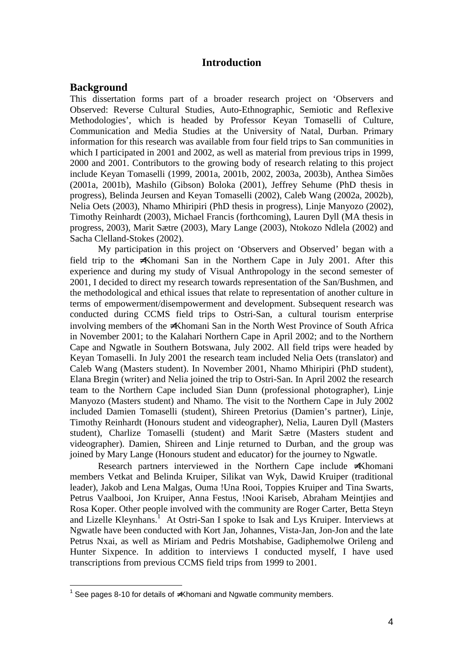## **Introduction**

#### **Background**

l

This dissertation forms part of a broader research project on 'Observers and Observed: Reverse Cultural Studies, Auto-Ethnographic, Semiotic and Reflexive Methodologies', which is headed by Professor Keyan Tomaselli of Culture, Communication and Media Studies at the University of Natal, Durban. Primary information for this research was available from four field trips to San communities in which I participated in 2001 and 2002, as well as material from previous trips in 1999, 2000 and 2001. Contributors to the growing body of research relating to this project include Keyan Tomaselli (1999, 2001a, 2001b, 2002, 2003a, 2003b), Anthea Simões (2001a, 2001b), Mashilo (Gibson) Boloka (2001), Jeffrey Sehume (PhD thesis in progress), Belinda Jeursen and Keyan Tomaselli (2002), Caleb Wang (2002a, 2002b), Nelia Oets (2003), Nhamo Mhiripiri (PhD thesis in progress), Linje Manyozo (2002), Timothy Reinhardt (2003), Michael Francis (forthcoming), Lauren Dyll (MA thesis in progress, 2003), Marit Sætre (2003), Mary Lange (2003), Ntokozo Ndlela (2002) and Sacha Clelland-Stokes (2002).

 My participation in this project on 'Observers and Observed' began with a field trip to the ≠Khomani San in the Northern Cape in July 2001. After this experience and during my study of Visual Anthropology in the second semester of 2001, I decided to direct my research towards representation of the San/Bushmen, and the methodological and ethical issues that relate to representation of another culture in terms of empowerment/disempowerment and development. Subsequent research was conducted during CCMS field trips to Ostri-San, a cultural tourism enterprise involving members of the ≠Khomani San in the North West Province of South Africa in November 2001; to the Kalahari Northern Cape in April 2002; and to the Northern Cape and Ngwatle in Southern Botswana, July 2002. All field trips were headed by Keyan Tomaselli. In July 2001 the research team included Nelia Oets (translator) and Caleb Wang (Masters student). In November 2001, Nhamo Mhiripiri (PhD student), Elana Bregin (writer) and Nelia joined the trip to Ostri-San. In April 2002 the research team to the Northern Cape included Sian Dunn (professional photographer), Linje Manyozo (Masters student) and Nhamo. The visit to the Northern Cape in July 2002 included Damien Tomaselli (student), Shireen Pretorius (Damien's partner), Linje, Timothy Reinhardt (Honours student and videographer), Nelia, Lauren Dyll (Masters student), Charlize Tomaselli (student) and Marit Sætre (Masters student and videographer). Damien, Shireen and Linje returned to Durban, and the group was joined by Mary Lange (Honours student and educator) for the journey to Ngwatle.

 Research partners interviewed in the Northern Cape include ≠Khomani members Vetkat and Belinda Kruiper, Silikat van Wyk, Dawid Kruiper (traditional leader), Jakob and Lena Malgas, Ouma !Una Rooi, Toppies Kruiper and Tina Swarts, Petrus Vaalbooi, Jon Kruiper, Anna Festus, !Nooi Kariseb, Abraham Meintjies and Rosa Koper. Other people involved with the community are Roger Carter, Betta Steyn and Lizelle Kleynhans.<sup>1</sup> At Ostri-San I spoke to Isak and Lys Kruiper. Interviews at Ngwatle have been conducted with Kort Jan, Johannes, Vista-Jan, Jon-Jon and the late Petrus Nxai, as well as Miriam and Pedris Motshabise, Gadiphemolwe Orileng and Hunter Sixpence. In addition to interviews I conducted myself, I have used transcriptions from previous CCMS field trips from 1999 to 2001.

<sup>&</sup>lt;sup>1</sup> See pages 8-10 for details of ≠Khomani and Ngwatle community members.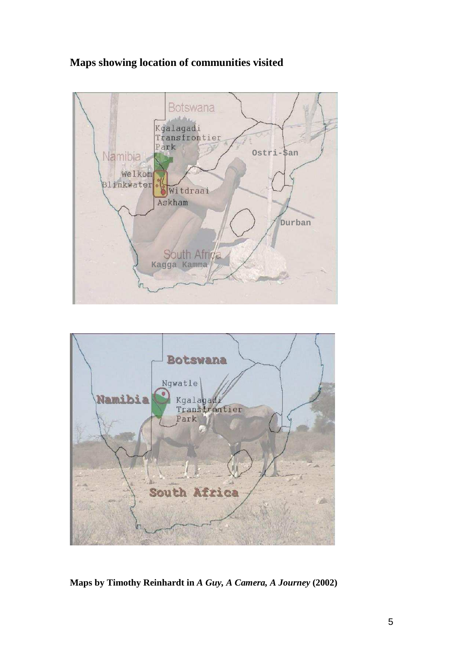# **Maps showing location of communities visited**





**Maps by Timothy Reinhardt in** *A Guy, A Camera, A Journey* **(2002)**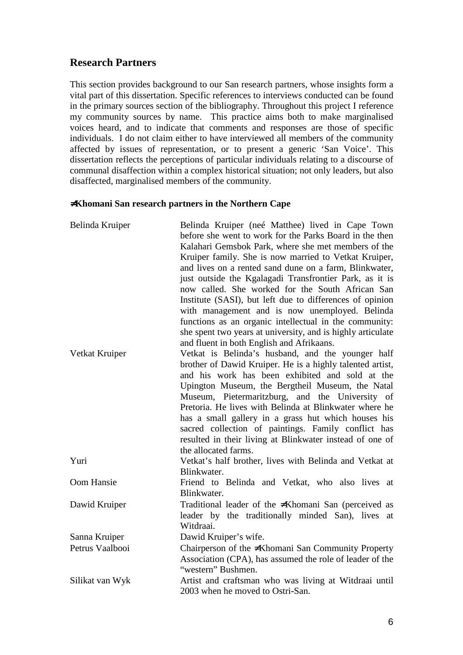# **Research Partners**

This section provides background to our San research partners, whose insights form a vital part of this dissertation. Specific references to interviews conducted can be found in the primary sources section of the bibliography. Throughout this project I reference my community sources by name. This practice aims both to make marginalised voices heard, and to indicate that comments and responses are those of specific individuals. I do not claim either to have interviewed all members of the community affected by issues of representation, or to present a generic 'San Voice'. This dissertation reflects the perceptions of particular individuals relating to a discourse of communal disaffection within a complex historical situation; not only leaders, but also disaffected, marginalised members of the community.

## ≠**Khomani San research partners in the Northern Cape**

| Belinda Kruiper | Belinda Kruiper (neé Matthee) lived in Cape Town<br>before she went to work for the Parks Board in the then<br>Kalahari Gemsbok Park, where she met members of the<br>Kruiper family. She is now married to Vetkat Kruiper,<br>and lives on a rented sand dune on a farm, Blinkwater,<br>just outside the Kgalagadi Transfrontier Park, as it is<br>now called. She worked for the South African San<br>Institute (SASI), but left due to differences of opinion<br>with management and is now unemployed. Belinda<br>functions as an organic intellectual in the community: |
|-----------------|------------------------------------------------------------------------------------------------------------------------------------------------------------------------------------------------------------------------------------------------------------------------------------------------------------------------------------------------------------------------------------------------------------------------------------------------------------------------------------------------------------------------------------------------------------------------------|
|                 | she spent two years at university, and is highly articulate<br>and fluent in both English and Afrikaans.                                                                                                                                                                                                                                                                                                                                                                                                                                                                     |
| Vetkat Kruiper  | Vetkat is Belinda's husband, and the younger half<br>brother of Dawid Kruiper. He is a highly talented artist,<br>and his work has been exhibited and sold at the<br>Upington Museum, the Bergtheil Museum, the Natal<br>Museum, Pietermaritzburg, and the University of<br>Pretoria. He lives with Belinda at Blinkwater where he<br>has a small gallery in a grass hut which houses his<br>sacred collection of paintings. Family conflict has<br>resulted in their living at Blinkwater instead of one of<br>the allocated farms.                                         |
| Yuri            | Vetkat's half brother, lives with Belinda and Vetkat at<br>Blinkwater.                                                                                                                                                                                                                                                                                                                                                                                                                                                                                                       |
| Oom Hansie      | Friend to Belinda and Vetkat, who also lives at<br>Blinkwater.                                                                                                                                                                                                                                                                                                                                                                                                                                                                                                               |
| Dawid Kruiper   | Traditional leader of the $\neq$ Khomani San (perceived as<br>leader by the traditionally minded San), lives at<br>Witdraai.                                                                                                                                                                                                                                                                                                                                                                                                                                                 |
| Sanna Kruiper   | Dawid Kruiper's wife.                                                                                                                                                                                                                                                                                                                                                                                                                                                                                                                                                        |
| Petrus Vaalbooi | Chairperson of the ≠Khomani San Community Property<br>Association (CPA), has assumed the role of leader of the<br>"western" Bushmen.                                                                                                                                                                                                                                                                                                                                                                                                                                         |
| Silikat van Wyk | Artist and craftsman who was living at Witdraai until<br>2003 when he moved to Ostri-San.                                                                                                                                                                                                                                                                                                                                                                                                                                                                                    |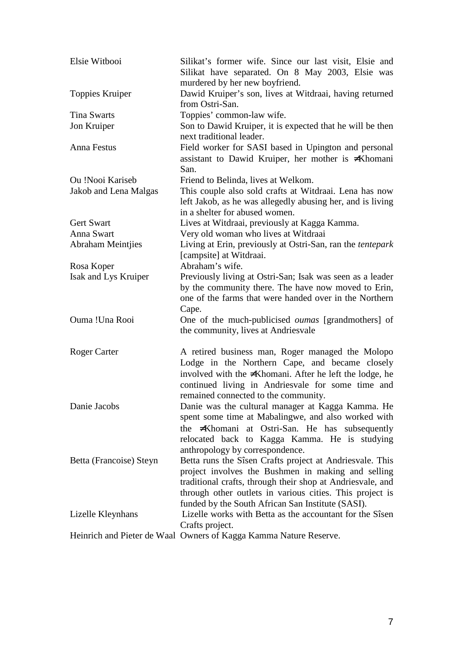| Elsie Witbooi            | Silikat's former wife. Since our last visit, Elsie and<br>Silikat have separated. On 8 May 2003, Elsie was                                                                                                                                                                                    |
|--------------------------|-----------------------------------------------------------------------------------------------------------------------------------------------------------------------------------------------------------------------------------------------------------------------------------------------|
| Toppies Kruiper          | murdered by her new boyfriend.<br>Dawid Kruiper's son, lives at Witdraai, having returned<br>from Ostri-San.                                                                                                                                                                                  |
| <b>Tina Swarts</b>       | Toppies' common-law wife.                                                                                                                                                                                                                                                                     |
| Jon Kruiper              | Son to Dawid Kruiper, it is expected that he will be then<br>next traditional leader.                                                                                                                                                                                                         |
| <b>Anna Festus</b>       | Field worker for SASI based in Upington and personal<br>assistant to Dawid Kruiper, her mother is ≠Khomani<br>San.                                                                                                                                                                            |
| Ou !Nooi Kariseb         | Friend to Belinda, lives at Welkom.                                                                                                                                                                                                                                                           |
| Jakob and Lena Malgas    | This couple also sold crafts at Witdraai. Lena has now<br>left Jakob, as he was allegedly abusing her, and is living<br>in a shelter for abused women.                                                                                                                                        |
| <b>Gert Swart</b>        | Lives at Witdraai, previously at Kagga Kamma.                                                                                                                                                                                                                                                 |
| Anna Swart               | Very old woman who lives at Witdraai                                                                                                                                                                                                                                                          |
| <b>Abraham Meintjies</b> | Living at Erin, previously at Ostri-San, ran the <i>tentepark</i><br>[campsite] at Witdraai.                                                                                                                                                                                                  |
| Rosa Koper               | Abraham's wife.                                                                                                                                                                                                                                                                               |
| Isak and Lys Kruiper     | Previously living at Ostri-San; Isak was seen as a leader<br>by the community there. The have now moved to Erin,<br>one of the farms that were handed over in the Northern<br>Cape.                                                                                                           |
| Ouma !Una Rooi           | One of the much-publicised <i>oumas</i> [grandmothers] of<br>the community, lives at Andriesvale                                                                                                                                                                                              |
| <b>Roger Carter</b>      | A retired business man, Roger managed the Molopo<br>Lodge in the Northern Cape, and became closely<br>involved with the ≠Khomani. After he left the lodge, he<br>continued living in Andriesvale for some time and<br>remained connected to the community.                                    |
| Danie Jacobs             | Danie was the cultural manager at Kagga Kamma. He<br>spent some time at Mabalingwe, and also worked with<br>the $\neq$ Khomani at Ostri-San. He has subsequently<br>relocated back to Kagga Kamma. He is studying<br>anthropology by correspondence.                                          |
| Betta (Francoise) Steyn  | Betta runs the Sîsen Crafts project at Andriesvale. This<br>project involves the Bushmen in making and selling<br>traditional crafts, through their shop at Andriesvale, and<br>through other outlets in various cities. This project is<br>funded by the South African San Institute (SASI). |
| Lizelle Kleynhans        | Lizelle works with Betta as the accountant for the Sisen<br>Crafts project.                                                                                                                                                                                                                   |
|                          | Heinrich and Pieter de Waal Owners of Kagga Kamma Nature Reserve.                                                                                                                                                                                                                             |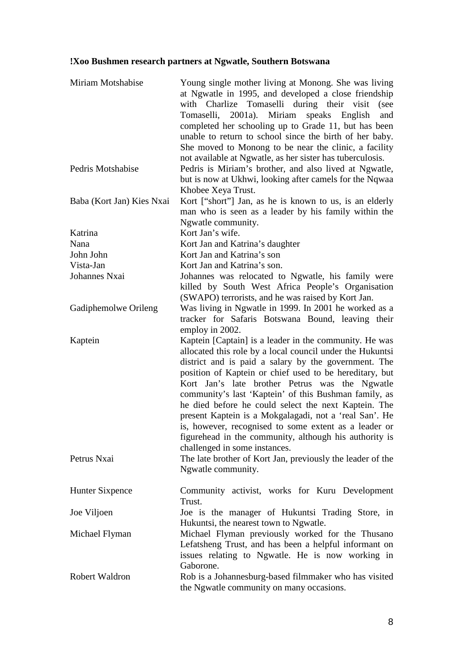# **!Xoo Bushmen research partners at Ngwatle, Southern Botswana**

| Miriam Motshabise         | Young single mother living at Monong. She was living<br>at Ngwatle in 1995, and developed a close friendship<br>with Charlize Tomaselli during their visit<br>(see<br>Tomaselli, 2001a). Miriam<br>speaks English<br>and<br>completed her schooling up to Grade 11, but has been<br>unable to return to school since the birth of her baby.<br>She moved to Monong to be near the clinic, a facility<br>not available at Ngwatle, as her sister has tuberculosis.                                                                                                                                                       |
|---------------------------|-------------------------------------------------------------------------------------------------------------------------------------------------------------------------------------------------------------------------------------------------------------------------------------------------------------------------------------------------------------------------------------------------------------------------------------------------------------------------------------------------------------------------------------------------------------------------------------------------------------------------|
| Pedris Motshabise         | Pedris is Miriam's brother, and also lived at Ngwatle,<br>but is now at Ukhwi, looking after camels for the Nqwaa<br>Khobee Xeya Trust.                                                                                                                                                                                                                                                                                                                                                                                                                                                                                 |
| Baba (Kort Jan) Kies Nxai | Kort ["short"] Jan, as he is known to us, is an elderly<br>man who is seen as a leader by his family within the<br>Ngwatle community.                                                                                                                                                                                                                                                                                                                                                                                                                                                                                   |
| Katrina                   | Kort Jan's wife.                                                                                                                                                                                                                                                                                                                                                                                                                                                                                                                                                                                                        |
| Nana                      | Kort Jan and Katrina's daughter                                                                                                                                                                                                                                                                                                                                                                                                                                                                                                                                                                                         |
| John John                 | Kort Jan and Katrina's son                                                                                                                                                                                                                                                                                                                                                                                                                                                                                                                                                                                              |
| Vista-Jan                 | Kort Jan and Katrina's son.                                                                                                                                                                                                                                                                                                                                                                                                                                                                                                                                                                                             |
| Johannes Nxai             | Johannes was relocated to Ngwatle, his family were<br>killed by South West Africa People's Organisation<br>(SWAPO) terrorists, and he was raised by Kort Jan.                                                                                                                                                                                                                                                                                                                                                                                                                                                           |
| Gadiphemolwe Orileng      | Was living in Ngwatle in 1999. In 2001 he worked as a<br>tracker for Safaris Botswana Bound, leaving their<br>employ in 2002.                                                                                                                                                                                                                                                                                                                                                                                                                                                                                           |
| Kaptein                   | Kaptein [Captain] is a leader in the community. He was<br>allocated this role by a local council under the Hukuntsi<br>district and is paid a salary by the government. The<br>position of Kaptein or chief used to be hereditary, but<br>Kort Jan's late brother Petrus was the Ngwatle<br>community's last 'Kaptein' of this Bushman family, as<br>he died before he could select the next Kaptein. The<br>present Kaptein is a Mokgalagadi, not a 'real San'. He<br>is, however, recognised to some extent as a leader or<br>figurehead in the community, although his authority is<br>challenged in some instances. |
| Petrus Nxai               | The late brother of Kort Jan, previously the leader of the<br>Ngwatle community.                                                                                                                                                                                                                                                                                                                                                                                                                                                                                                                                        |
| Hunter Sixpence           | Community activist, works for Kuru Development<br>Trust.                                                                                                                                                                                                                                                                                                                                                                                                                                                                                                                                                                |
| Joe Viljoen               | Joe is the manager of Hukuntsi Trading Store, in<br>Hukuntsi, the nearest town to Ngwatle.                                                                                                                                                                                                                                                                                                                                                                                                                                                                                                                              |
| Michael Flyman            | Michael Flyman previously worked for the Thusano<br>Lefatsheng Trust, and has been a helpful informant on<br>issues relating to Ngwatle. He is now working in<br>Gaborone.                                                                                                                                                                                                                                                                                                                                                                                                                                              |
| Robert Waldron            | Rob is a Johannesburg-based filmmaker who has visited<br>the Ngwatle community on many occasions.                                                                                                                                                                                                                                                                                                                                                                                                                                                                                                                       |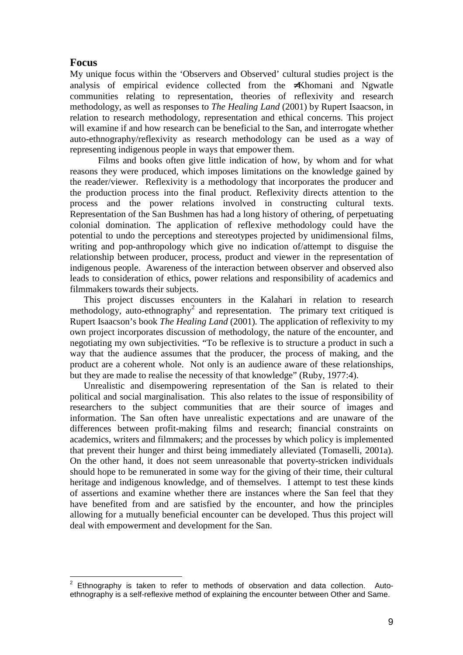#### **Focus**

My unique focus within the 'Observers and Observed' cultural studies project is the analysis of empirical evidence collected from the ≠Khomani and Ngwatle communities relating to representation, theories of reflexivity and research methodology, as well as responses to *The Healing Land* (2001) by Rupert Isaacson, in relation to research methodology, representation and ethical concerns. This project will examine if and how research can be beneficial to the San, and interrogate whether auto-ethnography/reflexivity as research methodology can be used as a way of representing indigenous people in ways that empower them.

 Films and books often give little indication of how, by whom and for what reasons they were produced, which imposes limitations on the knowledge gained by the reader/viewer. Reflexivity is a methodology that incorporates the producer and the production process into the final product. Reflexivity directs attention to the process and the power relations involved in constructing cultural texts. Representation of the San Bushmen has had a long history of othering, of perpetuating colonial domination. The application of reflexive methodology could have the potential to undo the perceptions and stereotypes projected by unidimensional films, writing and pop-anthropology which give no indication of/attempt to disguise the relationship between producer, process, product and viewer in the representation of indigenous people. Awareness of the interaction between observer and observed also leads to consideration of ethics, power relations and responsibility of academics and filmmakers towards their subjects.

This project discusses encounters in the Kalahari in relation to research methodology, auto-ethnography<sup>2</sup> and representation. The primary text critiqued is Rupert Isaacson's book *The Healing Land* (2001)*.* The application of reflexivity to my own project incorporates discussion of methodology, the nature of the encounter, and negotiating my own subjectivities. "To be reflexive is to structure a product in such a way that the audience assumes that the producer, the process of making, and the product are a coherent whole. Not only is an audience aware of these relationships, but they are made to realise the necessity of that knowledge" (Ruby, 1977:4).

Unrealistic and disempowering representation of the San is related to their political and social marginalisation. This also relates to the issue of responsibility of researchers to the subject communities that are their source of images and information. The San often have unrealistic expectations and are unaware of the differences between profit-making films and research; financial constraints on academics, writers and filmmakers; and the processes by which policy is implemented that prevent their hunger and thirst being immediately alleviated (Tomaselli, 2001a). On the other hand, it does not seem unreasonable that poverty-stricken individuals should hope to be remunerated in some way for the giving of their time, their cultural heritage and indigenous knowledge, and of themselves. I attempt to test these kinds of assertions and examine whether there are instances where the San feel that they have benefited from and are satisfied by the encounter, and how the principles allowing for a mutually beneficial encounter can be developed. Thus this project will deal with empowerment and development for the San.

 2 Ethnography is taken to refer to methods of observation and data collection. Autoethnography is a self-reflexive method of explaining the encounter between Other and Same.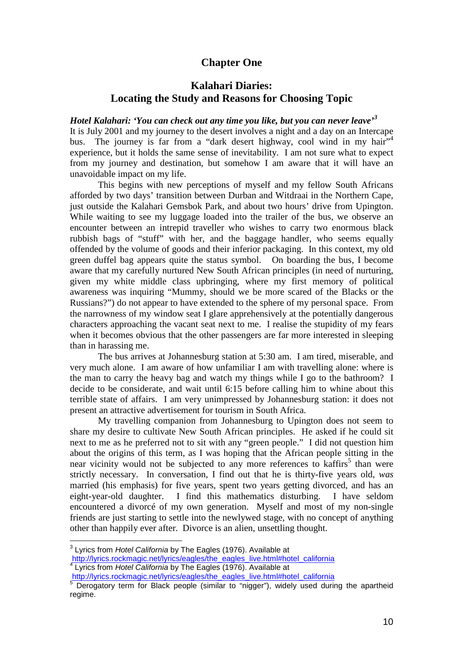## **Chapter One**

# **Kalahari Diaries: Locating the Study and Reasons for Choosing Topic**

#### *Hotel Kalahari: 'You can check out any time you like, but you can never leave'<sup>3</sup>*

It is July 2001 and my journey to the desert involves a night and a day on an Intercape bus. The journey is far from a "dark desert highway, cool wind in my hair"<sup>4</sup> experience, but it holds the same sense of inevitability. I am not sure what to expect from my journey and destination, but somehow I am aware that it will have an unavoidable impact on my life.

This begins with new perceptions of myself and my fellow South Africans afforded by two days' transition between Durban and Witdraai in the Northern Cape, just outside the Kalahari Gemsbok Park, and about two hours' drive from Upington. While waiting to see my luggage loaded into the trailer of the bus, we observe an encounter between an intrepid traveller who wishes to carry two enormous black rubbish bags of "stuff" with her, and the baggage handler, who seems equally offended by the volume of goods and their inferior packaging. In this context, my old green duffel bag appears quite the status symbol. On boarding the bus, I become aware that my carefully nurtured New South African principles (in need of nurturing, given my white middle class upbringing, where my first memory of political awareness was inquiring "Mummy, should we be more scared of the Blacks or the Russians?") do not appear to have extended to the sphere of my personal space. From the narrowness of my window seat I glare apprehensively at the potentially dangerous characters approaching the vacant seat next to me. I realise the stupidity of my fears when it becomes obvious that the other passengers are far more interested in sleeping than in harassing me.

 The bus arrives at Johannesburg station at 5:30 am. I am tired, miserable, and very much alone. I am aware of how unfamiliar I am with travelling alone: where is the man to carry the heavy bag and watch my things while I go to the bathroom? I decide to be considerate, and wait until 6:15 before calling him to whine about this terrible state of affairs. I am very unimpressed by Johannesburg station: it does not present an attractive advertisement for tourism in South Africa.

 My travelling companion from Johannesburg to Upington does not seem to share my desire to cultivate New South African principles. He asked if he could sit next to me as he preferred not to sit with any "green people." I did not question him about the origins of this term, as I was hoping that the African people sitting in the near vicinity would not be subjected to any more references to kaffirs<sup>5</sup> than were strictly necessary. In conversation, I find out that he is thirty-five years old, *was* married (his emphasis) for five years, spent two years getting divorced, and has an eight-year-old daughter. I find this mathematics disturbing. I have seldom encountered a divorcé of my own generation. Myself and most of my non-single friends are just starting to settle into the newlywed stage, with no concept of anything other than happily ever after. Divorce is an alien, unsettling thought.

l

<sup>&</sup>lt;sup>3</sup> Lyrics from Hotel California by The Eagles (1976). Available at

http://lyrics.rockmagic.net/lyrics/eagles/the\_eagles\_live.html#hotel\_california<br>4 Lyrics from Hotel Colifornia by The Eagles (1976), Available at Lyrics from Hotel California by The Eagles (1976). Available at

http://lyrics.rockmagic.net/lyrics/eagles/the\_eagles\_live.html#hotel\_california

<sup>&</sup>lt;sup>5</sup> Derogatory term for Black people (similar to "nigger"), widely used during the apartheid regime.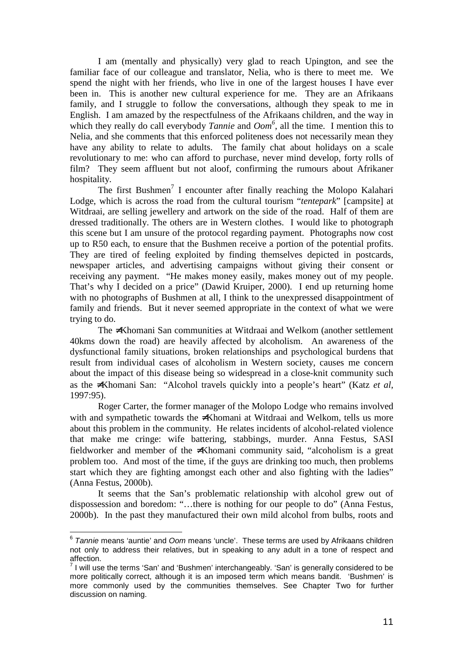I am (mentally and physically) very glad to reach Upington, and see the familiar face of our colleague and translator, Nelia, who is there to meet me. We spend the night with her friends, who live in one of the largest houses I have ever been in. This is another new cultural experience for me. They are an Afrikaans family, and I struggle to follow the conversations, although they speak to me in English. I am amazed by the respectfulness of the Afrikaans children, and the way in which they really do call everybody *Tannie* and *Oom<sup>6</sup>* , all the time. I mention this to Nelia, and she comments that this enforced politeness does not necessarily mean they have any ability to relate to adults. The family chat about holidays on a scale revolutionary to me: who can afford to purchase, never mind develop, forty rolls of film? They seem affluent but not aloof, confirming the rumours about Afrikaner hospitality.

The first Bushmen<sup>7</sup> I encounter after finally reaching the Molopo Kalahari Lodge, which is across the road from the cultural tourism "*tentepark*" [campsite] at Witdraai, are selling jewellery and artwork on the side of the road. Half of them are dressed traditionally. The others are in Western clothes. I would like to photograph this scene but I am unsure of the protocol regarding payment. Photographs now cost up to R50 each, to ensure that the Bushmen receive a portion of the potential profits. They are tired of feeling exploited by finding themselves depicted in postcards, newspaper articles, and advertising campaigns without giving their consent or receiving any payment. "He makes money easily, makes money out of my people. That's why I decided on a price" (Dawid Kruiper, 2000). I end up returning home with no photographs of Bushmen at all, I think to the unexpressed disappointment of family and friends. But it never seemed appropriate in the context of what we were trying to do.

 The ≠Khomani San communities at Witdraai and Welkom (another settlement 40kms down the road) are heavily affected by alcoholism. An awareness of the dysfunctional family situations, broken relationships and psychological burdens that result from individual cases of alcoholism in Western society, causes me concern about the impact of this disease being so widespread in a close-knit community such as the ≠Khomani San: "Alcohol travels quickly into a people's heart" (Katz *et al*, 1997:95).

 Roger Carter, the former manager of the Molopo Lodge who remains involved with and sympathetic towards the ≠Khomani at Witdraai and Welkom, tells us more about this problem in the community. He relates incidents of alcohol-related violence that make me cringe: wife battering, stabbings, murder. Anna Festus, SASI fieldworker and member of the ≠Khomani community said, "alcoholism is a great problem too. And most of the time, if the guys are drinking too much, then problems start which they are fighting amongst each other and also fighting with the ladies" (Anna Festus, 2000b).

 It seems that the San's problematic relationship with alcohol grew out of dispossession and boredom: "…there is nothing for our people to do" (Anna Festus, 2000b). In the past they manufactured their own mild alcohol from bulbs, roots and

 $\overline{\phantom{a}}$ 

 $6$  Tannie means 'auntie' and Oom means 'uncle'. These terms are used by Afrikaans children not only to address their relatives, but in speaking to any adult in a tone of respect and affection.

<sup>7</sup> I will use the terms 'San' and 'Bushmen' interchangeably. 'San' is generally considered to be more politically correct, although it is an imposed term which means bandit. 'Bushmen' is more commonly used by the communities themselves. See Chapter Two for further discussion on naming.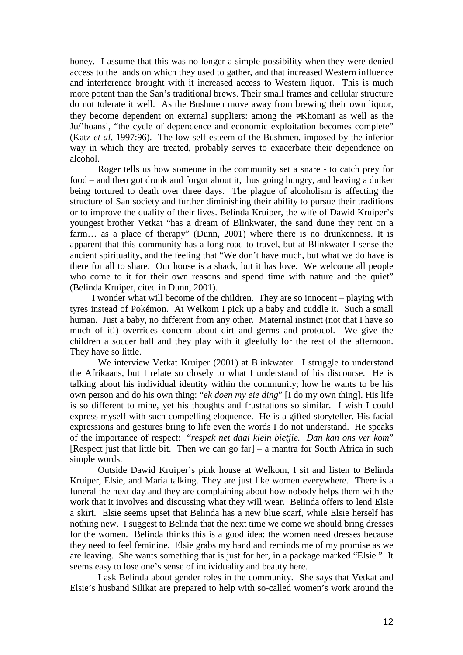honey. I assume that this was no longer a simple possibility when they were denied access to the lands on which they used to gather, and that increased Western influence and interference brought with it increased access to Western liquor. This is much more potent than the San's traditional brews. Their small frames and cellular structure do not tolerate it well. As the Bushmen move away from brewing their own liquor, they become dependent on external suppliers: among the ≠Khomani as well as the Ju/'hoansi, "the cycle of dependence and economic exploitation becomes complete" (Katz *et al*, 1997:96). The low self-esteem of the Bushmen, imposed by the inferior way in which they are treated, probably serves to exacerbate their dependence on alcohol.

Roger tells us how someone in the community set a snare - to catch prey for food – and then got drunk and forgot about it, thus going hungry, and leaving a duiker being tortured to death over three days. The plague of alcoholism is affecting the structure of San society and further diminishing their ability to pursue their traditions or to improve the quality of their lives. Belinda Kruiper, the wife of Dawid Kruiper's youngest brother Vetkat "has a dream of Blinkwater, the sand dune they rent on a farm… as a place of therapy" (Dunn, 2001) where there is no drunkenness. It is apparent that this community has a long road to travel, but at Blinkwater I sense the ancient spirituality, and the feeling that "We don't have much, but what we do have is there for all to share. Our house is a shack, but it has love. We welcome all people who come to it for their own reasons and spend time with nature and the quiet" (Belinda Kruiper, cited in Dunn, 2001).

I wonder what will become of the children. They are so innocent – playing with tyres instead of Pokémon. At Welkom I pick up a baby and cuddle it. Such a small human. Just a baby, no different from any other. Maternal instinct (not that I have so much of it!) overrides concern about dirt and germs and protocol. We give the children a soccer ball and they play with it gleefully for the rest of the afternoon. They have so little.

We interview Vetkat Kruiper (2001) at Blinkwater. I struggle to understand the Afrikaans, but I relate so closely to what I understand of his discourse. He is talking about his individual identity within the community; how he wants to be his own person and do his own thing: "*ek doen my eie ding*" [I do my own thing]. His life is so different to mine, yet his thoughts and frustrations so similar. I wish I could express myself with such compelling eloquence. He is a gifted storyteller. His facial expressions and gestures bring to life even the words I do not understand. He speaks of the importance of respect: "*respek net daai klein bietjie. Dan kan ons ver kom*" [Respect just that little bit. Then we can go  $far$ ] – a mantra for South Africa in such simple words.

Outside Dawid Kruiper's pink house at Welkom, I sit and listen to Belinda Kruiper, Elsie, and Maria talking. They are just like women everywhere. There is a funeral the next day and they are complaining about how nobody helps them with the work that it involves and discussing what they will wear. Belinda offers to lend Elsie a skirt. Elsie seems upset that Belinda has a new blue scarf, while Elsie herself has nothing new. I suggest to Belinda that the next time we come we should bring dresses for the women. Belinda thinks this is a good idea: the women need dresses because they need to feel feminine. Elsie grabs my hand and reminds me of my promise as we are leaving. She wants something that is just for her, in a package marked "Elsie." It seems easy to lose one's sense of individuality and beauty here.

I ask Belinda about gender roles in the community. She says that Vetkat and Elsie's husband Silikat are prepared to help with so-called women's work around the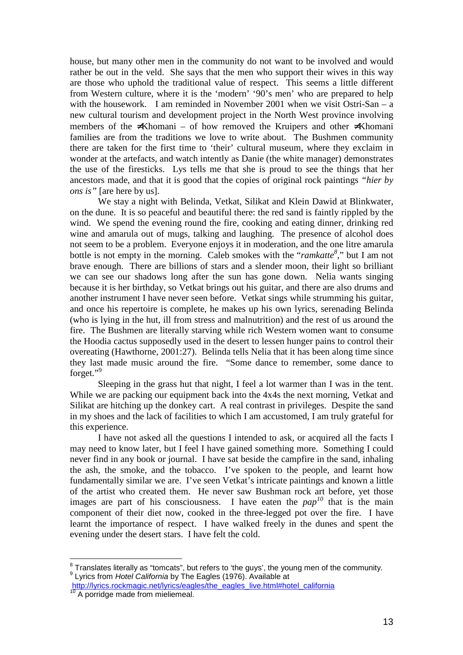house, but many other men in the community do not want to be involved and would rather be out in the veld. She says that the men who support their wives in this way are those who uphold the traditional value of respect. This seems a little different from Western culture, where it is the 'modern' '90's men' who are prepared to help with the housework. I am reminded in November 2001 when we visit Ostri-San – a new cultural tourism and development project in the North West province involving members of the ≠Khomani – of how removed the Kruipers and other ≠Khomani families are from the traditions we love to write about. The Bushmen community there are taken for the first time to 'their' cultural museum, where they exclaim in wonder at the artefacts, and watch intently as Danie (the white manager) demonstrates the use of the firesticks. Lys tells me that she is proud to see the things that her ancestors made, and that it is good that the copies of original rock paintings *"hier by ons is"* [are here by us].

 We stay a night with Belinda, Vetkat, Silikat and Klein Dawid at Blinkwater, on the dune. It is so peaceful and beautiful there: the red sand is faintly rippled by the wind. We spend the evening round the fire, cooking and eating dinner, drinking red wine and amarula out of mugs, talking and laughing. The presence of alcohol does not seem to be a problem. Everyone enjoys it in moderation, and the one litre amarula bottle is not empty in the morning. Caleb smokes with the "*ramkatte<sup>8</sup>* ," but I am not brave enough. There are billions of stars and a slender moon, their light so brilliant we can see our shadows long after the sun has gone down. Nelia wants singing because it is her birthday, so Vetkat brings out his guitar, and there are also drums and another instrument I have never seen before. Vetkat sings while strumming his guitar, and once his repertoire is complete, he makes up his own lyrics, serenading Belinda (who is lying in the hut, ill from stress and malnutrition) and the rest of us around the fire. The Bushmen are literally starving while rich Western women want to consume the Hoodia cactus supposedly used in the desert to lessen hunger pains to control their overeating (Hawthorne, 2001:27). Belinda tells Nelia that it has been along time since they last made music around the fire. "Some dance to remember, some dance to forget."9

 Sleeping in the grass hut that night, I feel a lot warmer than I was in the tent. While we are packing our equipment back into the 4x4s the next morning, Vetkat and Silikat are hitching up the donkey cart. A real contrast in privileges. Despite the sand in my shoes and the lack of facilities to which I am accustomed, I am truly grateful for this experience.

 I have not asked all the questions I intended to ask, or acquired all the facts I may need to know later, but I feel I have gained something more. Something I could never find in any book or journal. I have sat beside the campfire in the sand, inhaling the ash, the smoke, and the tobacco. I've spoken to the people, and learnt how fundamentally similar we are. I've seen Vetkat's intricate paintings and known a little of the artist who created them. He never saw Bushman rock art before, yet those images are part of his consciousness. I have eaten the  $pap^{10}$  that is the main component of their diet now, cooked in the three-legged pot over the fire. I have learnt the importance of respect. I have walked freely in the dunes and spent the evening under the desert stars. I have felt the cold.

<sup>————————————————————&</sup>lt;br><sup>8</sup> Translates literally as "tomcats", but refers to 'the guys', the young men of the community. <sup>9</sup> Lyrics from Hotel California by The Eagles (1976). Available at

http://lyrics.rockmagic.net/lyrics/eagles/the\_eagles\_live.html#hotel\_california <sup>10</sup> A porridge made from mieliemeal.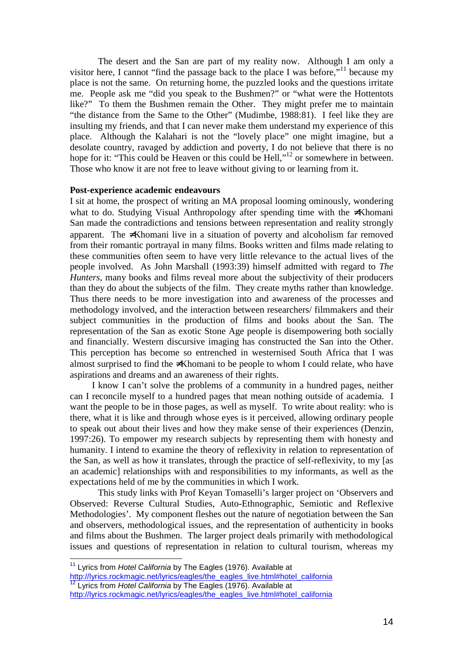The desert and the San are part of my reality now. Although I am only a visitor here, I cannot "find the passage back to the place I was before,"<sup>11</sup> because my place is not the same. On returning home, the puzzled looks and the questions irritate me. People ask me "did you speak to the Bushmen?" or "what were the Hottentots like?" To them the Bushmen remain the Other. They might prefer me to maintain "the distance from the Same to the Other" (Mudimbe, 1988:81). I feel like they are insulting my friends, and that I can never make them understand my experience of this place. Although the Kalahari is not the "lovely place" one might imagine, but a desolate country, ravaged by addiction and poverty, I do not believe that there is no hope for it: "This could be Heaven or this could be Hell,"<sup>12</sup> or somewhere in between. Those who know it are not free to leave without giving to or learning from it.

#### **Post-experience academic endeavours**

I sit at home, the prospect of writing an MA proposal looming ominously, wondering what to do. Studying Visual Anthropology after spending time with the ≠Khomani San made the contradictions and tensions between representation and reality strongly apparent. The ≠Khomani live in a situation of poverty and alcoholism far removed from their romantic portrayal in many films. Books written and films made relating to these communities often seem to have very little relevance to the actual lives of the people involved. As John Marshall (1993:39) himself admitted with regard to *The Hunters,* many books and films reveal more about the subjectivity of their producers than they do about the subjects of the film. They create myths rather than knowledge. Thus there needs to be more investigation into and awareness of the processes and methodology involved, and the interaction between researchers/ filmmakers and their subject communities in the production of films and books about the San. The representation of the San as exotic Stone Age people is disempowering both socially and financially. Western discursive imaging has constructed the San into the Other. This perception has become so entrenched in westernised South Africa that I was almost surprised to find the ≠Khomani to be people to whom I could relate, who have aspirations and dreams and an awareness of their rights.

I know I can't solve the problems of a community in a hundred pages, neither can I reconcile myself to a hundred pages that mean nothing outside of academia. I want the people to be in those pages, as well as myself. To write about reality: who is there, what it is like and through whose eyes is it perceived, allowing ordinary people to speak out about their lives and how they make sense of their experiences (Denzin, 1997:26). To empower my research subjects by representing them with honesty and humanity. I intend to examine the theory of reflexivity in relation to representation of the San, as well as how it translates, through the practice of self-reflexivity, to my [as an academic] relationships with and responsibilities to my informants, as well as the expectations held of me by the communities in which I work.

This study links with Prof Keyan Tomaselli's larger project on 'Observers and Observed: Reverse Cultural Studies, Auto-Ethnographic, Semiotic and Reflexive Methodologies'. My component fleshes out the nature of negotiation between the San and observers, methodological issues, and the representation of authenticity in books and films about the Bushmen. The larger project deals primarily with methodological issues and questions of representation in relation to cultural tourism, whereas my

l

<sup>&</sup>lt;sup>11</sup> Lyrics from Hotel California by The Eagles (1976). Available at

http://lyrics.rockmagic.net/lyrics/eagles/the\_eagles\_live.html#hotel\_california  $12$  Lyrics from Hotel California by The Eagles (1976). Available at http://lyrics.rockmagic.net/lyrics/eagles/the\_eagles\_live.html#hotel\_california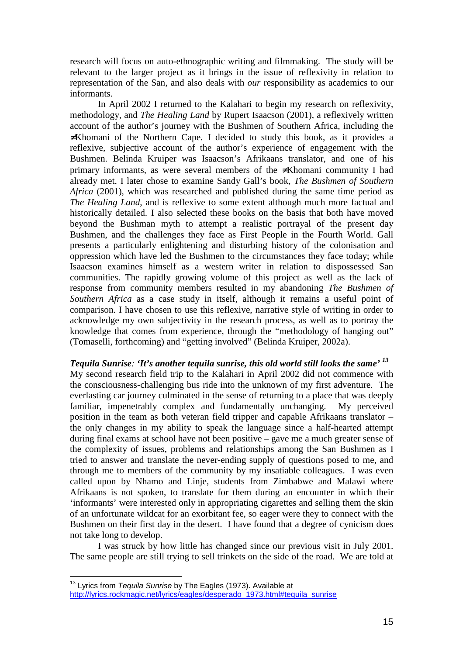research will focus on auto-ethnographic writing and filmmaking. The study will be relevant to the larger project as it brings in the issue of reflexivity in relation to representation of the San, and also deals with *our* responsibility as academics to our informants.

In April 2002 I returned to the Kalahari to begin my research on reflexivity, methodology, and *The Healing Land* by Rupert Isaacson (2001), a reflexively written account of the author's journey with the Bushmen of Southern Africa, including the ≠Khomani of the Northern Cape. I decided to study this book, as it provides a reflexive, subjective account of the author's experience of engagement with the Bushmen. Belinda Kruiper was Isaacson's Afrikaans translator, and one of his primary informants, as were several members of the ≠Khomani community I had already met. I later chose to examine Sandy Gall's book, *The Bushmen of Southern Africa* (2001), which was researched and published during the same time period as *The Healing Land*, and is reflexive to some extent although much more factual and historically detailed. I also selected these books on the basis that both have moved beyond the Bushman myth to attempt a realistic portrayal of the present day Bushmen, and the challenges they face as First People in the Fourth World. Gall presents a particularly enlightening and disturbing history of the colonisation and oppression which have led the Bushmen to the circumstances they face today; while Isaacson examines himself as a western writer in relation to dispossessed San communities. The rapidly growing volume of this project as well as the lack of response from community members resulted in my abandoning *The Bushmen of Southern Africa* as a case study in itself, although it remains a useful point of comparison. I have chosen to use this reflexive, narrative style of writing in order to acknowledge my own subjectivity in the research process, as well as to portray the knowledge that comes from experience, through the "methodology of hanging out" (Tomaselli, forthcoming) and "getting involved" (Belinda Kruiper, 2002a).

*Tequila Sunrise: 'It's another tequila sunrise, this old world still looks the same' <sup>13</sup>* My second research field trip to the Kalahari in April 2002 did not commence with the consciousness-challenging bus ride into the unknown of my first adventure. The everlasting car journey culminated in the sense of returning to a place that was deeply familiar, impenetrably complex and fundamentally unchanging. My perceived position in the team as both veteran field tripper and capable Afrikaans translator – the only changes in my ability to speak the language since a half-hearted attempt during final exams at school have not been positive – gave me a much greater sense of the complexity of issues, problems and relationships among the San Bushmen as I tried to answer and translate the never-ending supply of questions posed to me, and through me to members of the community by my insatiable colleagues. I was even called upon by Nhamo and Linje, students from Zimbabwe and Malawi where Afrikaans is not spoken, to translate for them during an encounter in which their 'informants' were interested only in appropriating cigarettes and selling them the skin of an unfortunate wildcat for an exorbitant fee, so eager were they to connect with the Bushmen on their first day in the desert. I have found that a degree of cynicism does not take long to develop.

 I was struck by how little has changed since our previous visit in July 2001. The same people are still trying to sell trinkets on the side of the road. We are told at

 $\overline{\phantom{a}}$ 

 $13$  Lyrics from Tequila Sunrise by The Eagles (1973). Available at http://lyrics.rockmagic.net/lyrics/eagles/desperado\_1973.html#tequila\_sunrise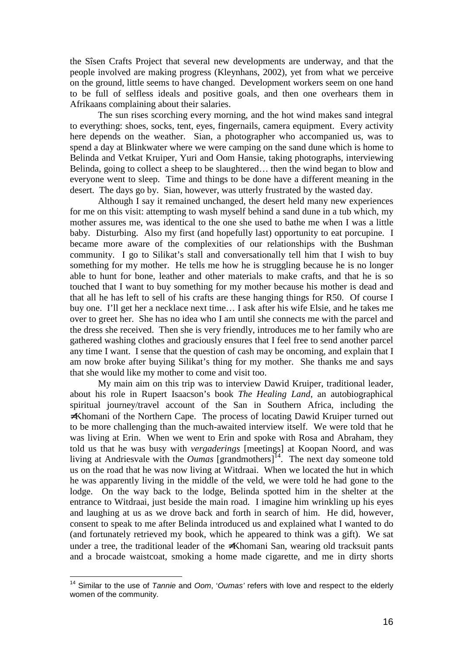the Sîsen Crafts Project that several new developments are underway, and that the people involved are making progress (Kleynhans, 2002), yet from what we perceive on the ground, little seems to have changed. Development workers seem on one hand to be full of selfless ideals and positive goals, and then one overhears them in Afrikaans complaining about their salaries.

 The sun rises scorching every morning, and the hot wind makes sand integral to everything: shoes, socks, tent, eyes, fingernails, camera equipment. Every activity here depends on the weather. Sian, a photographer who accompanied us, was to spend a day at Blinkwater where we were camping on the sand dune which is home to Belinda and Vetkat Kruiper, Yuri and Oom Hansie, taking photographs, interviewing Belinda, going to collect a sheep to be slaughtered… then the wind began to blow and everyone went to sleep. Time and things to be done have a different meaning in the desert. The days go by. Sian, however, was utterly frustrated by the wasted day.

 Although I say it remained unchanged, the desert held many new experiences for me on this visit: attempting to wash myself behind a sand dune in a tub which, my mother assures me, was identical to the one she used to bathe me when I was a little baby. Disturbing. Also my first (and hopefully last) opportunity to eat porcupine. I became more aware of the complexities of our relationships with the Bushman community. I go to Silikat's stall and conversationally tell him that I wish to buy something for my mother. He tells me how he is struggling because he is no longer able to hunt for bone, leather and other materials to make crafts, and that he is so touched that I want to buy something for my mother because his mother is dead and that all he has left to sell of his crafts are these hanging things for R50. Of course I buy one. I'll get her a necklace next time… I ask after his wife Elsie, and he takes me over to greet her. She has no idea who I am until she connects me with the parcel and the dress she received. Then she is very friendly, introduces me to her family who are gathered washing clothes and graciously ensures that I feel free to send another parcel any time I want. I sense that the question of cash may be oncoming, and explain that I am now broke after buying Silikat's thing for my mother. She thanks me and says that she would like my mother to come and visit too.

 My main aim on this trip was to interview Dawid Kruiper, traditional leader, about his role in Rupert Isaacson's book *The Healing Land*, an autobiographical spiritual journey/travel account of the San in Southern Africa, including the ≠Khomani of the Northern Cape. The process of locating Dawid Kruiper turned out to be more challenging than the much-awaited interview itself. We were told that he was living at Erin. When we went to Erin and spoke with Rosa and Abraham, they told us that he was busy with *vergaderings* [meetings] at Koopan Noord, and was living at Andriesvale with the *Oumas* [grandmothers]<sup>14</sup>. The next day someone told us on the road that he was now living at Witdraai. When we located the hut in which he was apparently living in the middle of the veld, we were told he had gone to the lodge. On the way back to the lodge, Belinda spotted him in the shelter at the entrance to Witdraai, just beside the main road. I imagine him wrinkling up his eyes and laughing at us as we drove back and forth in search of him. He did, however, consent to speak to me after Belinda introduced us and explained what I wanted to do (and fortunately retrieved my book, which he appeared to think was a gift). We sat under a tree, the traditional leader of the ≠Khomani San, wearing old tracksuit pants and a brocade waistcoat, smoking a home made cigarette, and me in dirty shorts

 $\overline{\phantom{a}}$ 

 $14$  Similar to the use of Tannie and Oom, 'Oumas' refers with love and respect to the elderly women of the community.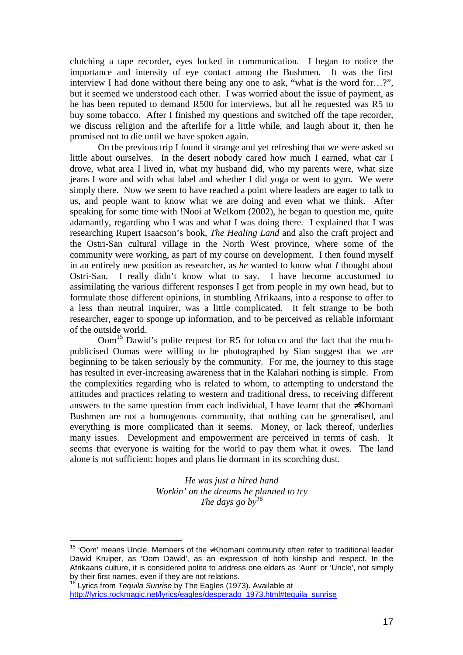clutching a tape recorder, eyes locked in communication. I began to notice the importance and intensity of eye contact among the Bushmen. It was the first interview I had done without there being any one to ask, "what is the word for…?", but it seemed we understood each other. I was worried about the issue of payment, as he has been reputed to demand R500 for interviews, but all he requested was R5 to buy some tobacco. After I finished my questions and switched off the tape recorder, we discuss religion and the afterlife for a little while, and laugh about it, then he promised not to die until we have spoken again.

 On the previous trip I found it strange and yet refreshing that we were asked so little about ourselves. In the desert nobody cared how much I earned, what car I drove, what area I lived in, what my husband did, who my parents were, what size jeans I wore and with what label and whether I did yoga or went to gym. We were simply there. Now we seem to have reached a point where leaders are eager to talk to us, and people want to know what we are doing and even what we think. After speaking for some time with !Nooi at Welkom (2002), he began to question me, quite adamantly, regarding who I was and what I was doing there. I explained that I was researching Rupert Isaacson's book, *The Healing Land* and also the craft project and the Ostri-San cultural village in the North West province, where some of the community were working, as part of my course on development. I then found myself in an entirely new position as researcher, as *he* wanted to know what *I* thought about Ostri-San. I really didn't know what to say. I have become accustomed to assimilating the various different responses I get from people in my own head, but to formulate those different opinions, in stumbling Afrikaans, into a response to offer to a less than neutral inquirer, was a little complicated. It felt strange to be both researcher, eager to sponge up information, and to be perceived as reliable informant of the outside world.

Oom<sup>15</sup> Dawid's polite request for R5 for tobacco and the fact that the muchpublicised Oumas were willing to be photographed by Sian suggest that we are beginning to be taken seriously by the community. For me, the journey to this stage has resulted in ever-increasing awareness that in the Kalahari nothing is simple. From the complexities regarding who is related to whom, to attempting to understand the attitudes and practices relating to western and traditional dress, to receiving different answers to the same question from each individual, I have learnt that the ≠Khomani Bushmen are not a homogenous community, that nothing can be generalised, and everything is more complicated than it seems. Money, or lack thereof, underlies many issues. Development and empowerment are perceived in terms of cash. It seems that everyone is waiting for the world to pay them what it owes. The land alone is not sufficient: hopes and plans lie dormant in its scorching dust.

> *He was just a hired hand Workin' on the dreams he planned to try The days go by<sup>16</sup>*

l

<sup>&</sup>lt;sup>15</sup> 'Oom' means Uncle. Members of the ≠Khomani community often refer to traditional leader Dawid Kruiper, as 'Oom Dawid', as an expression of both kinship and respect. In the Afrikaans culture, it is considered polite to address one elders as 'Aunt' or 'Uncle', not simply by their first names, even if they are not relations.

<sup>&</sup>lt;sup>16</sup> Lyrics from *Tequila Sunrise* by The Eagles (1973). Available at http://lyrics.rockmagic.net/lyrics/eagles/desperado\_1973.html#tequila\_sunrise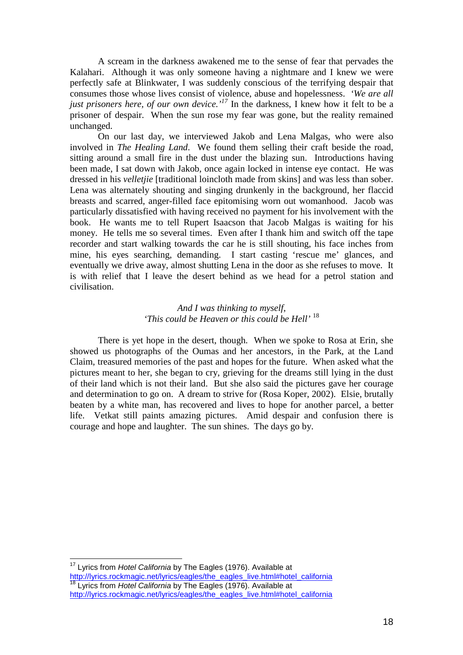A scream in the darkness awakened me to the sense of fear that pervades the Kalahari. Although it was only someone having a nightmare and I knew we were perfectly safe at Blinkwater, I was suddenly conscious of the terrifying despair that consumes those whose lives consist of violence, abuse and hopelessness. *'We are all just prisoners here, of our own device.'<sup>17</sup>* In the darkness, I knew how it felt to be a prisoner of despair. When the sun rose my fear was gone, but the reality remained unchanged.

 On our last day, we interviewed Jakob and Lena Malgas, who were also involved in *The Healing Land*. We found them selling their craft beside the road, sitting around a small fire in the dust under the blazing sun. Introductions having been made, I sat down with Jakob, once again locked in intense eye contact. He was dressed in his *velletjie* [traditional loincloth made from skins] and was less than sober. Lena was alternately shouting and singing drunkenly in the background, her flaccid breasts and scarred, anger-filled face epitomising worn out womanhood. Jacob was particularly dissatisfied with having received no payment for his involvement with the book. He wants me to tell Rupert Isaacson that Jacob Malgas is waiting for his money. He tells me so several times. Even after I thank him and switch off the tape recorder and start walking towards the car he is still shouting, his face inches from mine, his eyes searching, demanding. I start casting 'rescue me' glances, and eventually we drive away, almost shutting Lena in the door as she refuses to move. It is with relief that I leave the desert behind as we head for a petrol station and civilisation.

#### *And I was thinking to myself, 'This could be Heaven or this could be Hell'* <sup>18</sup>

 There is yet hope in the desert, though. When we spoke to Rosa at Erin, she showed us photographs of the Oumas and her ancestors, in the Park, at the Land Claim, treasured memories of the past and hopes for the future. When asked what the pictures meant to her, she began to cry, grieving for the dreams still lying in the dust of their land which is not their land. But she also said the pictures gave her courage and determination to go on. A dream to strive for (Rosa Koper, 2002). Elsie, brutally beaten by a white man, has recovered and lives to hope for another parcel, a better life. Vetkat still paints amazing pictures. Amid despair and confusion there is courage and hope and laughter. The sun shines. The days go by.

l <sup>17</sup> Lyrics from Hotel California by The Eagles (1976). Available at http://lyrics.rockmagic.net/lyrics/eagles/the\_eagles\_live.html#hotel\_california <sup>18</sup> Lyrics from *Hotel California* by The Eagles (1976). Available at http://lyrics.rockmagic.net/lyrics/eagles/the\_eagles\_live.html#hotel\_california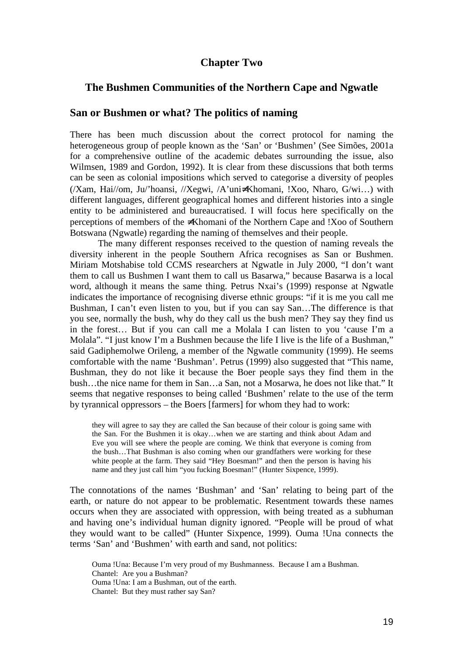## **Chapter Two**

#### **The Bushmen Communities of the Northern Cape and Ngwatle**

#### **San or Bushmen or what? The politics of naming**

There has been much discussion about the correct protocol for naming the heterogeneous group of people known as the 'San' or 'Bushmen' (See Simões, 2001a for a comprehensive outline of the academic debates surrounding the issue, also Wilmsen, 1989 and Gordon, 1992). It is clear from these discussions that both terms can be seen as colonial impositions which served to categorise a diversity of peoples (/Xam, Hai//om, Ju/'hoansi, //Xegwi, /A'uni≠Khomani, !Xoo, Nharo, G/wi…) with different languages, different geographical homes and different histories into a single entity to be administered and bureaucratised. I will focus here specifically on the perceptions of members of the ≠Khomani of the Northern Cape and !Xoo of Southern Botswana (Ngwatle) regarding the naming of themselves and their people.

 The many different responses received to the question of naming reveals the diversity inherent in the people Southern Africa recognises as San or Bushmen. Miriam Motshabise told CCMS researchers at Ngwatle in July 2000, "I don't want them to call us Bushmen I want them to call us Basarwa," because Basarwa is a local word, although it means the same thing. Petrus Nxai's (1999) response at Ngwatle indicates the importance of recognising diverse ethnic groups: "if it is me you call me Bushman, I can't even listen to you, but if you can say San…The difference is that you see, normally the bush, why do they call us the bush men? They say they find us in the forest… But if you can call me a Molala I can listen to you 'cause I'm a Molala". "I just know I'm a Bushmen because the life I live is the life of a Bushman," said Gadiphemolwe Orileng, a member of the Ngwatle community (1999). He seems comfortable with the name 'Bushman'. Petrus (1999) also suggested that "This name, Bushman, they do not like it because the Boer people says they find them in the bush…the nice name for them in San…a San, not a Mosarwa, he does not like that." It seems that negative responses to being called 'Bushmen' relate to the use of the term by tyrannical oppressors – the Boers [farmers] for whom they had to work:

they will agree to say they are called the San because of their colour is going same with the San. For the Bushmen it is okay…when we are starting and think about Adam and Eve you will see where the people are coming. We think that everyone is coming from the bush…That Bushman is also coming when our grandfathers were working for these white people at the farm. They said "Hey Boesman!" and then the person is having his name and they just call him "you fucking Boesman!" (Hunter Sixpence, 1999).

The connotations of the names 'Bushman' and 'San' relating to being part of the earth, or nature do not appear to be problematic. Resentment towards these names occurs when they are associated with oppression, with being treated as a subhuman and having one's individual human dignity ignored. "People will be proud of what they would want to be called" (Hunter Sixpence, 1999). Ouma !Una connects the terms 'San' and 'Bushmen' with earth and sand, not politics:

Ouma !Una: Because I'm very proud of my Bushmanness. Because I am a Bushman. Chantel: Are you a Bushman? Ouma !Una: I am a Bushman, out of the earth. Chantel: But they must rather say San?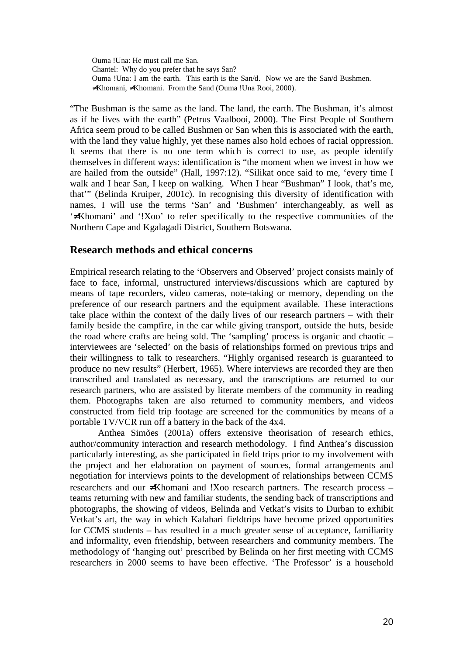Ouma !Una: He must call me San. Chantel: Why do you prefer that he says San? Ouma !Una: I am the earth. This earth is the San/d. Now we are the San/d Bushmen. ≠Khomani, ≠Khomani. From the Sand (Ouma !Una Rooi, 2000).

"The Bushman is the same as the land. The land, the earth. The Bushman, it's almost as if he lives with the earth" (Petrus Vaalbooi, 2000). The First People of Southern Africa seem proud to be called Bushmen or San when this is associated with the earth, with the land they value highly, yet these names also hold echoes of racial oppression. It seems that there is no one term which is correct to use, as people identify themselves in different ways: identification is "the moment when we invest in how we are hailed from the outside" (Hall, 1997:12). "Silikat once said to me, 'every time I walk and I hear San, I keep on walking. When I hear "Bushman" I look, that's me, that'" (Belinda Kruiper, 2001c). In recognising this diversity of identification with names, I will use the terms 'San' and 'Bushmen' interchangeably, as well as '≠Khomani' and '!Xoo' to refer specifically to the respective communities of the Northern Cape and Kgalagadi District, Southern Botswana.

## **Research methods and ethical concerns**

Empirical research relating to the 'Observers and Observed' project consists mainly of face to face, informal, unstructured interviews/discussions which are captured by means of tape recorders, video cameras, note-taking or memory, depending on the preference of our research partners and the equipment available. These interactions take place within the context of the daily lives of our research partners – with their family beside the campfire, in the car while giving transport, outside the huts, beside the road where crafts are being sold. The 'sampling' process is organic and chaotic – interviewees are 'selected' on the basis of relationships formed on previous trips and their willingness to talk to researchers. "Highly organised research is guaranteed to produce no new results" (Herbert, 1965). Where interviews are recorded they are then transcribed and translated as necessary, and the transcriptions are returned to our research partners, who are assisted by literate members of the community in reading them. Photographs taken are also returned to community members, and videos constructed from field trip footage are screened for the communities by means of a portable TV/VCR run off a battery in the back of the 4x4.

Anthea Simões (2001a) offers extensive theorisation of research ethics, author/community interaction and research methodology. I find Anthea's discussion particularly interesting, as she participated in field trips prior to my involvement with the project and her elaboration on payment of sources, formal arrangements and negotiation for interviews points to the development of relationships between CCMS researchers and our ≠Khomani and !Xoo research partners. The research process – teams returning with new and familiar students, the sending back of transcriptions and photographs, the showing of videos, Belinda and Vetkat's visits to Durban to exhibit Vetkat's art, the way in which Kalahari fieldtrips have become prized opportunities for CCMS students – has resulted in a much greater sense of acceptance, familiarity and informality, even friendship, between researchers and community members. The methodology of 'hanging out' prescribed by Belinda on her first meeting with CCMS researchers in 2000 seems to have been effective. 'The Professor' is a household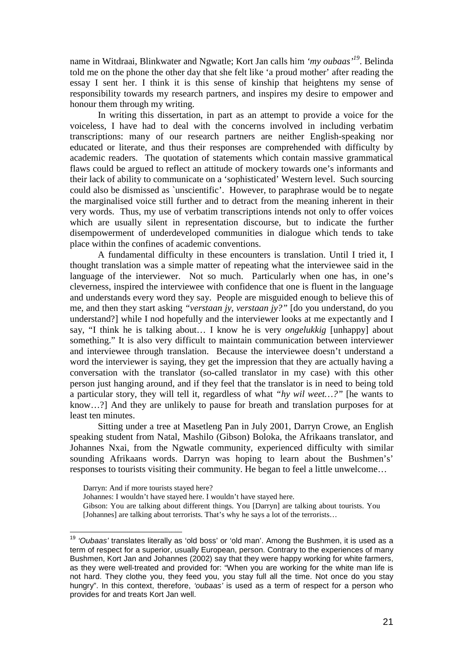name in Witdraai, Blinkwater and Ngwatle; Kort Jan calls him *'my oubaas'<sup>19</sup>*. Belinda told me on the phone the other day that she felt like 'a proud mother' after reading the essay I sent her. I think it is this sense of kinship that heightens my sense of responsibility towards my research partners, and inspires my desire to empower and honour them through my writing.

In writing this dissertation, in part as an attempt to provide a voice for the voiceless, I have had to deal with the concerns involved in including verbatim transcriptions: many of our research partners are neither English-speaking nor educated or literate, and thus their responses are comprehended with difficulty by academic readers. The quotation of statements which contain massive grammatical flaws could be argued to reflect an attitude of mockery towards one's informants and their lack of ability to communicate on a 'sophisticated' Western level. Such sourcing could also be dismissed as `unscientific'. However, to paraphrase would be to negate the marginalised voice still further and to detract from the meaning inherent in their very words. Thus, my use of verbatim transcriptions intends not only to offer voices which are usually silent in representation discourse, but to indicate the further disempowerment of underdeveloped communities in dialogue which tends to take place within the confines of academic conventions.

A fundamental difficulty in these encounters is translation. Until I tried it, I thought translation was a simple matter of repeating what the interviewee said in the language of the interviewer. Not so much. Particularly when one has, in one's cleverness, inspired the interviewee with confidence that one is fluent in the language and understands every word they say. People are misguided enough to believe this of me, and then they start asking *"verstaan jy, verstaan jy?"* [do you understand, do you understand?] while I nod hopefully and the interviewer looks at me expectantly and I say, "I think he is talking about… I know he is very *ongelukkig* [unhappy] about something." It is also very difficult to maintain communication between interviewer and interviewee through translation. Because the interviewee doesn't understand a word the interviewer is saying, they get the impression that they are actually having a conversation with the translator (so-called translator in my case) with this other person just hanging around, and if they feel that the translator is in need to being told a particular story, they will tell it, regardless of what *"hy wil weet…?"* [he wants to know...?] And they are unlikely to pause for breath and translation purposes for at least ten minutes.

Sitting under a tree at Masetleng Pan in July 2001, Darryn Crowe, an English speaking student from Natal, Mashilo (Gibson) Boloka, the Afrikaans translator, and Johannes Nxai, from the Ngwatle community, experienced difficulty with similar sounding Afrikaans words. Darryn was hoping to learn about the Bushmen's' responses to tourists visiting their community. He began to feel a little unwelcome…

Darryn: And if more tourists stayed here?

 $\overline{a}$ 

Johannes: I wouldn't have stayed here. I wouldn't have stayed here.

Gibson: You are talking about different things. You [Darryn] are talking about tourists. You [Johannes] are talking about terrorists. That's why he says a lot of the terrorists...

 $19$  'Oubaas' translates literally as 'old boss' or 'old man'. Among the Bushmen, it is used as a term of respect for a superior, usually European, person. Contrary to the experiences of many Bushmen, Kort Jan and Johannes (2002) say that they were happy working for white farmers, as they were well-treated and provided for: "When you are working for the white man life is not hard. They clothe you, they feed you, you stay full all the time. Not once do you stay hungry". In this context, therefore, 'oubaas' is used as a term of respect for a person who provides for and treats Kort Jan well.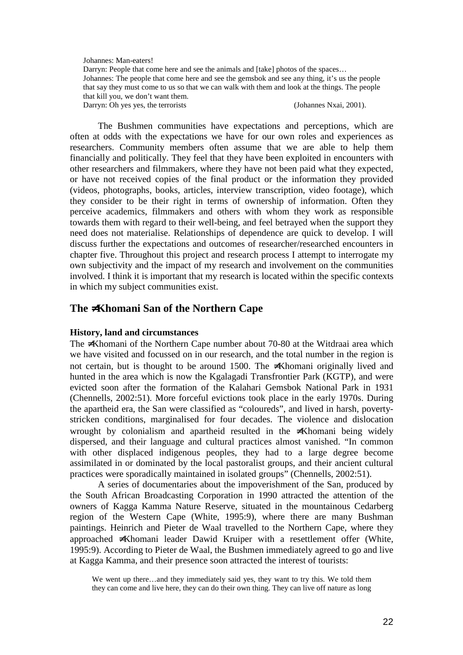Johannes: Man-eaters! Darryn: People that come here and see the animals and [take] photos of the spaces... Johannes: The people that come here and see the gemsbok and see any thing, it's us the people that say they must come to us so that we can walk with them and look at the things. The people that kill you, we don't want them. Darryn: Oh yes yes, the terrorists (Johannes Nxai, 2001).

The Bushmen communities have expectations and perceptions, which are often at odds with the expectations we have for our own roles and experiences as researchers. Community members often assume that we are able to help them financially and politically. They feel that they have been exploited in encounters with other researchers and filmmakers, where they have not been paid what they expected, or have not received copies of the final product or the information they provided (videos, photographs, books, articles, interview transcription, video footage), which they consider to be their right in terms of ownership of information. Often they perceive academics, filmmakers and others with whom they work as responsible towards them with regard to their well-being, and feel betrayed when the support they need does not materialise. Relationships of dependence are quick to develop. I will discuss further the expectations and outcomes of researcher/researched encounters in chapter five. Throughout this project and research process I attempt to interrogate my own subjectivity and the impact of my research and involvement on the communities involved. I think it is important that my research is located within the specific contexts in which my subject communities exist.

## **The** ≠**Khomani San of the Northern Cape**

#### **History, land and circumstances**

The ≠Khomani of the Northern Cape number about 70-80 at the Witdraai area which we have visited and focussed on in our research, and the total number in the region is not certain, but is thought to be around 1500. The ≠Khomani originally lived and hunted in the area which is now the Kgalagadi Transfrontier Park (KGTP), and were evicted soon after the formation of the Kalahari Gemsbok National Park in 1931 (Chennells, 2002:51). More forceful evictions took place in the early 1970s. During the apartheid era, the San were classified as "coloureds", and lived in harsh, povertystricken conditions, marginalised for four decades. The violence and dislocation wrought by colonialism and apartheid resulted in the ≠Khomani being widely dispersed, and their language and cultural practices almost vanished. "In common with other displaced indigenous peoples, they had to a large degree become assimilated in or dominated by the local pastoralist groups, and their ancient cultural practices were sporadically maintained in isolated groups" (Chennells, 2002:51).

A series of documentaries about the impoverishment of the San, produced by the South African Broadcasting Corporation in 1990 attracted the attention of the owners of Kagga Kamma Nature Reserve, situated in the mountainous Cedarberg region of the Western Cape (White, 1995:9), where there are many Bushman paintings. Heinrich and Pieter de Waal travelled to the Northern Cape, where they approached ≠Khomani leader Dawid Kruiper with a resettlement offer (White, 1995:9). According to Pieter de Waal, the Bushmen immediately agreed to go and live at Kagga Kamma, and their presence soon attracted the interest of tourists:

We went up there…and they immediately said yes, they want to try this. We told them they can come and live here, they can do their own thing. They can live off nature as long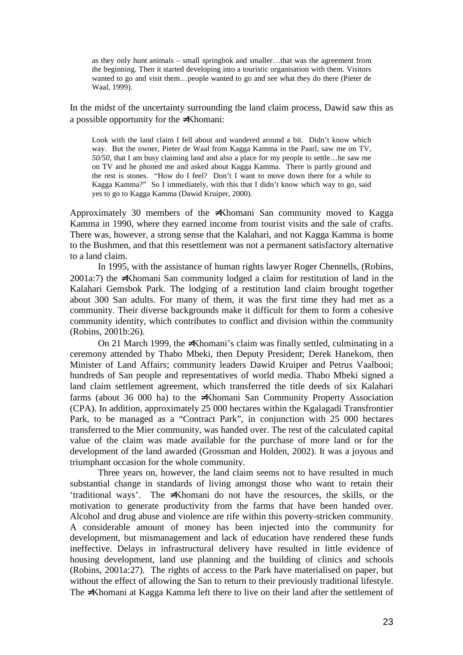as they only hunt animals – small springbok and smaller…that was the agreement from the beginning. Then it started developing into a touristic organisation with them. Visitors wanted to go and visit them…people wanted to go and see what they do there (Pieter de Waal, 1999).

In the midst of the uncertainty surrounding the land claim process, Dawid saw this as a possible opportunity for the ≠Khomani:

Look with the land claim I fell about and wandered around a bit. Didn't know which way. But the owner, Pieter de Waal from Kagga Kamma in the Paarl, saw me on TV, *50/50*, that I am busy claiming land and also a place for my people to settle…he saw me on TV and he phoned me and asked about Kagga Kamma. There is partly ground and the rest is stones. "How do I feel? Don't I want to move down there for a while to Kagga Kamma?" So I immediately, with this that I didn't know which way to go, said yes to go to Kagga Kamma (Dawid Kruiper, 2000).

Approximately 30 members of the  $\neq$ Khomani San community moved to Kagga Kamma in 1990, where they earned income from tourist visits and the sale of crafts. There was, however, a strong sense that the Kalahari, and not Kagga Kamma is home to the Bushmen, and that this resettlement was not a permanent satisfactory alternative to a land claim.

In 1995, with the assistance of human rights lawyer Roger Chennells, (Robins, 2001a:7) the ≠Khomani San community lodged a claim for restitution of land in the Kalahari Gemsbok Park. The lodging of a restitution land claim brought together about 300 San adults. For many of them, it was the first time they had met as a community. Their diverse backgrounds make it difficult for them to form a cohesive community identity, which contributes to conflict and division within the community (Robins, 2001b:26).

On 21 March 1999, the ≠Khomani's claim was finally settled, culminating in a ceremony attended by Thabo Mbeki, then Deputy President; Derek Hanekom, then Minister of Land Affairs; community leaders Dawid Kruiper and Petrus Vaalbooi; hundreds of San people and representatives of world media. Thabo Mbeki signed a land claim settlement agreement, which transferred the title deeds of six Kalahari farms (about 36 000 ha) to the ≠Khomani San Community Property Association (CPA). In addition, approximately 25 000 hectares within the Kgalagadi Transfrontier Park, to be managed as a "Contract Park", in conjunction with 25 000 hectares transferred to the Mier community, was handed over. The rest of the calculated capital value of the claim was made available for the purchase of more land or for the development of the land awarded (Grossman and Holden, 2002). It was a joyous and triumphant occasion for the whole community.

Three years on, however, the land claim seems not to have resulted in much substantial change in standards of living amongst those who want to retain their 'traditional ways'. The ≠Khomani do not have the resources, the skills, or the motivation to generate productivity from the farms that have been handed over. Alcohol and drug abuse and violence are rife within this poverty-stricken community. A considerable amount of money has been injected into the community for development, but mismanagement and lack of education have rendered these funds ineffective. Delays in infrastructural delivery have resulted in little evidence of housing development, land use planning and the building of clinics and schools (Robins, 2001a:27). The rights of access to the Park have materialised on paper, but without the effect of allowing the San to return to their previously traditional lifestyle. The ≠Khomani at Kagga Kamma left there to live on their land after the settlement of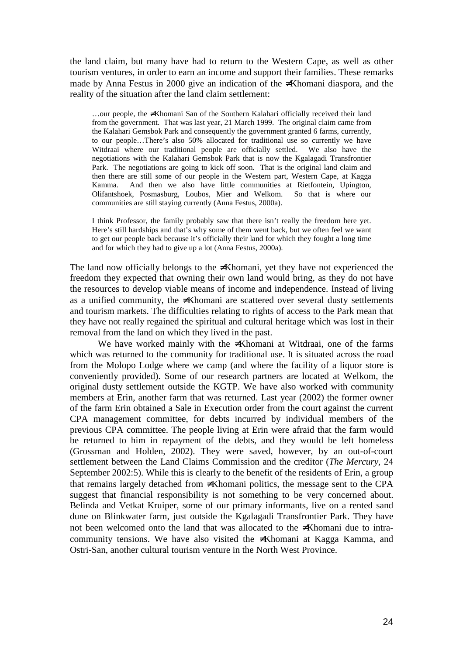the land claim, but many have had to return to the Western Cape, as well as other tourism ventures, in order to earn an income and support their families. These remarks made by Anna Festus in 2000 give an indication of the ≠Khomani diaspora, and the reality of the situation after the land claim settlement:

…our people, the ≠Khomani San of the Southern Kalahari officially received their land from the government. That was last year, 21 March 1999. The original claim came from the Kalahari Gemsbok Park and consequently the government granted 6 farms, currently, to our people…There's also 50% allocated for traditional use so currently we have Witdraai where our traditional people are officially settled. We also have the negotiations with the Kalahari Gemsbok Park that is now the Kgalagadi Transfrontier Park. The negotiations are going to kick off soon. That is the original land claim and then there are still some of our people in the Western part, Western Cape, at Kagga Kamma. And then we also have little communities at Rietfontein, Upington, Olifantshoek, Posmasburg, Loubos, Mier and Welkom. So that is where our communities are still staying currently (Anna Festus, 2000a).

I think Professor, the family probably saw that there isn't really the freedom here yet. Here's still hardships and that's why some of them went back, but we often feel we want to get our people back because it's officially their land for which they fought a long time and for which they had to give up a lot (Anna Festus, 2000a).

The land now officially belongs to the ≠Khomani, yet they have not experienced the freedom they expected that owning their own land would bring, as they do not have the resources to develop viable means of income and independence. Instead of living as a unified community, the ≠Khomani are scattered over several dusty settlements and tourism markets. The difficulties relating to rights of access to the Park mean that they have not really regained the spiritual and cultural heritage which was lost in their removal from the land on which they lived in the past.

We have worked mainly with the ≠Khomani at Witdraai, one of the farms which was returned to the community for traditional use. It is situated across the road from the Molopo Lodge where we camp (and where the facility of a liquor store is conveniently provided). Some of our research partners are located at Welkom, the original dusty settlement outside the KGTP. We have also worked with community members at Erin, another farm that was returned. Last year (2002) the former owner of the farm Erin obtained a Sale in Execution order from the court against the current CPA management committee, for debts incurred by individual members of the previous CPA committee. The people living at Erin were afraid that the farm would be returned to him in repayment of the debts, and they would be left homeless (Grossman and Holden, 2002). They were saved, however, by an out-of-court settlement between the Land Claims Commission and the creditor (*The Mercury,* 24 September 2002:5). While this is clearly to the benefit of the residents of Erin, a group that remains largely detached from ≠Khomani politics, the message sent to the CPA suggest that financial responsibility is not something to be very concerned about. Belinda and Vetkat Kruiper, some of our primary informants, live on a rented sand dune on Blinkwater farm, just outside the Kgalagadi Transfrontier Park. They have not been welcomed onto the land that was allocated to the ≠Khomani due to intracommunity tensions. We have also visited the ≠Khomani at Kagga Kamma, and Ostri-San, another cultural tourism venture in the North West Province.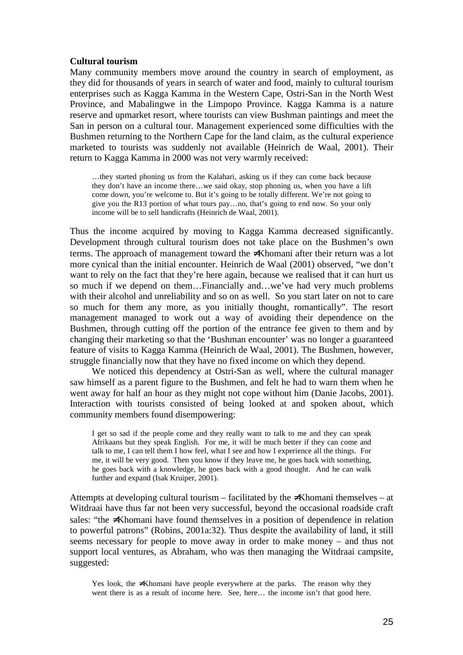#### **Cultural tourism**

Many community members move around the country in search of employment, as they did for thousands of years in search of water and food, mainly to cultural tourism enterprises such as Kagga Kamma in the Western Cape, Ostri-San in the North West Province, and Mabalingwe in the Limpopo Province. Kagga Kamma is a nature reserve and upmarket resort, where tourists can view Bushman paintings and meet the San in person on a cultural tour. Management experienced some difficulties with the Bushmen returning to the Northern Cape for the land claim, as the cultural experience marketed to tourists was suddenly not available (Heinrich de Waal, 2001). Their return to Kagga Kamma in 2000 was not very warmly received:

…they started phoning us from the Kalahari, asking us if they can come back because they don't have an income there…we said okay, stop phoning us, when you have a lift come down, you're welcome to. But it's going to be totally different. We're not going to give you the R13 portion of what tours pay…no, that's going to end now. So your only income will be to sell handicrafts (Heinrich de Waal, 2001).

Thus the income acquired by moving to Kagga Kamma decreased significantly. Development through cultural tourism does not take place on the Bushmen's own terms. The approach of management toward the ≠Khomani after their return was a lot more cynical than the initial encounter. Heinrich de Waal (2001) observed, "we don't want to rely on the fact that they're here again, because we realised that it can hurt us so much if we depend on them…Financially and…we've had very much problems with their alcohol and unreliability and so on as well. So you start later on not to care so much for them any more, as you initially thought, romantically". The resort management managed to work out a way of avoiding their dependence on the Bushmen, through cutting off the portion of the entrance fee given to them and by changing their marketing so that the 'Bushman encounter' was no longer a guaranteed feature of visits to Kagga Kamma (Heinrich de Waal, 2001). The Bushmen, however, struggle financially now that they have no fixed income on which they depend.

We noticed this dependency at Ostri-San as well, where the cultural manager saw himself as a parent figure to the Bushmen, and felt he had to warn them when he went away for half an hour as they might not cope without him (Danie Jacobs, 2001). Interaction with tourists consisted of being looked at and spoken about, which community members found disempowering:

I get so sad if the people come and they really want to talk to me and they can speak Afrikaans but they speak English. For me, it will be much better if they can come and talk to me, I can tell them I how feel, what I see and how I experience all the things. For me, it will be very good. Then you know if they leave me, he goes back with something, he goes back with a knowledge, he goes back with a good thought. And he can walk further and expand (Isak Kruiper, 2001).

Attempts at developing cultural tourism – facilitated by the  $\neq$ Khomani themselves – at Witdraai have thus far not been very successful, beyond the occasional roadside craft sales: "the ≠Khomani have found themselves in a position of dependence in relation to powerful patrons" (Robins, 2001a:32). Thus despite the availability of land, it still seems necessary for people to move away in order to make money – and thus not support local ventures, as Abraham, who was then managing the Witdraai campsite, suggested:

Yes look, the ≠Khomani have people everywhere at the parks. The reason why they went there is as a result of income here. See, here… the income isn't that good here.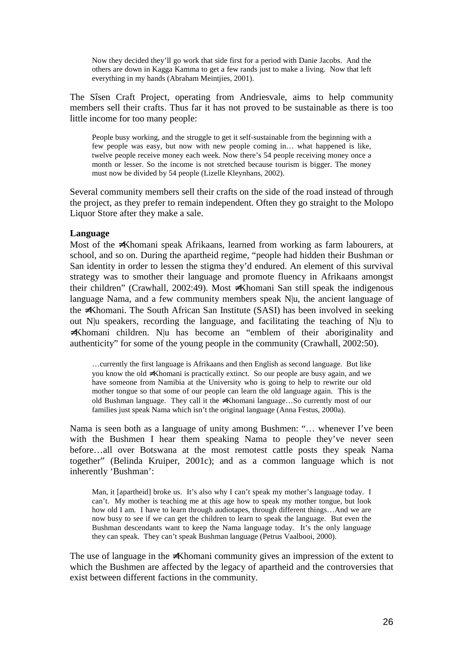Now they decided they'll go work that side first for a period with Danie Jacobs. And the others are down in Kagga Kamma to get a few rands just to make a living. Now that left everything in my hands (Abraham Meintjies, 2001).

The Sîsen Craft Project, operating from Andriesvale, aims to help community members sell their crafts. Thus far it has not proved to be sustainable as there is too little income for too many people:

People busy working, and the struggle to get it self-sustainable from the beginning with a few people was easy, but now with new people coming in… what happened is like, twelve people receive money each week. Now there's 54 people receiving money once a month or lesser. So the income is not stretched because tourism is bigger. The money must now be divided by 54 people (Lizelle Kleynhans, 2002).

Several community members sell their crafts on the side of the road instead of through the project, as they prefer to remain independent. Often they go straight to the Molopo Liquor Store after they make a sale.

#### **Language**

Most of the ≠Khomani speak Afrikaans, learned from working as farm labourers, at school, and so on. During the apartheid regime, "people had hidden their Bushman or San identity in order to lessen the stigma they'd endured. An element of this survival strategy was to smother their language and promote fluency in Afrikaans amongst their children" (Crawhall, 2002:49). Most ≠Khomani San still speak the indigenous language Nama, and a few community members speak  $N|u$ , the ancient language of the ≠Khomani. The South African San Institute (SASI) has been involved in seeking out N|u speakers, recording the language, and facilitating the teaching of N|u to ≠Khomani children. N|u has become an "emblem of their aboriginality and authenticity" for some of the young people in the community (Crawhall, 2002:50).

…currently the first language is Afrikaans and then English as second language. But like you know the old ≠Khomani is practically extinct. So our people are busy again, and we have someone from Namibia at the University who is going to help to rewrite our old mother tongue so that some of our people can learn the old language again. This is the old Bushman language. They call it the ≠Khomani language…So currently most of our families just speak Nama which isn't the original language (Anna Festus, 2000a).

Nama is seen both as a language of unity among Bushmen: "… whenever I've been with the Bushmen I hear them speaking Nama to people they've never seen before…all over Botswana at the most remotest cattle posts they speak Nama together" (Belinda Kruiper, 2001c); and as a common language which is not inherently 'Bushman':

Man, it [apartheid] broke us. It's also why I can't speak my mother's language today. I can't. My mother is teaching me at this age how to speak my mother tongue, but look how old I am. I have to learn through audiotapes, through different things…And we are now busy to see if we can get the children to learn to speak the language. But even the Bushman descendants want to keep the Nama language today. It's the only language they can speak. They can't speak Bushman language (Petrus Vaalbooi, 2000).

The use of language in the ≠Khomani community gives an impression of the extent to which the Bushmen are affected by the legacy of apartheid and the controversies that exist between different factions in the community.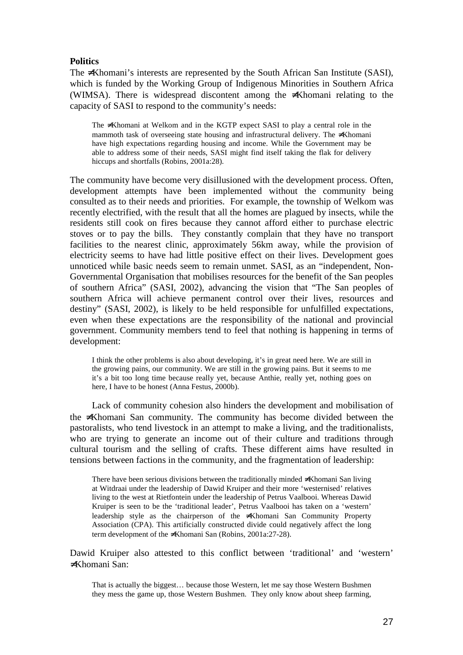#### **Politics**

The ≠Khomani's interests are represented by the South African San Institute (SASI), which is funded by the Working Group of Indigenous Minorities in Southern Africa (WIMSA). There is widespread discontent among the ≠Khomani relating to the capacity of SASI to respond to the community's needs:

The ≠Khomani at Welkom and in the KGTP expect SASI to play a central role in the mammoth task of overseeing state housing and infrastructural delivery. The ≠Khomani have high expectations regarding housing and income. While the Government may be able to address some of their needs, SASI might find itself taking the flak for delivery hiccups and shortfalls (Robins, 2001a:28).

The community have become very disillusioned with the development process. Often, development attempts have been implemented without the community being consulted as to their needs and priorities. For example, the township of Welkom was recently electrified, with the result that all the homes are plagued by insects, while the residents still cook on fires because they cannot afford either to purchase electric stoves or to pay the bills. They constantly complain that they have no transport facilities to the nearest clinic, approximately 56km away, while the provision of electricity seems to have had little positive effect on their lives. Development goes unnoticed while basic needs seem to remain unmet. SASI, as an "independent, Non-Governmental Organisation that mobilises resources for the benefit of the San peoples of southern Africa" (SASI, 2002), advancing the vision that "The San peoples of southern Africa will achieve permanent control over their lives, resources and destiny" (SASI, 2002), is likely to be held responsible for unfulfilled expectations, even when these expectations are the responsibility of the national and provincial government. Community members tend to feel that nothing is happening in terms of development:

I think the other problems is also about developing, it's in great need here. We are still in the growing pains, our community. We are still in the growing pains. But it seems to me it's a bit too long time because really yet, because Anthie, really yet, nothing goes on here, I have to be honest (Anna Festus, 2000b).

Lack of community cohesion also hinders the development and mobilisation of the ≠Khomani San community. The community has become divided between the pastoralists, who tend livestock in an attempt to make a living, and the traditionalists, who are trying to generate an income out of their culture and traditions through cultural tourism and the selling of crafts. These different aims have resulted in tensions between factions in the community, and the fragmentation of leadership:

There have been serious divisions between the traditionally minded ≠Khomani San living at Witdraai under the leadership of Dawid Kruiper and their more 'westernised' relatives living to the west at Rietfontein under the leadership of Petrus Vaalbooi. Whereas Dawid Kruiper is seen to be the 'traditional leader', Petrus Vaalbooi has taken on a 'western' leadership style as the chairperson of the ≠Khomani San Community Property Association (CPA). This artificially constructed divide could negatively affect the long term development of the ≠Khomani San (Robins, 2001a:27-28).

Dawid Kruiper also attested to this conflict between 'traditional' and 'western' ≠Khomani San:

That is actually the biggest… because those Western, let me say those Western Bushmen they mess the game up, those Western Bushmen. They only know about sheep farming,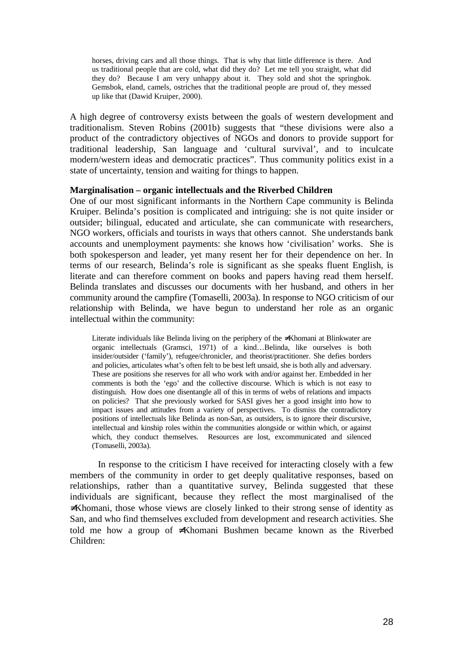horses, driving cars and all those things. That is why that little difference is there. And us traditional people that are cold, what did they do? Let me tell you straight, what did they do? Because I am very unhappy about it. They sold and shot the springbok. Gemsbok, eland, camels, ostriches that the traditional people are proud of, they messed up like that (Dawid Kruiper, 2000).

A high degree of controversy exists between the goals of western development and traditionalism. Steven Robins (2001b) suggests that "these divisions were also a product of the contradictory objectives of NGOs and donors to provide support for traditional leadership, San language and 'cultural survival', and to inculcate modern/western ideas and democratic practices". Thus community politics exist in a state of uncertainty, tension and waiting for things to happen.

#### **Marginalisation – organic intellectuals and the Riverbed Children**

One of our most significant informants in the Northern Cape community is Belinda Kruiper. Belinda's position is complicated and intriguing: she is not quite insider or outsider; bilingual, educated and articulate, she can communicate with researchers, NGO workers, officials and tourists in ways that others cannot. She understands bank accounts and unemployment payments: she knows how 'civilisation' works. She is both spokesperson and leader, yet many resent her for their dependence on her. In terms of our research, Belinda's role is significant as she speaks fluent English, is literate and can therefore comment on books and papers having read them herself. Belinda translates and discusses our documents with her husband, and others in her community around the campfire (Tomaselli, 2003a). In response to NGO criticism of our relationship with Belinda, we have begun to understand her role as an organic intellectual within the community:

Literate individuals like Belinda living on the periphery of the ≠Khomani at Blinkwater are organic intellectuals (Gramsci, 1971) of a kind…Belinda, like ourselves is both insider/outsider ('family'), refugee/chronicler, and theorist/practitioner. She defies borders and policies, articulates what's often felt to be best left unsaid, she is both ally and adversary. These are positions she reserves for all who work with and/or against her. Embedded in her comments is both the 'ego' and the collective discourse. Which is which is not easy to distinguish. How does one disentangle all of this in terms of webs of relations and impacts on policies? That she previously worked for SASI gives her a good insight into how to impact issues and attitudes from a variety of perspectives. To dismiss the contradictory positions of intellectuals like Belinda as non-San, as outsiders, is to ignore their discursive, intellectual and kinship roles within the communities alongside or within which, or against which, they conduct themselves. Resources are lost, excommunicated and silenced (Tomaselli, 2003a).

In response to the criticism I have received for interacting closely with a few members of the community in order to get deeply qualitative responses, based on relationships, rather than a quantitative survey, Belinda suggested that these individuals are significant, because they reflect the most marginalised of the ≠Khomani, those whose views are closely linked to their strong sense of identity as San, and who find themselves excluded from development and research activities. She told me how a group of ≠Khomani Bushmen became known as the Riverbed Children: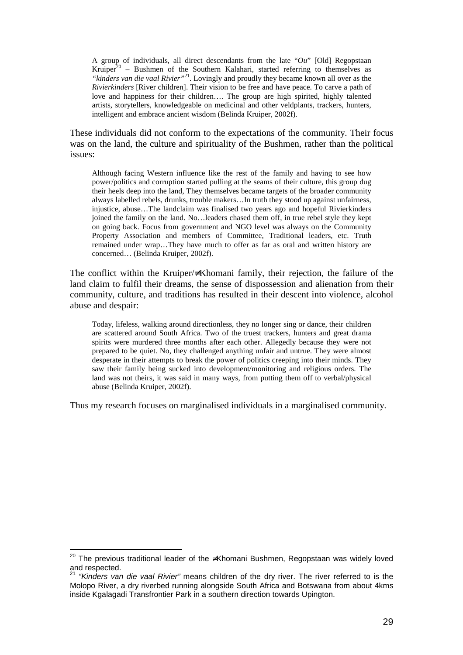A group of individuals, all direct descendants from the late "*Ou*" [Old] Regopstaan Kruiper<sup>20</sup> – Bushmen of the Southern Kalahari, started referring to themselves as *"kinders van die vaal Rivier"*<sup>21</sup>. Lovingly and proudly they became known all over as the *Rivierkinders* [River children]. Their vision to be free and have peace. To carve a path of love and happiness for their children…. The group are high spirited, highly talented artists, storytellers, knowledgeable on medicinal and other veldplants, trackers, hunters, intelligent and embrace ancient wisdom (Belinda Kruiper, 2002f).

These individuals did not conform to the expectations of the community. Their focus was on the land, the culture and spirituality of the Bushmen, rather than the political issues:

Although facing Western influence like the rest of the family and having to see how power/politics and corruption started pulling at the seams of their culture, this group dug their heels deep into the land, They themselves became targets of the broader community always labelled rebels, drunks, trouble makers…In truth they stood up against unfairness, injustice, abuse…The landclaim was finalised two years ago and hopeful Rivierkinders joined the family on the land. No…leaders chased them off, in true rebel style they kept on going back. Focus from government and NGO level was always on the Community Property Association and members of Committee, Traditional leaders, etc. Truth remained under wrap…They have much to offer as far as oral and written history are concerned… (Belinda Kruiper, 2002f).

The conflict within the Kruiper/≠Khomani family, their rejection, the failure of the land claim to fulfil their dreams, the sense of dispossession and alienation from their community, culture, and traditions has resulted in their descent into violence, alcohol abuse and despair:

Today, lifeless, walking around directionless, they no longer sing or dance, their children are scattered around South Africa. Two of the truest trackers, hunters and great drama spirits were murdered three months after each other. Allegedly because they were not prepared to be quiet. No, they challenged anything unfair and untrue. They were almost desperate in their attempts to break the power of politics creeping into their minds. They saw their family being sucked into development/monitoring and religious orders. The land was not theirs, it was said in many ways, from putting them off to verbal/physical abuse (Belinda Kruiper, 2002f).

Thus my research focuses on marginalised individuals in a marginalised community.

l

<sup>&</sup>lt;sup>20</sup> The previous traditional leader of the ≠Khomani Bushmen, Regopstaan was widely loved and respected.

 $21$  "Kinders van die vaal Rivier" means children of the dry river. The river referred to is the Molopo River, a dry riverbed running alongside South Africa and Botswana from about 4kms inside Kgalagadi Transfrontier Park in a southern direction towards Upington.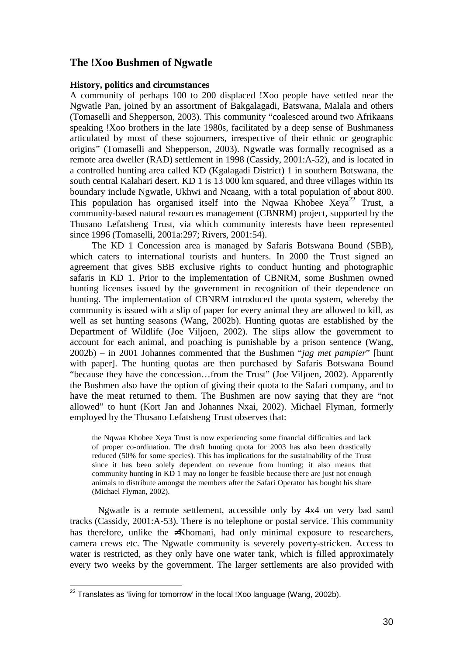## **The !Xoo Bushmen of Ngwatle**

#### **History, politics and circumstances**

A community of perhaps 100 to 200 displaced !Xoo people have settled near the Ngwatle Pan, joined by an assortment of Bakgalagadi, Batswana, Malala and others (Tomaselli and Shepperson, 2003). This community "coalesced around two Afrikaans speaking !Xoo brothers in the late 1980s, facilitated by a deep sense of Bushmaness articulated by most of these sojourners, irrespective of their ethnic or geographic origins" (Tomaselli and Shepperson, 2003). Ngwatle was formally recognised as a remote area dweller (RAD) settlement in 1998 (Cassidy, 2001:A-52), and is located in a controlled hunting area called KD (Kgalagadi District) 1 in southern Botswana, the south central Kalahari desert. KD 1 is 13 000 km squared, and three villages within its boundary include Ngwatle, Ukhwi and Ncaang, with a total population of about 800. This population has organised itself into the Ngwaa Khobee  $Xeva^{22}$  Trust, a community-based natural resources management (CBNRM) project, supported by the Thusano Lefatsheng Trust, via which community interests have been represented since 1996 (Tomaselli, 2001a:297; Rivers, 2001:54).

The KD 1 Concession area is managed by Safaris Botswana Bound (SBB), which caters to international tourists and hunters. In 2000 the Trust signed an agreement that gives SBB exclusive rights to conduct hunting and photographic safaris in KD 1. Prior to the implementation of CBNRM, some Bushmen owned hunting licenses issued by the government in recognition of their dependence on hunting. The implementation of CBNRM introduced the quota system, whereby the community is issued with a slip of paper for every animal they are allowed to kill, as well as set hunting seasons (Wang, 2002b). Hunting quotas are established by the Department of Wildlife (Joe Viljoen, 2002). The slips allow the government to account for each animal, and poaching is punishable by a prison sentence (Wang, 2002b) – in 2001 Johannes commented that the Bushmen "*jag met pampier*" [hunt with paper]. The hunting quotas are then purchased by Safaris Botswana Bound "because they have the concession…from the Trust" (Joe Viljoen, 2002). Apparently the Bushmen also have the option of giving their quota to the Safari company, and to have the meat returned to them. The Bushmen are now saying that they are "not allowed" to hunt (Kort Jan and Johannes Nxai, 2002). Michael Flyman, formerly employed by the Thusano Lefatsheng Trust observes that:

the Nqwaa Khobee Xeya Trust is now experiencing some financial difficulties and lack of proper co-ordination. The draft hunting quota for 2003 has also been drastically reduced (50% for some species). This has implications for the sustainability of the Trust since it has been solely dependent on revenue from hunting; it also means that community hunting in KD 1 may no longer be feasible because there are just not enough animals to distribute amongst the members after the Safari Operator has bought his share (Michael Flyman, 2002).

Ngwatle is a remote settlement, accessible only by 4x4 on very bad sand tracks (Cassidy, 2001:A-53). There is no telephone or postal service. This community has therefore, unlike the ≠Khomani, had only minimal exposure to researchers, camera crews etc. The Ngwatle community is severely poverty-stricken. Access to water is restricted, as they only have one water tank, which is filled approximately every two weeks by the government. The larger settlements are also provided with

 $\overline{a}$  $^{22}$  Translates as 'living for tomorrow' in the local !Xoo language (Wang, 2002b).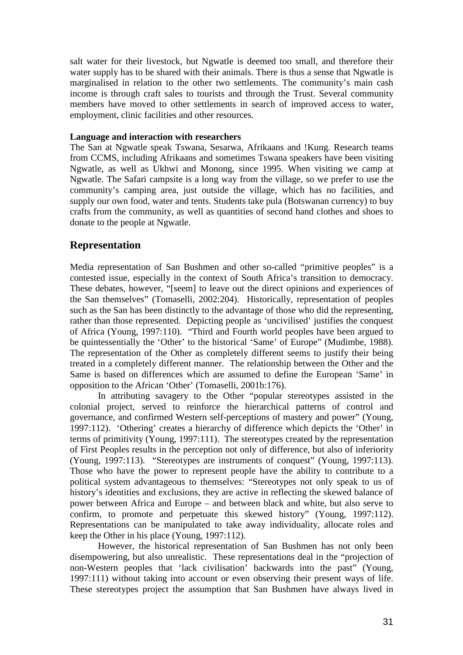salt water for their livestock, but Ngwatle is deemed too small, and therefore their water supply has to be shared with their animals. There is thus a sense that Ngwatle is marginalised in relation to the other two settlements. The community's main cash income is through craft sales to tourists and through the Trust. Several community members have moved to other settlements in search of improved access to water, employment, clinic facilities and other resources.

#### **Language and interaction with researchers**

The San at Ngwatle speak Tswana, Sesarwa, Afrikaans and !Kung. Research teams from CCMS, including Afrikaans and sometimes Tswana speakers have been visiting Ngwatle, as well as Ukhwi and Monong, since 1995. When visiting we camp at Ngwatle. The Safari campsite is a long way from the village, so we prefer to use the community's camping area, just outside the village, which has no facilities, and supply our own food, water and tents. Students take pula (Botswanan currency) to buy crafts from the community, as well as quantities of second hand clothes and shoes to donate to the people at Ngwatle.

## **Representation**

Media representation of San Bushmen and other so-called "primitive peoples" is a contested issue, especially in the context of South Africa's transition to democracy. These debates, however, "[seem] to leave out the direct opinions and experiences of the San themselves" (Tomaselli, 2002:204). Historically, representation of peoples such as the San has been distinctly to the advantage of those who did the representing, rather than those represented. Depicting people as 'uncivilised' justifies the conquest of Africa (Young, 1997:110). "Third and Fourth world peoples have been argued to be quintessentially the 'Other' to the historical 'Same' of Europe" (Mudimbe, 1988). The representation of the Other as completely different seems to justify their being treated in a completely different manner. The relationship between the Other and the Same is based on differences which are assumed to define the European 'Same' in opposition to the African 'Other' (Tomaselli, 2001b:176).

 In attributing savagery to the Other "popular stereotypes assisted in the colonial project, served to reinforce the hierarchical patterns of control and governance, and confirmed Western self-perceptions of mastery and power" (Young, 1997:112). 'Othering' creates a hierarchy of difference which depicts the 'Other' in terms of primitivity (Young, 1997:111). The stereotypes created by the representation of First Peoples results in the perception not only of difference, but also of inferiority (Young, 1997:113). "Stereotypes are instruments of conquest" (Young, 1997:113). Those who have the power to represent people have the ability to contribute to a political system advantageous to themselves: "Stereotypes not only speak to us of history's identities and exclusions, they are active in reflecting the skewed balance of power between Africa and Europe – and between black and white, but also serve to confirm, to promote and perpetuate this skewed history" (Young, 1997:112). Representations can be manipulated to take away individuality, allocate roles and keep the Other in his place (Young, 1997:112).

 However, the historical representation of San Bushmen has not only been disempowering, but also unrealistic. These representations deal in the "projection of non-Western peoples that 'lack civilisation' backwards into the past" (Young, 1997:111) without taking into account or even observing their present ways of life. These stereotypes project the assumption that San Bushmen have always lived in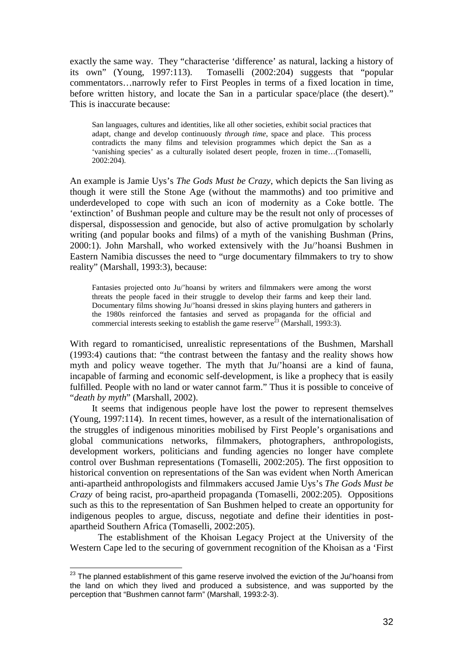exactly the same way. They "characterise 'difference' as natural, lacking a history of its own" (Young, 1997:113). Tomaselli (2002:204) suggests that "popular commentators…narrowly refer to First Peoples in terms of a fixed location in time, before written history, and locate the San in a particular space/place (the desert)." This is inaccurate because:

San languages, cultures and identities, like all other societies, exhibit social practices that adapt, change and develop continuously *through time*, space and place. This process contradicts the many films and television programmes which depict the San as a 'vanishing species' as a culturally isolated desert people, frozen in time…(Tomaselli, 2002:204).

An example is Jamie Uys's *The Gods Must be Crazy*, which depicts the San living as though it were still the Stone Age (without the mammoths) and too primitive and underdeveloped to cope with such an icon of modernity as a Coke bottle. The 'extinction' of Bushman people and culture may be the result not only of processes of dispersal, dispossession and genocide, but also of active promulgation by scholarly writing (and popular books and films) of a myth of the vanishing Bushman (Prins, 2000:1). John Marshall, who worked extensively with the Ju/'hoansi Bushmen in Eastern Namibia discusses the need to "urge documentary filmmakers to try to show reality" (Marshall, 1993:3), because:

Fantasies projected onto Ju/'hoansi by writers and filmmakers were among the worst threats the people faced in their struggle to develop their farms and keep their land. Documentary films showing Ju/'hoansi dressed in skins playing hunters and gatherers in the 1980s reinforced the fantasies and served as propaganda for the official and commercial interests seeking to establish the game reserve<sup>23</sup> (Marshall, 1993:3).

With regard to romanticised, unrealistic representations of the Bushmen, Marshall (1993:4) cautions that: "the contrast between the fantasy and the reality shows how myth and policy weave together. The myth that Ju/'hoansi are a kind of fauna, incapable of farming and economic self-development, is like a prophecy that is easily fulfilled. People with no land or water cannot farm." Thus it is possible to conceive of "*death by myth*" (Marshall, 2002).

It seems that indigenous people have lost the power to represent themselves (Young, 1997:114). In recent times, however, as a result of the internationalisation of the struggles of indigenous minorities mobilised by First People's organisations and global communications networks, filmmakers, photographers, anthropologists, development workers, politicians and funding agencies no longer have complete control over Bushman representations (Tomaselli, 2002:205). The first opposition to historical convention on representations of the San was evident when North American anti-apartheid anthropologists and filmmakers accused Jamie Uys's *The Gods Must be Crazy* of being racist, pro-apartheid propaganda (Tomaselli, 2002:205). Oppositions such as this to the representation of San Bushmen helped to create an opportunity for indigenous peoples to argue, discuss, negotiate and define their identities in postapartheid Southern Africa (Tomaselli, 2002:205).

 The establishment of the Khoisan Legacy Project at the University of the Western Cape led to the securing of government recognition of the Khoisan as a 'First

l

 $23$  The planned establishment of this game reserve involved the eviction of the Ju/'hoansi from the land on which they lived and produced a subsistence, and was supported by the perception that "Bushmen cannot farm" (Marshall, 1993:2-3).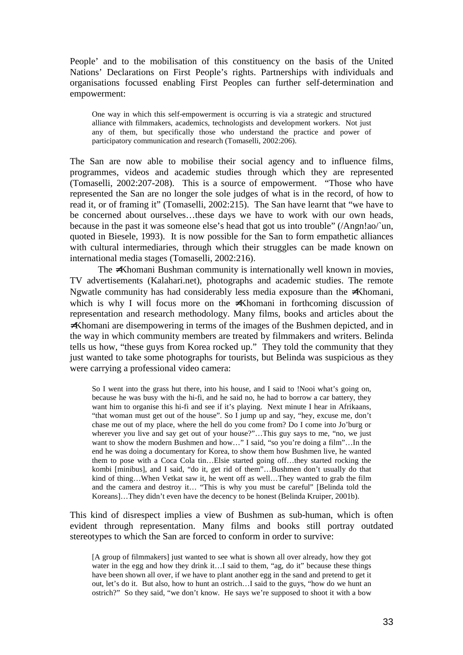People' and to the mobilisation of this constituency on the basis of the United Nations' Declarations on First People's rights. Partnerships with individuals and organisations focussed enabling First Peoples can further self-determination and empowerment:

One way in which this self-empowerment is occurring is via a strategic and structured alliance with filmmakers, academics, technologists and development workers. Not just any of them, but specifically those who understand the practice and power of participatory communication and research (Tomaselli, 2002:206).

The San are now able to mobilise their social agency and to influence films, programmes, videos and academic studies through which they are represented (Tomaselli, 2002:207-208). This is a source of empowerment. "Those who have represented the San are no longer the sole judges of what is in the record, of how to read it, or of framing it" (Tomaselli, 2002:215). The San have learnt that "we have to be concerned about ourselves…these days we have to work with our own heads, because in the past it was someone else's head that got us into trouble" (/Angn!ao/`un, quoted in Biesele, 1993). It is now possible for the San to form empathetic alliances with cultural intermediaries, through which their struggles can be made known on international media stages (Tomaselli, 2002:216).

The ≠Khomani Bushman community is internationally well known in movies, TV advertisements (Kalahari.net), photographs and academic studies. The remote Ngwatle community has had considerably less media exposure than the ≠Khomani, which is why I will focus more on the ≠Khomani in forthcoming discussion of representation and research methodology. Many films, books and articles about the ≠Khomani are disempowering in terms of the images of the Bushmen depicted, and in the way in which community members are treated by filmmakers and writers. Belinda tells us how, "these guys from Korea rocked up." They told the community that they just wanted to take some photographs for tourists, but Belinda was suspicious as they were carrying a professional video camera:

So I went into the grass hut there, into his house, and I said to !Nooi what's going on, because he was busy with the hi-fi, and he said no, he had to borrow a car battery, they want him to organise this hi-fi and see if it's playing. Next minute I hear in Afrikaans, "that woman must get out of the house". So I jump up and say, "hey, excuse me, don't chase me out of my place, where the hell do you come from? Do I come into Jo'burg or wherever you live and say get out of your house?"...This guy says to me, "no, we just want to show the modern Bushmen and how..." I said, "so you're doing a film"...In the end he was doing a documentary for Korea, to show them how Bushmen live, he wanted them to pose with a Coca Cola tin…Elsie started going off…they started rocking the kombi [minibus], and I said, "do it, get rid of them"…Bushmen don't usually do that kind of thing…When Vetkat saw it, he went off as well…They wanted to grab the film and the camera and destroy it… "This is why you must be careful" [Belinda told the Koreans]…They didn't even have the decency to be honest (Belinda Kruiper, 2001b).

This kind of disrespect implies a view of Bushmen as sub-human, which is often evident through representation. Many films and books still portray outdated stereotypes to which the San are forced to conform in order to survive:

[A group of filmmakers] just wanted to see what is shown all over already, how they got water in the egg and how they drink it...I said to them, "ag, do it" because these things have been shown all over, if we have to plant another egg in the sand and pretend to get it out, let's do it. But also, how to hunt an ostrich…I said to the guys, "how do we hunt an ostrich?" So they said, "we don't know. He says we're supposed to shoot it with a bow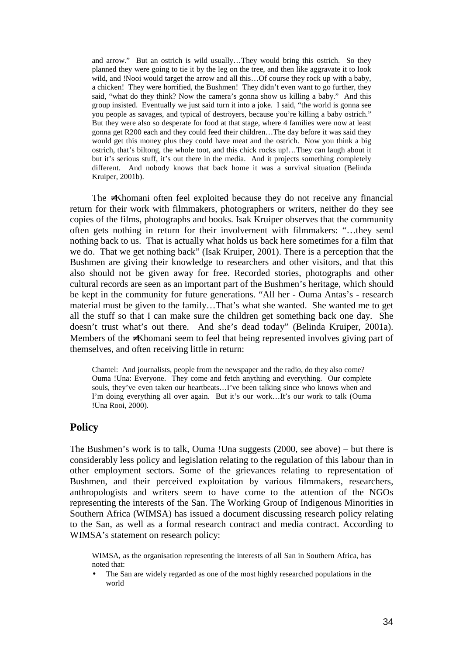and arrow." But an ostrich is wild usually…They would bring this ostrich. So they planned they were going to tie it by the leg on the tree, and then like aggravate it to look wild, and !Nooi would target the arrow and all this...Of course they rock up with a baby, a chicken! They were horrified, the Bushmen! They didn't even want to go further, they said, "what do they think? Now the camera's gonna show us killing a baby." And this group insisted. Eventually we just said turn it into a joke. I said, "the world is gonna see you people as savages, and typical of destroyers, because you're killing a baby ostrich." But they were also so desperate for food at that stage, where 4 families were now at least gonna get R200 each and they could feed their children…The day before it was said they would get this money plus they could have meat and the ostrich. Now you think a big ostrich, that's biltong, the whole toot, and this chick rocks up!…They can laugh about it but it's serious stuff, it's out there in the media. And it projects something completely different. And nobody knows that back home it was a survival situation (Belinda Kruiper, 2001b).

The ≠Khomani often feel exploited because they do not receive any financial return for their work with filmmakers, photographers or writers, neither do they see copies of the films, photographs and books. Isak Kruiper observes that the community often gets nothing in return for their involvement with filmmakers: "…they send nothing back to us. That is actually what holds us back here sometimes for a film that we do. That we get nothing back" (Isak Kruiper, 2001). There is a perception that the Bushmen are giving their knowledge to researchers and other visitors, and that this also should not be given away for free. Recorded stories, photographs and other cultural records are seen as an important part of the Bushmen's heritage, which should be kept in the community for future generations. "All her - Ouma Antas's - research material must be given to the family…That's what she wanted. She wanted me to get all the stuff so that I can make sure the children get something back one day. She doesn't trust what's out there. And she's dead today" (Belinda Kruiper, 2001a). Members of the ≠Khomani seem to feel that being represented involves giving part of themselves, and often receiving little in return:

Chantel: And journalists, people from the newspaper and the radio, do they also come? Ouma !Una: Everyone. They come and fetch anything and everything. Our complete souls, they've even taken our heartbeats…I've been talking since who knows when and I'm doing everything all over again. But it's our work…It's our work to talk (Ouma !Una Rooi, 2000).

## **Policy**

The Bushmen's work is to talk, Ouma !Una suggests (2000, see above) – but there is considerably less policy and legislation relating to the regulation of this labour than in other employment sectors. Some of the grievances relating to representation of Bushmen, and their perceived exploitation by various filmmakers, researchers, anthropologists and writers seem to have come to the attention of the NGOs representing the interests of the San. The Working Group of Indigenous Minorities in Southern Africa (WIMSA) has issued a document discussing research policy relating to the San, as well as a formal research contract and media contract. According to WIMSA's statement on research policy:

WIMSA, as the organisation representing the interests of all San in Southern Africa, has noted that:

The San are widely regarded as one of the most highly researched populations in the world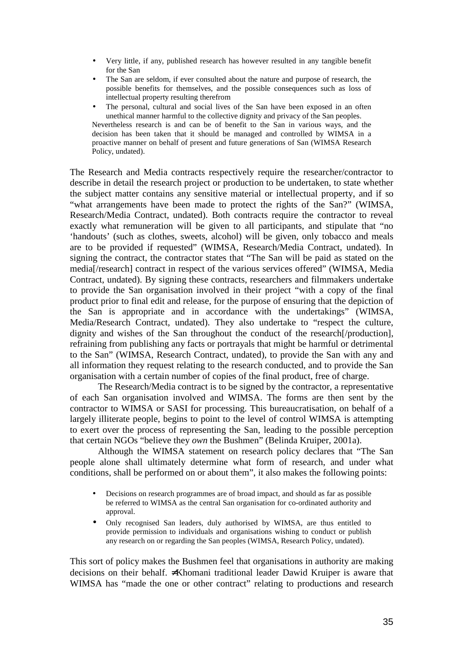- Very little, if any, published research has however resulted in any tangible benefit for the San
- The San are seldom, if ever consulted about the nature and purpose of research, the possible benefits for themselves, and the possible consequences such as loss of intellectual property resulting therefrom
- The personal, cultural and social lives of the San have been exposed in an often unethical manner harmful to the collective dignity and privacy of the San peoples. Nevertheless research is and can be of benefit to the San in various ways, and the decision has been taken that it should be managed and controlled by WIMSA in a proactive manner on behalf of present and future generations of San (WIMSA Research Policy, undated).

The Research and Media contracts respectively require the researcher/contractor to describe in detail the research project or production to be undertaken, to state whether the subject matter contains any sensitive material or intellectual property, and if so "what arrangements have been made to protect the rights of the San?" (WIMSA, Research/Media Contract, undated). Both contracts require the contractor to reveal exactly what remuneration will be given to all participants, and stipulate that "no 'handouts' (such as clothes, sweets, alcohol) will be given, only tobacco and meals are to be provided if requested" (WIMSA, Research/Media Contract, undated). In signing the contract, the contractor states that "The San will be paid as stated on the media[/research] contract in respect of the various services offered" (WIMSA, Media Contract, undated). By signing these contracts, researchers and filmmakers undertake to provide the San organisation involved in their project "with a copy of the final product prior to final edit and release, for the purpose of ensuring that the depiction of the San is appropriate and in accordance with the undertakings" (WIMSA, Media/Research Contract, undated). They also undertake to "respect the culture, dignity and wishes of the San throughout the conduct of the research[/production], refraining from publishing any facts or portrayals that might be harmful or detrimental to the San" (WIMSA, Research Contract, undated), to provide the San with any and all information they request relating to the research conducted, and to provide the San organisation with a certain number of copies of the final product, free of charge.

 The Research/Media contract is to be signed by the contractor, a representative of each San organisation involved and WIMSA. The forms are then sent by the contractor to WIMSA or SASI for processing. This bureaucratisation, on behalf of a largely illiterate people, begins to point to the level of control WIMSA is attempting to exert over the process of representing the San, leading to the possible perception that certain NGOs "believe they *own* the Bushmen" (Belinda Kruiper, 2001a).

 Although the WIMSA statement on research policy declares that "The San people alone shall ultimately determine what form of research, and under what conditions, shall be performed on or about them", it also makes the following points:

- Decisions on research programmes are of broad impact, and should as far as possible be referred to WIMSA as the central San organisation for co-ordinated authority and approval.
- Only recognised San leaders, duly authorised by WIMSA, are thus entitled to provide permission to individuals and organisations wishing to conduct or publish any research on or regarding the San peoples (WIMSA, Research Policy, undated).

This sort of policy makes the Bushmen feel that organisations in authority are making decisions on their behalf. ≠Khomani traditional leader Dawid Kruiper is aware that WIMSA has "made the one or other contract" relating to productions and research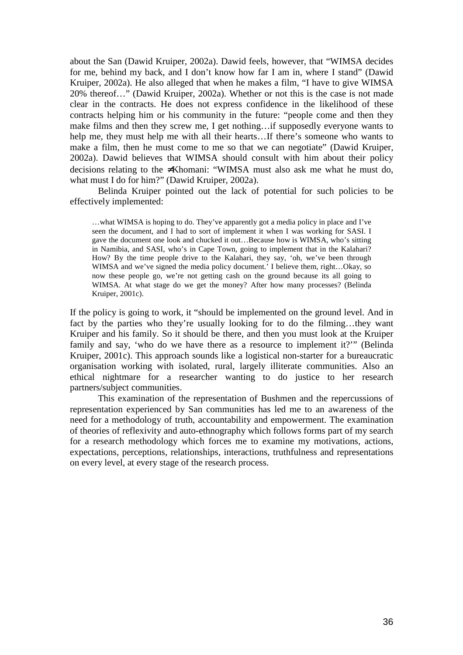about the San (Dawid Kruiper, 2002a). Dawid feels, however, that "WIMSA decides for me, behind my back, and I don't know how far I am in, where I stand" (Dawid Kruiper, 2002a). He also alleged that when he makes a film, "I have to give WIMSA 20% thereof…" (Dawid Kruiper, 2002a). Whether or not this is the case is not made clear in the contracts. He does not express confidence in the likelihood of these contracts helping him or his community in the future: "people come and then they make films and then they screw me, I get nothing…if supposedly everyone wants to help me, they must help me with all their hearts…If there's someone who wants to make a film, then he must come to me so that we can negotiate" (Dawid Kruiper, 2002a). Dawid believes that WIMSA should consult with him about their policy decisions relating to the ≠Khomani: "WIMSA must also ask me what he must do, what must I do for him?" (Dawid Kruiper, 2002a).

 Belinda Kruiper pointed out the lack of potential for such policies to be effectively implemented:

…what WIMSA is hoping to do. They've apparently got a media policy in place and I've seen the document, and I had to sort of implement it when I was working for SASI. I gave the document one look and chucked it out…Because how is WIMSA, who's sitting in Namibia, and SASI, who's in Cape Town, going to implement that in the Kalahari? How? By the time people drive to the Kalahari, they say, 'oh, we've been through WIMSA and we've signed the media policy document.' I believe them, right…Okay, so now these people go, we're not getting cash on the ground because its all going to WIMSA. At what stage do we get the money? After how many processes? (Belinda Kruiper, 2001c).

If the policy is going to work, it "should be implemented on the ground level. And in fact by the parties who they're usually looking for to do the filming…they want Kruiper and his family. So it should be there, and then you must look at the Kruiper family and say, 'who do we have there as a resource to implement it?'" (Belinda Kruiper, 2001c). This approach sounds like a logistical non-starter for a bureaucratic organisation working with isolated, rural, largely illiterate communities. Also an ethical nightmare for a researcher wanting to do justice to her research partners/subject communities.

 This examination of the representation of Bushmen and the repercussions of representation experienced by San communities has led me to an awareness of the need for a methodology of truth, accountability and empowerment. The examination of theories of reflexivity and auto-ethnography which follows forms part of my search for a research methodology which forces me to examine my motivations, actions, expectations, perceptions, relationships, interactions, truthfulness and representations on every level, at every stage of the research process.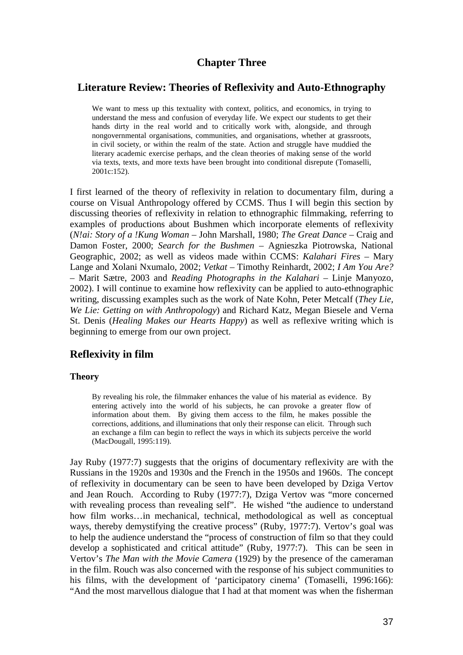## **Chapter Three**

## **Literature Review: Theories of Reflexivity and Auto-Ethnography**

We want to mess up this textuality with context, politics, and economics, in trying to understand the mess and confusion of everyday life. We expect our students to get their hands dirty in the real world and to critically work with, alongside, and through nongovernmental organisations, communities, and organisations, whether at grassroots, in civil society, or within the realm of the state. Action and struggle have muddied the literary academic exercise perhaps, and the clean theories of making sense of the world via texts, texts, and more texts have been brought into conditional disrepute (Tomaselli, 2001c:152).

I first learned of the theory of reflexivity in relation to documentary film, during a course on Visual Anthropology offered by CCMS. Thus I will begin this section by discussing theories of reflexivity in relation to ethnographic filmmaking, referring to examples of productions about Bushmen which incorporate elements of reflexivity (*N!ai: Story of a !Kung Woman* – John Marshall, 1980; *The Great Dance* – Craig and Damon Foster, 2000; *Search for the Bushmen* – Agnieszka Piotrowska, National Geographic, 2002; as well as videos made within CCMS: *Kalahari Fires* – Mary Lange and Xolani Nxumalo, 2002; *Vetkat* – Timothy Reinhardt, 2002; *I Am You Are?* – Marit Sætre, 2003 and *Reading Photographs in the Kalahari* – Linje Manyozo, 2002). I will continue to examine how reflexivity can be applied to auto-ethnographic writing, discussing examples such as the work of Nate Kohn, Peter Metcalf (*They Lie, We Lie: Getting on with Anthropology*) and Richard Katz, Megan Biesele and Verna St. Denis (*Healing Makes our Hearts Happy*) as well as reflexive writing which is beginning to emerge from our own project.

# **Reflexivity in film**

## **Theory**

By revealing his role, the filmmaker enhances the value of his material as evidence. By entering actively into the world of his subjects, he can provoke a greater flow of information about them. By giving them access to the film, he makes possible the corrections, additions, and illuminations that only their response can elicit. Through such an exchange a film can begin to reflect the ways in which its subjects perceive the world (MacDougall, 1995:119).

Jay Ruby (1977:7) suggests that the origins of documentary reflexivity are with the Russians in the 1920s and 1930s and the French in the 1950s and 1960s. The concept of reflexivity in documentary can be seen to have been developed by Dziga Vertov and Jean Rouch. According to Ruby (1977:7), Dziga Vertov was "more concerned with revealing process than revealing self". He wished "the audience to understand how film works…in mechanical, technical, methodological as well as conceptual ways, thereby demystifying the creative process" (Ruby, 1977:7). Vertov's goal was to help the audience understand the "process of construction of film so that they could develop a sophisticated and critical attitude" (Ruby, 1977:7). This can be seen in Vertov's *The Man with the Movie Camera* (1929) by the presence of the cameraman in the film. Rouch was also concerned with the response of his subject communities to his films, with the development of 'participatory cinema' (Tomaselli, 1996:166): "And the most marvellous dialogue that I had at that moment was when the fisherman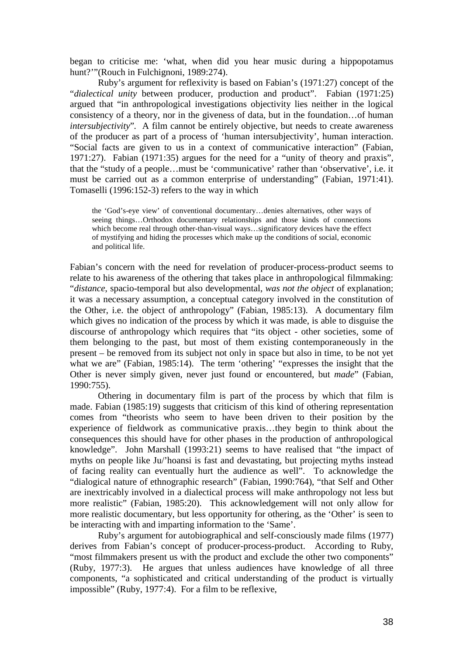began to criticise me: 'what, when did you hear music during a hippopotamus hunt?'"(Rouch in Fulchignoni, 1989:274).

 Ruby's argument for reflexivity is based on Fabian's (1971:27) concept of the "*dialectical unity* between producer, production and product". Fabian (1971:25) argued that "in anthropological investigations objectivity lies neither in the logical consistency of a theory, nor in the giveness of data, but in the foundation…of human *intersubjectivity*"*.* A film cannot be entirely objective, but needs to create awareness of the producer as part of a process of 'human intersubjectivity', human interaction. "Social facts are given to us in a context of communicative interaction" (Fabian, 1971:27). Fabian (1971:35) argues for the need for a "unity of theory and praxis", that the "study of a people…must be 'communicative' rather than 'observative', i.e. it must be carried out as a common enterprise of understanding" (Fabian, 1971:41). Tomaselli (1996:152-3) refers to the way in which

the 'God's-eye view' of conventional documentary…denies alternatives, other ways of seeing things…Orthodox documentary relationships and those kinds of connections which become real through other-than-visual ways...significatory devices have the effect of mystifying and hiding the processes which make up the conditions of social, economic and political life.

Fabian's concern with the need for revelation of producer-process-product seems to relate to his awareness of the othering that takes place in anthropological filmmaking: "*distance*, spacio-temporal but also developmental, *was not the object* of explanation; it was a necessary assumption, a conceptual category involved in the constitution of the Other, i.e. the object of anthropology" (Fabian, 1985:13). A documentary film which gives no indication of the process by which it was made, is able to disguise the discourse of anthropology which requires that "its object - other societies, some of them belonging to the past, but most of them existing contemporaneously in the present – be removed from its subject not only in space but also in time, to be not yet what we are" (Fabian, 1985:14). The term 'othering' "expresses the insight that the Other is never simply given, never just found or encountered, but *made*" (Fabian, 1990:755).

Othering in documentary film is part of the process by which that film is made. Fabian (1985:19) suggests that criticism of this kind of othering representation comes from "theorists who seem to have been driven to their position by the experience of fieldwork as communicative praxis…they begin to think about the consequences this should have for other phases in the production of anthropological knowledge". John Marshall (1993:21) seems to have realised that "the impact of myths on people like Ju/'hoansi is fast and devastating, but projecting myths instead of facing reality can eventually hurt the audience as well". To acknowledge the "dialogical nature of ethnographic research" (Fabian, 1990:764), "that Self and Other are inextricably involved in a dialectical process will make anthropology not less but more realistic" (Fabian, 1985:20). This acknowledgement will not only allow for more realistic documentary, but less opportunity for othering, as the 'Other' is seen to be interacting with and imparting information to the 'Same'.

Ruby's argument for autobiographical and self-consciously made films (1977) derives from Fabian's concept of producer-process-product. According to Ruby, "most filmmakers present us with the product and exclude the other two components" (Ruby, 1977:3). He argues that unless audiences have knowledge of all three components, "a sophisticated and critical understanding of the product is virtually impossible" (Ruby, 1977:4). For a film to be reflexive,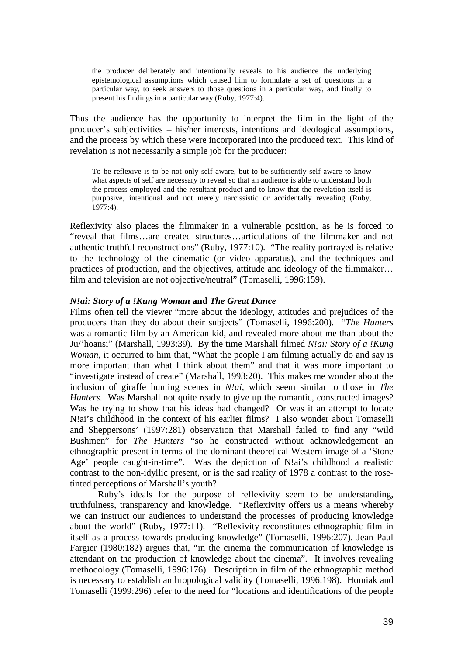the producer deliberately and intentionally reveals to his audience the underlying epistemological assumptions which caused him to formulate a set of questions in a particular way, to seek answers to those questions in a particular way, and finally to present his findings in a particular way (Ruby, 1977:4).

Thus the audience has the opportunity to interpret the film in the light of the producer's subjectivities – his/her interests, intentions and ideological assumptions, and the process by which these were incorporated into the produced text. This kind of revelation is not necessarily a simple job for the producer:

To be reflexive is to be not only self aware, but to be sufficiently self aware to know what aspects of self are necessary to reveal so that an audience is able to understand both the process employed and the resultant product and to know that the revelation itself is purposive, intentional and not merely narcissistic or accidentally revealing (Ruby, 1977:4).

Reflexivity also places the filmmaker in a vulnerable position, as he is forced to "reveal that films…are created structures…articulations of the filmmaker and not authentic truthful reconstructions" (Ruby, 1977:10). "The reality portrayed is relative to the technology of the cinematic (or video apparatus), and the techniques and practices of production, and the objectives, attitude and ideology of the filmmaker… film and television are not objective/neutral" (Tomaselli, 1996:159).

### *N!ai: Story of a !Kung Woman* **and** *The Great Dance*

Films often tell the viewer "more about the ideology, attitudes and prejudices of the producers than they do about their subjects" (Tomaselli, 1996:200). "*The Hunters* was a romantic film by an American kid, and revealed more about me than about the Ju/'hoansi" (Marshall, 1993:39). By the time Marshall filmed *N!ai: Story of a !Kung Woman*, it occurred to him that, "What the people I am filming actually do and say is more important than what I think about them" and that it was more important to "investigate instead of create" (Marshall, 1993:20). This makes me wonder about the inclusion of giraffe hunting scenes in *N!ai*, which seem similar to those in *The Hunters*. Was Marshall not quite ready to give up the romantic, constructed images? Was he trying to show that his ideas had changed? Or was it an attempt to locate N!ai's childhood in the context of his earlier films? I also wonder about Tomaselli and Sheppersons' (1997:281) observation that Marshall failed to find any "wild Bushmen" for *The Hunters* "so he constructed without acknowledgement an ethnographic present in terms of the dominant theoretical Western image of a 'Stone Age' people caught-in-time". Was the depiction of N!ai's childhood a realistic contrast to the non-idyllic present, or is the sad reality of 1978 a contrast to the rosetinted perceptions of Marshall's youth?

Ruby's ideals for the purpose of reflexivity seem to be understanding, truthfulness, transparency and knowledge. "Reflexivity offers us a means whereby we can instruct our audiences to understand the processes of producing knowledge about the world" (Ruby, 1977:11). "Reflexivity reconstitutes ethnographic film in itself as a process towards producing knowledge" (Tomaselli, 1996:207). Jean Paul Fargier (1980:182) argues that, "in the cinema the communication of knowledge is attendant on the production of knowledge about the cinema". It involves revealing methodology (Tomaselli, 1996:176). Description in film of the ethnographic method is necessary to establish anthropological validity (Tomaselli, 1996:198). Homiak and Tomaselli (1999:296) refer to the need for "locations and identifications of the people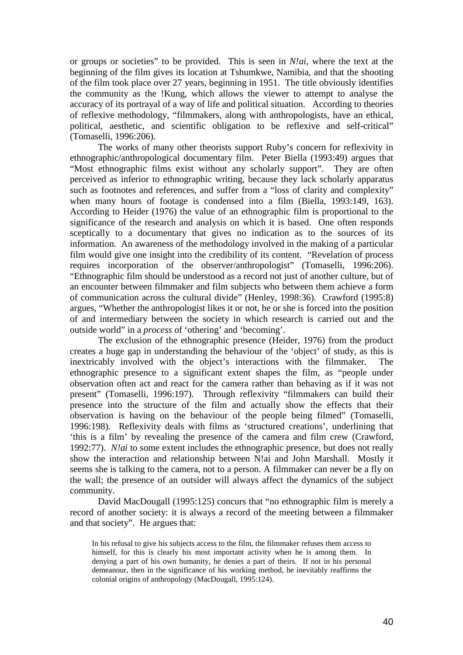or groups or societies" to be provided. This is seen in *N!ai*, where the text at the beginning of the film gives its location at Tshumkwe, Namibia, and that the shooting of the film took place over 27 years, beginning in 1951. The title obviously identifies the community as the !Kung, which allows the viewer to attempt to analyse the accuracy of its portrayal of a way of life and political situation. According to theories of reflexive methodology, "filmmakers, along with anthropologists, have an ethical, political, aesthetic, and scientific obligation to be reflexive and self-critical" (Tomaselli, 1996:206).

 The works of many other theorists support Ruby's concern for reflexivity in ethnographic/anthropological documentary film. Peter Biella (1993:49) argues that "Most ethnographic films exist without any scholarly support". They are often perceived as inferior to ethnographic writing, because they lack scholarly apparatus such as footnotes and references, and suffer from a "loss of clarity and complexity" when many hours of footage is condensed into a film (Biella, 1993:149, 163). According to Heider (1976) the value of an ethnographic film is proportional to the significance of the research and analysis on which it is based. One often responds sceptically to a documentary that gives no indication as to the sources of its information. An awareness of the methodology involved in the making of a particular film would give one insight into the credibility of its content. "Revelation of process requires incorporation of the observer/anthropologist" (Tomaselli, 1996:206). "Ethnographic film should be understood as a record not just of another culture, but of an encounter between filmmaker and film subjects who between them achieve a form of communication across the cultural divide" (Henley, 1998:36). Crawford (1995:8) argues, "Whether the anthropologist likes it or not, he or she is forced into the position of and intermediary between the society in which research is carried out and the outside world" in a *process* of 'othering' and 'becoming'.

The exclusion of the ethnographic presence (Heider, 1976) from the product creates a huge gap in understanding the behaviour of the 'object' of study, as this is inextricably involved with the object's interactions with the filmmaker. The ethnographic presence to a significant extent shapes the film, as "people under observation often act and react for the camera rather than behaving as if it was not present" (Tomaselli, 1996:197). Through reflexivity "filmmakers can build their presence into the structure of the film and actually show the effects that their observation is having on the behaviour of the people being filmed" (Tomaselli, 1996:198). Reflexivity deals with films as 'structured creations', underlining that 'this is a film' by revealing the presence of the camera and film crew (Crawford, 1992:77). *N!ai* to some extent includes the ethnographic presence, but does not really show the interaction and relationship between N!ai and John Marshall. Mostly it seems she is talking to the camera, not to a person. A filmmaker can never be a fly on the wall; the presence of an outsider will always affect the dynamics of the subject community.

 David MacDougall (1995:125) concurs that "no ethnographic film is merely a record of another society: it is always a record of the meeting between a filmmaker and that society". He argues that:

In his refusal to give his subjects access to the film, the filmmaker refuses them access to himself, for this is clearly his most important activity when he is among them. In denying a part of his own humanity, he denies a part of theirs. If not in his personal demeanour, then in the significance of his working method, he inevitably reaffirms the colonial origins of anthropology (MacDougall, 1995:124).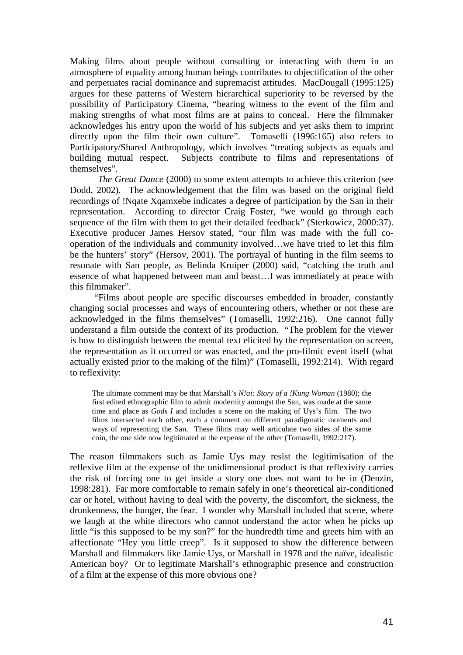Making films about people without consulting or interacting with them in an atmosphere of equality among human beings contributes to objectification of the other and perpetuates racial dominance and supremacist attitudes. MacDougall (1995:125) argues for these patterns of Western hierarchical superiority to be reversed by the possibility of Participatory Cinema, "bearing witness to the event of the film and making strengths of what most films are at pains to conceal. Here the filmmaker acknowledges his entry upon the world of his subjects and yet asks them to imprint directly upon the film their own culture". Tomaselli (1996:165) also refers to Participatory/Shared Anthropology, which involves "treating subjects as equals and building mutual respect. Subjects contribute to films and representations of themselves".

*The Great Dance* (2000) to some extent attempts to achieve this criterion (see Dodd, 2002). The acknowledgement that the film was based on the original field recordings of !Nqate Xqamxebe indicates a degree of participation by the San in their representation. According to director Craig Foster, "we would go through each sequence of the film with them to get their detailed feedback" (Sterkowicz, 2000:37). Executive producer James Hersov stated, "our film was made with the full cooperation of the individuals and community involved…we have tried to let this film be the hunters' story" (Hersov, 2001). The portrayal of hunting in the film seems to resonate with San people, as Belinda Kruiper (2000) said, "catching the truth and essence of what happened between man and beast…I was immediately at peace with this filmmaker".

 "Films about people are specific discourses embedded in broader, constantly changing social processes and ways of encountering others, whether or not these are acknowledged in the films themselves" (Tomaselli, 1992:216). One cannot fully understand a film outside the context of its production. "The problem for the viewer is how to distinguish between the mental text elicited by the representation on screen, the representation as it occurred or was enacted, and the pro-filmic event itself (what actually existed prior to the making of the film)" (Tomaselli, 1992:214). With regard to reflexivity:

The ultimate comment may be that Marshall's *N!ai: Story of a !Kung Woman* (1980); the first edited ethnographic film to admit modernity amongst the San, was made at the same time and place as *Gods I* and includes a scene on the making of Uys's film. The two films intersected each other, each a comment on different paradigmatic moments and ways of representing the San. These films may well articulate two sides of the same coin, the one side now legitimated at the expense of the other (Tomaselli, 1992:217).

The reason filmmakers such as Jamie Uys may resist the legitimisation of the reflexive film at the expense of the unidimensional product is that reflexivity carries the risk of forcing one to get inside a story one does not want to be in (Denzin, 1998:281). Far more comfortable to remain safely in one's theoretical air-conditioned car or hotel, without having to deal with the poverty, the discomfort, the sickness, the drunkenness, the hunger, the fear. I wonder why Marshall included that scene, where we laugh at the white directors who cannot understand the actor when he picks up little "is this supposed to be my son?" for the hundredth time and greets him with an affectionate "Hey you little creep". Is it supposed to show the difference between Marshall and filmmakers like Jamie Uys, or Marshall in 1978 and the naïve, idealistic American boy? Or to legitimate Marshall's ethnographic presence and construction of a film at the expense of this more obvious one?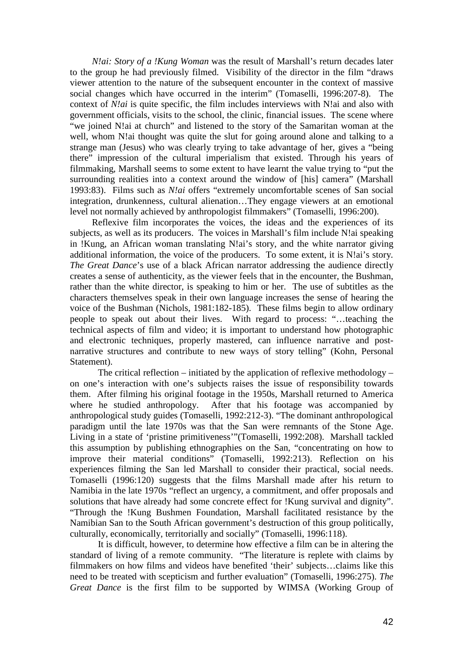*N!ai: Story of a !Kung Woman* was the result of Marshall's return decades later to the group he had previously filmed. Visibility of the director in the film "draws viewer attention to the nature of the subsequent encounter in the context of massive social changes which have occurred in the interim" (Tomaselli, 1996:207-8). The context of *N!ai* is quite specific, the film includes interviews with N!ai and also with government officials, visits to the school, the clinic, financial issues. The scene where "we joined N!ai at church" and listened to the story of the Samaritan woman at the well, whom N!ai thought was quite the slut for going around alone and talking to a strange man (Jesus) who was clearly trying to take advantage of her, gives a "being there" impression of the cultural imperialism that existed. Through his years of filmmaking, Marshall seems to some extent to have learnt the value trying to "put the surrounding realities into a context around the window of [his] camera" (Marshall 1993:83). Films such as *N!ai* offers "extremely uncomfortable scenes of San social integration, drunkenness, cultural alienation…They engage viewers at an emotional level not normally achieved by anthropologist filmmakers" (Tomaselli, 1996:200).

Reflexive film incorporates the voices, the ideas and the experiences of its subjects, as well as its producers. The voices in Marshall's film include N!ai speaking in !Kung, an African woman translating N!ai's story, and the white narrator giving additional information, the voice of the producers. To some extent, it is N!ai's story*. The Great Dance*'s use of a black African narrator addressing the audience directly creates a sense of authenticity, as the viewer feels that in the encounter, the Bushman, rather than the white director, is speaking to him or her. The use of subtitles as the characters themselves speak in their own language increases the sense of hearing the voice of the Bushman (Nichols, 1981:182-185). These films begin to allow ordinary people to speak out about their lives. With regard to process: "…teaching the technical aspects of film and video; it is important to understand how photographic and electronic techniques, properly mastered, can influence narrative and postnarrative structures and contribute to new ways of story telling" (Kohn, Personal Statement).

 The critical reflection – initiated by the application of reflexive methodology – on one's interaction with one's subjects raises the issue of responsibility towards them. After filming his original footage in the 1950s, Marshall returned to America where he studied anthropology. After that his footage was accompanied by anthropological study guides (Tomaselli, 1992:212-3). "The dominant anthropological paradigm until the late 1970s was that the San were remnants of the Stone Age. Living in a state of 'pristine primitiveness'"(Tomaselli, 1992:208). Marshall tackled this assumption by publishing ethnographies on the San, "concentrating on how to improve their material conditions" (Tomaselli, 1992:213). Reflection on his experiences filming the San led Marshall to consider their practical, social needs. Tomaselli (1996:120) suggests that the films Marshall made after his return to Namibia in the late 1970s "reflect an urgency, a commitment, and offer proposals and solutions that have already had some concrete effect for !Kung survival and dignity". "Through the !Kung Bushmen Foundation, Marshall facilitated resistance by the Namibian San to the South African government's destruction of this group politically, culturally, economically, territorially and socially" (Tomaselli, 1996:118).

 It is difficult, however, to determine how effective a film can be in altering the standard of living of a remote community. "The literature is replete with claims by filmmakers on how films and videos have benefited 'their' subjects…claims like this need to be treated with scepticism and further evaluation" (Tomaselli, 1996:275). *The Great Dance* is the first film to be supported by WIMSA (Working Group of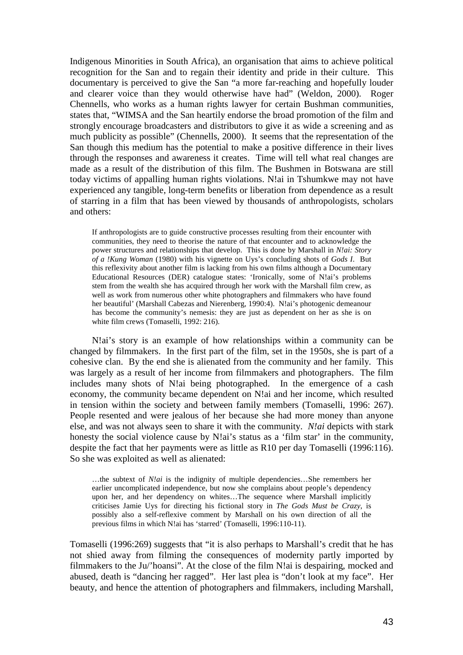Indigenous Minorities in South Africa), an organisation that aims to achieve political recognition for the San and to regain their identity and pride in their culture. This documentary is perceived to give the San "a more far-reaching and hopefully louder and clearer voice than they would otherwise have had" (Weldon, 2000). Roger Chennells, who works as a human rights lawyer for certain Bushman communities, states that, "WIMSA and the San heartily endorse the broad promotion of the film and strongly encourage broadcasters and distributors to give it as wide a screening and as much publicity as possible" (Chennells, 2000). It seems that the representation of the San though this medium has the potential to make a positive difference in their lives through the responses and awareness it creates. Time will tell what real changes are made as a result of the distribution of this film. The Bushmen in Botswana are still today victims of appalling human rights violations. N!ai in Tshumkwe may not have experienced any tangible, long-term benefits or liberation from dependence as a result of starring in a film that has been viewed by thousands of anthropologists, scholars and others:

If anthropologists are to guide constructive processes resulting from their encounter with communities, they need to theorise the nature of that encounter and to acknowledge the power structures and relationships that develop. This is done by Marshall in *N!ai: Story of a !Kung Woman* (1980) with his vignette on Uys's concluding shots of *Gods I*. But this reflexivity about another film is lacking from his own films although a Documentary Educational Resources (DER) catalogue states: 'Ironically, some of N!ai's problems stem from the wealth she has acquired through her work with the Marshall film crew, as well as work from numerous other white photographers and filmmakers who have found her beautiful' (Marshall Cabezas and Nierenberg, 1990:4). N!ai's photogenic demeanour has become the community's nemesis: they are just as dependent on her as she is on white film crews (Tomaselli, 1992: 216).

N!ai's story is an example of how relationships within a community can be changed by filmmakers. In the first part of the film, set in the 1950s, she is part of a cohesive clan. By the end she is alienated from the community and her family. This was largely as a result of her income from filmmakers and photographers. The film includes many shots of N!ai being photographed. In the emergence of a cash economy, the community became dependent on N!ai and her income, which resulted in tension within the society and between family members (Tomaselli, 1996: 267). People resented and were jealous of her because she had more money than anyone else, and was not always seen to share it with the community. *N!ai* depicts with stark honesty the social violence cause by N!ai's status as a 'film star' in the community, despite the fact that her payments were as little as R10 per day Tomaselli (1996:116). So she was exploited as well as alienated:

…the subtext of *N!ai* is the indignity of multiple dependencies…She remembers her earlier uncomplicated independence, but now she complains about people's dependency upon her, and her dependency on whites…The sequence where Marshall implicitly criticises Jamie Uys for directing his fictional story in *The Gods Must be Crazy*, is possibly also a self-reflexive comment by Marshall on his own direction of all the previous films in which N!ai has 'starred' (Tomaselli, 1996:110-11).

Tomaselli (1996:269) suggests that "it is also perhaps to Marshall's credit that he has not shied away from filming the consequences of modernity partly imported by filmmakers to the Ju/'hoansi". At the close of the film N!ai is despairing, mocked and abused, death is "dancing her ragged". Her last plea is "don't look at my face". Her beauty, and hence the attention of photographers and filmmakers, including Marshall,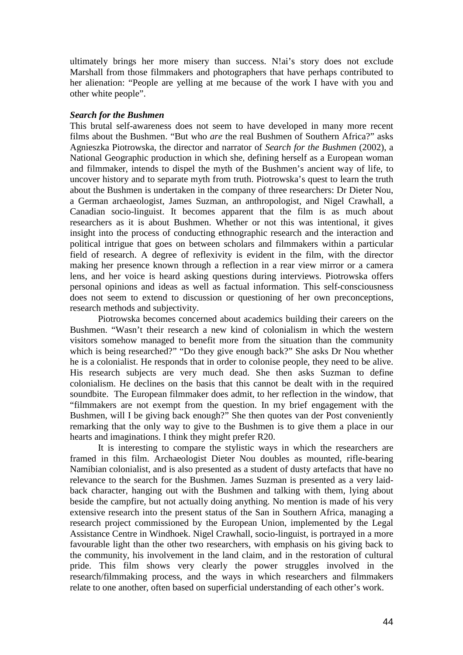ultimately brings her more misery than success. N!ai's story does not exclude Marshall from those filmmakers and photographers that have perhaps contributed to her alienation: "People are yelling at me because of the work I have with you and other white people".

## *Search for the Bushmen*

This brutal self-awareness does not seem to have developed in many more recent films about the Bushmen. "But who *are* the real Bushmen of Southern Africa?" asks Agnieszka Piotrowska, the director and narrator of *Search for the Bushmen* (2002), a National Geographic production in which she, defining herself as a European woman and filmmaker, intends to dispel the myth of the Bushmen's ancient way of life, to uncover history and to separate myth from truth. Piotrowska's quest to learn the truth about the Bushmen is undertaken in the company of three researchers: Dr Dieter Nou, a German archaeologist, James Suzman, an anthropologist, and Nigel Crawhall, a Canadian socio-linguist. It becomes apparent that the film is as much about researchers as it is about Bushmen. Whether or not this was intentional, it gives insight into the process of conducting ethnographic research and the interaction and political intrigue that goes on between scholars and filmmakers within a particular field of research. A degree of reflexivity is evident in the film, with the director making her presence known through a reflection in a rear view mirror or a camera lens, and her voice is heard asking questions during interviews. Piotrowska offers personal opinions and ideas as well as factual information. This self-consciousness does not seem to extend to discussion or questioning of her own preconceptions, research methods and subjectivity.

Piotrowska becomes concerned about academics building their careers on the Bushmen. "Wasn't their research a new kind of colonialism in which the western visitors somehow managed to benefit more from the situation than the community which is being researched?" "Do they give enough back?" She asks Dr Nou whether he is a colonialist. He responds that in order to colonise people, they need to be alive. His research subjects are very much dead. She then asks Suzman to define colonialism. He declines on the basis that this cannot be dealt with in the required soundbite. The European filmmaker does admit, to her reflection in the window, that "filmmakers are not exempt from the question. In my brief engagement with the Bushmen, will I be giving back enough?" She then quotes van der Post conveniently remarking that the only way to give to the Bushmen is to give them a place in our hearts and imaginations. I think they might prefer R20.

 It is interesting to compare the stylistic ways in which the researchers are framed in this film. Archaeologist Dieter Nou doubles as mounted, rifle-bearing Namibian colonialist, and is also presented as a student of dusty artefacts that have no relevance to the search for the Bushmen. James Suzman is presented as a very laidback character, hanging out with the Bushmen and talking with them, lying about beside the campfire, but not actually doing anything. No mention is made of his very extensive research into the present status of the San in Southern Africa, managing a research project commissioned by the European Union, implemented by the Legal Assistance Centre in Windhoek. Nigel Crawhall, socio-linguist, is portrayed in a more favourable light than the other two researchers, with emphasis on his giving back to the community, his involvement in the land claim, and in the restoration of cultural pride. This film shows very clearly the power struggles involved in the research/filmmaking process, and the ways in which researchers and filmmakers relate to one another, often based on superficial understanding of each other's work.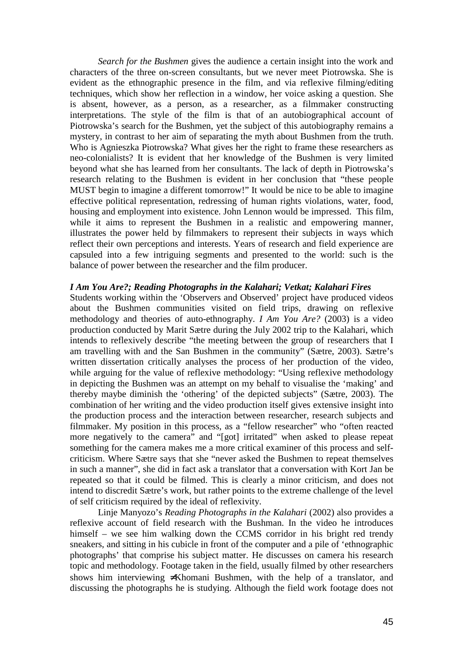*Search for the Bushmen* gives the audience a certain insight into the work and characters of the three on-screen consultants, but we never meet Piotrowska. She is evident as the ethnographic presence in the film, and via reflexive filming/editing techniques, which show her reflection in a window, her voice asking a question. She is absent, however, as a person, as a researcher, as a filmmaker constructing interpretations. The style of the film is that of an autobiographical account of Piotrowska's search for the Bushmen, yet the subject of this autobiography remains a mystery, in contrast to her aim of separating the myth about Bushmen from the truth. Who is Agnieszka Piotrowska? What gives her the right to frame these researchers as neo-colonialists? It is evident that her knowledge of the Bushmen is very limited beyond what she has learned from her consultants. The lack of depth in Piotrowska's research relating to the Bushmen is evident in her conclusion that "these people MUST begin to imagine a different tomorrow!" It would be nice to be able to imagine effective political representation, redressing of human rights violations, water, food, housing and employment into existence. John Lennon would be impressed. This film, while it aims to represent the Bushmen in a realistic and empowering manner, illustrates the power held by filmmakers to represent their subjects in ways which reflect their own perceptions and interests. Years of research and field experience are capsuled into a few intriguing segments and presented to the world: such is the balance of power between the researcher and the film producer.

## *I Am You Are?; Reading Photographs in the Kalahari; Vetkat; Kalahari Fires*

Students working within the 'Observers and Observed' project have produced videos about the Bushmen communities visited on field trips, drawing on reflexive methodology and theories of auto-ethnography. *I Am You Are?* (2003) is a video production conducted by Marit Sætre during the July 2002 trip to the Kalahari, which intends to reflexively describe "the meeting between the group of researchers that I am travelling with and the San Bushmen in the community" (Sætre, 2003). Sætre's written dissertation critically analyses the process of her production of the video, while arguing for the value of reflexive methodology: "Using reflexive methodology in depicting the Bushmen was an attempt on my behalf to visualise the 'making' and thereby maybe diminish the 'othering' of the depicted subjects" (Sætre, 2003). The combination of her writing and the video production itself gives extensive insight into the production process and the interaction between researcher, research subjects and filmmaker. My position in this process, as a "fellow researcher" who "often reacted more negatively to the camera" and "[got] irritated" when asked to please repeat something for the camera makes me a more critical examiner of this process and selfcriticism. Where Sætre says that she "never asked the Bushmen to repeat themselves in such a manner", she did in fact ask a translator that a conversation with Kort Jan be repeated so that it could be filmed. This is clearly a minor criticism, and does not intend to discredit Sætre's work, but rather points to the extreme challenge of the level of self criticism required by the ideal of reflexivity.

 Linje Manyozo's *Reading Photographs in the Kalahari* (2002) also provides a reflexive account of field research with the Bushman. In the video he introduces himself – we see him walking down the CCMS corridor in his bright red trendy sneakers, and sitting in his cubicle in front of the computer and a pile of 'ethnographic photographs' that comprise his subject matter. He discusses on camera his research topic and methodology. Footage taken in the field, usually filmed by other researchers shows him interviewing ≠Khomani Bushmen, with the help of a translator, and discussing the photographs he is studying. Although the field work footage does not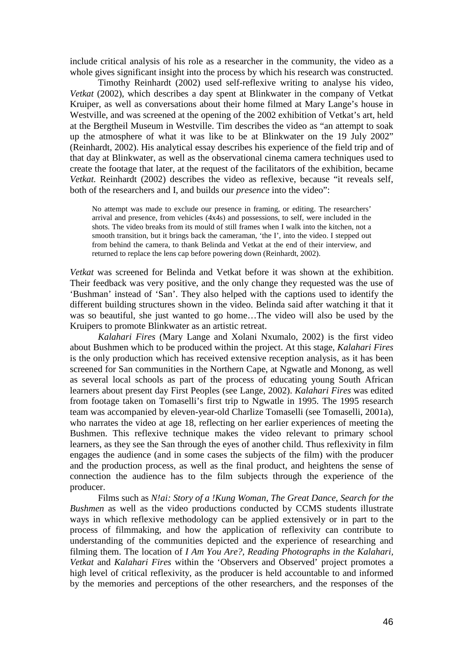include critical analysis of his role as a researcher in the community, the video as a whole gives significant insight into the process by which his research was constructed.

 Timothy Reinhardt (2002) used self-reflexive writing to analyse his video, *Vetkat* (2002), which describes a day spent at Blinkwater in the company of Vetkat Kruiper, as well as conversations about their home filmed at Mary Lange's house in Westville, and was screened at the opening of the 2002 exhibition of Vetkat's art, held at the Bergtheil Museum in Westville. Tim describes the video as "an attempt to soak up the atmosphere of what it was like to be at Blinkwater on the 19 July 2002" (Reinhardt, 2002). His analytical essay describes his experience of the field trip and of that day at Blinkwater, as well as the observational cinema camera techniques used to create the footage that later, at the request of the facilitators of the exhibition, became *Vetkat.* Reinhardt (2002) describes the video as reflexive, because "it reveals self, both of the researchers and I, and builds our *presence* into the video":

No attempt was made to exclude our presence in framing, or editing. The researchers' arrival and presence, from vehicles (4x4s) and possessions, to self, were included in the shots. The video breaks from its mould of still frames when I walk into the kitchen, not a smooth transition, but it brings back the cameraman, 'the I', into the video. I stepped out from behind the camera, to thank Belinda and Vetkat at the end of their interview, and returned to replace the lens cap before powering down (Reinhardt, 2002).

*Vetkat* was screened for Belinda and Vetkat before it was shown at the exhibition. Their feedback was very positive, and the only change they requested was the use of 'Bushman' instead of 'San'. They also helped with the captions used to identify the different building structures shown in the video. Belinda said after watching it that it was so beautiful, she just wanted to go home…The video will also be used by the Kruipers to promote Blinkwater as an artistic retreat.

*Kalahari Fires* (Mary Lange and Xolani Nxumalo, 2002) is the first video about Bushmen which to be produced within the project. At this stage, *Kalahari Fires* is the only production which has received extensive reception analysis, as it has been screened for San communities in the Northern Cape, at Ngwatle and Monong, as well as several local schools as part of the process of educating young South African learners about present day First Peoples (see Lange, 2002). *Kalahari Fires* was edited from footage taken on Tomaselli's first trip to Ngwatle in 1995. The 1995 research team was accompanied by eleven-year-old Charlize Tomaselli (see Tomaselli, 2001a), who narrates the video at age 18, reflecting on her earlier experiences of meeting the Bushmen. This reflexive technique makes the video relevant to primary school learners, as they see the San through the eyes of another child. Thus reflexivity in film engages the audience (and in some cases the subjects of the film) with the producer and the production process, as well as the final product, and heightens the sense of connection the audience has to the film subjects through the experience of the producer.

 Films such as *N!ai: Story of a !Kung Woman, The Great Dance, Search for the Bushmen* as well as the video productions conducted by CCMS students illustrate ways in which reflexive methodology can be applied extensively or in part to the process of filmmaking, and how the application of reflexivity can contribute to understanding of the communities depicted and the experience of researching and filming them. The location of *I Am You Are?, Reading Photographs in the Kalahari, Vetkat* and *Kalahari Fires* within the 'Observers and Observed' project promotes a high level of critical reflexivity, as the producer is held accountable to and informed by the memories and perceptions of the other researchers, and the responses of the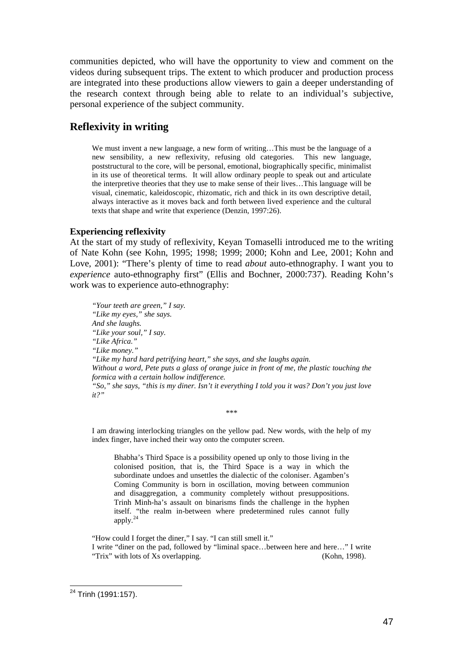communities depicted, who will have the opportunity to view and comment on the videos during subsequent trips. The extent to which producer and production process are integrated into these productions allow viewers to gain a deeper understanding of the research context through being able to relate to an individual's subjective, personal experience of the subject community.

# **Reflexivity in writing**

We must invent a new language, a new form of writing…This must be the language of a new sensibility, a new reflexivity, refusing old categories. This new language, poststructural to the core, will be personal, emotional, biographically specific, minimalist in its use of theoretical terms. It will allow ordinary people to speak out and articulate the interpretive theories that they use to make sense of their lives…This language will be visual, cinematic, kaleidoscopic, rhizomatic, rich and thick in its own descriptive detail, always interactive as it moves back and forth between lived experience and the cultural texts that shape and write that experience (Denzin, 1997:26).

### **Experiencing reflexivity**

At the start of my study of reflexivity, Keyan Tomaselli introduced me to the writing of Nate Kohn (see Kohn, 1995; 1998; 1999; 2000; Kohn and Lee, 2001; Kohn and Love, 2001): "There's plenty of time to read *about* auto-ethnography. I want you to *experience* auto-ethnography first" (Ellis and Bochner, 2000:737). Reading Kohn's work was to experience auto-ethnography:

*"Your teeth are green," I say. "Like my eyes," she says. And she laughs. "Like your soul," I say. "Like Africa." "Like money." "Like my hard hard petrifying heart," she says, and she laughs again. Without a word, Pete puts a glass of orange juice in front of me, the plastic touching the formica with a certain hollow indifference. "So," she says, "this is my diner. Isn't it everything I told you it was? Don't you just love it?"* 

\*\*\*

I am drawing interlocking triangles on the yellow pad. New words, with the help of my index finger, have inched their way onto the computer screen.

Bhabha's Third Space is a possibility opened up only to those living in the colonised position, that is, the Third Space is a way in which the subordinate undoes and unsettles the dialectic of the coloniser. Agamben's Coming Community is born in oscillation, moving between communion and disaggregation, a community completely without presuppositions. Trinh Minh-ha's assault on binarisms finds the challenge in the hyphen itself. "the realm in-between where predetermined rules cannot fully apply. $^{24}$ 

"How could I forget the diner," I say. "I can still smell it." I write "diner on the pad, followed by "liminal space…between here and here…" I write "Trix" with lots of Xs overlapping. (Kohn, 1998).

 $\overline{a}$ 

 $^{24}$  Trinh (1991:157).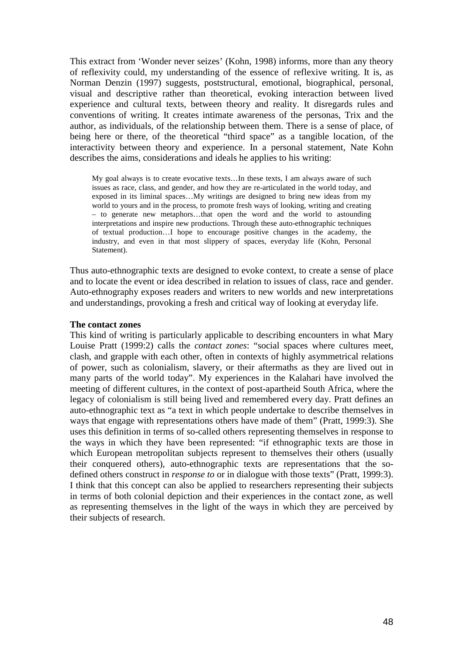This extract from 'Wonder never seizes' (Kohn, 1998) informs, more than any theory of reflexivity could, my understanding of the essence of reflexive writing. It is, as Norman Denzin (1997) suggests, poststructural, emotional, biographical, personal, visual and descriptive rather than theoretical, evoking interaction between lived experience and cultural texts, between theory and reality. It disregards rules and conventions of writing. It creates intimate awareness of the personas, Trix and the author, as individuals, of the relationship between them. There is a sense of place, of being here or there, of the theoretical "third space" as a tangible location, of the interactivity between theory and experience. In a personal statement, Nate Kohn describes the aims, considerations and ideals he applies to his writing:

My goal always is to create evocative texts…In these texts, I am always aware of such issues as race, class, and gender, and how they are re-articulated in the world today, and exposed in its liminal spaces…My writings are designed to bring new ideas from my world to yours and in the process, to promote fresh ways of looking, writing and creating – to generate new metaphors…that open the word and the world to astounding interpretations and inspire new productions. Through these auto-ethnographic techniques of textual production…I hope to encourage positive changes in the academy, the industry, and even in that most slippery of spaces, everyday life (Kohn, Personal Statement).

Thus auto-ethnographic texts are designed to evoke context, to create a sense of place and to locate the event or idea described in relation to issues of class, race and gender. Auto-ethnography exposes readers and writers to new worlds and new interpretations and understandings, provoking a fresh and critical way of looking at everyday life.

### **The contact zones**

This kind of writing is particularly applicable to describing encounters in what Mary Louise Pratt (1999:2) calls the *contact zones*: "social spaces where cultures meet, clash, and grapple with each other, often in contexts of highly asymmetrical relations of power, such as colonialism, slavery, or their aftermaths as they are lived out in many parts of the world today". My experiences in the Kalahari have involved the meeting of different cultures, in the context of post-apartheid South Africa, where the legacy of colonialism is still being lived and remembered every day. Pratt defines an auto-ethnographic text as "a text in which people undertake to describe themselves in ways that engage with representations others have made of them" (Pratt, 1999:3). She uses this definition in terms of so-called others representing themselves in response to the ways in which they have been represented: "if ethnographic texts are those in which European metropolitan subjects represent to themselves their others (usually their conquered others), auto-ethnographic texts are representations that the sodefined others construct in *response to* or in dialogue with those texts" (Pratt, 1999:3). I think that this concept can also be applied to researchers representing their subjects in terms of both colonial depiction and their experiences in the contact zone, as well as representing themselves in the light of the ways in which they are perceived by their subjects of research.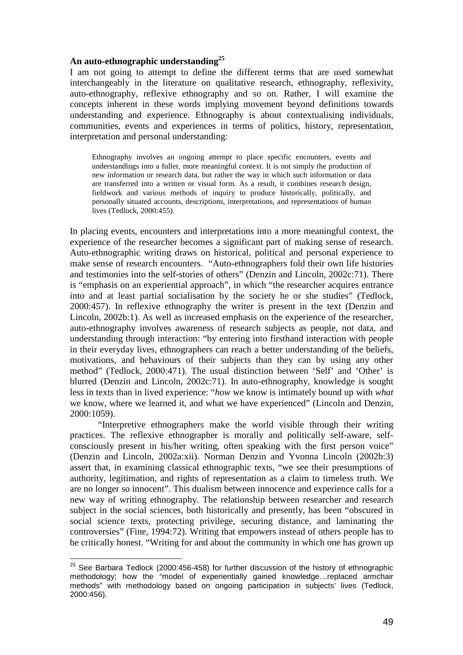## **An auto-ethnographic understanding<sup>25</sup>**

I am not going to attempt to define the different terms that are used somewhat interchangeably in the literature on qualitative research, ethnography, reflexivity, auto-ethnography, reflexive ethnography and so on. Rather, I will examine the concepts inherent in these words implying movement beyond definitions towards understanding and experience. Ethnography is about contextualising individuals, communities, events and experiences in terms of politics, history, representation, interpretation and personal understanding:

Ethnography involves an ongoing attempt to place specific encounters, events and understandings into a fuller, more meaningful context. It is not simply the production of new information or research data, but rather the way in which such information or data are transferred into a written or visual form. As a result, it combines research design, fieldwork and various methods of inquiry to produce historically, politically, and personally situated accounts, descriptions, interpretations, and representations of human lives (Tedlock, 2000:455).

In placing events, encounters and interpretations into a more meaningful context, the experience of the researcher becomes a significant part of making sense of research. Auto-ethnographic writing draws on historical, political and personal experience to make sense of research encounters. "Auto-ethnographers fold their own life histories and testimonies into the self-stories of others" (Denzin and Lincoln, 2002c:71). There is "emphasis on an experiential approach", in which "the researcher acquires entrance into and at least partial socialisation by the society he or she studies" (Tedlock, 2000:457). In reflexive ethnography the writer is present in the text (Denzin and Lincoln, 2002b:1). As well as increased emphasis on the experience of the researcher, auto-ethnography involves awareness of research subjects as people, not data, and understanding through interaction: "by entering into firsthand interaction with people in their everyday lives, ethnographers can reach a better understanding of the beliefs, motivations, and behaviours of their subjects than they can by using any other method" (Tedlock, 2000:471). The usual distinction between 'Self' and 'Other' is blurred (Denzin and Lincoln, 2002c:71). In auto-ethnography, knowledge is sought less in texts than in lived experience: "*how* we know is intimately bound up with *what* we know, where we learned it, and what we have experienced" (Lincoln and Denzin, 2000:1059).

 "Interpretive ethnographers make the world visible through their writing practices. The reflexive ethnographer is morally and politically self-aware, selfconsciously present in his/her writing, often speaking with the first person voice" (Denzin and Lincoln, 2002a:xii). Norman Denzin and Yvonna Lincoln (2002b:3) assert that, in examining classical ethnographic texts, "we see their presumptions of authority, legitimation, and rights of representation as a claim to timeless truth. We are no longer so innocent". This dualism between innocence and experience calls for a new way of writing ethnography. The relationship between researcher and research subject in the social sciences, both historically and presently, has been "obscured in social science texts, protecting privilege, securing distance, and laminating the controversies" (Fine, 1994:72). Writing that empowers instead of others people has to be critically honest. "Writing for and about the community in which one has grown up

l

 $25$  See Barbara Tedlock (2000:456-458) for further discussion of the history of ethnographic methodology; how the "model of experientially gained knowledge…replaced armchair methods" with methodology based on ongoing participation in subjects' lives (Tedlock, 2000:456).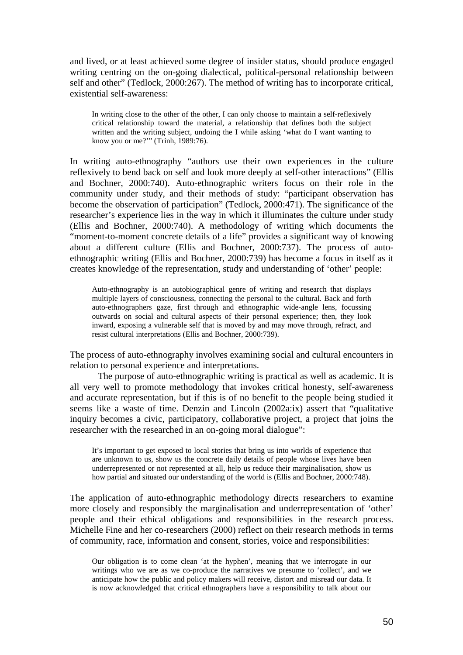and lived, or at least achieved some degree of insider status, should produce engaged writing centring on the on-going dialectical, political-personal relationship between self and other" (Tedlock, 2000:267). The method of writing has to incorporate critical, existential self-awareness:

In writing close to the other of the other, I can only choose to maintain a self-reflexively critical relationship toward the material, a relationship that defines both the subject written and the writing subject, undoing the I while asking 'what do I want wanting to know you or me?'" (Trinh, 1989:76).

In writing auto-ethnography "authors use their own experiences in the culture reflexively to bend back on self and look more deeply at self-other interactions" (Ellis and Bochner, 2000:740). Auto-ethnographic writers focus on their role in the community under study, and their methods of study: "participant observation has become the observation of participation" (Tedlock, 2000:471). The significance of the researcher's experience lies in the way in which it illuminates the culture under study (Ellis and Bochner, 2000:740). A methodology of writing which documents the "moment-to-moment concrete details of a life" provides a significant way of knowing about a different culture (Ellis and Bochner, 2000:737). The process of autoethnographic writing (Ellis and Bochner, 2000:739) has become a focus in itself as it creates knowledge of the representation, study and understanding of 'other' people:

Auto-ethnography is an autobiographical genre of writing and research that displays multiple layers of consciousness, connecting the personal to the cultural. Back and forth auto-ethnographers gaze, first through and ethnographic wide-angle lens, focussing outwards on social and cultural aspects of their personal experience; then, they look inward, exposing a vulnerable self that is moved by and may move through, refract, and resist cultural interpretations (Ellis and Bochner, 2000:739).

The process of auto-ethnography involves examining social and cultural encounters in relation to personal experience and interpretations.

 The purpose of auto-ethnographic writing is practical as well as academic. It is all very well to promote methodology that invokes critical honesty, self-awareness and accurate representation, but if this is of no benefit to the people being studied it seems like a waste of time. Denzin and Lincoln (2002a:ix) assert that "qualitative inquiry becomes a civic, participatory, collaborative project, a project that joins the researcher with the researched in an on-going moral dialogue":

It's important to get exposed to local stories that bring us into worlds of experience that are unknown to us, show us the concrete daily details of people whose lives have been underrepresented or not represented at all, help us reduce their marginalisation, show us how partial and situated our understanding of the world is (Ellis and Bochner, 2000:748).

The application of auto-ethnographic methodology directs researchers to examine more closely and responsibly the marginalisation and underrepresentation of 'other' people and their ethical obligations and responsibilities in the research process. Michelle Fine and her co-researchers (2000) reflect on their research methods in terms of community, race, information and consent, stories, voice and responsibilities:

Our obligation is to come clean 'at the hyphen', meaning that we interrogate in our writings who we are as we co-produce the narratives we presume to 'collect', and we anticipate how the public and policy makers will receive, distort and misread our data. It is now acknowledged that critical ethnographers have a responsibility to talk about our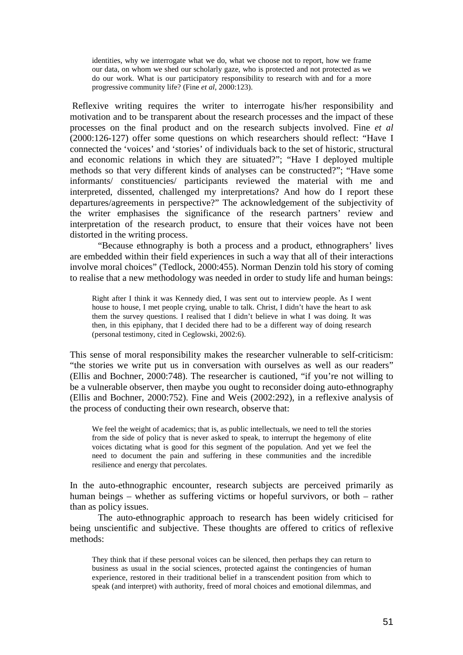identities, why we interrogate what we do, what we choose not to report, how we frame our data, on whom we shed our scholarly gaze, who is protected and not protected as we do our work. What is our participatory responsibility to research with and for a more progressive community life? (Fine *et al*, 2000:123).

 Reflexive writing requires the writer to interrogate his/her responsibility and motivation and to be transparent about the research processes and the impact of these processes on the final product and on the research subjects involved. Fine *et al* (2000:126-127) offer some questions on which researchers should reflect: "Have I connected the 'voices' and 'stories' of individuals back to the set of historic, structural and economic relations in which they are situated?"; "Have I deployed multiple methods so that very different kinds of analyses can be constructed?"; "Have some informants/ constituencies/ participants reviewed the material with me and interpreted, dissented, challenged my interpretations? And how do I report these departures/agreements in perspective?" The acknowledgement of the subjectivity of the writer emphasises the significance of the research partners' review and interpretation of the research product, to ensure that their voices have not been distorted in the writing process.

 "Because ethnography is both a process and a product, ethnographers' lives are embedded within their field experiences in such a way that all of their interactions involve moral choices" (Tedlock, 2000:455). Norman Denzin told his story of coming to realise that a new methodology was needed in order to study life and human beings:

Right after I think it was Kennedy died, I was sent out to interview people. As I went house to house, I met people crying, unable to talk. Christ, I didn't have the heart to ask them the survey questions. I realised that I didn't believe in what I was doing. It was then, in this epiphany, that I decided there had to be a different way of doing research (personal testimony, cited in Ceglowski, 2002:6).

This sense of moral responsibility makes the researcher vulnerable to self-criticism: "the stories we write put us in conversation with ourselves as well as our readers" (Ellis and Bochner, 2000:748). The researcher is cautioned, "if you're not willing to be a vulnerable observer, then maybe you ought to reconsider doing auto-ethnography (Ellis and Bochner, 2000:752). Fine and Weis (2002:292), in a reflexive analysis of the process of conducting their own research, observe that:

We feel the weight of academics; that is, as public intellectuals, we need to tell the stories from the side of policy that is never asked to speak, to interrupt the hegemony of elite voices dictating what is good for this segment of the population. And yet we feel the need to document the pain and suffering in these communities and the incredible resilience and energy that percolates.

In the auto-ethnographic encounter, research subjects are perceived primarily as human beings – whether as suffering victims or hopeful survivors, or both – rather than as policy issues.

 The auto-ethnographic approach to research has been widely criticised for being unscientific and subjective. These thoughts are offered to critics of reflexive methods:

They think that if these personal voices can be silenced, then perhaps they can return to business as usual in the social sciences, protected against the contingencies of human experience, restored in their traditional belief in a transcendent position from which to speak (and interpret) with authority, freed of moral choices and emotional dilemmas, and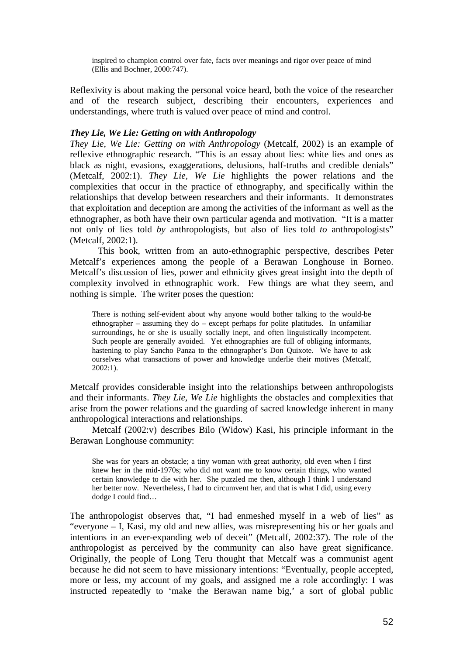inspired to champion control over fate, facts over meanings and rigor over peace of mind (Ellis and Bochner, 2000:747).

Reflexivity is about making the personal voice heard, both the voice of the researcher and of the research subject, describing their encounters, experiences and understandings, where truth is valued over peace of mind and control.

### *They Lie, We Lie: Getting on with Anthropology*

*They Lie, We Lie: Getting on with Anthropology* (Metcalf, 2002) is an example of reflexive ethnographic research. "This is an essay about lies: white lies and ones as black as night, evasions, exaggerations, delusions, half-truths and credible denials" (Metcalf, 2002:1). *They Lie, We Lie* highlights the power relations and the complexities that occur in the practice of ethnography, and specifically within the relationships that develop between researchers and their informants. It demonstrates that exploitation and deception are among the activities of the informant as well as the ethnographer, as both have their own particular agenda and motivation. "It is a matter not only of lies told *by* anthropologists, but also of lies told *to* anthropologists" (Metcalf, 2002:1).

 This book, written from an auto-ethnographic perspective, describes Peter Metcalf's experiences among the people of a Berawan Longhouse in Borneo. Metcalf's discussion of lies, power and ethnicity gives great insight into the depth of complexity involved in ethnographic work. Few things are what they seem, and nothing is simple. The writer poses the question:

There is nothing self-evident about why anyone would bother talking to the would-be ethnographer – assuming they do – except perhaps for polite platitudes. In unfamiliar surroundings, he or she is usually socially inept, and often linguistically incompetent. Such people are generally avoided. Yet ethnographies are full of obliging informants, hastening to play Sancho Panza to the ethnographer's Don Quixote. We have to ask ourselves what transactions of power and knowledge underlie their motives (Metcalf, 2002:1).

Metcalf provides considerable insight into the relationships between anthropologists and their informants. *They Lie, We Lie* highlights the obstacles and complexities that arise from the power relations and the guarding of sacred knowledge inherent in many anthropological interactions and relationships.

Metcalf (2002:v) describes Bilo (Widow) Kasi, his principle informant in the Berawan Longhouse community:

She was for years an obstacle; a tiny woman with great authority, old even when I first knew her in the mid-1970s; who did not want me to know certain things, who wanted certain knowledge to die with her. She puzzled me then, although I think I understand her better now. Nevertheless, I had to circumvent her, and that is what I did, using every dodge I could find…

The anthropologist observes that, "I had enmeshed myself in a web of lies" as "everyone – I, Kasi, my old and new allies, was misrepresenting his or her goals and intentions in an ever-expanding web of deceit" (Metcalf, 2002:37). The role of the anthropologist as perceived by the community can also have great significance. Originally, the people of Long Teru thought that Metcalf was a communist agent because he did not seem to have missionary intentions: "Eventually, people accepted, more or less, my account of my goals, and assigned me a role accordingly: I was instructed repeatedly to 'make the Berawan name big,' a sort of global public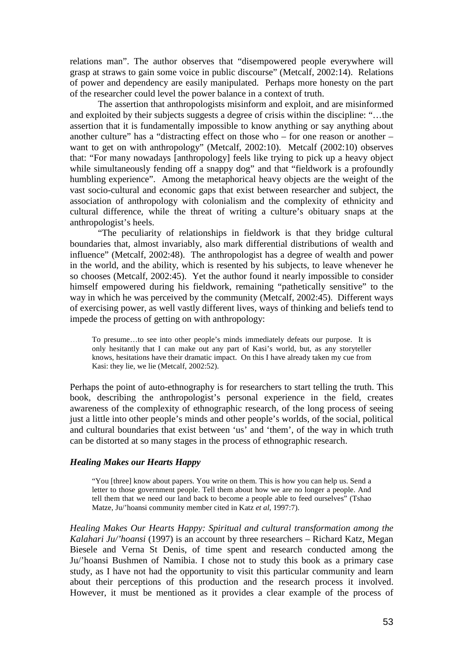relations man". The author observes that "disempowered people everywhere will grasp at straws to gain some voice in public discourse" (Metcalf, 2002:14). Relations of power and dependency are easily manipulated. Perhaps more honesty on the part of the researcher could level the power balance in a context of truth.

The assertion that anthropologists misinform and exploit, and are misinformed and exploited by their subjects suggests a degree of crisis within the discipline: "…the assertion that it is fundamentally impossible to know anything or say anything about another culture" has a "distracting effect on those who – for one reason or another – want to get on with anthropology" (Metcalf, 2002:10). Metcalf (2002:10) observes that: "For many nowadays [anthropology] feels like trying to pick up a heavy object while simultaneously fending off a snappy dog" and that "fieldwork is a profoundly humbling experience". Among the metaphorical heavy objects are the weight of the vast socio-cultural and economic gaps that exist between researcher and subject, the association of anthropology with colonialism and the complexity of ethnicity and cultural difference, while the threat of writing a culture's obituary snaps at the anthropologist's heels.

 "The peculiarity of relationships in fieldwork is that they bridge cultural boundaries that, almost invariably, also mark differential distributions of wealth and influence" (Metcalf, 2002:48). The anthropologist has a degree of wealth and power in the world, and the ability, which is resented by his subjects, to leave whenever he so chooses (Metcalf, 2002:45). Yet the author found it nearly impossible to consider himself empowered during his fieldwork, remaining "pathetically sensitive" to the way in which he was perceived by the community (Metcalf, 2002:45). Different ways of exercising power, as well vastly different lives, ways of thinking and beliefs tend to impede the process of getting on with anthropology:

To presume…to see into other people's minds immediately defeats our purpose. It is only hesitantly that I can make out any part of Kasi's world, but, as any storyteller knows, hesitations have their dramatic impact. On this I have already taken my cue from Kasi: they lie, we lie (Metcalf, 2002:52).

Perhaps the point of auto-ethnography is for researchers to start telling the truth. This book, describing the anthropologist's personal experience in the field, creates awareness of the complexity of ethnographic research, of the long process of seeing just a little into other people's minds and other people's worlds, of the social, political and cultural boundaries that exist between 'us' and 'them', of the way in which truth can be distorted at so many stages in the process of ethnographic research.

## *Healing Makes our Hearts Happy*

"You [three] know about papers. You write on them. This is how you can help us. Send a letter to those government people. Tell them about how we are no longer a people. And tell them that we need our land back to become a people able to feed ourselves" (Tshao Matze, Ju/'hoansi community member cited in Katz *et al*, 1997:7).

*Healing Makes Our Hearts Happy: Spiritual and cultural transformation among the Kalahari Ju/'hoansi* (1997) is an account by three researchers – Richard Katz, Megan Biesele and Verna St Denis, of time spent and research conducted among the Ju/'hoansi Bushmen of Namibia. I chose not to study this book as a primary case study, as I have not had the opportunity to visit this particular community and learn about their perceptions of this production and the research process it involved. However, it must be mentioned as it provides a clear example of the process of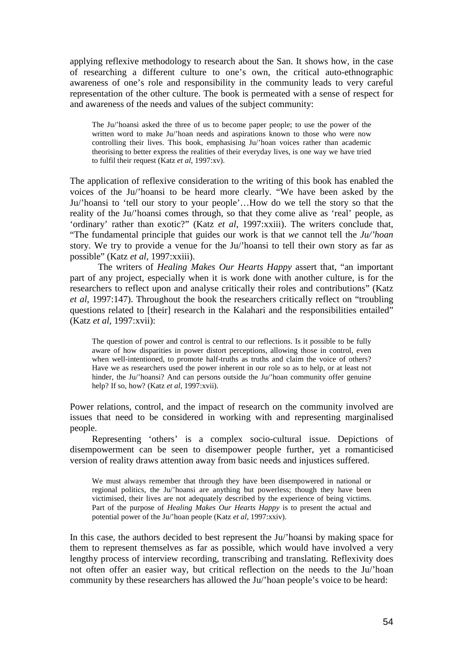applying reflexive methodology to research about the San. It shows how, in the case of researching a different culture to one's own, the critical auto-ethnographic awareness of one's role and responsibility in the community leads to very careful representation of the other culture. The book is permeated with a sense of respect for and awareness of the needs and values of the subject community:

The Ju/'hoansi asked the three of us to become paper people; to use the power of the written word to make Ju/'hoan needs and aspirations known to those who were now controlling their lives. This book, emphasising Ju/'hoan voices rather than academic theorising to better express the realities of their everyday lives, is one way we have tried to fulfil their request (Katz *et al*, 1997:xv).

The application of reflexive consideration to the writing of this book has enabled the voices of the Ju/'hoansi to be heard more clearly. "We have been asked by the Ju/'hoansi to 'tell our story to your people'…How do we tell the story so that the reality of the Ju/'hoansi comes through, so that they come alive as 'real' people, as 'ordinary' rather than exotic?" (Katz *et al*, 1997:xxiii). The writers conclude that, "The fundamental principle that guides our work is that *we* cannot tell the *Ju/'hoan* story. We try to provide a venue for the Ju/'hoansi to tell their own story as far as possible" (Katz *et al*, 1997:xxiii).

 The writers of *Healing Makes Our Hearts Happy* assert that, "an important part of any project, especially when it is work done with another culture, is for the researchers to reflect upon and analyse critically their roles and contributions" (Katz *et al*, 1997:147). Throughout the book the researchers critically reflect on "troubling questions related to [their] research in the Kalahari and the responsibilities entailed" (Katz *et al*, 1997:xvii):

The question of power and control is central to our reflections. Is it possible to be fully aware of how disparities in power distort perceptions, allowing those in control, even when well-intentioned, to promote half-truths as truths and claim the voice of others? Have we as researchers used the power inherent in our role so as to help, or at least not hinder, the Ju/'hoansi? And can persons outside the Ju/'hoan community offer genuine help? If so, how? (Katz *et al*, 1997:xvii).

Power relations, control, and the impact of research on the community involved are issues that need to be considered in working with and representing marginalised people.

Representing 'others' is a complex socio-cultural issue. Depictions of disempowerment can be seen to disempower people further, yet a romanticised version of reality draws attention away from basic needs and injustices suffered.

We must always remember that through they have been disempowered in national or regional politics, the Ju/'hoansi are anything but powerless; though they have been victimised, their lives are not adequately described by the experience of being victims. Part of the purpose of *Healing Makes Our Hearts Happy* is to present the actual and potential power of the Ju/'hoan people (Katz *et al*, 1997:xxiv).

In this case, the authors decided to best represent the Ju/'hoansi by making space for them to represent themselves as far as possible, which would have involved a very lengthy process of interview recording, transcribing and translating. Reflexivity does not often offer an easier way, but critical reflection on the needs to the Ju/'hoan community by these researchers has allowed the Ju/'hoan people's voice to be heard: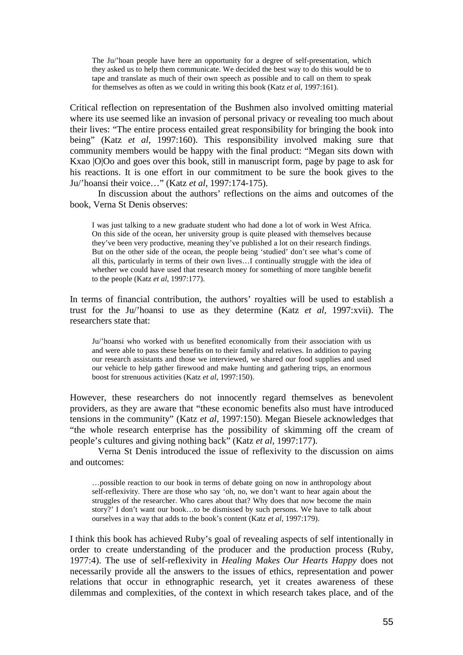The Ju/'hoan people have here an opportunity for a degree of self-presentation, which they asked us to help them communicate. We decided the best way to do this would be to tape and translate as much of their own speech as possible and to call on them to speak for themselves as often as we could in writing this book (Katz *et al*, 1997:161).

Critical reflection on representation of the Bushmen also involved omitting material where its use seemed like an invasion of personal privacy or revealing too much about their lives: "The entire process entailed great responsibility for bringing the book into being" (Katz *et al*, 1997:160). This responsibility involved making sure that community members would be happy with the final product: "Megan sits down with Kxao |O|Oo and goes over this book, still in manuscript form, page by page to ask for his reactions. It is one effort in our commitment to be sure the book gives to the Ju/'hoansi their voice…" (Katz *et al*, 1997:174-175).

In discussion about the authors' reflections on the aims and outcomes of the book, Verna St Denis observes:

I was just talking to a new graduate student who had done a lot of work in West Africa. On this side of the ocean, her university group is quite pleased with themselves because they've been very productive, meaning they've published a lot on their research findings. But on the other side of the ocean, the people being 'studied' don't see what's come of all this, particularly in terms of their own lives…I continually struggle with the idea of whether we could have used that research money for something of more tangible benefit to the people (Katz *et al*, 1997:177).

In terms of financial contribution, the authors' royalties will be used to establish a trust for the Ju/'hoansi to use as they determine (Katz *et al*, 1997:xvii). The researchers state that:

Ju/'hoansi who worked with us benefited economically from their association with us and were able to pass these benefits on to their family and relatives. In addition to paying our research assistants and those we interviewed, we shared our food supplies and used our vehicle to help gather firewood and make hunting and gathering trips, an enormous boost for strenuous activities (Katz *et al*, 1997:150).

However, these researchers do not innocently regard themselves as benevolent providers, as they are aware that "these economic benefits also must have introduced tensions in the community" (Katz *et al*, 1997:150). Megan Biesele acknowledges that "the whole research enterprise has the possibility of skimming off the cream of people's cultures and giving nothing back" (Katz *et al*, 1997:177).

Verna St Denis introduced the issue of reflexivity to the discussion on aims and outcomes:

…possible reaction to our book in terms of debate going on now in anthropology about self-reflexivity. There are those who say 'oh, no, we don't want to hear again about the struggles of the researcher. Who cares about that? Why does that now become the main story?' I don't want our book…to be dismissed by such persons. We have to talk about ourselves in a way that adds to the book's content (Katz *et al*, 1997:179).

I think this book has achieved Ruby's goal of revealing aspects of self intentionally in order to create understanding of the producer and the production process (Ruby, 1977:4). The use of self-reflexivity in *Healing Makes Our Hearts Happy* does not necessarily provide all the answers to the issues of ethics, representation and power relations that occur in ethnographic research, yet it creates awareness of these dilemmas and complexities, of the context in which research takes place, and of the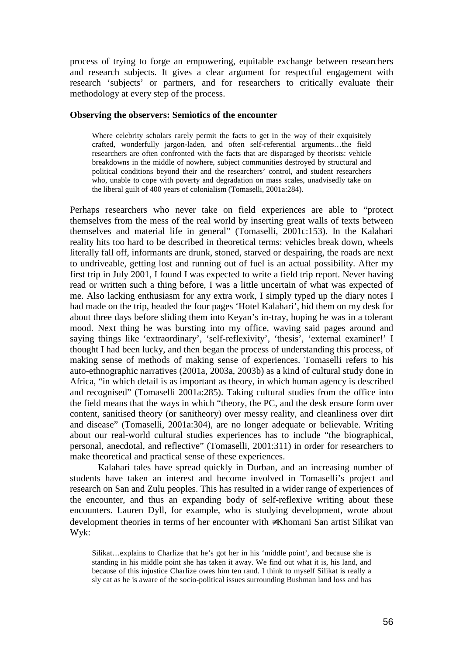process of trying to forge an empowering, equitable exchange between researchers and research subjects. It gives a clear argument for respectful engagement with research 'subjects' or partners, and for researchers to critically evaluate their methodology at every step of the process.

#### **Observing the observers: Semiotics of the encounter**

Where celebrity scholars rarely permit the facts to get in the way of their exquisitely crafted, wonderfully jargon-laden, and often self-referential arguments…the field researchers are often confronted with the facts that are disparaged by theorists: vehicle breakdowns in the middle of nowhere, subject communities destroyed by structural and political conditions beyond their and the researchers' control, and student researchers who, unable to cope with poverty and degradation on mass scales, unadvisedly take on the liberal guilt of 400 years of colonialism (Tomaselli, 2001a:284).

Perhaps researchers who never take on field experiences are able to "protect themselves from the mess of the real world by inserting great walls of texts between themselves and material life in general" (Tomaselli, 2001c:153). In the Kalahari reality hits too hard to be described in theoretical terms: vehicles break down, wheels literally fall off, informants are drunk, stoned, starved or despairing, the roads are next to undriveable, getting lost and running out of fuel is an actual possibility. After my first trip in July 2001, I found I was expected to write a field trip report. Never having read or written such a thing before, I was a little uncertain of what was expected of me. Also lacking enthusiasm for any extra work, I simply typed up the diary notes I had made on the trip, headed the four pages 'Hotel Kalahari', hid them on my desk for about three days before sliding them into Keyan's in-tray, hoping he was in a tolerant mood. Next thing he was bursting into my office, waving said pages around and saying things like 'extraordinary', 'self-reflexivity', 'thesis', 'external examiner!' I thought I had been lucky, and then began the process of understanding this process, of making sense of methods of making sense of experiences. Tomaselli refers to his auto-ethnographic narratives (2001a, 2003a, 2003b) as a kind of cultural study done in Africa, "in which detail is as important as theory, in which human agency is described and recognised" (Tomaselli 2001a:285). Taking cultural studies from the office into the field means that the ways in which "theory, the PC, and the desk ensure form over content, sanitised theory (or sanitheory) over messy reality, and cleanliness over dirt and disease" (Tomaselli, 2001a:304), are no longer adequate or believable. Writing about our real-world cultural studies experiences has to include "the biographical, personal, anecdotal, and reflective" (Tomaselli, 2001:311) in order for researchers to make theoretical and practical sense of these experiences.

 Kalahari tales have spread quickly in Durban, and an increasing number of students have taken an interest and become involved in Tomaselli's project and research on San and Zulu peoples. This has resulted in a wider range of experiences of the encounter, and thus an expanding body of self-reflexive writing about these encounters. Lauren Dyll, for example, who is studying development, wrote about development theories in terms of her encounter with ≠Khomani San artist Silikat van Wy<sub>k</sub>:

Silikat…explains to Charlize that he's got her in his 'middle point', and because she is standing in his middle point she has taken it away. We find out what it is, his land, and because of this injustice Charlize owes him ten rand. I think to myself Silikat is really a sly cat as he is aware of the socio-political issues surrounding Bushman land loss and has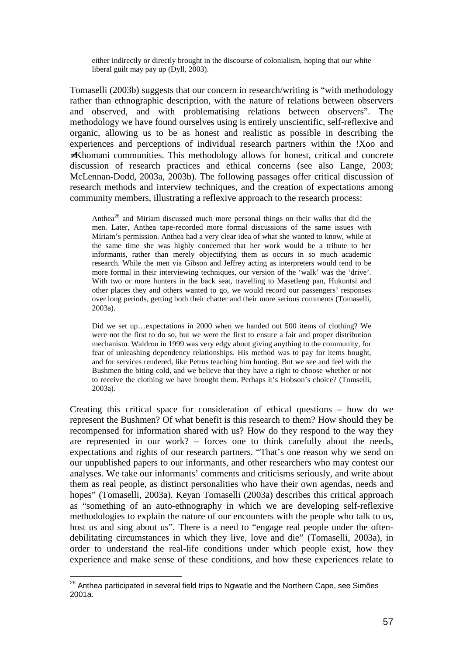either indirectly or directly brought in the discourse of colonialism, hoping that our white liberal guilt may pay up (Dyll, 2003).

Tomaselli (2003b) suggests that our concern in research/writing is "with methodology rather than ethnographic description, with the nature of relations between observers and observed, and with problematising relations between observers". The methodology we have found ourselves using is entirely unscientific, self-reflexive and organic, allowing us to be as honest and realistic as possible in describing the experiences and perceptions of individual research partners within the !Xoo and ≠Khomani communities. This methodology allows for honest, critical and concrete discussion of research practices and ethical concerns (see also Lange, 2003; McLennan-Dodd, 2003a, 2003b). The following passages offer critical discussion of research methods and interview techniques, and the creation of expectations among community members, illustrating a reflexive approach to the research process:

Anthea<sup>26</sup> and Miriam discussed much more personal things on their walks that did the men. Later, Anthea tape-recorded more formal discussions of the same issues with Miriam's permission. Anthea had a very clear idea of what she wanted to know, while at the same time she was highly concerned that her work would be a tribute to her informants, rather than merely objectifying them as occurs in so much academic research. While the men via Gibson and Jeffrey acting as interpreters would tend to be more formal in their interviewing techniques, our version of the 'walk' was the 'drive'. With two or more hunters in the back seat, travelling to Masetleng pan, Hukuntsi and other places they and others wanted to go, we would record our passengers' responses over long periods, getting both their chatter and their more serious comments (Tomaselli, 2003a).

Did we set up…expectations in 2000 when we handed out 500 items of clothing? We were not the first to do so, but we were the first to ensure a fair and proper distribution mechanism. Waldron in 1999 was very edgy about giving anything to the community, for fear of unleashing dependency relationships. His method was to pay for items bought, and for services rendered, like Petrus teaching him hunting. But we see and feel with the Bushmen the biting cold, and we believe that they have a right to choose whether or not to receive the clothing we have brought them. Perhaps it's Hobson's choice? (Tomselli, 2003a).

Creating this critical space for consideration of ethical questions – how do we represent the Bushmen? Of what benefit is this research to them? How should they be recompensed for information shared with us? How do they respond to the way they are represented in our work? – forces one to think carefully about the needs, expectations and rights of our research partners. "That's one reason why we send on our unpublished papers to our informants, and other researchers who may contest our analyses. We take our informants' comments and criticisms seriously, and write about them as real people, as distinct personalities who have their own agendas, needs and hopes" (Tomaselli, 2003a). Keyan Tomaselli (2003a) describes this critical approach as "something of an auto-ethnography in which we are developing self-reflexive methodologies to explain the nature of our encounters with the people who talk to us, host us and sing about us". There is a need to "engage real people under the oftendebilitating circumstances in which they live, love and die" (Tomaselli, 2003a), in order to understand the real-life conditions under which people exist, how they experience and make sense of these conditions, and how these experiences relate to

l

 $^{26}$  Anthea participated in several field trips to Ngwatle and the Northern Cape, see Simões 2001a.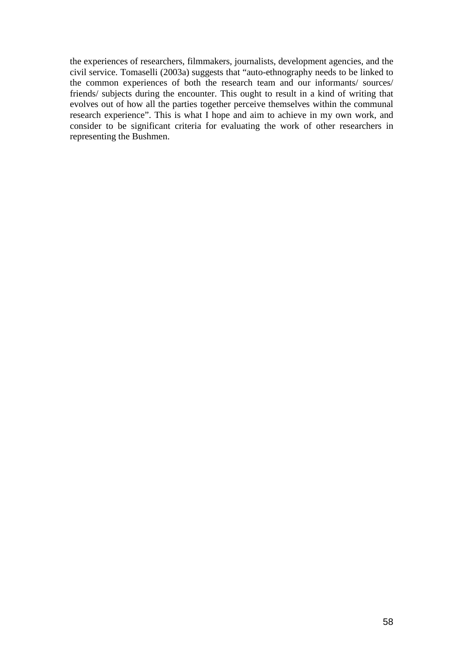the experiences of researchers, filmmakers, journalists, development agencies, and the civil service. Tomaselli (2003a) suggests that "auto-ethnography needs to be linked to the common experiences of both the research team and our informants/ sources/ friends/ subjects during the encounter. This ought to result in a kind of writing that evolves out of how all the parties together perceive themselves within the communal research experience". This is what I hope and aim to achieve in my own work, and consider to be significant criteria for evaluating the work of other researchers in representing the Bushmen.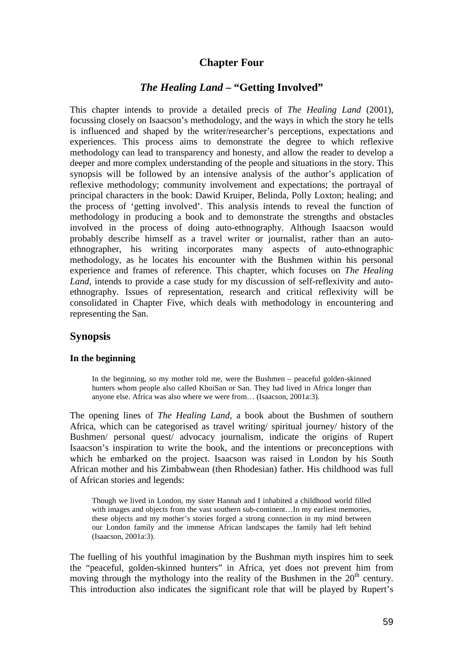# **Chapter Four**

## *The Healing Land* **– "Getting Involved"**

This chapter intends to provide a detailed precis of *The Healing Land* (2001), focussing closely on Isaacson's methodology, and the ways in which the story he tells is influenced and shaped by the writer/researcher's perceptions, expectations and experiences. This process aims to demonstrate the degree to which reflexive methodology can lead to transparency and honesty, and allow the reader to develop a deeper and more complex understanding of the people and situations in the story. This synopsis will be followed by an intensive analysis of the author's application of reflexive methodology; community involvement and expectations; the portrayal of principal characters in the book: Dawid Kruiper, Belinda, Polly Loxton; healing; and the process of 'getting involved'. This analysis intends to reveal the function of methodology in producing a book and to demonstrate the strengths and obstacles involved in the process of doing auto-ethnography. Although Isaacson would probably describe himself as a travel writer or journalist, rather than an autoethnographer, his writing incorporates many aspects of auto-ethnographic methodology, as he locates his encounter with the Bushmen within his personal experience and frames of reference. This chapter, which focuses on *The Healing Land*, intends to provide a case study for my discussion of self-reflexivity and autoethnography. Issues of representation, research and critical reflexivity will be consolidated in Chapter Five, which deals with methodology in encountering and representing the San.

# **Synopsis**

## **In the beginning**

In the beginning, so my mother told me, were the Bushmen – peaceful golden-skinned hunters whom people also called KhoiSan or San. They had lived in Africa longer than anyone else. Africa was also where we were from… (Isaacson, 2001a:3).

The opening lines of *The Healing Land*, a book about the Bushmen of southern Africa, which can be categorised as travel writing/ spiritual journey/ history of the Bushmen/ personal quest/ advocacy journalism, indicate the origins of Rupert Isaacson's inspiration to write the book, and the intentions or preconceptions with which he embarked on the project. Isaacson was raised in London by his South African mother and his Zimbabwean (then Rhodesian) father. His childhood was full of African stories and legends:

Though we lived in London, my sister Hannah and I inhabited a childhood world filled with images and objects from the vast southern sub-continent...In my earliest memories, these objects and my mother's stories forged a strong connection in my mind between our London family and the immense African landscapes the family had left behind (Isaacson, 2001a:3).

The fuelling of his youthful imagination by the Bushman myth inspires him to seek the "peaceful, golden-skinned hunters" in Africa, yet does not prevent him from moving through the mythology into the reality of the Bushmen in the  $20<sup>th</sup>$  century. This introduction also indicates the significant role that will be played by Rupert's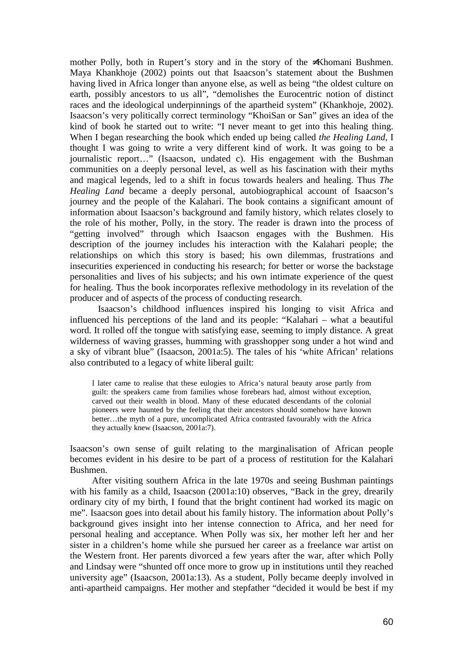mother Polly, both in Rupert's story and in the story of the ≠Khomani Bushmen. Maya Khankhoje (2002) points out that Isaacson's statement about the Bushmen having lived in Africa longer than anyone else, as well as being "the oldest culture on earth, possibly ancestors to us all", "demolishes the Eurocentric notion of distinct races and the ideological underpinnings of the apartheid system" (Khankhoje, 2002). Isaacson's very politically correct terminology "KhoiSan or San" gives an idea of the kind of book he started out to write: "I never meant to get into this healing thing. When I began researching the book which ended up being called *the Healing Land*, I thought I was going to write a very different kind of work. It was going to be a journalistic report…" (Isaacson, undated c). His engagement with the Bushman communities on a deeply personal level, as well as his fascination with their myths and magical legends, led to a shift in focus towards healers and healing. Thus *The Healing Land* became a deeply personal, autobiographical account of Isaacson's journey and the people of the Kalahari. The book contains a significant amount of information about Isaacson's background and family history, which relates closely to the role of his mother, Polly, in the story. The reader is drawn into the process of "getting involved" through which Isaacson engages with the Bushmen. His description of the journey includes his interaction with the Kalahari people; the relationships on which this story is based; his own dilemmas, frustrations and insecurities experienced in conducting his research; for better or worse the backstage personalities and lives of his subjects; and his own intimate experience of the quest for healing. Thus the book incorporates reflexive methodology in its revelation of the producer and of aspects of the process of conducting research.

 Isaacson's childhood influences inspired his longing to visit Africa and influenced his perceptions of the land and its people: "Kalahari – what a beautiful word. It rolled off the tongue with satisfying ease, seeming to imply distance. A great wilderness of waving grasses, humming with grasshopper song under a hot wind and a sky of vibrant blue" (Isaacson, 2001a:5). The tales of his 'white African' relations also contributed to a legacy of white liberal guilt:

I later came to realise that these eulogies to Africa's natural beauty arose partly from guilt: the speakers came from families whose forebears had, almost without exception, carved out their wealth in blood. Many of these educated descendants of the colonial pioneers were haunted by the feeling that their ancestors should somehow have known better…the myth of a pure, uncomplicated Africa contrasted favourably with the Africa they actually knew (Isaacson, 2001a:7).

Isaacson's own sense of guilt relating to the marginalisation of African people becomes evident in his desire to be part of a process of restitution for the Kalahari Bushmen.

After visiting southern Africa in the late 1970s and seeing Bushman paintings with his family as a child, Isaacson (2001a:10) observes, "Back in the grey, drearily ordinary city of my birth, I found that the bright continent had worked its magic on me". Isaacson goes into detail about his family history. The information about Polly's background gives insight into her intense connection to Africa, and her need for personal healing and acceptance. When Polly was six, her mother left her and her sister in a children's home while she pursued her career as a freelance war artist on the Western front. Her parents divorced a few years after the war, after which Polly and Lindsay were "shunted off once more to grow up in institutions until they reached university age" (Isaacson, 2001a:13). As a student, Polly became deeply involved in anti-apartheid campaigns. Her mother and stepfather "decided it would be best if my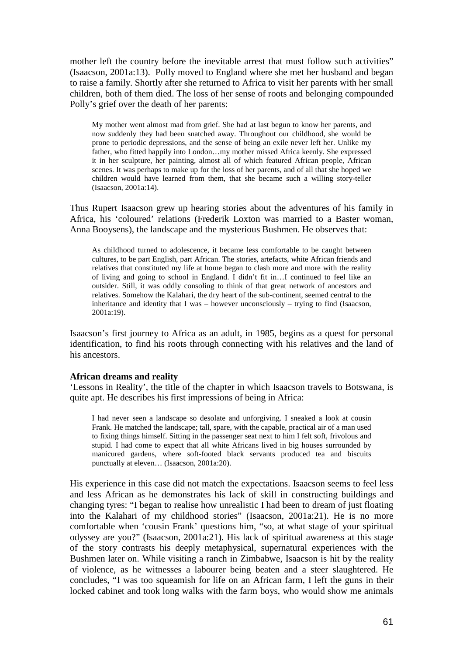mother left the country before the inevitable arrest that must follow such activities" (Isaacson, 2001a:13). Polly moved to England where she met her husband and began to raise a family. Shortly after she returned to Africa to visit her parents with her small children, both of them died. The loss of her sense of roots and belonging compounded Polly's grief over the death of her parents:

My mother went almost mad from grief. She had at last begun to know her parents, and now suddenly they had been snatched away. Throughout our childhood, she would be prone to periodic depressions, and the sense of being an exile never left her. Unlike my father, who fitted happily into London…my mother missed Africa keenly. She expressed it in her sculpture, her painting, almost all of which featured African people, African scenes. It was perhaps to make up for the loss of her parents, and of all that she hoped we children would have learned from them, that she became such a willing story-teller (Isaacson, 2001a:14).

Thus Rupert Isaacson grew up hearing stories about the adventures of his family in Africa, his 'coloured' relations (Frederik Loxton was married to a Baster woman, Anna Booysens), the landscape and the mysterious Bushmen. He observes that:

As childhood turned to adolescence, it became less comfortable to be caught between cultures, to be part English, part African. The stories, artefacts, white African friends and relatives that constituted my life at home began to clash more and more with the reality of living and going to school in England. I didn't fit in…I continued to feel like an outsider. Still, it was oddly consoling to think of that great network of ancestors and relatives. Somehow the Kalahari, the dry heart of the sub-continent, seemed central to the inheritance and identity that I was – however unconsciously – trying to find (Isaacson, 2001a:19).

Isaacson's first journey to Africa as an adult, in 1985, begins as a quest for personal identification, to find his roots through connecting with his relatives and the land of his ancestors.

### **African dreams and reality**

'Lessons in Reality', the title of the chapter in which Isaacson travels to Botswana, is quite apt. He describes his first impressions of being in Africa:

I had never seen a landscape so desolate and unforgiving. I sneaked a look at cousin Frank. He matched the landscape; tall, spare, with the capable, practical air of a man used to fixing things himself. Sitting in the passenger seat next to him I felt soft, frivolous and stupid. I had come to expect that all white Africans lived in big houses surrounded by manicured gardens, where soft-footed black servants produced tea and biscuits punctually at eleven… (Isaacson, 2001a:20).

His experience in this case did not match the expectations. Isaacson seems to feel less and less African as he demonstrates his lack of skill in constructing buildings and changing tyres: "I began to realise how unrealistic I had been to dream of just floating into the Kalahari of my childhood stories" (Isaacson, 2001a:21). He is no more comfortable when 'cousin Frank' questions him, "so, at what stage of your spiritual odyssey are you?" (Isaacson, 2001a:21). His lack of spiritual awareness at this stage of the story contrasts his deeply metaphysical, supernatural experiences with the Bushmen later on. While visiting a ranch in Zimbabwe, Isaacson is hit by the reality of violence, as he witnesses a labourer being beaten and a steer slaughtered. He concludes, "I was too squeamish for life on an African farm, I left the guns in their locked cabinet and took long walks with the farm boys, who would show me animals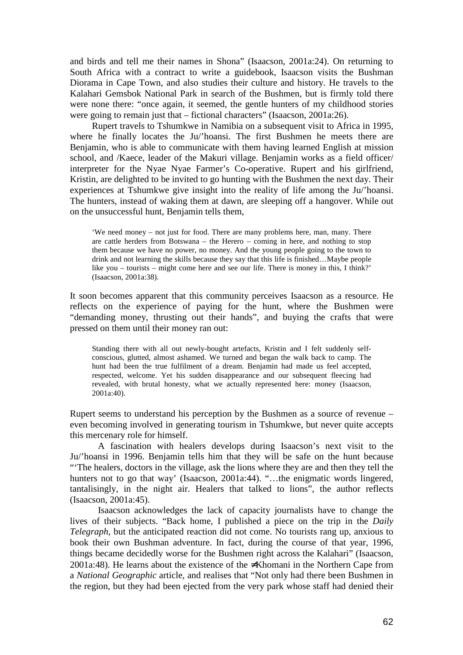and birds and tell me their names in Shona" (Isaacson, 2001a:24). On returning to South Africa with a contract to write a guidebook, Isaacson visits the Bushman Diorama in Cape Town, and also studies their culture and history. He travels to the Kalahari Gemsbok National Park in search of the Bushmen, but is firmly told there were none there: "once again, it seemed, the gentle hunters of my childhood stories were going to remain just that – fictional characters" (Isaacson, 2001a:26).

Rupert travels to Tshumkwe in Namibia on a subsequent visit to Africa in 1995, where he finally locates the Ju/'hoansi. The first Bushmen he meets there are Benjamin, who is able to communicate with them having learned English at mission school, and /Kaece, leader of the Makuri village. Benjamin works as a field officer/ interpreter for the Nyae Nyae Farmer's Co-operative. Rupert and his girlfriend, Kristin, are delighted to be invited to go hunting with the Bushmen the next day. Their experiences at Tshumkwe give insight into the reality of life among the Ju/'hoansi. The hunters, instead of waking them at dawn, are sleeping off a hangover. While out on the unsuccessful hunt, Benjamin tells them,

'We need money – not just for food. There are many problems here, man, many. There are cattle herders from Botswana – the Herero – coming in here, and nothing to stop them because we have no power, no money. And the young people going to the town to drink and not learning the skills because they say that this life is finished…Maybe people like you – tourists – might come here and see our life. There is money in this, I think?' (Isaacson, 2001a:38).

It soon becomes apparent that this community perceives Isaacson as a resource. He reflects on the experience of paying for the hunt, where the Bushmen were "demanding money, thrusting out their hands", and buying the crafts that were pressed on them until their money ran out:

Standing there with all out newly-bought artefacts, Kristin and I felt suddenly selfconscious, glutted, almost ashamed. We turned and began the walk back to camp. The hunt had been the true fulfilment of a dream. Benjamin had made us feel accepted, respected, welcome. Yet his sudden disappearance and our subsequent fleecing had revealed, with brutal honesty, what we actually represented here: money (Isaacson, 2001a:40).

Rupert seems to understand his perception by the Bushmen as a source of revenue – even becoming involved in generating tourism in Tshumkwe, but never quite accepts this mercenary role for himself.

 A fascination with healers develops during Isaacson's next visit to the Ju/'hoansi in 1996. Benjamin tells him that they will be safe on the hunt because "'The healers, doctors in the village, ask the lions where they are and then they tell the hunters not to go that way' (Isaacson, 2001a:44). "...the enigmatic words lingered, tantalisingly, in the night air. Healers that talked to lions", the author reflects (Isaacson, 2001a:45).

 Isaacson acknowledges the lack of capacity journalists have to change the lives of their subjects. "Back home, I published a piece on the trip in the *Daily Telegraph*, but the anticipated reaction did not come. No tourists rang up, anxious to book their own Bushman adventure. In fact, during the course of that year, 1996, things became decidedly worse for the Bushmen right across the Kalahari" (Isaacson, 2001a:48). He learns about the existence of the ≠Khomani in the Northern Cape from a *National Geographic* article, and realises that "Not only had there been Bushmen in the region, but they had been ejected from the very park whose staff had denied their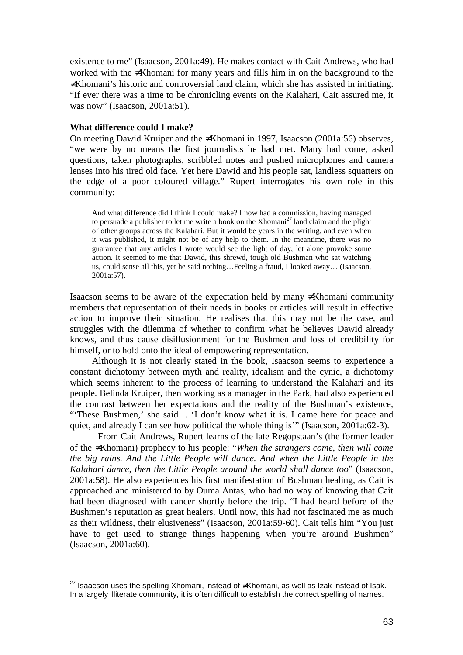existence to me" (Isaacson, 2001a:49). He makes contact with Cait Andrews, who had worked with the ≠Khomani for many years and fills him in on the background to the ≠Khomani's historic and controversial land claim, which she has assisted in initiating. "If ever there was a time to be chronicling events on the Kalahari, Cait assured me, it was now" (Isaacson, 2001a:51).

### **What difference could I make?**

l

On meeting Dawid Kruiper and the ≠Khomani in 1997, Isaacson (2001a:56) observes, "we were by no means the first journalists he had met. Many had come, asked questions, taken photographs, scribbled notes and pushed microphones and camera lenses into his tired old face. Yet here Dawid and his people sat, landless squatters on the edge of a poor coloured village." Rupert interrogates his own role in this community:

And what difference did I think I could make? I now had a commission, having managed to persuade a publisher to let me write a book on the Xhomani<sup>27</sup> land claim and the plight of other groups across the Kalahari. But it would be years in the writing, and even when it was published, it might not be of any help to them. In the meantime, there was no guarantee that any articles I wrote would see the light of day, let alone provoke some action. It seemed to me that Dawid, this shrewd, tough old Bushman who sat watching us, could sense all this, yet he said nothing…Feeling a fraud, I looked away… (Isaacson, 2001a:57).

Isaacson seems to be aware of the expectation held by many ≠Khomani community members that representation of their needs in books or articles will result in effective action to improve their situation. He realises that this may not be the case, and struggles with the dilemma of whether to confirm what he believes Dawid already knows, and thus cause disillusionment for the Bushmen and loss of credibility for himself, or to hold onto the ideal of empowering representation.

Although it is not clearly stated in the book, Isaacson seems to experience a constant dichotomy between myth and reality, idealism and the cynic, a dichotomy which seems inherent to the process of learning to understand the Kalahari and its people. Belinda Kruiper, then working as a manager in the Park, had also experienced the contrast between her expectations and the reality of the Bushman's existence, "These Bushmen,' she said... 'I don't know what it is. I came here for peace and quiet, and already I can see how political the whole thing is" (Isaacson, 2001a:62-3).

 From Cait Andrews, Rupert learns of the late Regopstaan's (the former leader of the ≠Khomani) prophecy to his people: "*When the strangers come, then will come the big rains. And the Little People will dance. And when the Little People in the Kalahari dance, then the Little People around the world shall dance too*" (Isaacson, 2001a:58). He also experiences his first manifestation of Bushman healing, as Cait is approached and ministered to by Ouma Antas, who had no way of knowing that Cait had been diagnosed with cancer shortly before the trip. "I had heard before of the Bushmen's reputation as great healers. Until now, this had not fascinated me as much as their wildness, their elusiveness" (Isaacson, 2001a:59-60). Cait tells him "You just have to get used to strange things happening when you're around Bushmen" (Isaacson, 2001a:60).

<sup>&</sup>lt;sup>27</sup> Isaacson uses the spelling Xhomani, instead of ≠Khomani, as well as Izak instead of Isak. In a largely illiterate community, it is often difficult to establish the correct spelling of names.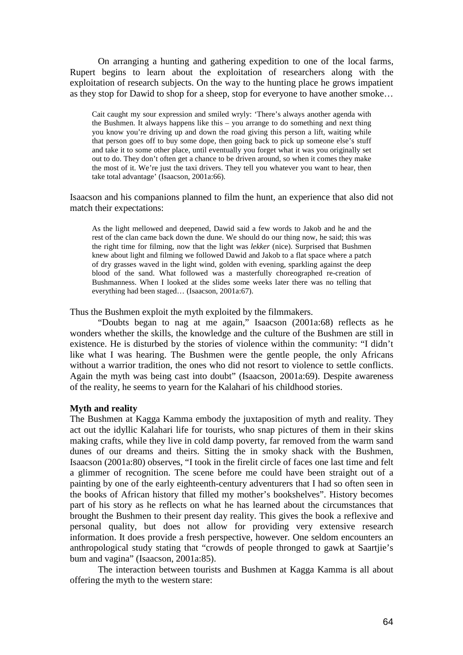On arranging a hunting and gathering expedition to one of the local farms, Rupert begins to learn about the exploitation of researchers along with the exploitation of research subjects. On the way to the hunting place he grows impatient as they stop for Dawid to shop for a sheep, stop for everyone to have another smoke…

Cait caught my sour expression and smiled wryly: 'There's always another agenda with the Bushmen. It always happens like this – you arrange to do something and next thing you know you're driving up and down the road giving this person a lift, waiting while that person goes off to buy some dope, then going back to pick up someone else's stuff and take it to some other place, until eventually you forget what it was you originally set out to do. They don't often get a chance to be driven around, so when it comes they make the most of it. We're just the taxi drivers. They tell you whatever you want to hear, then take total advantage' (Isaacson, 2001a:66).

Isaacson and his companions planned to film the hunt, an experience that also did not match their expectations:

As the light mellowed and deepened, Dawid said a few words to Jakob and he and the rest of the clan came back down the dune. We should do our thing now, he said; this was the right time for filming, now that the light was *lekker* (nice). Surprised that Bushmen knew about light and filming we followed Dawid and Jakob to a flat space where a patch of dry grasses waved in the light wind, golden with evening, sparkling against the deep blood of the sand. What followed was a masterfully choreographed re-creation of Bushmanness. When I looked at the slides some weeks later there was no telling that everything had been staged… (Isaacson, 2001a:67).

Thus the Bushmen exploit the myth exploited by the filmmakers.

 "Doubts began to nag at me again," Isaacson (2001a:68) reflects as he wonders whether the skills, the knowledge and the culture of the Bushmen are still in existence. He is disturbed by the stories of violence within the community: "I didn't like what I was hearing. The Bushmen were the gentle people, the only Africans without a warrior tradition, the ones who did not resort to violence to settle conflicts. Again the myth was being cast into doubt" (Isaacson, 2001a:69). Despite awareness of the reality, he seems to yearn for the Kalahari of his childhood stories.

#### **Myth and reality**

The Bushmen at Kagga Kamma embody the juxtaposition of myth and reality. They act out the idyllic Kalahari life for tourists, who snap pictures of them in their skins making crafts, while they live in cold damp poverty, far removed from the warm sand dunes of our dreams and theirs. Sitting the in smoky shack with the Bushmen, Isaacson (2001a:80) observes, "I took in the firelit circle of faces one last time and felt a glimmer of recognition. The scene before me could have been straight out of a painting by one of the early eighteenth-century adventurers that I had so often seen in the books of African history that filled my mother's bookshelves". History becomes part of his story as he reflects on what he has learned about the circumstances that brought the Bushmen to their present day reality. This gives the book a reflexive and personal quality, but does not allow for providing very extensive research information. It does provide a fresh perspective, however. One seldom encounters an anthropological study stating that "crowds of people thronged to gawk at Saartjie's bum and vagina" (Isaacson, 2001a:85).

 The interaction between tourists and Bushmen at Kagga Kamma is all about offering the myth to the western stare: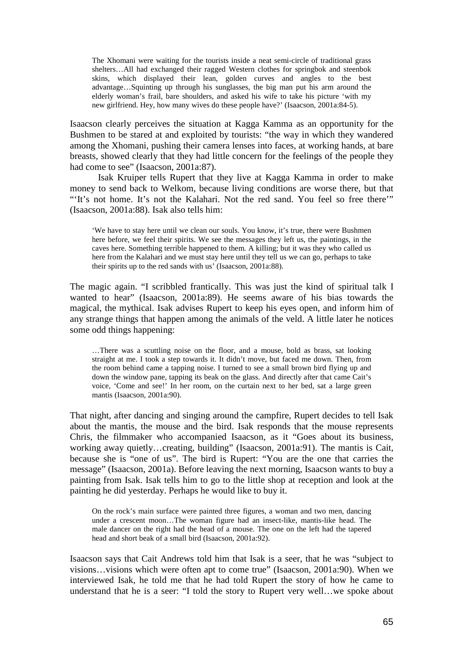The Xhomani were waiting for the tourists inside a neat semi-circle of traditional grass shelters…All had exchanged their ragged Western clothes for springbok and steenbok skins, which displayed their lean, golden curves and angles to the best advantage…Squinting up through his sunglasses, the big man put his arm around the elderly woman's frail, bare shoulders, and asked his wife to take his picture 'with my new girlfriend. Hey, how many wives do these people have?' (Isaacson, 2001a:84-5).

Isaacson clearly perceives the situation at Kagga Kamma as an opportunity for the Bushmen to be stared at and exploited by tourists: "the way in which they wandered among the Xhomani, pushing their camera lenses into faces, at working hands, at bare breasts, showed clearly that they had little concern for the feelings of the people they had come to see" (Isaacson, 2001a:87).

 Isak Kruiper tells Rupert that they live at Kagga Kamma in order to make money to send back to Welkom, because living conditions are worse there, but that "It's not home. It's not the Kalahari. Not the red sand. You feel so free there" (Isaacson, 2001a:88). Isak also tells him:

'We have to stay here until we clean our souls. You know, it's true, there were Bushmen here before, we feel their spirits. We see the messages they left us, the paintings, in the caves here. Something terrible happened to them. A killing; but it was they who called us here from the Kalahari and we must stay here until they tell us we can go, perhaps to take their spirits up to the red sands with us' (Isaacson, 2001a:88).

The magic again. "I scribbled frantically. This was just the kind of spiritual talk I wanted to hear" (Isaacson, 2001a:89). He seems aware of his bias towards the magical, the mythical. Isak advises Rupert to keep his eyes open, and inform him of any strange things that happen among the animals of the veld. A little later he notices some odd things happening:

…There was a scuttling noise on the floor, and a mouse, bold as brass, sat looking straight at me. I took a step towards it. It didn't move, but faced me down. Then, from the room behind came a tapping noise. I turned to see a small brown bird flying up and down the window pane, tapping its beak on the glass. And directly after that came Cait's voice, 'Come and see!' In her room, on the curtain next to her bed, sat a large green mantis (Isaacson, 2001a:90).

That night, after dancing and singing around the campfire, Rupert decides to tell Isak about the mantis, the mouse and the bird. Isak responds that the mouse represents Chris, the filmmaker who accompanied Isaacson, as it "Goes about its business, working away quietly…creating, building" (Isaacson, 2001a:91). The mantis is Cait, because she is "one of us". The bird is Rupert: "You are the one that carries the message" (Isaacson, 2001a). Before leaving the next morning, Isaacson wants to buy a painting from Isak. Isak tells him to go to the little shop at reception and look at the painting he did yesterday. Perhaps he would like to buy it.

On the rock's main surface were painted three figures, a woman and two men, dancing under a crescent moon…The woman figure had an insect-like, mantis-like head. The male dancer on the right had the head of a mouse. The one on the left had the tapered head and short beak of a small bird (Isaacson, 2001a:92).

Isaacson says that Cait Andrews told him that Isak is a seer, that he was "subject to visions…visions which were often apt to come true" (Isaacson, 2001a:90). When we interviewed Isak, he told me that he had told Rupert the story of how he came to understand that he is a seer: "I told the story to Rupert very well…we spoke about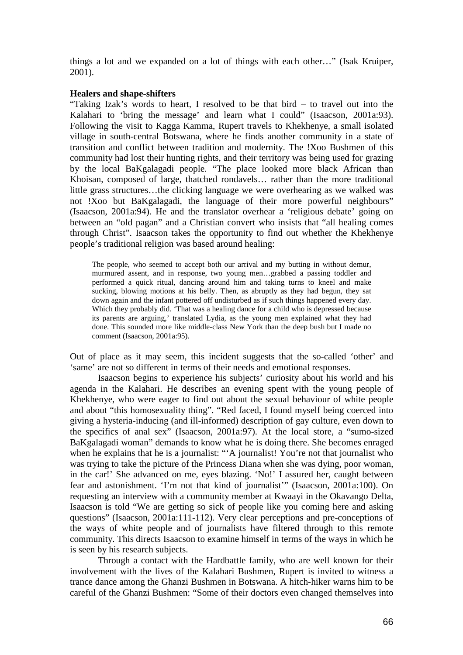things a lot and we expanded on a lot of things with each other…" (Isak Kruiper, 2001).

### **Healers and shape-shifters**

"Taking Izak's words to heart, I resolved to be that bird – to travel out into the Kalahari to 'bring the message' and learn what I could" (Isaacson, 2001a:93). Following the visit to Kagga Kamma, Rupert travels to Khekhenye, a small isolated village in south-central Botswana, where he finds another community in a state of transition and conflict between tradition and modernity. The !Xoo Bushmen of this community had lost their hunting rights, and their territory was being used for grazing by the local BaKgalagadi people. "The place looked more black African than Khoisan, composed of large, thatched rondavels… rather than the more traditional little grass structures…the clicking language we were overhearing as we walked was not !Xoo but BaKgalagadi, the language of their more powerful neighbours" (Isaacson, 2001a:94). He and the translator overhear a 'religious debate' going on between an "old pagan" and a Christian convert who insists that "all healing comes through Christ". Isaacson takes the opportunity to find out whether the Khekhenye people's traditional religion was based around healing:

The people, who seemed to accept both our arrival and my butting in without demur, murmured assent, and in response, two young men…grabbed a passing toddler and performed a quick ritual, dancing around him and taking turns to kneel and make sucking, blowing motions at his belly. Then, as abruptly as they had begun, they sat down again and the infant pottered off undisturbed as if such things happened every day. Which they probably did. 'That was a healing dance for a child who is depressed because its parents are arguing,' translated Lydia, as the young men explained what they had done. This sounded more like middle-class New York than the deep bush but I made no comment (Isaacson, 2001a:95).

Out of place as it may seem, this incident suggests that the so-called 'other' and 'same' are not so different in terms of their needs and emotional responses.

 Isaacson begins to experience his subjects' curiosity about his world and his agenda in the Kalahari. He describes an evening spent with the young people of Khekhenye, who were eager to find out about the sexual behaviour of white people and about "this homosexuality thing". "Red faced, I found myself being coerced into giving a hysteria-inducing (and ill-informed) description of gay culture, even down to the specifics of anal sex" (Isaacson, 2001a:97). At the local store, a "sumo-sized BaKgalagadi woman" demands to know what he is doing there. She becomes enraged when he explains that he is a journalist: "'A journalist! You're not that journalist who was trying to take the picture of the Princess Diana when she was dying, poor woman, in the car!' She advanced on me, eyes blazing. 'No!' I assured her, caught between fear and astonishment. 'I'm not that kind of journalist'" (Isaacson, 2001a:100). On requesting an interview with a community member at Kwaayi in the Okavango Delta, Isaacson is told "We are getting so sick of people like you coming here and asking questions" (Isaacson, 2001a:111-112). Very clear perceptions and pre-conceptions of the ways of white people and of journalists have filtered through to this remote community. This directs Isaacson to examine himself in terms of the ways in which he is seen by his research subjects.

 Through a contact with the Hardbattle family, who are well known for their involvement with the lives of the Kalahari Bushmen, Rupert is invited to witness a trance dance among the Ghanzi Bushmen in Botswana. A hitch-hiker warns him to be careful of the Ghanzi Bushmen: "Some of their doctors even changed themselves into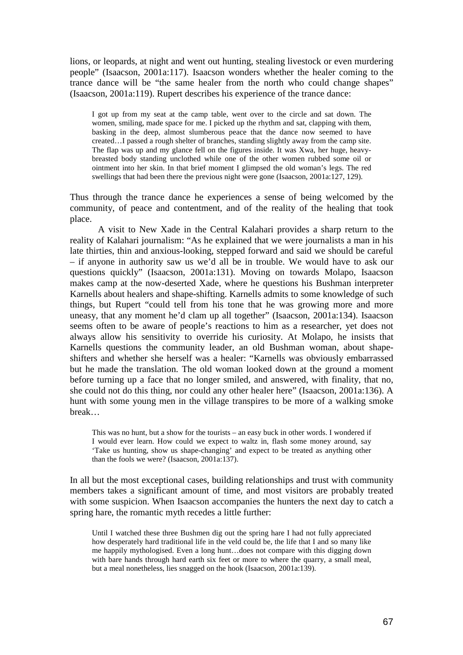lions, or leopards, at night and went out hunting, stealing livestock or even murdering people" (Isaacson, 2001a:117). Isaacson wonders whether the healer coming to the trance dance will be "the same healer from the north who could change shapes" (Isaacson, 2001a:119). Rupert describes his experience of the trance dance:

I got up from my seat at the camp table, went over to the circle and sat down. The women, smiling, made space for me. I picked up the rhythm and sat, clapping with them, basking in the deep, almost slumberous peace that the dance now seemed to have created…I passed a rough shelter of branches, standing slightly away from the camp site. The flap was up and my glance fell on the figures inside. It was Xwa, her huge, heavybreasted body standing unclothed while one of the other women rubbed some oil or ointment into her skin. In that brief moment I glimpsed the old woman's legs. The red swellings that had been there the previous night were gone (Isaacson, 2001a:127, 129).

Thus through the trance dance he experiences a sense of being welcomed by the community, of peace and contentment, and of the reality of the healing that took place.

 A visit to New Xade in the Central Kalahari provides a sharp return to the reality of Kalahari journalism: "As he explained that we were journalists a man in his late thirties, thin and anxious-looking, stepped forward and said we should be careful – if anyone in authority saw us we'd all be in trouble. We would have to ask our questions quickly" (Isaacson, 2001a:131). Moving on towards Molapo, Isaacson makes camp at the now-deserted Xade, where he questions his Bushman interpreter Karnells about healers and shape-shifting. Karnells admits to some knowledge of such things, but Rupert "could tell from his tone that he was growing more and more uneasy, that any moment he'd clam up all together" (Isaacson, 2001a:134). Isaacson seems often to be aware of people's reactions to him as a researcher, yet does not always allow his sensitivity to override his curiosity. At Molapo, he insists that Karnells questions the community leader, an old Bushman woman, about shapeshifters and whether she herself was a healer: "Karnells was obviously embarrassed but he made the translation. The old woman looked down at the ground a moment before turning up a face that no longer smiled, and answered, with finality, that no, she could not do this thing, nor could any other healer here" (Isaacson, 2001a:136). A hunt with some young men in the village transpires to be more of a walking smoke break…

This was no hunt, but a show for the tourists – an easy buck in other words. I wondered if I would ever learn. How could we expect to waltz in, flash some money around, say 'Take us hunting, show us shape-changing' and expect to be treated as anything other than the fools we were? (Isaacson, 2001a:137).

In all but the most exceptional cases, building relationships and trust with community members takes a significant amount of time, and most visitors are probably treated with some suspicion. When Isaacson accompanies the hunters the next day to catch a spring hare, the romantic myth recedes a little further:

Until I watched these three Bushmen dig out the spring hare I had not fully appreciated how desperately hard traditional life in the veld could be, the life that I and so many like me happily mythologised. Even a long hunt…does not compare with this digging down with bare hands through hard earth six feet or more to where the quarry, a small meal, but a meal nonetheless, lies snagged on the hook (Isaacson, 2001a:139).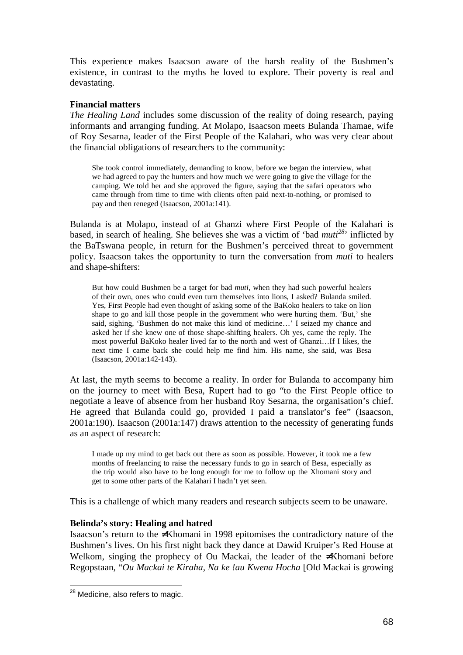This experience makes Isaacson aware of the harsh reality of the Bushmen's existence, in contrast to the myths he loved to explore. Their poverty is real and devastating.

## **Financial matters**

*The Healing Land* includes some discussion of the reality of doing research, paying informants and arranging funding. At Molapo, Isaacson meets Bulanda Thamae, wife of Roy Sesarna, leader of the First People of the Kalahari, who was very clear about the financial obligations of researchers to the community:

She took control immediately, demanding to know, before we began the interview, what we had agreed to pay the hunters and how much we were going to give the village for the camping. We told her and she approved the figure, saying that the safari operators who came through from time to time with clients often paid next-to-nothing, or promised to pay and then reneged (Isaacson, 2001a:141).

Bulanda is at Molapo, instead of at Ghanzi where First People of the Kalahari is based, in search of healing. She believes she was a victim of 'bad *muti<sup>28</sup>*' inflicted by the BaTswana people, in return for the Bushmen's perceived threat to government policy. Isaacson takes the opportunity to turn the conversation from *muti* to healers and shape-shifters:

But how could Bushmen be a target for bad *muti*, when they had such powerful healers of their own, ones who could even turn themselves into lions, I asked? Bulanda smiled. Yes, First People had even thought of asking some of the BaKoko healers to take on lion shape to go and kill those people in the government who were hurting them. 'But,' she said, sighing, 'Bushmen do not make this kind of medicine…' I seized my chance and asked her if she knew one of those shape-shifting healers. Oh yes, came the reply. The most powerful BaKoko healer lived far to the north and west of Ghanzi…If I likes, the next time I came back she could help me find him. His name, she said, was Besa (Isaacson, 2001a:142-143).

At last, the myth seems to become a reality. In order for Bulanda to accompany him on the journey to meet with Besa, Rupert had to go "to the First People office to negotiate a leave of absence from her husband Roy Sesarna, the organisation's chief. He agreed that Bulanda could go, provided I paid a translator's fee" (Isaacson, 2001a:190). Isaacson (2001a:147) draws attention to the necessity of generating funds as an aspect of research:

I made up my mind to get back out there as soon as possible. However, it took me a few months of freelancing to raise the necessary funds to go in search of Besa, especially as the trip would also have to be long enough for me to follow up the Xhomani story and get to some other parts of the Kalahari I hadn't yet seen.

This is a challenge of which many readers and research subjects seem to be unaware.

## **Belinda's story: Healing and hatred**

Isaacson's return to the ≠Khomani in 1998 epitomises the contradictory nature of the Bushmen's lives. On his first night back they dance at Dawid Kruiper's Red House at Welkom, singing the prophecy of Ou Mackai, the leader of the ≠Khomani before Regopstaan, "*Ou Mackai te Kiraha, Na ke !au Kwena Hocha* [Old Mackai is growing

 $\overline{a}$ 

<sup>&</sup>lt;sup>28</sup> Medicine, also refers to magic.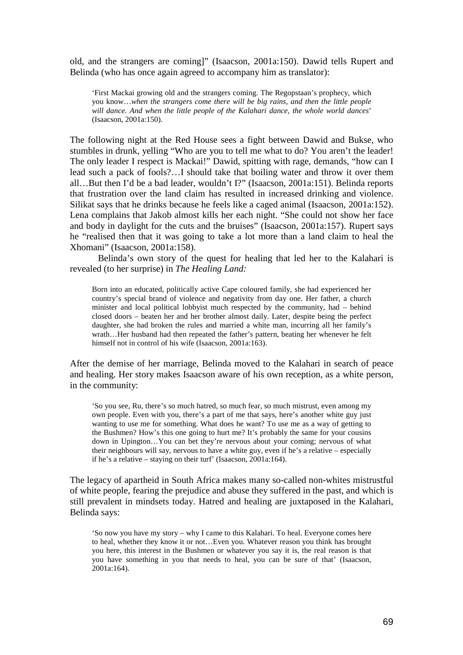old, and the strangers are coming]" (Isaacson, 2001a:150). Dawid tells Rupert and Belinda (who has once again agreed to accompany him as translator):

'First Mackai growing old and the strangers coming. The Regopstaan's prophecy, which you know…*when the strangers come there will be big rains, and then the little people will dance. And when the little people of the Kalahari dance, the whole world dances*' (Isaacson, 2001a:150).

The following night at the Red House sees a fight between Dawid and Bukse, who stumbles in drunk, yelling "Who are you to tell me what to do? You aren't the leader! The only leader I respect is Mackai!" Dawid, spitting with rage, demands, "how can I lead such a pack of fools?…I should take that boiling water and throw it over them all…But then I'd be a bad leader, wouldn't I?" (Isaacson, 2001a:151). Belinda reports that frustration over the land claim has resulted in increased drinking and violence. Silikat says that he drinks because he feels like a caged animal (Isaacson, 2001a:152). Lena complains that Jakob almost kills her each night. "She could not show her face and body in daylight for the cuts and the bruises" (Isaacson, 2001a:157). Rupert says he "realised then that it was going to take a lot more than a land claim to heal the Xhomani" (Isaacson, 2001a:158).

 Belinda's own story of the quest for healing that led her to the Kalahari is revealed (to her surprise) in *The Healing Land:*

Born into an educated, politically active Cape coloured family, she had experienced her country's special brand of violence and negativity from day one. Her father, a church minister and local political lobbyist much respected by the community, had – behind closed doors – beaten her and her brother almost daily. Later, despite being the perfect daughter, she had broken the rules and married a white man, incurring all her family's wrath…Her husband had then repeated the father's pattern, beating her whenever he felt himself not in control of his wife (Isaacson, 2001a:163).

After the demise of her marriage, Belinda moved to the Kalahari in search of peace and healing. Her story makes Isaacson aware of his own reception, as a white person, in the community:

'So you see, Ru, there's so much hatred, so much fear, so much mistrust, even among my own people. Even with you, there's a part of me that says, here's another white guy just wanting to use me for something. What does he want? To use me as a way of getting to the Bushmen? How's this one going to hurt me? It's probably the same for your cousins down in Upington…You can bet they're nervous about your coming; nervous of what their neighbours will say, nervous to have a white guy, even if he's a relative – especially if he's a relative – staying on their turf' (Isaacson, 2001a:164).

The legacy of apartheid in South Africa makes many so-called non-whites mistrustful of white people, fearing the prejudice and abuse they suffered in the past, and which is still prevalent in mindsets today. Hatred and healing are juxtaposed in the Kalahari, Belinda says:

'So now you have my story – why I came to this Kalahari. To heal. Everyone comes here to heal, whether they know it or not…Even you. Whatever reason you think has brought you here, this interest in the Bushmen or whatever you say it is, the real reason is that you have something in you that needs to heal, you can be sure of that' (Isaacson, 2001a:164).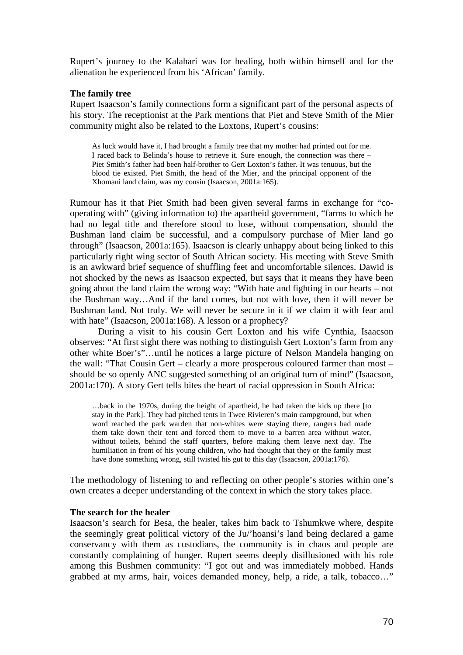Rupert's journey to the Kalahari was for healing, both within himself and for the alienation he experienced from his 'African' family.

### **The family tree**

Rupert Isaacson's family connections form a significant part of the personal aspects of his story. The receptionist at the Park mentions that Piet and Steve Smith of the Mier community might also be related to the Loxtons, Rupert's cousins:

As luck would have it, I had brought a family tree that my mother had printed out for me. I raced back to Belinda's house to retrieve it. Sure enough, the connection was there – Piet Smith's father had been half-brother to Gert Loxton's father. It was tenuous, but the blood tie existed. Piet Smith, the head of the Mier, and the principal opponent of the Xhomani land claim, was my cousin (Isaacson, 2001a:165).

Rumour has it that Piet Smith had been given several farms in exchange for "cooperating with" (giving information to) the apartheid government, "farms to which he had no legal title and therefore stood to lose, without compensation, should the Bushman land claim be successful, and a compulsory purchase of Mier land go through" (Isaacson, 2001a:165). Isaacson is clearly unhappy about being linked to this particularly right wing sector of South African society. His meeting with Steve Smith is an awkward brief sequence of shuffling feet and uncomfortable silences. Dawid is not shocked by the news as Isaacson expected, but says that it means they have been going about the land claim the wrong way: "With hate and fighting in our hearts – not the Bushman way…And if the land comes, but not with love, then it will never be Bushman land. Not truly. We will never be secure in it if we claim it with fear and with hate" (Isaacson, 2001a:168). A lesson or a prophecy?

 During a visit to his cousin Gert Loxton and his wife Cynthia, Isaacson observes: "At first sight there was nothing to distinguish Gert Loxton's farm from any other white Boer's"…until he notices a large picture of Nelson Mandela hanging on the wall: "That Cousin Gert – clearly a more prosperous coloured farmer than most – should be so openly ANC suggested something of an original turn of mind" (Isaacson, 2001a:170). A story Gert tells bites the heart of racial oppression in South Africa:

…back in the 1970s, during the height of apartheid, he had taken the kids up there [to stay in the Park]. They had pitched tents in Twee Rivieren's main campground, but when word reached the park warden that non-whites were staying there, rangers had made them take down their tent and forced them to move to a barren area without water, without toilets, behind the staff quarters, before making them leave next day. The humiliation in front of his young children, who had thought that they or the family must have done something wrong, still twisted his gut to this day (Isaacson, 2001a:176).

The methodology of listening to and reflecting on other people's stories within one's own creates a deeper understanding of the context in which the story takes place.

### **The search for the healer**

Isaacson's search for Besa, the healer, takes him back to Tshumkwe where, despite the seemingly great political victory of the Ju/'hoansi's land being declared a game conservancy with them as custodians, the community is in chaos and people are constantly complaining of hunger. Rupert seems deeply disillusioned with his role among this Bushmen community: "I got out and was immediately mobbed. Hands grabbed at my arms, hair, voices demanded money, help, a ride, a talk, tobacco…"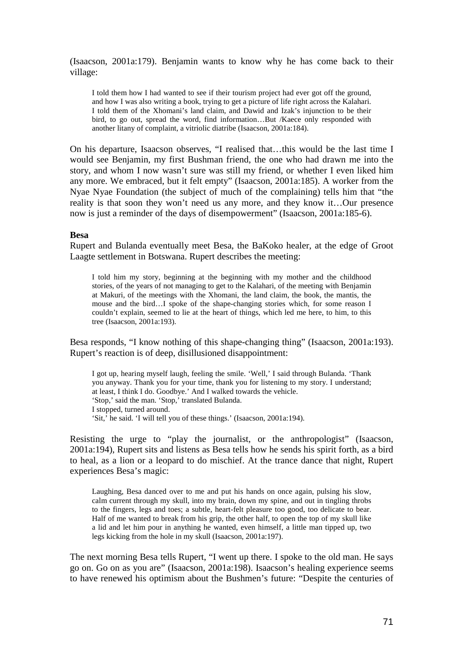(Isaacson, 2001a:179). Benjamin wants to know why he has come back to their village:

I told them how I had wanted to see if their tourism project had ever got off the ground, and how I was also writing a book, trying to get a picture of life right across the Kalahari. I told them of the Xhomani's land claim, and Dawid and Izak's injunction to be their bird, to go out, spread the word, find information…But /Kaece only responded with another litany of complaint, a vitriolic diatribe (Isaacson, 2001a:184).

On his departure, Isaacson observes, "I realised that…this would be the last time I would see Benjamin, my first Bushman friend, the one who had drawn me into the story, and whom I now wasn't sure was still my friend, or whether I even liked him any more. We embraced, but it felt empty" (Isaacson, 2001a:185). A worker from the Nyae Nyae Foundation (the subject of much of the complaining) tells him that "the reality is that soon they won't need us any more, and they know it…Our presence now is just a reminder of the days of disempowerment" (Isaacson, 2001a:185-6).

### **Besa**

Rupert and Bulanda eventually meet Besa, the BaKoko healer, at the edge of Groot Laagte settlement in Botswana. Rupert describes the meeting:

I told him my story, beginning at the beginning with my mother and the childhood stories, of the years of not managing to get to the Kalahari, of the meeting with Benjamin at Makuri, of the meetings with the Xhomani, the land claim, the book, the mantis, the mouse and the bird…I spoke of the shape-changing stories which, for some reason I couldn't explain, seemed to lie at the heart of things, which led me here, to him, to this tree (Isaacson, 2001a:193).

Besa responds, "I know nothing of this shape-changing thing" (Isaacson, 2001a:193). Rupert's reaction is of deep, disillusioned disappointment:

I got up, hearing myself laugh, feeling the smile. 'Well,' I said through Bulanda. 'Thank you anyway. Thank you for your time, thank you for listening to my story. I understand; at least, I think I do. Goodbye.' And I walked towards the vehicle. 'Stop,' said the man. 'Stop,' translated Bulanda. I stopped, turned around. 'Sit,' he said. 'I will tell you of these things.' (Isaacson, 2001a:194).

Resisting the urge to "play the journalist, or the anthropologist" (Isaacson, 2001a:194), Rupert sits and listens as Besa tells how he sends his spirit forth, as a bird to heal, as a lion or a leopard to do mischief. At the trance dance that night, Rupert experiences Besa's magic:

Laughing, Besa danced over to me and put his hands on once again, pulsing his slow, calm current through my skull, into my brain, down my spine, and out in tingling throbs to the fingers, legs and toes; a subtle, heart-felt pleasure too good, too delicate to bear. Half of me wanted to break from his grip, the other half, to open the top of my skull like a lid and let him pour in anything he wanted, even himself, a little man tipped up, two legs kicking from the hole in my skull (Isaacson, 2001a:197).

The next morning Besa tells Rupert, "I went up there. I spoke to the old man. He says go on. Go on as you are" (Isaacson, 2001a:198). Isaacson's healing experience seems to have renewed his optimism about the Bushmen's future: "Despite the centuries of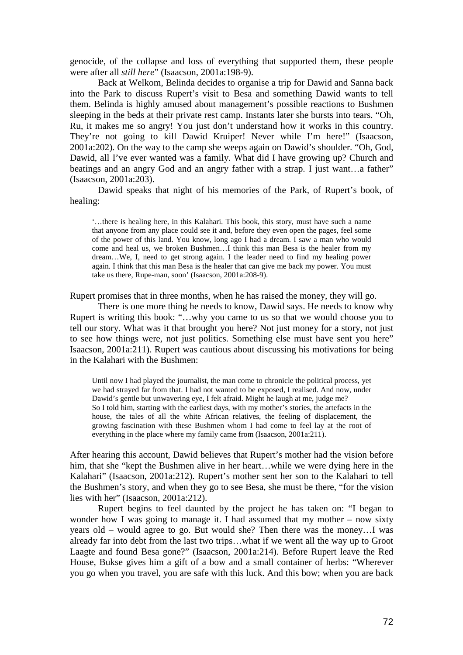genocide, of the collapse and loss of everything that supported them, these people were after all *still here*" (Isaacson, 2001a:198-9).

 Back at Welkom, Belinda decides to organise a trip for Dawid and Sanna back into the Park to discuss Rupert's visit to Besa and something Dawid wants to tell them. Belinda is highly amused about management's possible reactions to Bushmen sleeping in the beds at their private rest camp. Instants later she bursts into tears. "Oh, Ru, it makes me so angry! You just don't understand how it works in this country. They're not going to kill Dawid Kruiper! Never while I'm here!" (Isaacson, 2001a:202). On the way to the camp she weeps again on Dawid's shoulder. "Oh, God, Dawid, all I've ever wanted was a family. What did I have growing up? Church and beatings and an angry God and an angry father with a strap. I just want...a father" (Isaacson, 2001a:203).

 Dawid speaks that night of his memories of the Park, of Rupert's book, of healing:

'…there is healing here, in this Kalahari. This book, this story, must have such a name that anyone from any place could see it and, before they even open the pages, feel some of the power of this land. You know, long ago I had a dream. I saw a man who would come and heal us, we broken Bushmen…I think this man Besa is the healer from my dream…We, I, need to get strong again. I the leader need to find my healing power again. I think that this man Besa is the healer that can give me back my power. You must take us there, Rupe-man, soon' (Isaacson, 2001a:208-9).

Rupert promises that in three months, when he has raised the money, they will go.

 There is one more thing he needs to know, Dawid says. He needs to know why Rupert is writing this book: "…why you came to us so that we would choose you to tell our story. What was it that brought you here? Not just money for a story, not just to see how things were, not just politics. Something else must have sent you here" Isaacson, 2001a:211). Rupert was cautious about discussing his motivations for being in the Kalahari with the Bushmen:

Until now I had played the journalist, the man come to chronicle the political process, yet we had strayed far from that. I had not wanted to be exposed, I realised. And now, under Dawid's gentle but unwavering eye, I felt afraid. Might he laugh at me, judge me? So I told him, starting with the earliest days, with my mother's stories, the artefacts in the house, the tales of all the white African relatives, the feeling of displacement, the growing fascination with these Bushmen whom I had come to feel lay at the root of everything in the place where my family came from (Isaacson, 2001a:211).

After hearing this account, Dawid believes that Rupert's mother had the vision before him, that she "kept the Bushmen alive in her heart…while we were dying here in the Kalahari" (Isaacson, 2001a:212). Rupert's mother sent her son to the Kalahari to tell the Bushmen's story, and when they go to see Besa, she must be there, "for the vision lies with her" (Isaacson, 2001a:212).

 Rupert begins to feel daunted by the project he has taken on: "I began to wonder how I was going to manage it. I had assumed that my mother – now sixty years old – would agree to go. But would she? Then there was the money…I was already far into debt from the last two trips…what if we went all the way up to Groot Laagte and found Besa gone?" (Isaacson, 2001a:214). Before Rupert leave the Red House, Bukse gives him a gift of a bow and a small container of herbs: "Wherever you go when you travel, you are safe with this luck. And this bow; when you are back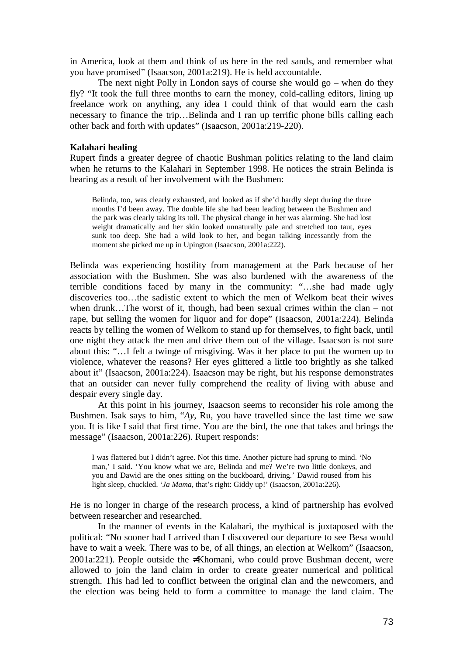in America, look at them and think of us here in the red sands, and remember what you have promised" (Isaacson, 2001a:219). He is held accountable.

 The next night Polly in London says of course she would go – when do they fly? "It took the full three months to earn the money, cold-calling editors, lining up freelance work on anything, any idea I could think of that would earn the cash necessary to finance the trip…Belinda and I ran up terrific phone bills calling each other back and forth with updates" (Isaacson, 2001a:219-220).

### **Kalahari healing**

Rupert finds a greater degree of chaotic Bushman politics relating to the land claim when he returns to the Kalahari in September 1998. He notices the strain Belinda is bearing as a result of her involvement with the Bushmen:

Belinda, too, was clearly exhausted, and looked as if she'd hardly slept during the three months I'd been away. The double life she had been leading between the Bushmen and the park was clearly taking its toll. The physical change in her was alarming. She had lost weight dramatically and her skin looked unnaturally pale and stretched too taut, eyes sunk too deep. She had a wild look to her, and began talking incessantly from the moment she picked me up in Upington (Isaacson, 2001a:222).

Belinda was experiencing hostility from management at the Park because of her association with the Bushmen. She was also burdened with the awareness of the terrible conditions faced by many in the community: "…she had made ugly discoveries too…the sadistic extent to which the men of Welkom beat their wives when drunk…The worst of it, though, had been sexual crimes within the clan – not rape, but selling the women for liquor and for dope" (Isaacson, 2001a:224). Belinda reacts by telling the women of Welkom to stand up for themselves, to fight back, until one night they attack the men and drive them out of the village. Isaacson is not sure about this: "…I felt a twinge of misgiving. Was it her place to put the women up to violence, whatever the reasons? Her eyes glittered a little too brightly as she talked about it" (Isaacson, 2001a:224). Isaacson may be right, but his response demonstrates that an outsider can never fully comprehend the reality of living with abuse and despair every single day.

 At this point in his journey, Isaacson seems to reconsider his role among the Bushmen. Isak says to him, "*Ay*, Ru, you have travelled since the last time we saw you. It is like I said that first time. You are the bird, the one that takes and brings the message" (Isaacson, 2001a:226). Rupert responds:

I was flattered but I didn't agree. Not this time. Another picture had sprung to mind. 'No man,' I said. 'You know what we are, Belinda and me? We're two little donkeys, and you and Dawid are the ones sitting on the buckboard, driving.' Dawid roused from his light sleep, chuckled. '*Ja Mama*, that's right: Giddy up!' (Isaacson, 2001a:226).

He is no longer in charge of the research process, a kind of partnership has evolved between researcher and researched.

 In the manner of events in the Kalahari, the mythical is juxtaposed with the political: "No sooner had I arrived than I discovered our departure to see Besa would have to wait a week. There was to be, of all things, an election at Welkom" (Isaacson, 2001a:221). People outside the ≠Khomani, who could prove Bushman decent, were allowed to join the land claim in order to create greater numerical and political strength. This had led to conflict between the original clan and the newcomers, and the election was being held to form a committee to manage the land claim. The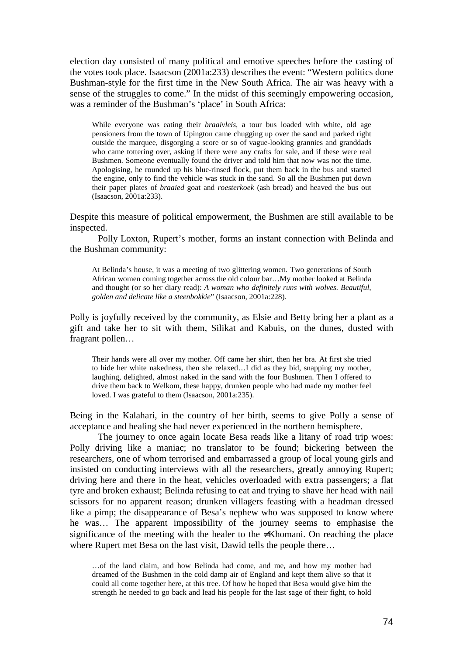election day consisted of many political and emotive speeches before the casting of the votes took place. Isaacson (2001a:233) describes the event: "Western politics done Bushman-style for the first time in the New South Africa. The air was heavy with a sense of the struggles to come." In the midst of this seemingly empowering occasion, was a reminder of the Bushman's 'place' in South Africa:

While everyone was eating their *braaivleis*, a tour bus loaded with white, old age pensioners from the town of Upington came chugging up over the sand and parked right outside the marquee, disgorging a score or so of vague-looking grannies and granddads who came tottering over, asking if there were any crafts for sale, and if these were real Bushmen. Someone eventually found the driver and told him that now was not the time. Apologising, he rounded up his blue-rinsed flock, put them back in the bus and started the engine, only to find the vehicle was stuck in the sand. So all the Bushmen put down their paper plates of *braaied* goat and *roesterkoek* (ash bread) and heaved the bus out (Isaacson, 2001a:233).

Despite this measure of political empowerment, the Bushmen are still available to be inspected.

 Polly Loxton, Rupert's mother, forms an instant connection with Belinda and the Bushman community:

At Belinda's house, it was a meeting of two glittering women. Two generations of South African women coming together across the old colour bar…My mother looked at Belinda and thought (or so her diary read): *A woman who definitely runs with wolves. Beautiful, golden and delicate like a steenbokkie*" (Isaacson, 2001a:228).

Polly is joyfully received by the community, as Elsie and Betty bring her a plant as a gift and take her to sit with them, Silikat and Kabuis, on the dunes, dusted with fragrant pollen…

Their hands were all over my mother. Off came her shirt, then her bra. At first she tried to hide her white nakedness, then she relaxed…I did as they bid, snapping my mother, laughing, delighted, almost naked in the sand with the four Bushmen. Then I offered to drive them back to Welkom, these happy, drunken people who had made my mother feel loved. I was grateful to them (Isaacson, 2001a:235).

Being in the Kalahari, in the country of her birth, seems to give Polly a sense of acceptance and healing she had never experienced in the northern hemisphere.

 The journey to once again locate Besa reads like a litany of road trip woes: Polly driving like a maniac; no translator to be found; bickering between the researchers, one of whom terrorised and embarrassed a group of local young girls and insisted on conducting interviews with all the researchers, greatly annoying Rupert; driving here and there in the heat, vehicles overloaded with extra passengers; a flat tyre and broken exhaust; Belinda refusing to eat and trying to shave her head with nail scissors for no apparent reason; drunken villagers feasting with a headman dressed like a pimp; the disappearance of Besa's nephew who was supposed to know where he was… The apparent impossibility of the journey seems to emphasise the significance of the meeting with the healer to the ≠Khomani. On reaching the place where Rupert met Besa on the last visit, Dawid tells the people there…

<sup>…</sup>of the land claim, and how Belinda had come, and me, and how my mother had dreamed of the Bushmen in the cold damp air of England and kept them alive so that it could all come together here, at this tree. Of how he hoped that Besa would give him the strength he needed to go back and lead his people for the last sage of their fight, to hold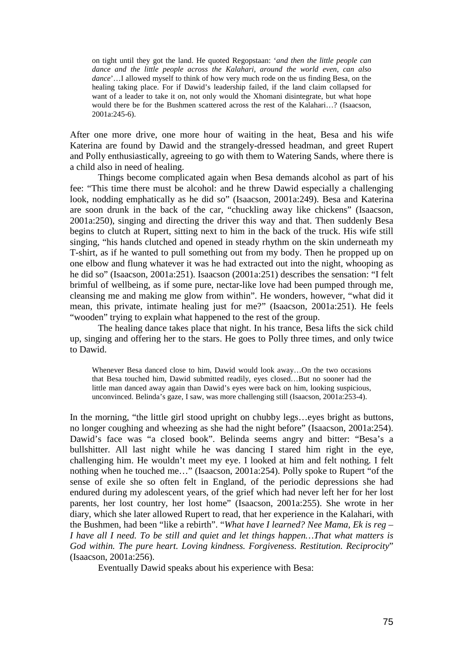on tight until they got the land. He quoted Regopstaan: '*and then the little people can dance and the little people across the Kalahari, around the world even, can also dance*'…I allowed myself to think of how very much rode on the us finding Besa, on the healing taking place. For if Dawid's leadership failed, if the land claim collapsed for want of a leader to take it on, not only would the Xhomani disintegrate, but what hope would there be for the Bushmen scattered across the rest of the Kalahari…? (Isaacson, 2001a:245-6).

After one more drive, one more hour of waiting in the heat, Besa and his wife Katerina are found by Dawid and the strangely-dressed headman, and greet Rupert and Polly enthusiastically, agreeing to go with them to Watering Sands, where there is a child also in need of healing.

 Things become complicated again when Besa demands alcohol as part of his fee: "This time there must be alcohol: and he threw Dawid especially a challenging look, nodding emphatically as he did so" (Isaacson, 2001a:249). Besa and Katerina are soon drunk in the back of the car, "chuckling away like chickens" (Isaacson, 2001a:250), singing and directing the driver this way and that. Then suddenly Besa begins to clutch at Rupert, sitting next to him in the back of the truck. His wife still singing, "his hands clutched and opened in steady rhythm on the skin underneath my T-shirt, as if he wanted to pull something out from my body. Then he propped up on one elbow and flung whatever it was he had extracted out into the night, whooping as he did so" (Isaacson, 2001a:251). Isaacson (2001a:251) describes the sensation: "I felt brimful of wellbeing, as if some pure, nectar-like love had been pumped through me, cleansing me and making me glow from within". He wonders, however, "what did it mean, this private, intimate healing just for me?" (Isaacson, 2001a:251). He feels "wooden" trying to explain what happened to the rest of the group.

 The healing dance takes place that night. In his trance, Besa lifts the sick child up, singing and offering her to the stars. He goes to Polly three times, and only twice to Dawid.

Whenever Besa danced close to him, Dawid would look away…On the two occasions that Besa touched him, Dawid submitted readily, eyes closed…But no sooner had the little man danced away again than Dawid's eyes were back on him, looking suspicious, unconvinced. Belinda's gaze, I saw, was more challenging still (Isaacson, 2001a:253-4).

In the morning, "the little girl stood upright on chubby legs…eyes bright as buttons, no longer coughing and wheezing as she had the night before" (Isaacson, 2001a:254). Dawid's face was "a closed book". Belinda seems angry and bitter: "Besa's a bullshitter. All last night while he was dancing I stared him right in the eye, challenging him. He wouldn't meet my eye. I looked at him and felt nothing. I felt nothing when he touched me…" (Isaacson, 2001a:254). Polly spoke to Rupert "of the sense of exile she so often felt in England, of the periodic depressions she had endured during my adolescent years, of the grief which had never left her for her lost parents, her lost country, her lost home" (Isaacson, 2001a:255). She wrote in her diary, which she later allowed Rupert to read, that her experience in the Kalahari, with the Bushmen, had been "like a rebirth". "*What have I learned? Nee Mama, Ek is reg – I have all I need. To be still and quiet and let things happen…That what matters is God within. The pure heart. Loving kindness. Forgiveness. Restitution. Reciprocity*" (Isaacson, 2001a:256).

Eventually Dawid speaks about his experience with Besa: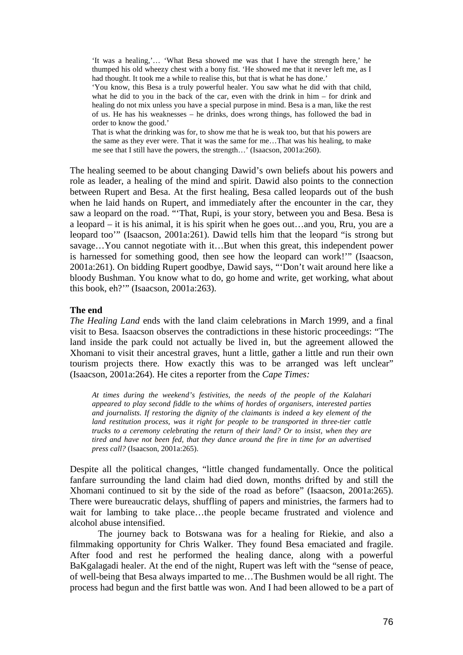'It was a healing,'… 'What Besa showed me was that I have the strength here,' he thumped his old wheezy chest with a bony fist. 'He showed me that it never left me, as I had thought. It took me a while to realise this, but that is what he has done.'

'You know, this Besa is a truly powerful healer. You saw what he did with that child, what he did to you in the back of the car, even with the drink in him – for drink and healing do not mix unless you have a special purpose in mind. Besa is a man, like the rest of us. He has his weaknesses – he drinks, does wrong things, has followed the bad in order to know the good.'

That is what the drinking was for, to show me that he is weak too, but that his powers are the same as they ever were. That it was the same for me…That was his healing, to make me see that I still have the powers, the strength…' (Isaacson, 2001a:260).

The healing seemed to be about changing Dawid's own beliefs about his powers and role as leader, a healing of the mind and spirit. Dawid also points to the connection between Rupert and Besa. At the first healing, Besa called leopards out of the bush when he laid hands on Rupert, and immediately after the encounter in the car, they saw a leopard on the road. "'That, Rupi, is your story, between you and Besa. Besa is a leopard – it is his animal, it is his spirit when he goes out…and you, Rru, you are a leopard too'" (Isaacson, 2001a:261). Dawid tells him that the leopard "is strong but savage…You cannot negotiate with it…But when this great, this independent power is harnessed for something good, then see how the leopard can work!'" (Isaacson, 2001a:261). On bidding Rupert goodbye, Dawid says, "'Don't wait around here like a bloody Bushman. You know what to do, go home and write, get working, what about this book, eh?'" (Isaacson, 2001a:263).

# **The end**

*The Healing Land* ends with the land claim celebrations in March 1999, and a final visit to Besa. Isaacson observes the contradictions in these historic proceedings: "The land inside the park could not actually be lived in, but the agreement allowed the Xhomani to visit their ancestral graves, hunt a little, gather a little and run their own tourism projects there. How exactly this was to be arranged was left unclear" (Isaacson, 2001a:264). He cites a reporter from the *Cape Times:* 

*At times during the weekend's festivities, the needs of the people of the Kalahari appeared to play second fiddle to the whims of hordes of organisers, interested parties and journalists. If restoring the dignity of the claimants is indeed a key element of the land restitution process, was it right for people to be transported in three-tier cattle trucks to a ceremony celebrating the return of their land? Or to insist, when they are tired and have not been fed, that they dance around the fire in time for an advertised press call?* (Isaacson, 2001a:265).

Despite all the political changes, "little changed fundamentally. Once the political fanfare surrounding the land claim had died down, months drifted by and still the Xhomani continued to sit by the side of the road as before" (Isaacson, 2001a:265). There were bureaucratic delays, shuffling of papers and ministries, the farmers had to wait for lambing to take place…the people became frustrated and violence and alcohol abuse intensified.

The journey back to Botswana was for a healing for Riekie, and also a filmmaking opportunity for Chris Walker. They found Besa emaciated and fragile. After food and rest he performed the healing dance, along with a powerful BaKgalagadi healer. At the end of the night, Rupert was left with the "sense of peace, of well-being that Besa always imparted to me…The Bushmen would be all right. The process had begun and the first battle was won. And I had been allowed to be a part of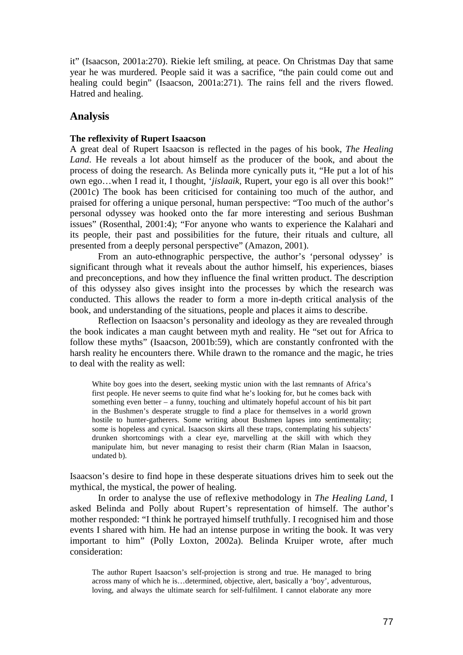it" (Isaacson, 2001a:270). Riekie left smiling, at peace. On Christmas Day that same year he was murdered. People said it was a sacrifice, "the pain could come out and healing could begin" (Isaacson, 2001a:271). The rains fell and the rivers flowed. Hatred and healing.

# **Analysis**

# **The reflexivity of Rupert Isaacson**

A great deal of Rupert Isaacson is reflected in the pages of his book, *The Healing Land*. He reveals a lot about himself as the producer of the book, and about the process of doing the research. As Belinda more cynically puts it, "He put a lot of his own ego…when I read it, I thought, '*jislaaik,* Rupert, your ego is all over this book!" (2001c) The book has been criticised for containing too much of the author, and praised for offering a unique personal, human perspective: "Too much of the author's personal odyssey was hooked onto the far more interesting and serious Bushman issues" (Rosenthal, 2001:4); "For anyone who wants to experience the Kalahari and its people, their past and possibilities for the future, their rituals and culture, all presented from a deeply personal perspective" (Amazon, 2001).

 From an auto-ethnographic perspective, the author's 'personal odyssey' is significant through what it reveals about the author himself, his experiences, biases and preconceptions, and how they influence the final written product. The description of this odyssey also gives insight into the processes by which the research was conducted. This allows the reader to form a more in-depth critical analysis of the book, and understanding of the situations, people and places it aims to describe.

 Reflection on Isaacson's personality and ideology as they are revealed through the book indicates a man caught between myth and reality. He "set out for Africa to follow these myths" (Isaacson, 2001b:59), which are constantly confronted with the harsh reality he encounters there. While drawn to the romance and the magic, he tries to deal with the reality as well:

White boy goes into the desert, seeking mystic union with the last remnants of Africa's first people. He never seems to quite find what he's looking for, but he comes back with something even better – a funny, touching and ultimately hopeful account of his bit part in the Bushmen's desperate struggle to find a place for themselves in a world grown hostile to hunter-gatherers. Some writing about Bushmen lapses into sentimentality; some is hopeless and cynical. Isaacson skirts all these traps, contemplating his subjects' drunken shortcomings with a clear eye, marvelling at the skill with which they manipulate him, but never managing to resist their charm (Rian Malan in Isaacson, undated b).

Isaacson's desire to find hope in these desperate situations drives him to seek out the mythical, the mystical, the power of healing.

 In order to analyse the use of reflexive methodology in *The Healing Land*, I asked Belinda and Polly about Rupert's representation of himself. The author's mother responded: "I think he portrayed himself truthfully. I recognised him and those events I shared with him. He had an intense purpose in writing the book. It was very important to him" (Polly Loxton, 2002a). Belinda Kruiper wrote, after much consideration:

The author Rupert Isaacson's self-projection is strong and true. He managed to bring across many of which he is…determined, objective, alert, basically a 'boy', adventurous, loving, and always the ultimate search for self-fulfilment. I cannot elaborate any more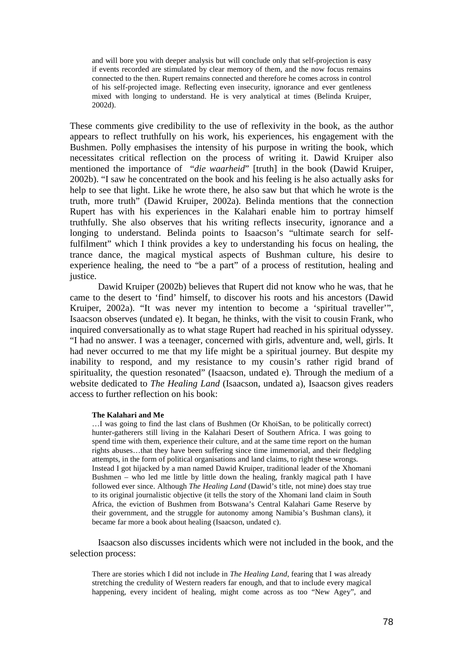and will bore you with deeper analysis but will conclude only that self-projection is easy if events recorded are stimulated by clear memory of them, and the now focus remains connected to the then. Rupert remains connected and therefore he comes across in control of his self-projected image. Reflecting even insecurity, ignorance and ever gentleness mixed with longing to understand. He is very analytical at times (Belinda Kruiper, 2002d).

These comments give credibility to the use of reflexivity in the book, as the author appears to reflect truthfully on his work, his experiences, his engagement with the Bushmen. Polly emphasises the intensity of his purpose in writing the book, which necessitates critical reflection on the process of writing it. Dawid Kruiper also mentioned the importance of "*die waarheid*" [truth] in the book (Dawid Kruiper, 2002b). "I saw he concentrated on the book and his feeling is he also actually asks for help to see that light. Like he wrote there, he also saw but that which he wrote is the truth, more truth" (Dawid Kruiper, 2002a). Belinda mentions that the connection Rupert has with his experiences in the Kalahari enable him to portray himself truthfully. She also observes that his writing reflects insecurity, ignorance and a longing to understand. Belinda points to Isaacson's "ultimate search for selffulfilment" which I think provides a key to understanding his focus on healing, the trance dance, the magical mystical aspects of Bushman culture, his desire to experience healing, the need to "be a part" of a process of restitution, healing and justice.

 Dawid Kruiper (2002b) believes that Rupert did not know who he was, that he came to the desert to 'find' himself, to discover his roots and his ancestors (Dawid Kruiper, 2002a). "It was never my intention to become a 'spiritual traveller'", Isaacson observes (undated e). It began, he thinks, with the visit to cousin Frank, who inquired conversationally as to what stage Rupert had reached in his spiritual odyssey. "I had no answer. I was a teenager, concerned with girls, adventure and, well, girls. It had never occurred to me that my life might be a spiritual journey. But despite my inability to respond, and my resistance to my cousin's rather rigid brand of spirituality, the question resonated" (Isaacson, undated e). Through the medium of a website dedicated to *The Healing Land* (Isaacson, undated a), Isaacson gives readers access to further reflection on his book:

#### **The Kalahari and Me**

…I was going to find the last clans of Bushmen (Or KhoiSan, to be politically correct) hunter-gatherers still living in the Kalahari Desert of Southern Africa. I was going to spend time with them, experience their culture, and at the same time report on the human rights abuses…that they have been suffering since time immemorial, and their fledgling attempts, in the form of political organisations and land claims, to right these wrongs. Instead I got hijacked by a man named Dawid Kruiper, traditional leader of the Xhomani Bushmen – who led me little by little down the healing, frankly magical path I have followed ever since. Although *The Healing Land* (Dawid's title, not mine) does stay true to its original journalistic objective (it tells the story of the Xhomani land claim in South Africa, the eviction of Bushmen from Botswana's Central Kalahari Game Reserve by their government, and the struggle for autonomy among Namibia's Bushman clans), it became far more a book about healing (Isaacson, undated c).

 Isaacson also discusses incidents which were not included in the book, and the selection process:

There are stories which I did not include in *The Healing Land*, fearing that I was already stretching the credulity of Western readers far enough, and that to include every magical happening, every incident of healing, might come across as too "New Agey", and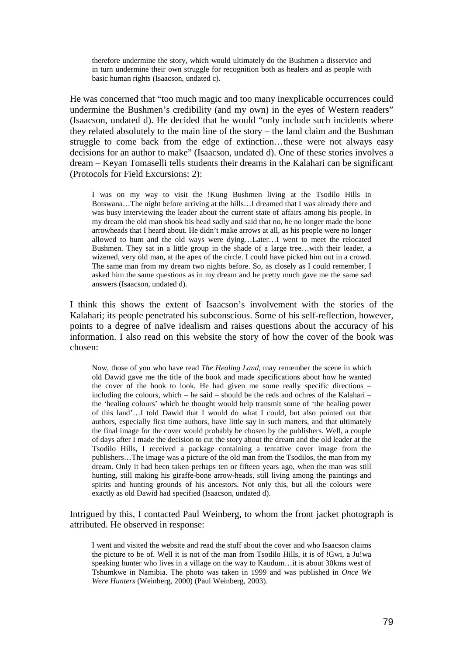therefore undermine the story, which would ultimately do the Bushmen a disservice and in turn undermine their own struggle for recognition both as healers and as people with basic human rights (Isaacson, undated c).

He was concerned that "too much magic and too many inexplicable occurrences could undermine the Bushmen's credibility (and my own) in the eyes of Western readers" (Isaacson, undated d). He decided that he would "only include such incidents where they related absolutely to the main line of the story – the land claim and the Bushman struggle to come back from the edge of extinction…these were not always easy decisions for an author to make" (Isaacson, undated d). One of these stories involves a dream – Keyan Tomaselli tells students their dreams in the Kalahari can be significant (Protocols for Field Excursions: 2):

I was on my way to visit the !Kung Bushmen living at the Tsodilo Hills in Botswana…The night before arriving at the hills…I dreamed that I was already there and was busy interviewing the leader about the current state of affairs among his people. In my dream the old man shook his head sadly and said that no, he no longer made the bone arrowheads that I heard about. He didn't make arrows at all, as his people were no longer allowed to hunt and the old ways were dying…Later…I went to meet the relocated Bushmen. They sat in a little group in the shade of a large tree…with their leader, a wizened, very old man, at the apex of the circle. I could have picked him out in a crowd. The same man from my dream two nights before. So, as closely as I could remember, I asked him the same questions as in my dream and he pretty much gave me the same sad answers (Isaacson, undated d).

I think this shows the extent of Isaacson's involvement with the stories of the Kalahari; its people penetrated his subconscious. Some of his self-reflection, however, points to a degree of naïve idealism and raises questions about the accuracy of his information. I also read on this website the story of how the cover of the book was chosen:

Now, those of you who have read *The Healing Land*, may remember the scene in which old Dawid gave me the title of the book and made specifications about how he wanted the cover of the book to look. He had given me some really specific directions – including the colours, which – he said – should be the reds and ochres of the Kalahari – the 'healing colours' which he thought would help transmit some of 'the healing power of this land'…I told Dawid that I would do what I could, but also pointed out that authors, especially first time authors, have little say in such matters, and that ultimately the final image for the cover would probably be chosen by the publishers. Well, a couple of days after I made the decision to cut the story about the dream and the old leader at the Tsodilo Hills, I received a package containing a tentative cover image from the publishers…The image was a picture of the old man from the Tsodilos, the man from my dream. Only it had been taken perhaps ten or fifteen years ago, when the man was still hunting, still making his giraffe-bone arrow-heads, still living among the paintings and spirits and hunting grounds of his ancestors. Not only this, but all the colours were exactly as old Dawid had specified (Isaacson, undated d).

Intrigued by this, I contacted Paul Weinberg, to whom the front jacket photograph is attributed. He observed in response:

I went and visited the website and read the stuff about the cover and who Isaacson claims the picture to be of. Well it is not of the man from Tsodilo Hills, it is of !Gwi, a Ju!wa speaking hunter who lives in a village on the way to Kaudum…it is about 30kms west of Tshumkwe in Namibia. The photo was taken in 1999 and was published in *Once We Were Hunters* (Weinberg, 2000) (Paul Weinberg, 2003).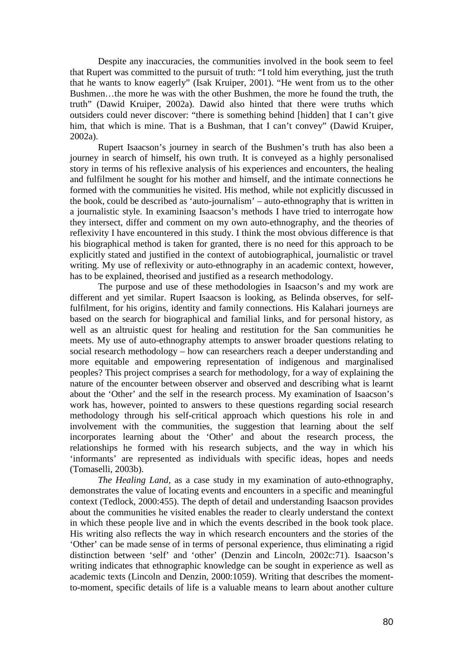Despite any inaccuracies, the communities involved in the book seem to feel that Rupert was committed to the pursuit of truth: "I told him everything, just the truth that he wants to know eagerly" (Isak Kruiper, 2001). "He went from us to the other Bushmen…the more he was with the other Bushmen, the more he found the truth, the truth" (Dawid Kruiper, 2002a). Dawid also hinted that there were truths which outsiders could never discover: "there is something behind [hidden] that I can't give him, that which is mine. That is a Bushman, that I can't convey" (Dawid Kruiper, 2002a).

 Rupert Isaacson's journey in search of the Bushmen's truth has also been a journey in search of himself, his own truth. It is conveyed as a highly personalised story in terms of his reflexive analysis of his experiences and encounters, the healing and fulfilment he sought for his mother and himself, and the intimate connections he formed with the communities he visited. His method, while not explicitly discussed in the book, could be described as 'auto-journalism' – auto-ethnography that is written in a journalistic style. In examining Isaacson's methods I have tried to interrogate how they intersect, differ and comment on my own auto-ethnography, and the theories of reflexivity I have encountered in this study. I think the most obvious difference is that his biographical method is taken for granted, there is no need for this approach to be explicitly stated and justified in the context of autobiographical, journalistic or travel writing. My use of reflexivity or auto-ethnography in an academic context, however, has to be explained, theorised and justified as a research methodology.

The purpose and use of these methodologies in Isaacson's and my work are different and yet similar. Rupert Isaacson is looking, as Belinda observes, for selffulfilment, for his origins, identity and family connections. His Kalahari journeys are based on the search for biographical and familial links, and for personal history, as well as an altruistic quest for healing and restitution for the San communities he meets. My use of auto-ethnography attempts to answer broader questions relating to social research methodology – how can researchers reach a deeper understanding and more equitable and empowering representation of indigenous and marginalised peoples? This project comprises a search for methodology, for a way of explaining the nature of the encounter between observer and observed and describing what is learnt about the 'Other' and the self in the research process. My examination of Isaacson's work has, however, pointed to answers to these questions regarding social research methodology through his self-critical approach which questions his role in and involvement with the communities, the suggestion that learning about the self incorporates learning about the 'Other' and about the research process, the relationships he formed with his research subjects, and the way in which his 'informants' are represented as individuals with specific ideas, hopes and needs (Tomaselli, 2003b).

*The Healing Land*, as a case study in my examination of auto-ethnography, demonstrates the value of locating events and encounters in a specific and meaningful context (Tedlock, 2000:455). The depth of detail and understanding Isaacson provides about the communities he visited enables the reader to clearly understand the context in which these people live and in which the events described in the book took place. His writing also reflects the way in which research encounters and the stories of the 'Other' can be made sense of in terms of personal experience, thus eliminating a rigid distinction between 'self' and 'other' (Denzin and Lincoln, 2002c:71). Isaacson's writing indicates that ethnographic knowledge can be sought in experience as well as academic texts (Lincoln and Denzin, 2000:1059). Writing that describes the momentto-moment, specific details of life is a valuable means to learn about another culture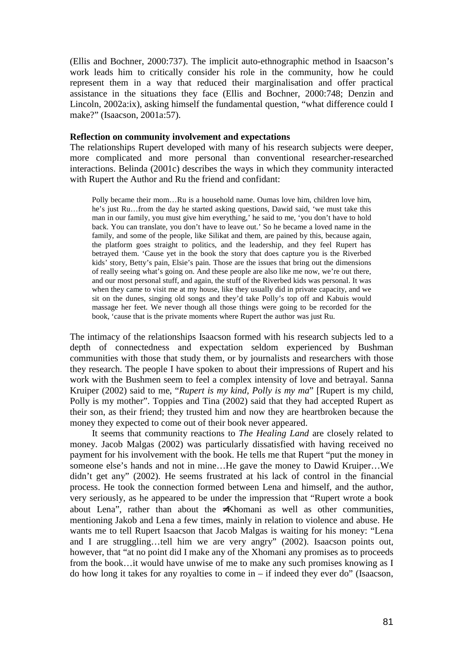(Ellis and Bochner, 2000:737). The implicit auto-ethnographic method in Isaacson's work leads him to critically consider his role in the community, how he could represent them in a way that reduced their marginalisation and offer practical assistance in the situations they face (Ellis and Bochner, 2000:748; Denzin and Lincoln, 2002a:ix), asking himself the fundamental question, "what difference could I make?" (Isaacson, 2001a:57).

### **Reflection on community involvement and expectations**

The relationships Rupert developed with many of his research subjects were deeper, more complicated and more personal than conventional researcher-researched interactions. Belinda (2001c) describes the ways in which they community interacted with Rupert the Author and Ru the friend and confidant:

Polly became their mom…Ru is a household name. Oumas love him, children love him, he's just Ru…from the day he started asking questions, Dawid said, 'we must take this man in our family, you must give him everything,' he said to me, 'you don't have to hold back. You can translate, you don't have to leave out.' So he became a loved name in the family, and some of the people, like Silikat and them, are pained by this, because again, the platform goes straight to politics, and the leadership, and they feel Rupert has betrayed them. 'Cause yet in the book the story that does capture you is the Riverbed kids' story, Betty's pain, Elsie's pain. Those are the issues that bring out the dimensions of really seeing what's going on. And these people are also like me now, we're out there, and our most personal stuff, and again, the stuff of the Riverbed kids was personal. It was when they came to visit me at my house, like they usually did in private capacity, and we sit on the dunes, singing old songs and they'd take Polly's top off and Kabuis would massage her feet. We never though all those things were going to be recorded for the book, 'cause that is the private moments where Rupert the author was just Ru.

The intimacy of the relationships Isaacson formed with his research subjects led to a depth of connectedness and expectation seldom experienced by Bushman communities with those that study them, or by journalists and researchers with those they research. The people I have spoken to about their impressions of Rupert and his work with the Bushmen seem to feel a complex intensity of love and betraval. Sanna Kruiper (2002) said to me, "*Rupert is my kind, Polly is my ma*" [Rupert is my child, Polly is my mother". Toppies and Tina (2002) said that they had accepted Rupert as their son, as their friend; they trusted him and now they are heartbroken because the money they expected to come out of their book never appeared.

It seems that community reactions to *The Healing Land* are closely related to money. Jacob Malgas (2002) was particularly dissatisfied with having received no payment for his involvement with the book. He tells me that Rupert "put the money in someone else's hands and not in mine…He gave the money to Dawid Kruiper…We didn't get any" (2002). He seems frustrated at his lack of control in the financial process. He took the connection formed between Lena and himself, and the author, very seriously, as he appeared to be under the impression that "Rupert wrote a book about Lena", rather than about the ≠Khomani as well as other communities, mentioning Jakob and Lena a few times, mainly in relation to violence and abuse. He wants me to tell Rupert Isaacson that Jacob Malgas is waiting for his money: "Lena and I are struggling…tell him we are very angry" (2002). Isaacson points out, however, that "at no point did I make any of the Xhomani any promises as to proceeds from the book…it would have unwise of me to make any such promises knowing as I do how long it takes for any royalties to come in  $-$  if indeed they ever do" (Isaacson,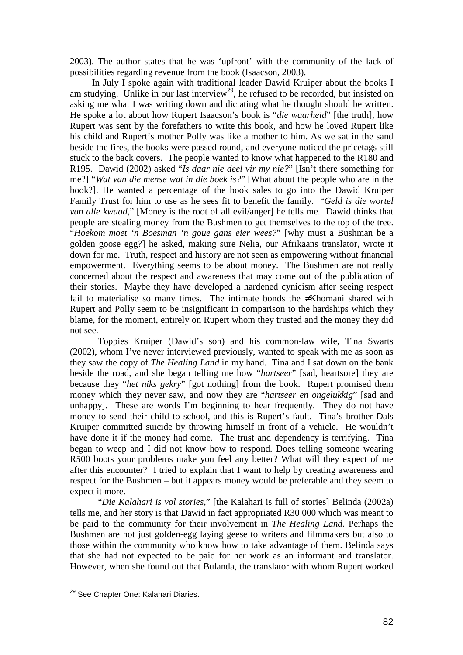2003). The author states that he was 'upfront' with the community of the lack of possibilities regarding revenue from the book (Isaacson, 2003).

In July I spoke again with traditional leader Dawid Kruiper about the books I am studying. Unlike in our last interview<sup>29</sup>, he refused to be recorded, but insisted on asking me what I was writing down and dictating what he thought should be written. He spoke a lot about how Rupert Isaacson's book is "*die waarheid*" [the truth], how Rupert was sent by the forefathers to write this book, and how he loved Rupert like his child and Rupert's mother Polly was like a mother to him. As we sat in the sand beside the fires, the books were passed round, and everyone noticed the pricetags still stuck to the back covers. The people wanted to know what happened to the R180 and R195. Dawid (2002) asked "*Is daar nie deel vir my nie?*" [Isn't there something for me?] "*Wat van die mense wat in die boek is?*" [What about the people who are in the book?]. He wanted a percentage of the book sales to go into the Dawid Kruiper Family Trust for him to use as he sees fit to benefit the family. "*Geld is die wortel van alle kwaad*," [Money is the root of all evil/anger] he tells me. Dawid thinks that people are stealing money from the Bushmen to get themselves to the top of the tree. "*Hoekom moet 'n Boesman 'n goue gans eier wees?*" [why must a Bushman be a golden goose egg?] he asked, making sure Nelia, our Afrikaans translator, wrote it down for me. Truth, respect and history are not seen as empowering without financial empowerment. Everything seems to be about money. The Bushmen are not really concerned about the respect and awareness that may come out of the publication of their stories. Maybe they have developed a hardened cynicism after seeing respect fail to materialise so many times. The intimate bonds the ≠Khomani shared with Rupert and Polly seem to be insignificant in comparison to the hardships which they blame, for the moment, entirely on Rupert whom they trusted and the money they did not see.

 Toppies Kruiper (Dawid's son) and his common-law wife, Tina Swarts (2002), whom I've never interviewed previously, wanted to speak with me as soon as they saw the copy of *The Healing Land* in my hand. Tina and I sat down on the bank beside the road, and she began telling me how "*hartseer*" [sad, heartsore] they are because they "*het niks gekry*" [got nothing] from the book. Rupert promised them money which they never saw, and now they are "*hartseer en ongelukkig*" [sad and unhappy]. These are words I'm beginning to hear frequently. They do not have money to send their child to school, and this is Rupert's fault. Tina's brother Dals Kruiper committed suicide by throwing himself in front of a vehicle. He wouldn't have done it if the money had come. The trust and dependency is terrifying. Tina began to weep and I did not know how to respond. Does telling someone wearing R500 boots your problems make you feel any better? What will they expect of me after this encounter? I tried to explain that I want to help by creating awareness and respect for the Bushmen – but it appears money would be preferable and they seem to expect it more.

 "*Die Kalahari is vol stories,*" [the Kalahari is full of stories] Belinda (2002a) tells me, and her story is that Dawid in fact appropriated R30 000 which was meant to be paid to the community for their involvement in *The Healing Land*. Perhaps the Bushmen are not just golden-egg laying geese to writers and filmmakers but also to those within the community who know how to take advantage of them. Belinda says that she had not expected to be paid for her work as an informant and translator. However, when she found out that Bulanda, the translator with whom Rupert worked

 $\overline{a}$ 

<sup>&</sup>lt;sup>29</sup> See Chapter One: Kalahari Diaries.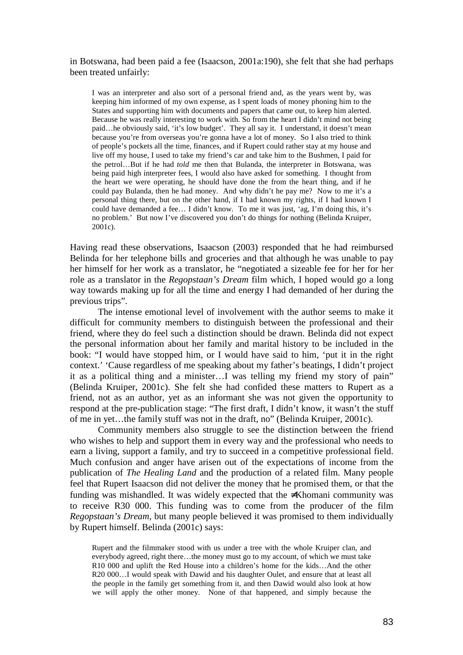in Botswana, had been paid a fee (Isaacson, 2001a:190), she felt that she had perhaps been treated unfairly:

I was an interpreter and also sort of a personal friend and, as the years went by, was keeping him informed of my own expense, as I spent loads of money phoning him to the States and supporting him with documents and papers that came out, to keep him alerted. Because he was really interesting to work with. So from the heart I didn't mind not being paid…he obviously said, 'it's low budget'. They all say it. I understand, it doesn't mean because you're from overseas you're gonna have a lot of money. So I also tried to think of people's pockets all the time, finances, and if Rupert could rather stay at my house and live off my house, I used to take my friend's car and take him to the Bushmen, I paid for the petrol…But if he had *told* me then that Bulanda, the interpreter in Botswana, was being paid high interpreter fees, I would also have asked for something. I thought from the heart we were operating, he should have done the from the heart thing, and if he could pay Bulanda, then he had money. And why didn't he pay me? Now to me it's a personal thing there, but on the other hand, if I had known my rights, if I had known I could have demanded a fee… I didn't know. To me it was just, 'ag, I'm doing this, it's no problem.' But now I've discovered you don't do things for nothing (Belinda Kruiper,  $2001c$ ).

Having read these observations, Isaacson (2003) responded that he had reimbursed Belinda for her telephone bills and groceries and that although he was unable to pay her himself for her work as a translator, he "negotiated a sizeable fee for her for her role as a translator in the *Regopstaan's Dream* film which, I hoped would go a long way towards making up for all the time and energy I had demanded of her during the previous trips".

 The intense emotional level of involvement with the author seems to make it difficult for community members to distinguish between the professional and their friend, where they do feel such a distinction should be drawn. Belinda did not expect the personal information about her family and marital history to be included in the book: "I would have stopped him, or I would have said to him, 'put it in the right context.' 'Cause regardless of me speaking about my father's beatings, I didn't project it as a political thing and a minister…I was telling my friend my story of pain" (Belinda Kruiper, 2001c). She felt she had confided these matters to Rupert as a friend, not as an author, yet as an informant she was not given the opportunity to respond at the pre-publication stage: "The first draft, I didn't know, it wasn't the stuff of me in yet…the family stuff was not in the draft, no" (Belinda Kruiper, 2001c).

 Community members also struggle to see the distinction between the friend who wishes to help and support them in every way and the professional who needs to earn a living, support a family, and try to succeed in a competitive professional field. Much confusion and anger have arisen out of the expectations of income from the publication of *The Healing Land* and the production of a related film. Many people feel that Rupert Isaacson did not deliver the money that he promised them, or that the funding was mishandled. It was widely expected that the ≠Khomani community was to receive R30 000. This funding was to come from the producer of the film *Regopstaan's Dream*, but many people believed it was promised to them individually by Rupert himself. Belinda (2001c) says:

Rupert and the filmmaker stood with us under a tree with the whole Kruiper clan, and everybody agreed, right there…the money must go to my account, of which we must take R10 000 and uplift the Red House into a children's home for the kids…And the other R20 000…I would speak with Dawid and his daughter Oulet, and ensure that at least all the people in the family get something from it, and then Dawid would also look at how we will apply the other money. None of that happened, and simply because the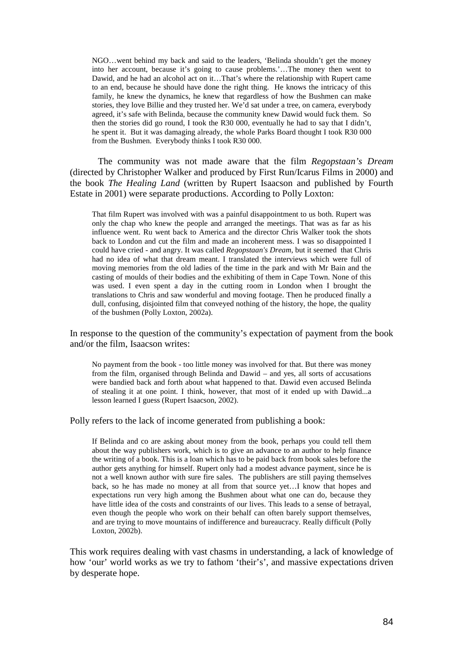NGO…went behind my back and said to the leaders, 'Belinda shouldn't get the money into her account, because it's going to cause problems.'…The money then went to Dawid, and he had an alcohol act on it…That's where the relationship with Rupert came to an end, because he should have done the right thing. He knows the intricacy of this family, he knew the dynamics, he knew that regardless of how the Bushmen can make stories, they love Billie and they trusted her. We'd sat under a tree, on camera, everybody agreed, it's safe with Belinda, because the community knew Dawid would fuck them. So then the stories did go round, I took the R30 000, eventually he had to say that I didn't, he spent it. But it was damaging already, the whole Parks Board thought I took R30 000 from the Bushmen. Everybody thinks I took R30 000.

 The community was not made aware that the film *Regopstaan's Dream*  (directed by Christopher Walker and produced by First Run/Icarus Films in 2000) and the book *The Healing Land* (written by Rupert Isaacson and published by Fourth Estate in 2001) were separate productions. According to Polly Loxton:

That film Rupert was involved with was a painful disappointment to us both. Rupert was only the chap who knew the people and arranged the meetings. That was as far as his influence went. Ru went back to America and the director Chris Walker took the shots back to London and cut the film and made an incoherent mess. I was so disappointed I could have cried - and angry. It was called *Regopstaan's Dream*, but it seemed that Chris had no idea of what that dream meant. I translated the interviews which were full of moving memories from the old ladies of the time in the park and with Mr Bain and the casting of moulds of their bodies and the exhibiting of them in Cape Town. None of this was used. I even spent a day in the cutting room in London when I brought the translations to Chris and saw wonderful and moving footage. Then he produced finally a dull, confusing, disjointed film that conveyed nothing of the history, the hope, the quality of the bushmen (Polly Loxton, 2002a).

In response to the question of the community's expectation of payment from the book and/or the film, Isaacson writes:

No payment from the book - too little money was involved for that. But there was money from the film, organised through Belinda and Dawid – and yes, all sorts of accusations were bandied back and forth about what happened to that. Dawid even accused Belinda of stealing it at one point. I think, however, that most of it ended up with Dawid...a lesson learned I guess (Rupert Isaacson, 2002).

Polly refers to the lack of income generated from publishing a book:

If Belinda and co are asking about money from the book, perhaps you could tell them about the way publishers work, which is to give an advance to an author to help finance the writing of a book. This is a loan which has to be paid back from book sales before the author gets anything for himself. Rupert only had a modest advance payment, since he is not a well known author with sure fire sales. The publishers are still paying themselves back, so he has made no money at all from that source yet…I know that hopes and expectations run very high among the Bushmen about what one can do, because they have little idea of the costs and constraints of our lives. This leads to a sense of betrayal, even though the people who work on their behalf can often barely support themselves, and are trying to move mountains of indifference and bureaucracy. Really difficult (Polly Loxton, 2002b).

This work requires dealing with vast chasms in understanding, a lack of knowledge of how 'our' world works as we try to fathom 'their's', and massive expectations driven by desperate hope.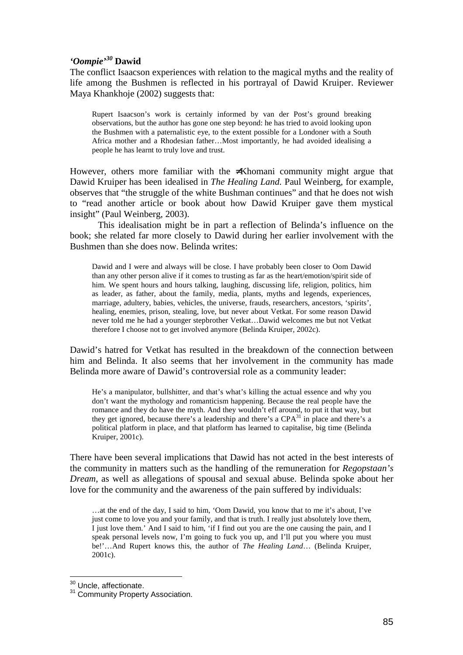# *'Oompie'<sup>30</sup>* **Dawid**

The conflict Isaacson experiences with relation to the magical myths and the reality of life among the Bushmen is reflected in his portrayal of Dawid Kruiper. Reviewer Maya Khankhoje (2002) suggests that:

Rupert Isaacson's work is certainly informed by van der Post's ground breaking observations, but the author has gone one step beyond: he has tried to avoid looking upon the Bushmen with a paternalistic eye, to the extent possible for a Londoner with a South Africa mother and a Rhodesian father…Most importantly, he had avoided idealising a people he has learnt to truly love and trust.

However, others more familiar with the ≠Khomani community might argue that Dawid Kruiper has been idealised in *The Healing Land.* Paul Weinberg, for example, observes that "the struggle of the white Bushman continues" and that he does not wish to "read another article or book about how Dawid Kruiper gave them mystical insight" (Paul Weinberg, 2003).

 This idealisation might be in part a reflection of Belinda's influence on the book; she related far more closely to Dawid during her earlier involvement with the Bushmen than she does now. Belinda writes:

Dawid and I were and always will be close. I have probably been closer to Oom Dawid than any other person alive if it comes to trusting as far as the heart/emotion/spirit side of him. We spent hours and hours talking, laughing, discussing life, religion, politics, him as leader, as father, about the family, media, plants, myths and legends, experiences, marriage, adultery, babies, vehicles, the universe, frauds, researchers, ancestors, 'spirits', healing, enemies, prison, stealing, love, but never about Vetkat. For some reason Dawid never told me he had a younger stepbrother Vetkat…Dawid welcomes me but not Vetkat therefore I choose not to get involved anymore (Belinda Kruiper, 2002c).

Dawid's hatred for Vetkat has resulted in the breakdown of the connection between him and Belinda. It also seems that her involvement in the community has made Belinda more aware of Dawid's controversial role as a community leader:

He's a manipulator, bullshitter, and that's what's killing the actual essence and why you don't want the mythology and romanticism happening. Because the real people have the romance and they do have the myth. And they wouldn't eff around, to put it that way, but they get ignored, because there's a leadership and there's a CPA<sup>31</sup> in place and there's a political platform in place, and that platform has learned to capitalise, big time (Belinda Kruiper, 2001c).

There have been several implications that Dawid has not acted in the best interests of the community in matters such as the handling of the remuneration for *Regopstaan's Dream*, as well as allegations of spousal and sexual abuse. Belinda spoke about her love for the community and the awareness of the pain suffered by individuals:

…at the end of the day, I said to him, 'Oom Dawid, you know that to me it's about, I've just come to love you and your family, and that is truth. I really just absolutely love them, I just love them.' And I said to him, 'if I find out you are the one causing the pain, and I speak personal levels now, I'm going to fuck you up, and I'll put you where you must be!'…And Rupert knows this, the author of *The Healing Land*… (Belinda Kruiper, 2001c).

l

<sup>&</sup>lt;sup>30</sup> Uncle, affectionate.

<sup>&</sup>lt;sup>31</sup> Community Property Association.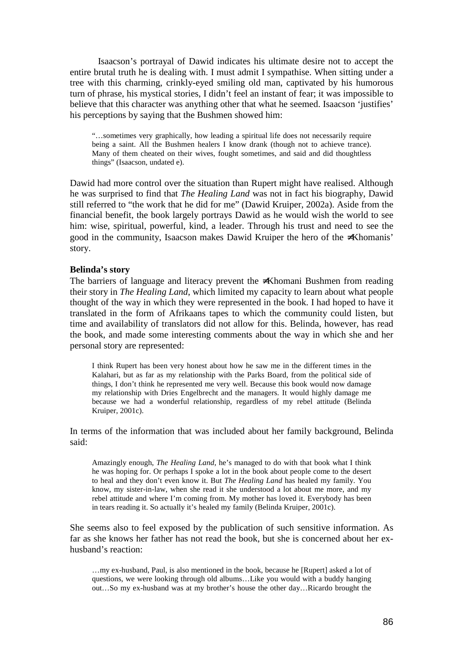Isaacson's portrayal of Dawid indicates his ultimate desire not to accept the entire brutal truth he is dealing with. I must admit I sympathise. When sitting under a tree with this charming, crinkly-eyed smiling old man, captivated by his humorous turn of phrase, his mystical stories, I didn't feel an instant of fear; it was impossible to believe that this character was anything other that what he seemed. Isaacson 'justifies' his perceptions by saying that the Bushmen showed him:

"…sometimes very graphically, how leading a spiritual life does not necessarily require being a saint. All the Bushmen healers I know drank (though not to achieve trance). Many of them cheated on their wives, fought sometimes, and said and did thoughtless things" (Isaacson, undated e).

Dawid had more control over the situation than Rupert might have realised. Although he was surprised to find that *The Healing Land* was not in fact his biography, Dawid still referred to "the work that he did for me" (Dawid Kruiper, 2002a). Aside from the financial benefit, the book largely portrays Dawid as he would wish the world to see him: wise, spiritual, powerful, kind, a leader. Through his trust and need to see the good in the community, Isaacson makes Dawid Kruiper the hero of the ≠Khomanis' story.

#### **Belinda's story**

The barriers of language and literacy prevent the ≠Khomani Bushmen from reading their story in *The Healing Land*, which limited my capacity to learn about what people thought of the way in which they were represented in the book. I had hoped to have it translated in the form of Afrikaans tapes to which the community could listen, but time and availability of translators did not allow for this. Belinda, however, has read the book, and made some interesting comments about the way in which she and her personal story are represented:

I think Rupert has been very honest about how he saw me in the different times in the Kalahari, but as far as my relationship with the Parks Board, from the political side of things, I don't think he represented me very well. Because this book would now damage my relationship with Dries Engelbrecht and the managers. It would highly damage me because we had a wonderful relationship, regardless of my rebel attitude (Belinda Kruiper, 2001c).

In terms of the information that was included about her family background, Belinda said:

Amazingly enough, *The Healing Land*, he's managed to do with that book what I think he was hoping for. Or perhaps I spoke a lot in the book about people come to the desert to heal and they don't even know it. But *The Healing Land* has healed my family. You know, my sister-in-law, when she read it she understood a lot about me more, and my rebel attitude and where I'm coming from. My mother has loved it. Everybody has been in tears reading it. So actually it's healed my family (Belinda Kruiper, 2001c).

She seems also to feel exposed by the publication of such sensitive information. As far as she knows her father has not read the book, but she is concerned about her exhusband's reaction:

…my ex-husband, Paul, is also mentioned in the book, because he [Rupert] asked a lot of questions, we were looking through old albums…Like you would with a buddy hanging out…So my ex-husband was at my brother's house the other day…Ricardo brought the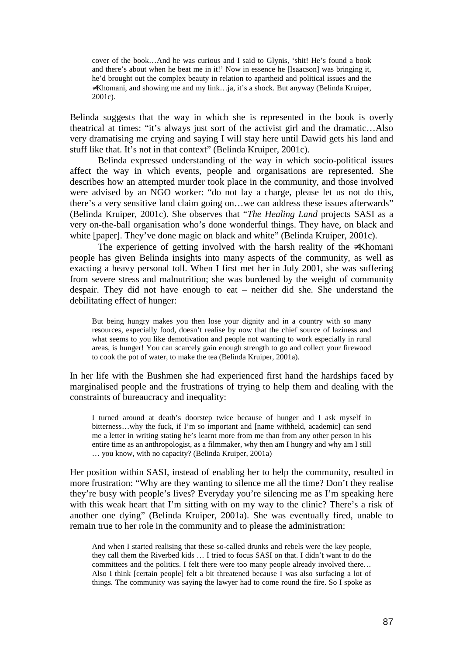cover of the book…And he was curious and I said to Glynis, 'shit! He's found a book and there's about when he beat me in it!' Now in essence he [Isaacson] was bringing it, he'd brought out the complex beauty in relation to apartheid and political issues and the ≠Khomani, and showing me and my link…ja, it's a shock. But anyway (Belinda Kruiper, 2001c).

Belinda suggests that the way in which she is represented in the book is overly theatrical at times: "it's always just sort of the activist girl and the dramatic…Also very dramatising me crying and saying I will stay here until Dawid gets his land and stuff like that. It's not in that context" (Belinda Kruiper, 2001c).

 Belinda expressed understanding of the way in which socio-political issues affect the way in which events, people and organisations are represented. She describes how an attempted murder took place in the community, and those involved were advised by an NGO worker: "do not lay a charge, please let us not do this, there's a very sensitive land claim going on…we can address these issues afterwards" (Belinda Kruiper, 2001c). She observes that "*The Healing Land* projects SASI as a very on-the-ball organisation who's done wonderful things. They have, on black and white [paper]. They've done magic on black and white" (Belinda Kruiper, 2001c).

 The experience of getting involved with the harsh reality of the ≠Khomani people has given Belinda insights into many aspects of the community, as well as exacting a heavy personal toll. When I first met her in July 2001, she was suffering from severe stress and malnutrition; she was burdened by the weight of community despair. They did not have enough to eat – neither did she. She understand the debilitating effect of hunger:

But being hungry makes you then lose your dignity and in a country with so many resources, especially food, doesn't realise by now that the chief source of laziness and what seems to you like demotivation and people not wanting to work especially in rural areas, is hunger! You can scarcely gain enough strength to go and collect your firewood to cook the pot of water, to make the tea (Belinda Kruiper, 2001a).

In her life with the Bushmen she had experienced first hand the hardships faced by marginalised people and the frustrations of trying to help them and dealing with the constraints of bureaucracy and inequality:

I turned around at death's doorstep twice because of hunger and I ask myself in bitterness…why the fuck, if I'm so important and [name withheld, academic] can send me a letter in writing stating he's learnt more from me than from any other person in his entire time as an anthropologist, as a filmmaker, why then am I hungry and why am I still … you know, with no capacity? (Belinda Kruiper, 2001a)

Her position within SASI, instead of enabling her to help the community, resulted in more frustration: "Why are they wanting to silence me all the time? Don't they realise they're busy with people's lives? Everyday you're silencing me as I'm speaking here with this weak heart that I'm sitting with on my way to the clinic? There's a risk of another one dying" (Belinda Kruiper, 2001a). She was eventually fired, unable to remain true to her role in the community and to please the administration:

And when I started realising that these so-called drunks and rebels were the key people, they call them the Riverbed kids … I tried to focus SASI on that. I didn't want to do the committees and the politics. I felt there were too many people already involved there... Also I think [certain people] felt a bit threatened because I was also surfacing a lot of things. The community was saying the lawyer had to come round the fire. So I spoke as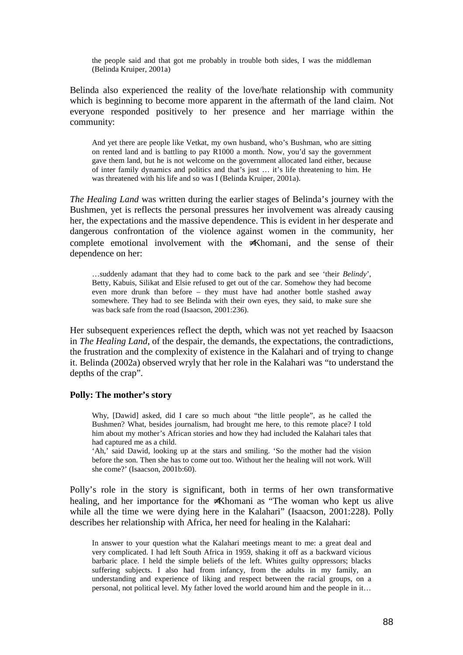the people said and that got me probably in trouble both sides, I was the middleman (Belinda Kruiper, 2001a)

Belinda also experienced the reality of the love/hate relationship with community which is beginning to become more apparent in the aftermath of the land claim. Not everyone responded positively to her presence and her marriage within the community:

And yet there are people like Vetkat, my own husband, who's Bushman, who are sitting on rented land and is battling to pay R1000 a month. Now, you'd say the government gave them land, but he is not welcome on the government allocated land either, because of inter family dynamics and politics and that's just … it's life threatening to him. He was threatened with his life and so was I (Belinda Kruiper, 2001a).

*The Healing Land* was written during the earlier stages of Belinda's journey with the Bushmen, yet is reflects the personal pressures her involvement was already causing her, the expectations and the massive dependence. This is evident in her desperate and dangerous confrontation of the violence against women in the community, her complete emotional involvement with the ≠Khomani, and the sense of their dependence on her:

…suddenly adamant that they had to come back to the park and see 'their *Belindy*', Betty, Kabuis, Silikat and Elsie refused to get out of the car. Somehow they had become even more drunk than before – they must have had another bottle stashed away somewhere. They had to see Belinda with their own eyes, they said, to make sure she was back safe from the road (Isaacson, 2001:236).

Her subsequent experiences reflect the depth, which was not yet reached by Isaacson in *The Healing Land*, of the despair, the demands, the expectations, the contradictions, the frustration and the complexity of existence in the Kalahari and of trying to change it. Belinda (2002a) observed wryly that her role in the Kalahari was "to understand the depths of the crap".

### **Polly: The mother's story**

Why, [Dawid] asked, did I care so much about "the little people", as he called the Bushmen? What, besides journalism, had brought me here, to this remote place? I told him about my mother's African stories and how they had included the Kalahari tales that had captured me as a child.

'Ah,' said Dawid, looking up at the stars and smiling. 'So the mother had the vision before the son. Then she has to come out too. Without her the healing will not work. Will she come?' (Isaacson, 2001b:60).

Polly's role in the story is significant, both in terms of her own transformative healing, and her importance for the ≠Khomani as "The woman who kept us alive while all the time we were dying here in the Kalahari" (Isaacson, 2001:228). Polly describes her relationship with Africa, her need for healing in the Kalahari:

In answer to your question what the Kalahari meetings meant to me: a great deal and very complicated. I had left South Africa in 1959, shaking it off as a backward vicious barbaric place. I held the simple beliefs of the left. Whites guilty oppressors; blacks suffering subjects. I also had from infancy, from the adults in my family, an understanding and experience of liking and respect between the racial groups, on a personal, not political level. My father loved the world around him and the people in it…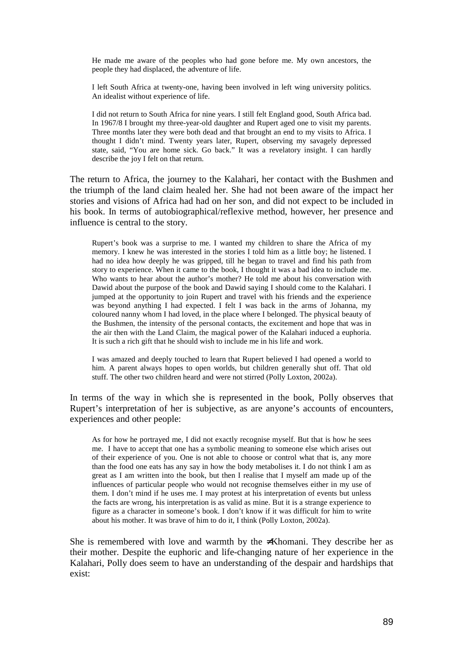He made me aware of the peoples who had gone before me. My own ancestors, the people they had displaced, the adventure of life.

I left South Africa at twenty-one, having been involved in left wing university politics. An idealist without experience of life.

I did not return to South Africa for nine years. I still felt England good, South Africa bad. In 1967/8 I brought my three-year-old daughter and Rupert aged one to visit my parents. Three months later they were both dead and that brought an end to my visits to Africa. I thought I didn't mind. Twenty years later, Rupert, observing my savagely depressed state, said, "You are home sick. Go back." It was a revelatory insight. I can hardly describe the joy I felt on that return.

The return to Africa, the journey to the Kalahari, her contact with the Bushmen and the triumph of the land claim healed her. She had not been aware of the impact her stories and visions of Africa had had on her son, and did not expect to be included in his book. In terms of autobiographical/reflexive method, however, her presence and influence is central to the story.

Rupert's book was a surprise to me. I wanted my children to share the Africa of my memory. I knew he was interested in the stories I told him as a little boy; he listened. I had no idea how deeply he was gripped, till he began to travel and find his path from story to experience. When it came to the book, I thought it was a bad idea to include me. Who wants to hear about the author's mother? He told me about his conversation with Dawid about the purpose of the book and Dawid saying I should come to the Kalahari. I jumped at the opportunity to join Rupert and travel with his friends and the experience was beyond anything I had expected. I felt I was back in the arms of Johanna, my coloured nanny whom I had loved, in the place where I belonged. The physical beauty of the Bushmen, the intensity of the personal contacts, the excitement and hope that was in the air then with the Land Claim, the magical power of the Kalahari induced a euphoria. It is such a rich gift that he should wish to include me in his life and work.

I was amazed and deeply touched to learn that Rupert believed I had opened a world to him. A parent always hopes to open worlds, but children generally shut off. That old stuff. The other two children heard and were not stirred (Polly Loxton, 2002a).

In terms of the way in which she is represented in the book, Polly observes that Rupert's interpretation of her is subjective, as are anyone's accounts of encounters, experiences and other people:

As for how he portrayed me, I did not exactly recognise myself. But that is how he sees me. I have to accept that one has a symbolic meaning to someone else which arises out of their experience of you. One is not able to choose or control what that is, any more than the food one eats has any say in how the body metabolises it. I do not think I am as great as I am written into the book, but then I realise that I myself am made up of the influences of particular people who would not recognise themselves either in my use of them. I don't mind if he uses me. I may protest at his interpretation of events but unless the facts are wrong, his interpretation is as valid as mine. But it is a strange experience to figure as a character in someone's book. I don't know if it was difficult for him to write about his mother. It was brave of him to do it, I think (Polly Loxton, 2002a).

She is remembered with love and warmth by the ≠Khomani. They describe her as their mother. Despite the euphoric and life-changing nature of her experience in the Kalahari, Polly does seem to have an understanding of the despair and hardships that exist: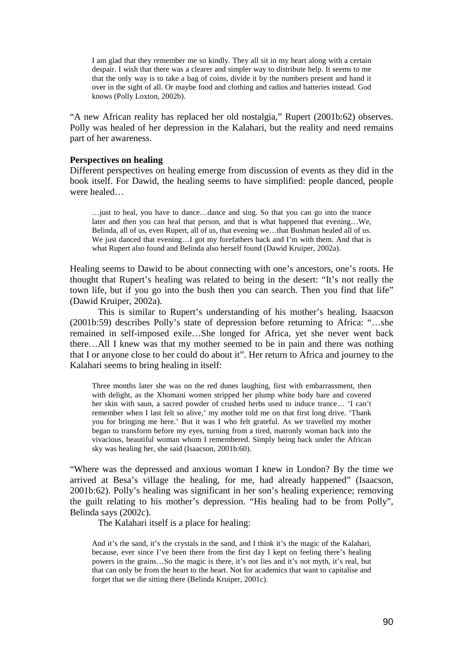I am glad that they remember me so kindly. They all sit in my heart along with a certain despair. I wish that there was a clearer and simpler way to distribute help. It seems to me that the only way is to take a bag of coins, divide it by the numbers present and hand it over in the sight of all. Or maybe food and clothing and radios and batteries instead. God knows (Polly Loxton, 2002b).

"A new African reality has replaced her old nostalgia," Rupert (2001b:62) observes. Polly was healed of her depression in the Kalahari, but the reality and need remains part of her awareness.

#### **Perspectives on healing**

Different perspectives on healing emerge from discussion of events as they did in the book itself. For Dawid, the healing seems to have simplified: people danced, people were healed…

…just to heal, you have to dance…dance and sing. So that you can go into the trance later and then you can heal that person, and that is what happened that evening…We, Belinda, all of us, even Rupert, all of us, that evening we…that Bushman healed all of us. We just danced that evening…I got my forefathers back and I'm with them. And that is what Rupert also found and Belinda also herself found (Dawid Kruiper, 2002a).

Healing seems to Dawid to be about connecting with one's ancestors, one's roots. He thought that Rupert's healing was related to being in the desert: "It's not really the town life, but if you go into the bush then you can search. Then you find that life" (Dawid Kruiper, 2002a).

 This is similar to Rupert's understanding of his mother's healing. Isaacson (2001b:59) describes Polly's state of depression before returning to Africa: "…she remained in self-imposed exile…She longed for Africa, yet she never went back there…All I knew was that my mother seemed to be in pain and there was nothing that I or anyone close to her could do about it". Her return to Africa and journey to the Kalahari seems to bring healing in itself:

Three months later she was on the red dunes laughing, first with embarrassment, then with delight, as the Xhomani women stripped her plump white body bare and covered her skin with saun, a sacred powder of crushed herbs used to induce trance… 'I can't remember when I last felt so alive,' my mother told me on that first long drive. 'Thank you for bringing me here.' But it was I who felt grateful. As we travelled my mother began to transform before my eyes, turning from a tired, matronly woman back into the vivacious, beautiful woman whom I remembered. Simply being back under the African sky was healing her, she said (Isaacson, 2001b:60).

"Where was the depressed and anxious woman I knew in London? By the time we arrived at Besa's village the healing, for me, had already happened" (Isaacson, 2001b:62). Polly's healing was significant in her son's healing experience; removing the guilt relating to his mother's depression. "His healing had to be from Polly", Belinda says (2002c).

The Kalahari itself is a place for healing:

And it's the sand, it's the crystals in the sand, and I think it's the magic of the Kalahari, because, ever since I've been there from the first day I kept on feeling there's healing powers in the grains…So the magic is there, it's not lies and it's not myth, it's real, but that can only be from the heart to the heart. Not for academics that want to capitalise and forget that we die sitting there (Belinda Kruiper, 2001c).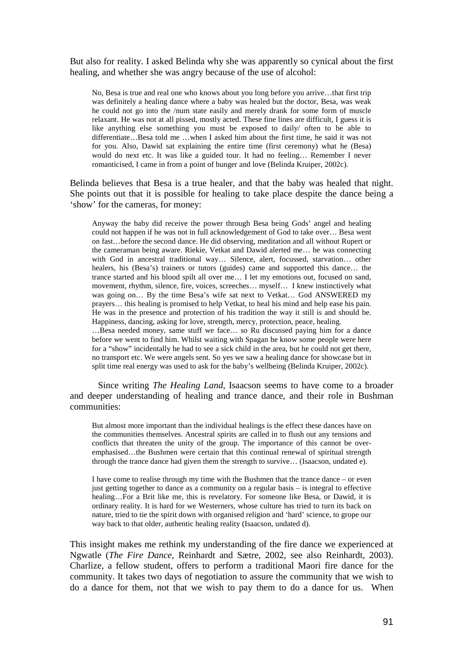But also for reality. I asked Belinda why she was apparently so cynical about the first healing, and whether she was angry because of the use of alcohol:

No, Besa is true and real one who knows about you long before you arrive…that first trip was definitely a healing dance where a baby was healed but the doctor, Besa, was weak he could not go into the /num state easily and merely drank for some form of muscle relaxant. He was not at all pissed, mostly acted. These fine lines are difficult, I guess it is like anything else something you must be exposed to daily/ often to be able to differentiate…Besa told me …when I asked him about the first time, he said it was not for you. Also, Dawid sat explaining the entire time (first ceremony) what he (Besa) would do next etc. It was like a guided tour. It had no feeling… Remember I never romanticised, I came in from a point of hunger and love (Belinda Kruiper, 2002c).

Belinda believes that Besa is a true healer, and that the baby was healed that night. She points out that it is possible for healing to take place despite the dance being a 'show' for the cameras, for money:

Anyway the baby did receive the power through Besa being Gods' angel and healing could not happen if he was not in full acknowledgement of God to take over… Besa went on fast…before the second dance. He did observing, meditation and all without Rupert or the cameraman being aware. Riekie, Vetkat and Dawid alerted me… he was connecting with God in ancestral traditional way… Silence, alert, focussed, starvation… other healers, his (Besa's) trainers or tutors (guides) came and supported this dance... the trance started and his blood spilt all over me… I let my emotions out, focused on sand, movement, rhythm, silence, fire, voices, screeches… myself… I knew instinctively what was going on… By the time Besa's wife sat next to Vetkat… God ANSWERED my prayers… this healing is promised to help Vetkat, to heal his mind and help ease his pain. He was in the presence and protection of his tradition the way it still is and should be. Happiness, dancing, asking for love, strength, mercy, protection, peace, healing. …Besa needed money, same stuff we face… so Ru discussed paying him for a dance

before we went to find him. Whilst waiting with Spagan he know some people were here for a "show" incidentally he had to see a sick child in the area, but he could not get there, no transport etc. We were angels sent. So yes we saw a healing dance for showcase but in split time real energy was used to ask for the baby's wellbeing (Belinda Kruiper, 2002c).

 Since writing *The Healing Land*, Isaacson seems to have come to a broader and deeper understanding of healing and trance dance, and their role in Bushman communities:

But almost more important than the individual healings is the effect these dances have on the communities themselves. Ancestral spirits are called in to flush out any tensions and conflicts that threaten the unity of the group. The importance of this cannot be overemphasised…the Bushmen were certain that this continual renewal of spiritual strength through the trance dance had given them the strength to survive… (Isaacson, undated e).

I have come to realise through my time with the Bushmen that the trance dance – or even just getting together to dance as a community on a regular basis – is integral to effective healing…For a Brit like me, this is revelatory. For someone like Besa, or Dawid, it is ordinary reality. It is hard for we Westerners, whose culture has tried to turn its back on nature, tried to tie the spirit down with organised religion and 'hard' science, to grope our way back to that older, authentic healing reality (Isaacson, undated d).

This insight makes me rethink my understanding of the fire dance we experienced at Ngwatle (*The Fire Dance*, Reinhardt and Sætre, 2002, see also Reinhardt, 2003). Charlize, a fellow student, offers to perform a traditional Maori fire dance for the community. It takes two days of negotiation to assure the community that we wish to do a dance for them, not that we wish to pay them to do a dance for us. When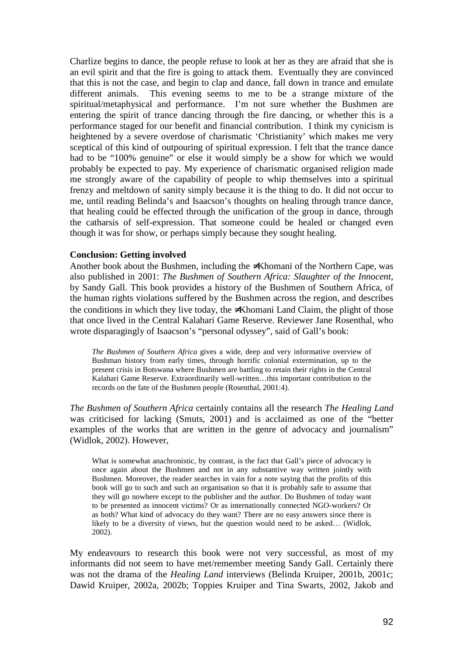Charlize begins to dance, the people refuse to look at her as they are afraid that she is an evil spirit and that the fire is going to attack them. Eventually they are convinced that this is not the case, and begin to clap and dance, fall down in trance and emulate different animals. This evening seems to me to be a strange mixture of the spiritual/metaphysical and performance. I'm not sure whether the Bushmen are entering the spirit of trance dancing through the fire dancing, or whether this is a performance staged for our benefit and financial contribution. I think my cynicism is heightened by a severe overdose of charismatic 'Christianity' which makes me very sceptical of this kind of outpouring of spiritual expression. I felt that the trance dance had to be "100% genuine" or else it would simply be a show for which we would probably be expected to pay. My experience of charismatic organised religion made me strongly aware of the capability of people to whip themselves into a spiritual frenzy and meltdown of sanity simply because it is the thing to do. It did not occur to me, until reading Belinda's and Isaacson's thoughts on healing through trance dance, that healing could be effected through the unification of the group in dance, through the catharsis of self-expression. That someone could be healed or changed even though it was for show, or perhaps simply because they sought healing.

# **Conclusion: Getting involved**

Another book about the Bushmen, including the ≠Khomani of the Northern Cape, was also published in 2001: *The Bushmen of Southern Africa: Slaughter of the Innocent*, by Sandy Gall. This book provides a history of the Bushmen of Southern Africa, of the human rights violations suffered by the Bushmen across the region, and describes the conditions in which they live today, the ≠Khomani Land Claim, the plight of those that once lived in the Central Kalahari Game Reserve. Reviewer Jane Rosenthal, who wrote disparagingly of Isaacson's "personal odyssey", said of Gall's book:

*The Bushmen of Southern Africa* gives a wide, deep and very informative overview of Bushman history from early times, through horrific colonial extermination, up to the present crisis in Botswana where Bushmen are battling to retain their rights in the Central Kalahari Game Reserve. Extraordinarily well-written…this important contribution to the records on the fate of the Bushmen people (Rosenthal, 2001:4).

*The Bushmen of Southern Africa* certainly contains all the research *The Healing Land* was criticised for lacking (Smuts, 2001) and is acclaimed as one of the "better examples of the works that are written in the genre of advocacy and journalism" (Widlok, 2002). However,

What is somewhat anachronistic, by contrast, is the fact that Gall's piece of advocacy is once again about the Bushmen and not in any substantive way written jointly with Bushmen. Moreover, the reader searches in vain for a note saying that the profits of this book will go to such and such an organisation so that it is probably safe to assume that they will go nowhere except to the publisher and the author. Do Bushmen of today want to be presented as innocent victims? Or as internationally connected NGO-workers? Or as both? What kind of advocacy do they want? There are no easy answers since there is likely to be a diversity of views, but the question would need to be asked… (Widlok, 2002).

My endeavours to research this book were not very successful, as most of my informants did not seem to have met/remember meeting Sandy Gall. Certainly there was not the drama of the *Healing Land* interviews (Belinda Kruiper, 2001b, 2001c; Dawid Kruiper, 2002a, 2002b; Toppies Kruiper and Tina Swarts, 2002, Jakob and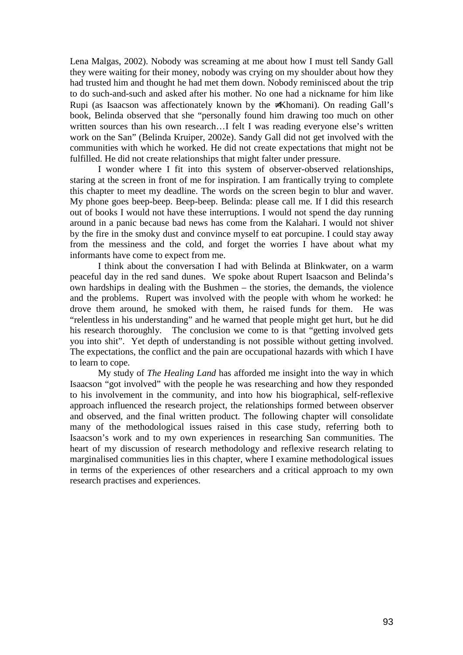Lena Malgas, 2002). Nobody was screaming at me about how I must tell Sandy Gall they were waiting for their money, nobody was crying on my shoulder about how they had trusted him and thought he had met them down. Nobody reminisced about the trip to do such-and-such and asked after his mother. No one had a nickname for him like Rupi (as Isaacson was affectionately known by the ≠Khomani). On reading Gall's book, Belinda observed that she "personally found him drawing too much on other written sources than his own research...I felt I was reading everyone else's written work on the San" (Belinda Kruiper, 2002e). Sandy Gall did not get involved with the communities with which he worked. He did not create expectations that might not be fulfilled. He did not create relationships that might falter under pressure.

 I wonder where I fit into this system of observer-observed relationships, staring at the screen in front of me for inspiration. I am frantically trying to complete this chapter to meet my deadline. The words on the screen begin to blur and waver. My phone goes beep-beep. Beep-beep. Belinda: please call me. If I did this research out of books I would not have these interruptions. I would not spend the day running around in a panic because bad news has come from the Kalahari. I would not shiver by the fire in the smoky dust and convince myself to eat porcupine. I could stay away from the messiness and the cold, and forget the worries I have about what my informants have come to expect from me.

I think about the conversation I had with Belinda at Blinkwater, on a warm peaceful day in the red sand dunes. We spoke about Rupert Isaacson and Belinda's own hardships in dealing with the Bushmen – the stories, the demands, the violence and the problems. Rupert was involved with the people with whom he worked: he drove them around, he smoked with them, he raised funds for them. He was "relentless in his understanding" and he warned that people might get hurt, but he did his research thoroughly. The conclusion we come to is that "getting involved gets you into shit". Yet depth of understanding is not possible without getting involved. The expectations, the conflict and the pain are occupational hazards with which I have to learn to cope.

 My study of *The Healing Land* has afforded me insight into the way in which Isaacson "got involved" with the people he was researching and how they responded to his involvement in the community, and into how his biographical, self-reflexive approach influenced the research project, the relationships formed between observer and observed, and the final written product. The following chapter will consolidate many of the methodological issues raised in this case study, referring both to Isaacson's work and to my own experiences in researching San communities. The heart of my discussion of research methodology and reflexive research relating to marginalised communities lies in this chapter, where I examine methodological issues in terms of the experiences of other researchers and a critical approach to my own research practises and experiences.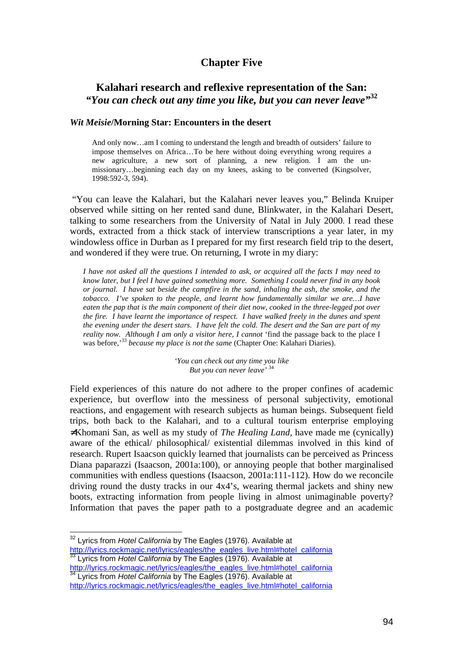# **Chapter Five**

# **Kalahari research and reflexive representation of the San:**  *"You can check out any time you like, but you can never leave"***<sup>32</sup>**

#### *Wit Meisie***/Morning Star: Encounters in the desert**

And only now…am I coming to understand the length and breadth of outsiders' failure to impose themselves on Africa…To be here without doing everything wrong requires a new agriculture, a new sort of planning, a new religion. I am the unmissionary…beginning each day on my knees, asking to be converted (Kingsolver, 1998:592-3, 594).

 "You can leave the Kalahari, but the Kalahari never leaves you," Belinda Kruiper observed while sitting on her rented sand dune, Blinkwater, in the Kalahari Desert, talking to some researchers from the University of Natal in July 2000. I read these words, extracted from a thick stack of interview transcriptions a year later, in my windowless office in Durban as I prepared for my first research field trip to the desert, and wondered if they were true. On returning, I wrote in my diary:

*I have not asked all the questions I intended to ask, or acquired all the facts I may need to know later, but I feel I have gained something more. Something I could never find in any book or journal. I have sat beside the campfire in the sand, inhaling the ash, the smoke, and the tobacco. I've spoken to the people, and learnt how fundamentally similar we are…I have eaten the pap that is the main component of their diet now, cooked in the three-legged pot over the fire. I have learnt the importance of respect. I have walked freely in the dunes and spent the evening under the desert stars. I have felt the cold. The desert and the San are part of my reality now. Although I am only a visitor here, I cannot 'find the passage back to the place I* was before,<sup>33</sup> because my place is not the same (Chapter One: Kalahari Diaries).

> *'You can check out any time you like But you can never leave'* <sup>34</sup>

Field experiences of this nature do not adhere to the proper confines of academic experience, but overflow into the messiness of personal subjectivity, emotional reactions, and engagement with research subjects as human beings. Subsequent field trips, both back to the Kalahari, and to a cultural tourism enterprise employing ≠Khomani San, as well as my study of *The Healing Land,* have made me (cynically) aware of the ethical/ philosophical/ existential dilemmas involved in this kind of research. Rupert Isaacson quickly learned that journalists can be perceived as Princess Diana paparazzi (Isaacson, 2001a:100), or annoying people that bother marginalised communities with endless questions (Isaacson, 2001a:111-112). How do we reconcile driving round the dusty tracks in our 4x4's, wearing thermal jackets and shiny new boots, extracting information from people living in almost unimaginable poverty? Information that paves the paper path to a postgraduate degree and an academic

 $32$  Lyrics from Hotel California by The Eagles (1976). Available at http://lyrics.rockmagic.net/lyrics/eagles/the\_eagles\_live.html#hotel\_california <sup>33</sup> Lyrics from Hotel California by The Eagles (1976). Available at

 $\overline{a}$ 

http://lyrics.rockmagic.net/lyrics/eagles/the\_eagles\_live.html#hotel\_california <sup>34</sup> Lyrics from Hotel California by The Eagles (1976). Available at http://lyrics.rockmagic.net/lyrics/eagles/the\_eagles\_live.html#hotel\_california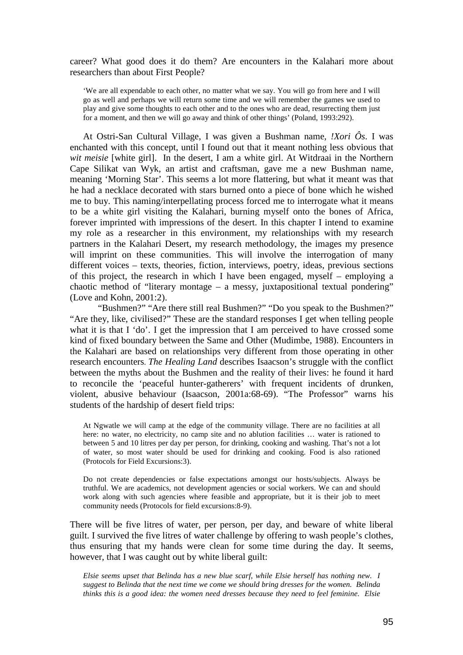career? What good does it do them? Are encounters in the Kalahari more about researchers than about First People?

'We are all expendable to each other, no matter what we say. You will go from here and I will go as well and perhaps we will return some time and we will remember the games we used to play and give some thoughts to each other and to the ones who are dead, resurrecting them just for a moment, and then we will go away and think of other things' (Poland, 1993:292).

At Ostri-San Cultural Village, I was given a Bushman name, *!Xori Ôs*. I was enchanted with this concept, until I found out that it meant nothing less obvious that *wit meisie* [white girl]. In the desert, I am a white girl. At Witdraai in the Northern Cape Silikat van Wyk, an artist and craftsman, gave me a new Bushman name, meaning 'Morning Star'. This seems a lot more flattering, but what it meant was that he had a necklace decorated with stars burned onto a piece of bone which he wished me to buy. This naming/interpellating process forced me to interrogate what it means to be a white girl visiting the Kalahari, burning myself onto the bones of Africa, forever imprinted with impressions of the desert. In this chapter I intend to examine my role as a researcher in this environment, my relationships with my research partners in the Kalahari Desert, my research methodology, the images my presence will imprint on these communities. This will involve the interrogation of many different voices – texts, theories, fiction, interviews, poetry, ideas, previous sections of this project, the research in which I have been engaged, myself – employing a chaotic method of "literary montage – a messy, juxtapositional textual pondering" (Love and Kohn, 2001:2).

"Bushmen?" "Are there still real Bushmen?" "Do you speak to the Bushmen?" "Are they, like, civilised?" These are the standard responses I get when telling people what it is that I 'do'. I get the impression that I am perceived to have crossed some kind of fixed boundary between the Same and Other (Mudimbe, 1988). Encounters in the Kalahari are based on relationships very different from those operating in other research encounters. *The Healing Land* describes Isaacson's struggle with the conflict between the myths about the Bushmen and the reality of their lives: he found it hard to reconcile the 'peaceful hunter-gatherers' with frequent incidents of drunken, violent, abusive behaviour (Isaacson, 2001a:68-69). "The Professor" warns his students of the hardship of desert field trips:

At Ngwatle we will camp at the edge of the community village. There are no facilities at all here: no water, no electricity, no camp site and no ablution facilities ... water is rationed to between 5 and 10 litres per day per person, for drinking, cooking and washing. That's not a lot of water, so most water should be used for drinking and cooking. Food is also rationed (Protocols for Field Excursions:3).

Do not create dependencies or false expectations amongst our hosts/subjects. Always be truthful. We are academics, not development agencies or social workers. We can and should work along with such agencies where feasible and appropriate, but it is their job to meet community needs (Protocols for field excursions:8-9).

There will be five litres of water, per person, per day, and beware of white liberal guilt. I survived the five litres of water challenge by offering to wash people's clothes, thus ensuring that my hands were clean for some time during the day. It seems, however, that I was caught out by white liberal guilt:

*Elsie seems upset that Belinda has a new blue scarf, while Elsie herself has nothing new. I suggest to Belinda that the next time we come we should bring dresses for the women. Belinda thinks this is a good idea: the women need dresses because they need to feel feminine. Elsie*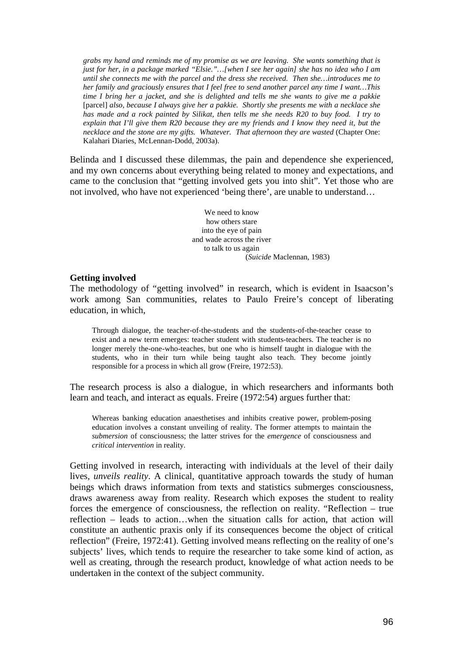*grabs my hand and reminds me of my promise as we are leaving. She wants something that is just for her, in a package marked "Elsie."…[when I see her again] she has no idea who I am until she connects me with the parcel and the dress she received. Then she…introduces me to her family and graciously ensures that I feel free to send another parcel any time I want…This time I bring her a jacket, and she is delighted and tells me she wants to give me a pakkie* [parcel] *also, because I always give her a pakkie. Shortly she presents me with a necklace she has made and a rock painted by Silikat, then tells me she needs R20 to buy food. I try to explain that I'll give them R20 because they are my friends and I know they need it, but the necklace and the stone are my gifts. Whatever. That afternoon they are wasted (Chapter One:* Kalahari Diaries, McLennan-Dodd, 2003a).

Belinda and I discussed these dilemmas, the pain and dependence she experienced, and my own concerns about everything being related to money and expectations, and came to the conclusion that "getting involved gets you into shit". Yet those who are not involved, who have not experienced 'being there', are unable to understand…

> We need to know how others stare into the eye of pain and wade across the river to talk to us again (*Suicide* Maclennan, 1983)

### **Getting involved**

The methodology of "getting involved" in research, which is evident in Isaacson's work among San communities, relates to Paulo Freire's concept of liberating education, in which,

Through dialogue, the teacher-of-the-students and the students-of-the-teacher cease to exist and a new term emerges: teacher student with students-teachers. The teacher is no longer merely the-one-who-teaches, but one who is himself taught in dialogue with the students, who in their turn while being taught also teach. They become jointly responsible for a process in which all grow (Freire, 1972:53).

The research process is also a dialogue, in which researchers and informants both learn and teach, and interact as equals. Freire (1972:54) argues further that:

Whereas banking education anaesthetises and inhibits creative power, problem-posing education involves a constant unveiling of reality. The former attempts to maintain the *submersion* of consciousness; the latter strives for the *emergence* of consciousness and *critical intervention* in reality.

Getting involved in research, interacting with individuals at the level of their daily lives, *unveils reality*. A clinical, quantitative approach towards the study of human beings which draws information from texts and statistics submerges consciousness, draws awareness away from reality. Research which exposes the student to reality forces the emergence of consciousness, the reflection on reality. "Reflection – true reflection – leads to action…when the situation calls for action, that action will constitute an authentic praxis only if its consequences become the object of critical reflection" (Freire, 1972:41). Getting involved means reflecting on the reality of one's subjects' lives, which tends to require the researcher to take some kind of action, as well as creating, through the research product, knowledge of what action needs to be undertaken in the context of the subject community.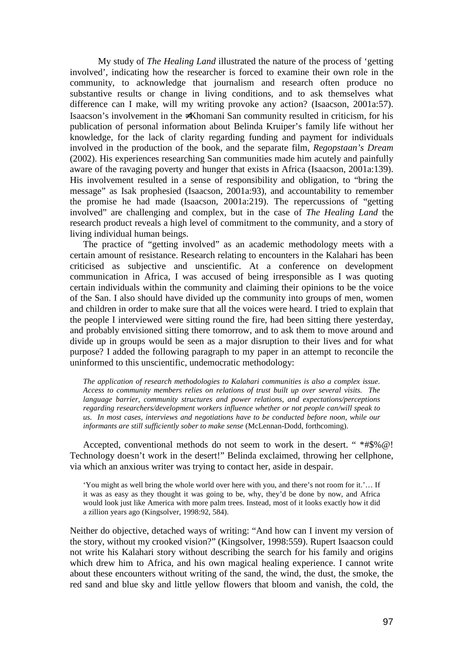My study of *The Healing Land* illustrated the nature of the process of 'getting involved', indicating how the researcher is forced to examine their own role in the community, to acknowledge that journalism and research often produce no substantive results or change in living conditions, and to ask themselves what difference can I make, will my writing provoke any action? (Isaacson, 2001a:57). Isaacson's involvement in the ≠Khomani San community resulted in criticism, for his publication of personal information about Belinda Kruiper's family life without her knowledge, for the lack of clarity regarding funding and payment for individuals involved in the production of the book, and the separate film, *Regopstaan's Dream*  (2002). His experiences researching San communities made him acutely and painfully aware of the ravaging poverty and hunger that exists in Africa (Isaacson, 2001a:139). His involvement resulted in a sense of responsibility and obligation, to "bring the message" as Isak prophesied (Isaacson, 2001a:93), and accountability to remember the promise he had made (Isaacson, 2001a:219). The repercussions of "getting involved" are challenging and complex, but in the case of *The Healing Land* the research product reveals a high level of commitment to the community, and a story of living individual human beings.

The practice of "getting involved" as an academic methodology meets with a certain amount of resistance. Research relating to encounters in the Kalahari has been criticised as subjective and unscientific. At a conference on development communication in Africa, I was accused of being irresponsible as I was quoting certain individuals within the community and claiming their opinions to be the voice of the San. I also should have divided up the community into groups of men, women and children in order to make sure that all the voices were heard. I tried to explain that the people I interviewed were sitting round the fire, had been sitting there yesterday, and probably envisioned sitting there tomorrow, and to ask them to move around and divide up in groups would be seen as a major disruption to their lives and for what purpose? I added the following paragraph to my paper in an attempt to reconcile the uninformed to this unscientific, undemocratic methodology:

*The application of research methodologies to Kalahari communities is also a complex issue. Access to community members relies on relations of trust built up over several visits. The language barrier, community structures and power relations, and expectations/perceptions regarding researchers/development workers influence whether or not people can/will speak to us. In most cases, interviews and negotiations have to be conducted before noon, while our informants are still sufficiently sober to make sense* (McLennan-Dodd, forthcoming).

Accepted, conventional methods do not seem to work in the desert. " \*#\$%@! Technology doesn't work in the desert!" Belinda exclaimed, throwing her cellphone, via which an anxious writer was trying to contact her, aside in despair.

'You might as well bring the whole world over here with you, and there's not room for it.'… If it was as easy as they thought it was going to be, why, they'd be done by now, and Africa would look just like America with more palm trees. Instead, most of it looks exactly how it did a zillion years ago (Kingsolver, 1998:92, 584).

Neither do objective, detached ways of writing: "And how can I invent my version of the story, without my crooked vision?" (Kingsolver, 1998:559). Rupert Isaacson could not write his Kalahari story without describing the search for his family and origins which drew him to Africa, and his own magical healing experience. I cannot write about these encounters without writing of the sand, the wind, the dust, the smoke, the red sand and blue sky and little yellow flowers that bloom and vanish, the cold, the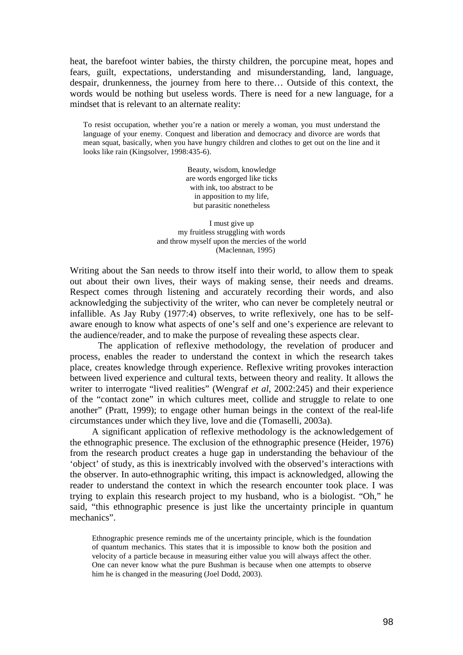heat, the barefoot winter babies, the thirsty children, the porcupine meat, hopes and fears, guilt, expectations, understanding and misunderstanding, land, language, despair, drunkenness, the journey from here to there… Outside of this context, the words would be nothing but useless words. There is need for a new language, for a mindset that is relevant to an alternate reality:

To resist occupation, whether you're a nation or merely a woman, you must understand the language of your enemy. Conquest and liberation and democracy and divorce are words that mean squat, basically, when you have hungry children and clothes to get out on the line and it looks like rain (Kingsolver, 1998:435-6).

> Beauty, wisdom, knowledge are words engorged like ticks with ink, too abstract to be in apposition to my life, but parasitic nonetheless

I must give up my fruitless struggling with words and throw myself upon the mercies of the world (Maclennan, 1995)

Writing about the San needs to throw itself into their world, to allow them to speak out about their own lives, their ways of making sense, their needs and dreams. Respect comes through listening and accurately recording their words, and also acknowledging the subjectivity of the writer, who can never be completely neutral or infallible. As Jay Ruby (1977:4) observes, to write reflexively, one has to be selfaware enough to know what aspects of one's self and one's experience are relevant to the audience/reader, and to make the purpose of revealing these aspects clear.

 The application of reflexive methodology, the revelation of producer and process, enables the reader to understand the context in which the research takes place, creates knowledge through experience. Reflexive writing provokes interaction between lived experience and cultural texts, between theory and reality. It allows the writer to interrogate "lived realities" (Wengraf *et al*, 2002:245) and their experience of the "contact zone" in which cultures meet, collide and struggle to relate to one another" (Pratt, 1999); to engage other human beings in the context of the real-life circumstances under which they live, love and die (Tomaselli, 2003a).

A significant application of reflexive methodology is the acknowledgement of the ethnographic presence. The exclusion of the ethnographic presence (Heider, 1976) from the research product creates a huge gap in understanding the behaviour of the 'object' of study, as this is inextricably involved with the observed's interactions with the observer. In auto-ethnographic writing, this impact is acknowledged, allowing the reader to understand the context in which the research encounter took place. I was trying to explain this research project to my husband, who is a biologist. "Oh," he said, "this ethnographic presence is just like the uncertainty principle in quantum mechanics".

Ethnographic presence reminds me of the uncertainty principle, which is the foundation of quantum mechanics. This states that it is impossible to know both the position and velocity of a particle because in measuring either value you will always affect the other. One can never know what the pure Bushman is because when one attempts to observe him he is changed in the measuring (Joel Dodd, 2003).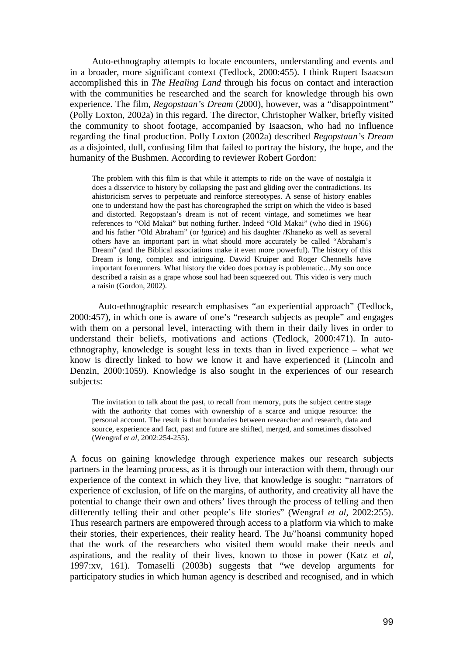Auto-ethnography attempts to locate encounters, understanding and events and in a broader, more significant context (Tedlock, 2000:455). I think Rupert Isaacson accomplished this in *The Healing Land* through his focus on contact and interaction with the communities he researched and the search for knowledge through his own experience. The film, *Regopstaan's Dream* (2000), however, was a "disappointment" (Polly Loxton, 2002a) in this regard. The director, Christopher Walker, briefly visited the community to shoot footage, accompanied by Isaacson, who had no influence regarding the final production. Polly Loxton (2002a) described *Regopstaan's Dream* as a disjointed, dull, confusing film that failed to portray the history, the hope, and the humanity of the Bushmen. According to reviewer Robert Gordon:

The problem with this film is that while it attempts to ride on the wave of nostalgia it does a disservice to history by collapsing the past and gliding over the contradictions. Its ahistoricism serves to perpetuate and reinforce stereotypes. A sense of history enables one to understand how the past has choreographed the script on which the video is based and distorted. Regopstaan's dream is not of recent vintage, and sometimes we hear references to "Old Makai" but nothing further. Indeed "Old Makai" (who died in 1966) and his father "Old Abraham" (or !gurice) and his daughter /Khaneko as well as several others have an important part in what should more accurately be called "Abraham's Dream" (and the Biblical associations make it even more powerful). The history of this Dream is long, complex and intriguing. Dawid Kruiper and Roger Chennells have important forerunners. What history the video does portray is problematic…My son once described a raisin as a grape whose soul had been squeezed out. This video is very much a raisin (Gordon, 2002).

Auto-ethnographic research emphasises "an experiential approach" (Tedlock, 2000:457), in which one is aware of one's "research subjects as people" and engages with them on a personal level, interacting with them in their daily lives in order to understand their beliefs, motivations and actions (Tedlock, 2000:471). In autoethnography, knowledge is sought less in texts than in lived experience – what we know is directly linked to how we know it and have experienced it (Lincoln and Denzin, 2000:1059). Knowledge is also sought in the experiences of our research subjects:

The invitation to talk about the past, to recall from memory, puts the subject centre stage with the authority that comes with ownership of a scarce and unique resource: the personal account. The result is that boundaries between researcher and research, data and source, experience and fact, past and future are shifted, merged, and sometimes dissolved (Wengraf *et al*, 2002:254-255).

A focus on gaining knowledge through experience makes our research subjects partners in the learning process, as it is through our interaction with them, through our experience of the context in which they live, that knowledge is sought: "narrators of experience of exclusion, of life on the margins, of authority, and creativity all have the potential to change their own and others' lives through the process of telling and then differently telling their and other people's life stories" (Wengraf *et al*, 2002:255). Thus research partners are empowered through access to a platform via which to make their stories, their experiences, their reality heard. The Ju/'hoansi community hoped that the work of the researchers who visited them would make their needs and aspirations, and the reality of their lives, known to those in power (Katz *et al*, 1997:xv, 161). Tomaselli (2003b) suggests that "we develop arguments for participatory studies in which human agency is described and recognised, and in which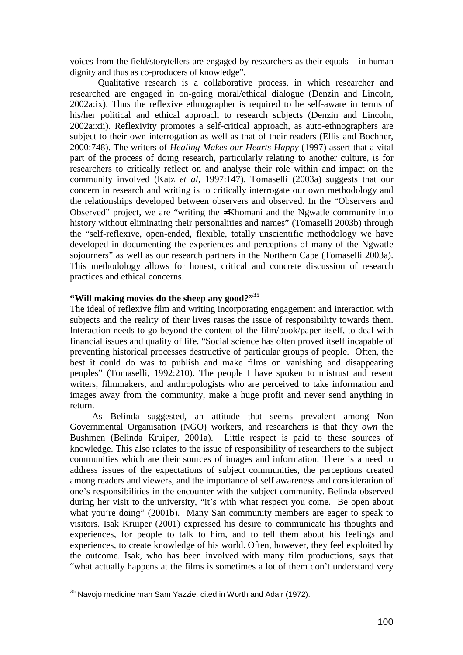voices from the field/storytellers are engaged by researchers as their equals – in human dignity and thus as co-producers of knowledge".

Qualitative research is a collaborative process, in which researcher and researched are engaged in on-going moral/ethical dialogue (Denzin and Lincoln, 2002a:ix). Thus the reflexive ethnographer is required to be self-aware in terms of his/her political and ethical approach to research subjects (Denzin and Lincoln, 2002a:xii). Reflexivity promotes a self-critical approach, as auto-ethnographers are subject to their own interrogation as well as that of their readers (Ellis and Bochner, 2000:748). The writers of *Healing Makes our Hearts Happy* (1997) assert that a vital part of the process of doing research, particularly relating to another culture, is for researchers to critically reflect on and analyse their role within and impact on the community involved (Katz *et al*, 1997:147). Tomaselli (2003a) suggests that our concern in research and writing is to critically interrogate our own methodology and the relationships developed between observers and observed. In the "Observers and Observed" project, we are "writing the ≠Khomani and the Ngwatle community into history without eliminating their personalities and names" (Tomaselli 2003b) through the "self-reflexive, open-ended, flexible, totally unscientific methodology we have developed in documenting the experiences and perceptions of many of the Ngwatle sojourners" as well as our research partners in the Northern Cape (Tomaselli 2003a). This methodology allows for honest, critical and concrete discussion of research practices and ethical concerns.

# **"Will making movies do the sheep any good?"<sup>35</sup>**

The ideal of reflexive film and writing incorporating engagement and interaction with subjects and the reality of their lives raises the issue of responsibility towards them. Interaction needs to go beyond the content of the film/book/paper itself, to deal with financial issues and quality of life. "Social science has often proved itself incapable of preventing historical processes destructive of particular groups of people. Often, the best it could do was to publish and make films on vanishing and disappearing peoples" (Tomaselli, 1992:210). The people I have spoken to mistrust and resent writers, filmmakers, and anthropologists who are perceived to take information and images away from the community, make a huge profit and never send anything in return.

As Belinda suggested, an attitude that seems prevalent among Non Governmental Organisation (NGO) workers, and researchers is that they *own* the Bushmen (Belinda Kruiper, 2001a). Little respect is paid to these sources of knowledge. This also relates to the issue of responsibility of researchers to the subject communities which are their sources of images and information. There is a need to address issues of the expectations of subject communities, the perceptions created among readers and viewers, and the importance of self awareness and consideration of one's responsibilities in the encounter with the subject community. Belinda observed during her visit to the university, "it's with what respect you come. Be open about what you're doing" (2001b). Many San community members are eager to speak to visitors. Isak Kruiper (2001) expressed his desire to communicate his thoughts and experiences, for people to talk to him, and to tell them about his feelings and experiences, to create knowledge of his world. Often, however, they feel exploited by the outcome. Isak, who has been involved with many film productions, says that "what actually happens at the films is sometimes a lot of them don't understand very

 $\overline{a}$ 

 $35$  Navojo medicine man Sam Yazzie, cited in Worth and Adair (1972).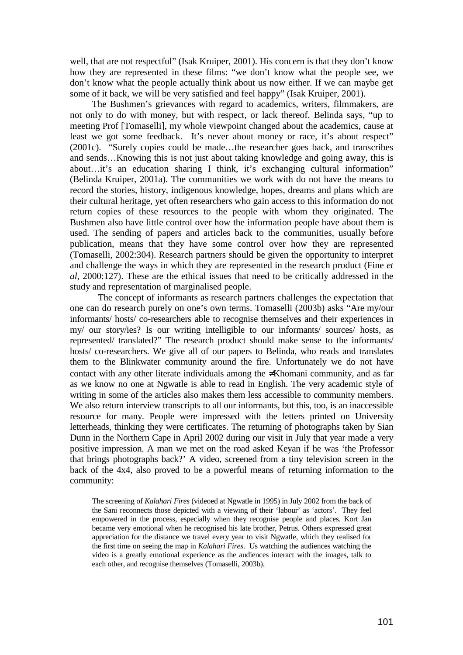well, that are not respectful" (Isak Kruiper, 2001). His concern is that they don't know how they are represented in these films: "we don't know what the people see, we don't know what the people actually think about us now either. If we can maybe get some of it back, we will be very satisfied and feel happy" (Isak Kruiper, 2001).

The Bushmen's grievances with regard to academics, writers, filmmakers, are not only to do with money, but with respect, or lack thereof. Belinda says, "up to meeting Prof [Tomaselli], my whole viewpoint changed about the academics, cause at least we got some feedback. It's never about money or race, it's about respect" (2001c). "Surely copies could be made…the researcher goes back, and transcribes and sends…Knowing this is not just about taking knowledge and going away, this is about…it's an education sharing I think, it's exchanging cultural information" (Belinda Kruiper, 2001a). The communities we work with do not have the means to record the stories, history, indigenous knowledge, hopes, dreams and plans which are their cultural heritage, yet often researchers who gain access to this information do not return copies of these resources to the people with whom they originated. The Bushmen also have little control over how the information people have about them is used. The sending of papers and articles back to the communities, usually before publication, means that they have some control over how they are represented (Tomaselli, 2002:304). Research partners should be given the opportunity to interpret and challenge the ways in which they are represented in the research product (Fine *et al*, 2000:127). These are the ethical issues that need to be critically addressed in the study and representation of marginalised people.

The concept of informants as research partners challenges the expectation that one can do research purely on one's own terms. Tomaselli (2003b) asks "Are my/our informants/ hosts/ co-researchers able to recognise themselves and their experiences in my/ our story/ies? Is our writing intelligible to our informants/ sources/ hosts, as represented/ translated?" The research product should make sense to the informants/ hosts/ co-researchers. We give all of our papers to Belinda, who reads and translates them to the Blinkwater community around the fire. Unfortunately we do not have contact with any other literate individuals among the ≠Khomani community, and as far as we know no one at Ngwatle is able to read in English. The very academic style of writing in some of the articles also makes them less accessible to community members. We also return interview transcripts to all our informants, but this, too, is an inaccessible resource for many. People were impressed with the letters printed on University letterheads, thinking they were certificates. The returning of photographs taken by Sian Dunn in the Northern Cape in April 2002 during our visit in July that year made a very positive impression. A man we met on the road asked Keyan if he was 'the Professor that brings photographs back?' A video, screened from a tiny television screen in the back of the 4x4, also proved to be a powerful means of returning information to the community:

The screening of *Kalahari Fires* (videoed at Ngwatle in 1995) in July 2002 from the back of the Sani reconnects those depicted with a viewing of their 'labour' as 'actors'. They feel empowered in the process, especially when they recognise people and places. Kort Jan became very emotional when he recognised his late brother, Petrus. Others expressed great appreciation for the distance we travel every year to visit Ngwatle, which they realised for the first time on seeing the map in *Kalahari Fires*. Us watching the audiences watching the video is a greatly emotional experience as the audiences interact with the images, talk to each other, and recognise themselves (Tomaselli, 2003b).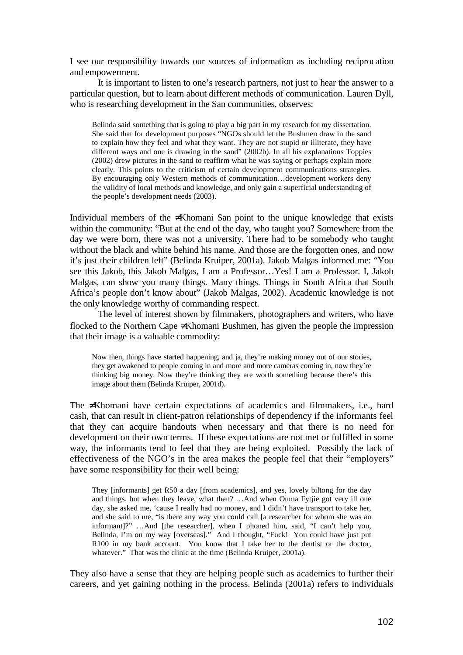I see our responsibility towards our sources of information as including reciprocation and empowerment.

 It is important to listen to one's research partners, not just to hear the answer to a particular question, but to learn about different methods of communication. Lauren Dyll, who is researching development in the San communities, observes:

Belinda said something that is going to play a big part in my research for my dissertation. She said that for development purposes "NGOs should let the Bushmen draw in the sand to explain how they feel and what they want. They are not stupid or illiterate, they have different ways and one is drawing in the sand" (2002b). In all his explanations Toppies (2002) drew pictures in the sand to reaffirm what he was saying or perhaps explain more clearly. This points to the criticism of certain development communications strategies. By encouraging only Western methods of communication…development workers deny the validity of local methods and knowledge, and only gain a superficial understanding of the people's development needs (2003).

Individual members of the ≠Khomani San point to the unique knowledge that exists within the community: "But at the end of the day, who taught you? Somewhere from the day we were born, there was not a university. There had to be somebody who taught without the black and white behind his name. And those are the forgotten ones, and now it's just their children left" (Belinda Kruiper, 2001a). Jakob Malgas informed me: "You see this Jakob, this Jakob Malgas, I am a Professor…Yes! I am a Professor. I, Jakob Malgas, can show you many things. Many things. Things in South Africa that South Africa's people don't know about" (Jakob Malgas, 2002). Academic knowledge is not the only knowledge worthy of commanding respect.

 The level of interest shown by filmmakers, photographers and writers, who have flocked to the Northern Cape ≠Khomani Bushmen, has given the people the impression that their image is a valuable commodity:

Now then, things have started happening, and ja, they're making money out of our stories, they get awakened to people coming in and more and more cameras coming in, now they're thinking big money. Now they're thinking they are worth something because there's this image about them (Belinda Kruiper, 2001d).

The ≠Khomani have certain expectations of academics and filmmakers, i.e., hard cash, that can result in client-patron relationships of dependency if the informants feel that they can acquire handouts when necessary and that there is no need for development on their own terms. If these expectations are not met or fulfilled in some way, the informants tend to feel that they are being exploited. Possibly the lack of effectiveness of the NGO's in the area makes the people feel that their "employers" have some responsibility for their well being:

They [informants] get R50 a day [from academics], and yes, lovely biltong for the day and things, but when they leave, what then? …And when Ouma Fytjie got very ill one day, she asked me, 'cause I really had no money, and I didn't have transport to take her, and she said to me, "is there any way you could call [a researcher for whom she was an informant]?" …And [the researcher], when I phoned him, said, "I can't help you, Belinda, I'm on my way [overseas]." And I thought, "Fuck! You could have just put R100 in my bank account. You know that I take her to the dentist or the doctor, whatever." That was the clinic at the time (Belinda Kruiper, 2001a).

They also have a sense that they are helping people such as academics to further their careers, and yet gaining nothing in the process. Belinda (2001a) refers to individuals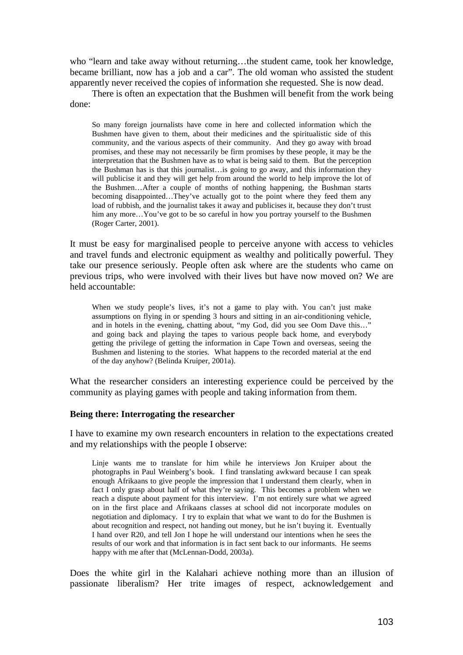who "learn and take away without returning...the student came, took her knowledge, became brilliant, now has a job and a car". The old woman who assisted the student apparently never received the copies of information she requested. She is now dead.

There is often an expectation that the Bushmen will benefit from the work being done:

So many foreign journalists have come in here and collected information which the Bushmen have given to them, about their medicines and the spiritualistic side of this community, and the various aspects of their community. And they go away with broad promises, and these may not necessarily be firm promises by these people, it may be the interpretation that the Bushmen have as to what is being said to them. But the perception the Bushman has is that this journalist…is going to go away, and this information they will publicise it and they will get help from around the world to help improve the lot of the Bushmen…After a couple of months of nothing happening, the Bushman starts becoming disappointed…They've actually got to the point where they feed them any load of rubbish, and the journalist takes it away and publicises it, because they don't trust him any more...You've got to be so careful in how you portray yourself to the Bushmen (Roger Carter, 2001).

It must be easy for marginalised people to perceive anyone with access to vehicles and travel funds and electronic equipment as wealthy and politically powerful. They take our presence seriously. People often ask where are the students who came on previous trips, who were involved with their lives but have now moved on? We are held accountable:

When we study people's lives, it's not a game to play with. You can't just make assumptions on flying in or spending 3 hours and sitting in an air-conditioning vehicle, and in hotels in the evening, chatting about, "my God, did you see Oom Dave this…" and going back and playing the tapes to various people back home, and everybody getting the privilege of getting the information in Cape Town and overseas, seeing the Bushmen and listening to the stories. What happens to the recorded material at the end of the day anyhow? (Belinda Kruiper, 2001a).

What the researcher considers an interesting experience could be perceived by the community as playing games with people and taking information from them.

### **Being there: Interrogating the researcher**

I have to examine my own research encounters in relation to the expectations created and my relationships with the people I observe:

Linje wants me to translate for him while he interviews Jon Kruiper about the photographs in Paul Weinberg's book. I find translating awkward because I can speak enough Afrikaans to give people the impression that I understand them clearly, when in fact I only grasp about half of what they're saying. This becomes a problem when we reach a dispute about payment for this interview. I'm not entirely sure what we agreed on in the first place and Afrikaans classes at school did not incorporate modules on negotiation and diplomacy. I try to explain that what we want to do for the Bushmen is about recognition and respect, not handing out money, but he isn't buying it. Eventually I hand over R20, and tell Jon I hope he will understand our intentions when he sees the results of our work and that information is in fact sent back to our informants. He seems happy with me after that (McLennan-Dodd, 2003a).

Does the white girl in the Kalahari achieve nothing more than an illusion of passionate liberalism? Her trite images of respect, acknowledgement and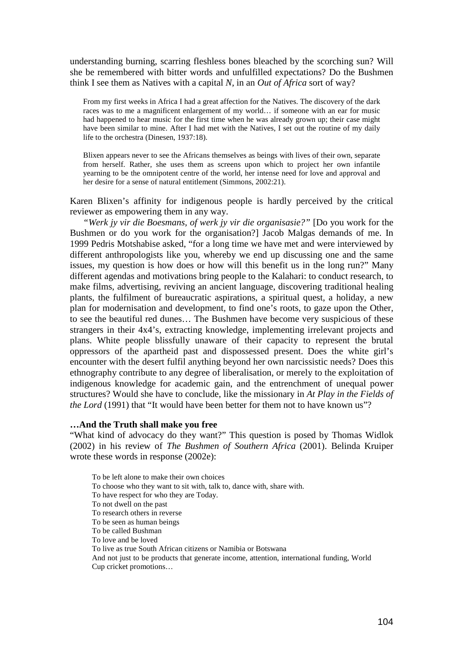understanding burning, scarring fleshless bones bleached by the scorching sun? Will she be remembered with bitter words and unfulfilled expectations? Do the Bushmen think I see them as Natives with a capital *N,* in an *Out of Africa* sort of way?

From my first weeks in Africa I had a great affection for the Natives. The discovery of the dark races was to me a magnificent enlargement of my world… if someone with an ear for music had happened to hear music for the first time when he was already grown up; their case might have been similar to mine. After I had met with the Natives, I set out the routine of my daily life to the orchestra (Dinesen, 1937:18).

Blixen appears never to see the Africans themselves as beings with lives of their own, separate from herself. Rather, she uses them as screens upon which to project her own infantile yearning to be the omnipotent centre of the world, her intense need for love and approval and her desire for a sense of natural entitlement (Simmons, 2002:21).

Karen Blixen's affinity for indigenous people is hardly perceived by the critical reviewer as empowering them in any way.

*"Werk jy vir die Boesmans, of werk jy vir die organisasie?"* [Do you work for the Bushmen or do you work for the organisation?] Jacob Malgas demands of me. In 1999 Pedris Motshabise asked, "for a long time we have met and were interviewed by different anthropologists like you, whereby we end up discussing one and the same issues, my question is how does or how will this benefit us in the long run?" Many different agendas and motivations bring people to the Kalahari: to conduct research, to make films, advertising, reviving an ancient language, discovering traditional healing plants, the fulfilment of bureaucratic aspirations, a spiritual quest, a holiday, a new plan for modernisation and development, to find one's roots, to gaze upon the Other, to see the beautiful red dunes… The Bushmen have become very suspicious of these strangers in their 4x4's, extracting knowledge, implementing irrelevant projects and plans. White people blissfully unaware of their capacity to represent the brutal oppressors of the apartheid past and dispossessed present. Does the white girl's encounter with the desert fulfil anything beyond her own narcissistic needs? Does this ethnography contribute to any degree of liberalisation, or merely to the exploitation of indigenous knowledge for academic gain, and the entrenchment of unequal power structures? Would she have to conclude, like the missionary in *At Play in the Fields of the Lord* (1991) that "It would have been better for them not to have known us"?

# **…And the Truth shall make you free**

"What kind of advocacy do they want?" This question is posed by Thomas Widlok (2002) in his review of *The Bushmen of Southern Africa* (2001). Belinda Kruiper wrote these words in response (2002e):

To be left alone to make their own choices To choose who they want to sit with, talk to, dance with, share with. To have respect for who they are Today. To not dwell on the past To research others in reverse To be seen as human beings To be called Bushman To love and be loved To live as true South African citizens or Namibia or Botswana And not just to be products that generate income, attention, international funding, World Cup cricket promotions…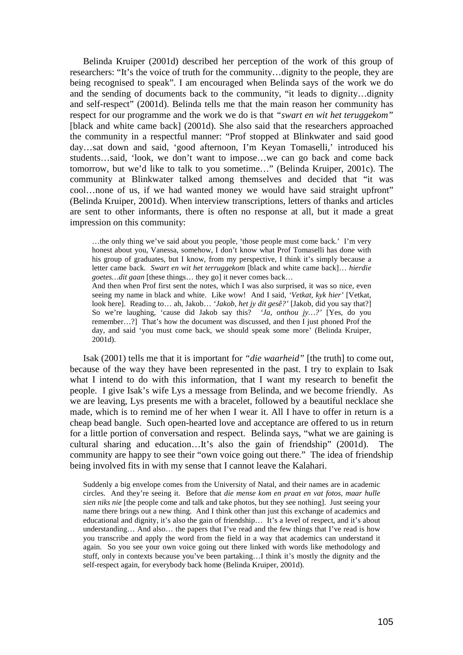Belinda Kruiper (2001d) described her perception of the work of this group of researchers: "It's the voice of truth for the community…dignity to the people, they are being recognised to speak". I am encouraged when Belinda says of the work we do and the sending of documents back to the community, "it leads to dignity…dignity and self-respect" (2001d). Belinda tells me that the main reason her community has respect for our programme and the work we do is that *"swart en wit het teruggekom"* [black and white came back] (2001d). She also said that the researchers approached the community in a respectful manner: "Prof stopped at Blinkwater and said good day…sat down and said, 'good afternoon, I'm Keyan Tomaselli,' introduced his students…said, 'look, we don't want to impose…we can go back and come back tomorrow, but we'd like to talk to you sometime…" (Belinda Kruiper, 2001c). The community at Blinkwater talked among themselves and decided that "it was cool…none of us, if we had wanted money we would have said straight upfront" (Belinda Kruiper, 2001d). When interview transcriptions, letters of thanks and articles are sent to other informants, there is often no response at all, but it made a great impression on this community:

…the only thing we've said about you people, 'those people must come back.' I'm very honest about you, Vanessa, somehow, I don't know what Prof Tomaselli has done with his group of graduates, but I know, from my perspective, I think it's simply because a letter came back. *Swart en wit het terruggekom* [black and white came back]… *hierdie goetes…dit gaan* [these things… they go] it never comes back…

And then when Prof first sent the notes, which I was also surprised, it was so nice, even seeing my name in black and white. Like wow! And I said, *'Vetkat, kyk hier'* [Vetkat, look here]. Reading to… ah, Jakob… *'Jakob, het jy dit gesê?'* [Jakob, did you say that?] So we're laughing, 'cause did Jakob say this? *'Ja, onthou jy…?'* [Yes, do you remember…?] That's how the document was discussed, and then I just phoned Prof the day, and said 'you must come back, we should speak some more' (Belinda Kruiper, 2001d).

Isak (2001) tells me that it is important for *"die waarheid"* [the truth] to come out, because of the way they have been represented in the past. I try to explain to Isak what I intend to do with this information, that I want my research to benefit the people. I give Isak's wife Lys a message from Belinda, and we become friendly. As we are leaving, Lys presents me with a bracelet, followed by a beautiful necklace she made, which is to remind me of her when I wear it. All I have to offer in return is a cheap bead bangle. Such open-hearted love and acceptance are offered to us in return for a little portion of conversation and respect. Belinda says, "what we are gaining is cultural sharing and education…It's also the gain of friendship" (2001d). The community are happy to see their "own voice going out there." The idea of friendship being involved fits in with my sense that I cannot leave the Kalahari.

Suddenly a big envelope comes from the University of Natal, and their names are in academic circles. And they're seeing it. Before that *die mense kom en praat en vat fotos, maar hulle sien niks nie* [the people come and talk and take photos, but they see nothing]. Just seeing your name there brings out a new thing. And I think other than just this exchange of academics and educational and dignity, it's also the gain of friendship… It's a level of respect, and it's about understanding… And also… the papers that I've read and the few things that I've read is how you transcribe and apply the word from the field in a way that academics can understand it again. So you see your own voice going out there linked with words like methodology and stuff, only in contexts because you've been partaking…I think it's mostly the dignity and the self-respect again, for everybody back home (Belinda Kruiper, 2001d).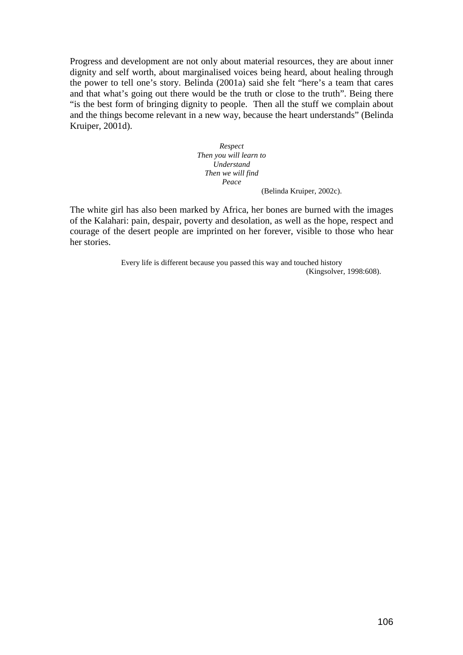Progress and development are not only about material resources, they are about inner dignity and self worth, about marginalised voices being heard, about healing through the power to tell one's story. Belinda (2001a) said she felt "here's a team that cares and that what's going out there would be the truth or close to the truth". Being there "is the best form of bringing dignity to people. Then all the stuff we complain about and the things become relevant in a new way, because the heart understands" (Belinda Kruiper, 2001d).

> *Respect Then you will learn to Understand Then we will find Peace* (Belinda Kruiper, 2002c).

The white girl has also been marked by Africa, her bones are burned with the images of the Kalahari: pain, despair, poverty and desolation, as well as the hope, respect and courage of the desert people are imprinted on her forever, visible to those who hear her stories.

> Every life is different because you passed this way and touched history (Kingsolver, 1998:608).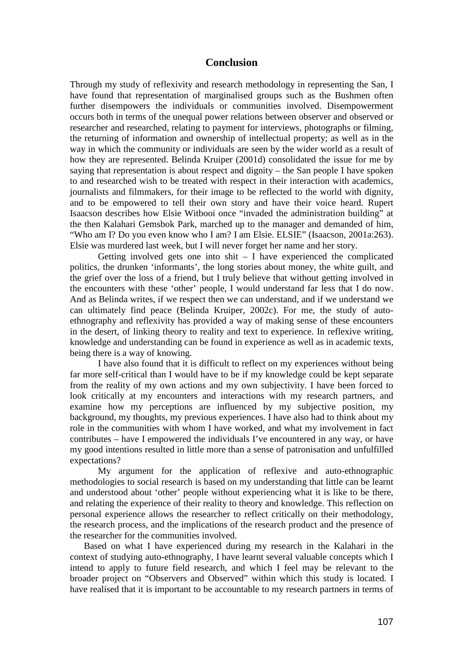# **Conclusion**

Through my study of reflexivity and research methodology in representing the San, I have found that representation of marginalised groups such as the Bushmen often further disempowers the individuals or communities involved. Disempowerment occurs both in terms of the unequal power relations between observer and observed or researcher and researched, relating to payment for interviews, photographs or filming, the returning of information and ownership of intellectual property; as well as in the way in which the community or individuals are seen by the wider world as a result of how they are represented. Belinda Kruiper (2001d) consolidated the issue for me by saying that representation is about respect and dignity – the San people I have spoken to and researched wish to be treated with respect in their interaction with academics, journalists and filmmakers, for their image to be reflected to the world with dignity, and to be empowered to tell their own story and have their voice heard. Rupert Isaacson describes how Elsie Witbooi once "invaded the administration building" at the then Kalahari Gemsbok Park, marched up to the manager and demanded of him, "Who am I? Do you even know who I am? I am Elsie. ELSIE" (Isaacson, 2001a:263). Elsie was murdered last week, but I will never forget her name and her story.

Getting involved gets one into shit  $-$  I have experienced the complicated politics, the drunken 'informants', the long stories about money, the white guilt, and the grief over the loss of a friend, but I truly believe that without getting involved in the encounters with these 'other' people, I would understand far less that I do now. And as Belinda writes, if we respect then we can understand, and if we understand we can ultimately find peace (Belinda Kruiper, 2002c). For me, the study of autoethnography and reflexivity has provided a way of making sense of these encounters in the desert, of linking theory to reality and text to experience. In reflexive writing, knowledge and understanding can be found in experience as well as in academic texts, being there is a way of knowing.

 I have also found that it is difficult to reflect on my experiences without being far more self-critical than I would have to be if my knowledge could be kept separate from the reality of my own actions and my own subjectivity. I have been forced to look critically at my encounters and interactions with my research partners, and examine how my perceptions are influenced by my subjective position, my background, my thoughts, my previous experiences. I have also had to think about my role in the communities with whom I have worked, and what my involvement in fact contributes – have I empowered the individuals I've encountered in any way, or have my good intentions resulted in little more than a sense of patronisation and unfulfilled expectations?

 My argument for the application of reflexive and auto-ethnographic methodologies to social research is based on my understanding that little can be learnt and understood about 'other' people without experiencing what it is like to be there, and relating the experience of their reality to theory and knowledge. This reflection on personal experience allows the researcher to reflect critically on their methodology, the research process, and the implications of the research product and the presence of the researcher for the communities involved.

Based on what I have experienced during my research in the Kalahari in the context of studying auto-ethnography, I have learnt several valuable concepts which I intend to apply to future field research, and which I feel may be relevant to the broader project on "Observers and Observed" within which this study is located. I have realised that it is important to be accountable to my research partners in terms of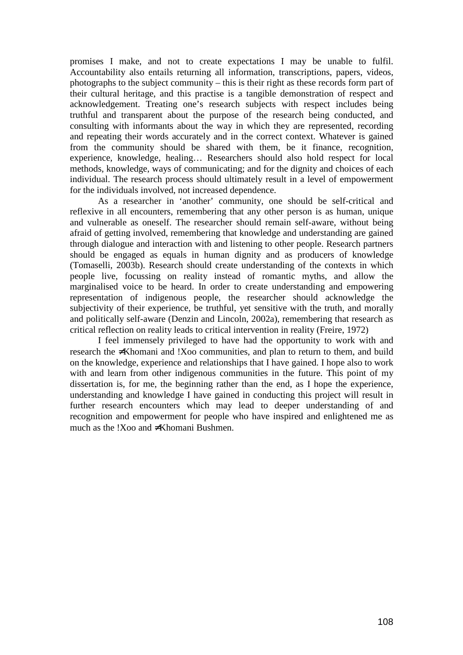promises I make, and not to create expectations I may be unable to fulfil. Accountability also entails returning all information, transcriptions, papers, videos, photographs to the subject community – this is their right as these records form part of their cultural heritage, and this practise is a tangible demonstration of respect and acknowledgement. Treating one's research subjects with respect includes being truthful and transparent about the purpose of the research being conducted, and consulting with informants about the way in which they are represented, recording and repeating their words accurately and in the correct context. Whatever is gained from the community should be shared with them, be it finance, recognition, experience, knowledge, healing… Researchers should also hold respect for local methods, knowledge, ways of communicating; and for the dignity and choices of each individual. The research process should ultimately result in a level of empowerment for the individuals involved, not increased dependence.

As a researcher in 'another' community, one should be self-critical and reflexive in all encounters, remembering that any other person is as human, unique and vulnerable as oneself. The researcher should remain self-aware, without being afraid of getting involved, remembering that knowledge and understanding are gained through dialogue and interaction with and listening to other people. Research partners should be engaged as equals in human dignity and as producers of knowledge (Tomaselli, 2003b). Research should create understanding of the contexts in which people live, focussing on reality instead of romantic myths, and allow the marginalised voice to be heard. In order to create understanding and empowering representation of indigenous people, the researcher should acknowledge the subjectivity of their experience, be truthful, yet sensitive with the truth, and morally and politically self-aware (Denzin and Lincoln, 2002a), remembering that research as critical reflection on reality leads to critical intervention in reality (Freire, 1972)

I feel immensely privileged to have had the opportunity to work with and research the ≠Khomani and !Xoo communities, and plan to return to them, and build on the knowledge, experience and relationships that I have gained. I hope also to work with and learn from other indigenous communities in the future. This point of my dissertation is, for me, the beginning rather than the end, as I hope the experience, understanding and knowledge I have gained in conducting this project will result in further research encounters which may lead to deeper understanding of and recognition and empowerment for people who have inspired and enlightened me as much as the !Xoo and ≠Khomani Bushmen.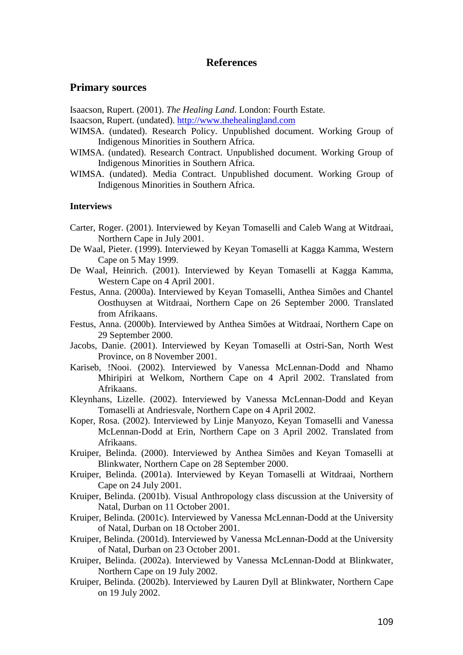# **References**

#### **Primary sources**

Isaacson, Rupert. (2001). *The Healing Land*. London: Fourth Estate.

Isaacson, Rupert. (undated). http://www.thehealingland.com

- WIMSA. (undated). Research Policy. Unpublished document. Working Group of Indigenous Minorities in Southern Africa.
- WIMSA. (undated). Research Contract. Unpublished document. Working Group of Indigenous Minorities in Southern Africa.
- WIMSA. (undated). Media Contract. Unpublished document. Working Group of Indigenous Minorities in Southern Africa.

### **Interviews**

- Carter, Roger. (2001). Interviewed by Keyan Tomaselli and Caleb Wang at Witdraai, Northern Cape in July 2001.
- De Waal, Pieter. (1999). Interviewed by Keyan Tomaselli at Kagga Kamma, Western Cape on 5 May 1999.
- De Waal, Heinrich. (2001). Interviewed by Keyan Tomaselli at Kagga Kamma, Western Cape on 4 April 2001.
- Festus, Anna. (2000a). Interviewed by Keyan Tomaselli, Anthea Simões and Chantel Oosthuysen at Witdraai, Northern Cape on 26 September 2000. Translated from Afrikaans.
- Festus, Anna. (2000b). Interviewed by Anthea Simões at Witdraai, Northern Cape on 29 September 2000.
- Jacobs, Danie. (2001). Interviewed by Keyan Tomaselli at Ostri-San, North West Province, on 8 November 2001.
- Kariseb, !Nooi. (2002). Interviewed by Vanessa McLennan-Dodd and Nhamo Mhiripiri at Welkom, Northern Cape on 4 April 2002. Translated from Afrikaans.
- Kleynhans, Lizelle. (2002). Interviewed by Vanessa McLennan-Dodd and Keyan Tomaselli at Andriesvale, Northern Cape on 4 April 2002.
- Koper, Rosa. (2002). Interviewed by Linje Manyozo, Keyan Tomaselli and Vanessa McLennan-Dodd at Erin, Northern Cape on 3 April 2002. Translated from Afrikaans.
- Kruiper, Belinda. (2000). Interviewed by Anthea Simões and Keyan Tomaselli at Blinkwater, Northern Cape on 28 September 2000.
- Kruiper, Belinda. (2001a). Interviewed by Keyan Tomaselli at Witdraai, Northern Cape on 24 July 2001.
- Kruiper, Belinda. (2001b). Visual Anthropology class discussion at the University of Natal, Durban on 11 October 2001.
- Kruiper, Belinda. (2001c). Interviewed by Vanessa McLennan-Dodd at the University of Natal, Durban on 18 October 2001.
- Kruiper, Belinda. (2001d). Interviewed by Vanessa McLennan-Dodd at the University of Natal, Durban on 23 October 2001.
- Kruiper, Belinda. (2002a). Interviewed by Vanessa McLennan-Dodd at Blinkwater, Northern Cape on 19 July 2002.
- Kruiper, Belinda. (2002b). Interviewed by Lauren Dyll at Blinkwater, Northern Cape on 19 July 2002.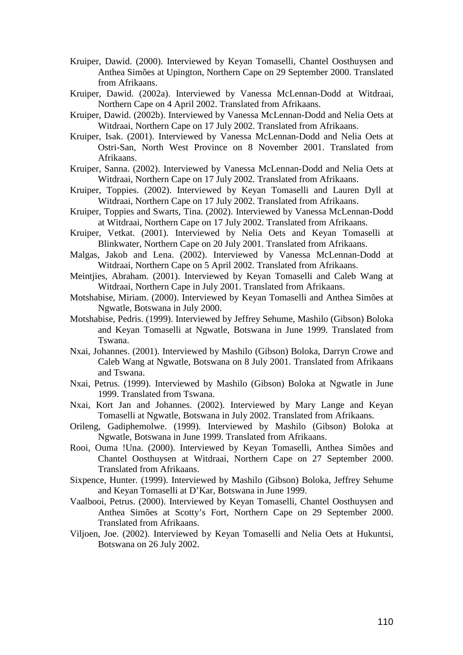- Kruiper, Dawid. (2000). Interviewed by Keyan Tomaselli, Chantel Oosthuysen and Anthea Simões at Upington, Northern Cape on 29 September 2000. Translated from Afrikaans.
- Kruiper, Dawid. (2002a). Interviewed by Vanessa McLennan-Dodd at Witdraai, Northern Cape on 4 April 2002. Translated from Afrikaans.
- Kruiper, Dawid. (2002b). Interviewed by Vanessa McLennan-Dodd and Nelia Oets at Witdraai, Northern Cape on 17 July 2002. Translated from Afrikaans.
- Kruiper, Isak. (2001). Interviewed by Vanessa McLennan-Dodd and Nelia Oets at Ostri-San, North West Province on 8 November 2001. Translated from Afrikaans.
- Kruiper, Sanna. (2002). Interviewed by Vanessa McLennan-Dodd and Nelia Oets at Witdraai, Northern Cape on 17 July 2002. Translated from Afrikaans.
- Kruiper, Toppies. (2002). Interviewed by Keyan Tomaselli and Lauren Dyll at Witdraai, Northern Cape on 17 July 2002. Translated from Afrikaans.
- Kruiper, Toppies and Swarts, Tina. (2002). Interviewed by Vanessa McLennan-Dodd at Witdraai, Northern Cape on 17 July 2002. Translated from Afrikaans.
- Kruiper, Vetkat. (2001). Interviewed by Nelia Oets and Keyan Tomaselli at Blinkwater, Northern Cape on 20 July 2001. Translated from Afrikaans.
- Malgas, Jakob and Lena. (2002). Interviewed by Vanessa McLennan-Dodd at Witdraai, Northern Cape on 5 April 2002. Translated from Afrikaans.
- Meintjies, Abraham. (2001). Interviewed by Keyan Tomaselli and Caleb Wang at Witdraai, Northern Cape in July 2001. Translated from Afrikaans.
- Motshabise, Miriam. (2000). Interviewed by Keyan Tomaselli and Anthea Simões at Ngwatle, Botswana in July 2000.
- Motshabise, Pedris. (1999). Interviewed by Jeffrey Sehume, Mashilo (Gibson) Boloka and Keyan Tomaselli at Ngwatle, Botswana in June 1999. Translated from Tswana.
- Nxai, Johannes. (2001). Interviewed by Mashilo (Gibson) Boloka, Darryn Crowe and Caleb Wang at Ngwatle, Botswana on 8 July 2001. Translated from Afrikaans and Tswana.
- Nxai, Petrus. (1999). Interviewed by Mashilo (Gibson) Boloka at Ngwatle in June 1999. Translated from Tswana.
- Nxai, Kort Jan and Johannes. (2002). Interviewed by Mary Lange and Keyan Tomaselli at Ngwatle, Botswana in July 2002. Translated from Afrikaans.
- Orileng, Gadiphemolwe. (1999). Interviewed by Mashilo (Gibson) Boloka at Ngwatle, Botswana in June 1999. Translated from Afrikaans.
- Rooi, Ouma !Una. (2000). Interviewed by Keyan Tomaselli, Anthea Simões and Chantel Oosthuysen at Witdraai, Northern Cape on 27 September 2000. Translated from Afrikaans.
- Sixpence, Hunter. (1999). Interviewed by Mashilo (Gibson) Boloka, Jeffrey Sehume and Keyan Tomaselli at D'Kar, Botswana in June 1999.
- Vaalbooi, Petrus. (2000). Interviewed by Keyan Tomaselli, Chantel Oosthuysen and Anthea Simões at Scotty's Fort, Northern Cape on 29 September 2000. Translated from Afrikaans.
- Viljoen, Joe. (2002). Interviewed by Keyan Tomaselli and Nelia Oets at Hukuntsi, Botswana on 26 July 2002.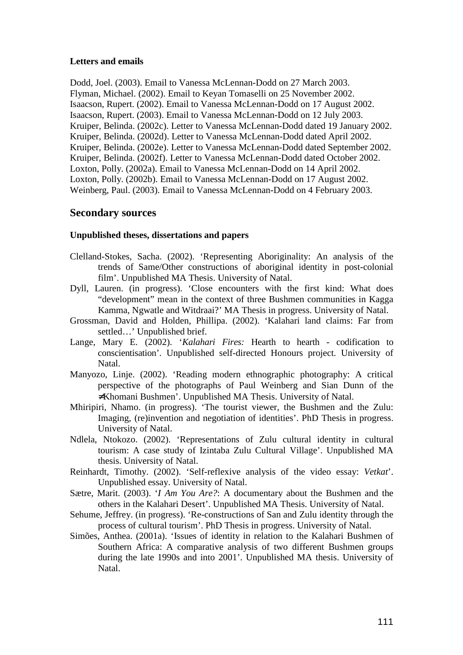### **Letters and emails**

Dodd, Joel. (2003). Email to Vanessa McLennan-Dodd on 27 March 2003. Flyman, Michael. (2002). Email to Keyan Tomaselli on 25 November 2002. Isaacson, Rupert. (2002). Email to Vanessa McLennan-Dodd on 17 August 2002. Isaacson, Rupert. (2003). Email to Vanessa McLennan-Dodd on 12 July 2003. Kruiper, Belinda. (2002c). Letter to Vanessa McLennan-Dodd dated 19 January 2002. Kruiper, Belinda. (2002d). Letter to Vanessa McLennan-Dodd dated April 2002. Kruiper, Belinda. (2002e). Letter to Vanessa McLennan-Dodd dated September 2002. Kruiper, Belinda. (2002f). Letter to Vanessa McLennan-Dodd dated October 2002. Loxton, Polly. (2002a). Email to Vanessa McLennan-Dodd on 14 April 2002. Loxton, Polly. (2002b). Email to Vanessa McLennan-Dodd on 17 August 2002. Weinberg, Paul. (2003). Email to Vanessa McLennan-Dodd on 4 February 2003.

## **Secondary sources**

## **Unpublished theses, dissertations and papers**

- Clelland-Stokes, Sacha. (2002). 'Representing Aboriginality: An analysis of the trends of Same/Other constructions of aboriginal identity in post-colonial film'. Unpublished MA Thesis. University of Natal.
- Dyll, Lauren. (in progress). 'Close encounters with the first kind: What does "development" mean in the context of three Bushmen communities in Kagga Kamma, Ngwatle and Witdraai?' MA Thesis in progress. University of Natal.
- Grossman, David and Holden, Phillipa. (2002). 'Kalahari land claims: Far from settled…' Unpublished brief.
- Lange, Mary E. (2002). '*Kalahari Fires:* Hearth to hearth codification to conscientisation'. Unpublished self-directed Honours project. University of Natal.
- Manyozo, Linje. (2002). 'Reading modern ethnographic photography: A critical perspective of the photographs of Paul Weinberg and Sian Dunn of the ≠Khomani Bushmen'. Unpublished MA Thesis. University of Natal.
- Mhiripiri, Nhamo. (in progress). 'The tourist viewer, the Bushmen and the Zulu: Imaging, (re)invention and negotiation of identities'. PhD Thesis in progress. University of Natal.
- Ndlela, Ntokozo. (2002). 'Representations of Zulu cultural identity in cultural tourism: A case study of Izintaba Zulu Cultural Village'. Unpublished MA thesis. University of Natal.
- Reinhardt, Timothy. (2002). 'Self-reflexive analysis of the video essay: *Vetkat*'. Unpublished essay. University of Natal.
- Sætre, Marit. (2003). '*I Am You Are?*: A documentary about the Bushmen and the others in the Kalahari Desert'. Unpublished MA Thesis. University of Natal.
- Sehume, Jeffrey. (in progress). 'Re-constructions of San and Zulu identity through the process of cultural tourism'. PhD Thesis in progress. University of Natal.
- Simões, Anthea. (2001a). 'Issues of identity in relation to the Kalahari Bushmen of Southern Africa: A comparative analysis of two different Bushmen groups during the late 1990s and into 2001'. Unpublished MA thesis. University of Natal.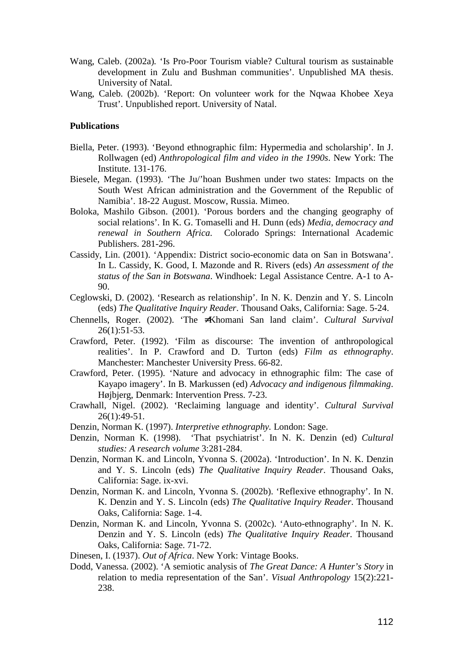- Wang, Caleb. (2002a)*.* 'Is Pro-Poor Tourism viable? Cultural tourism as sustainable development in Zulu and Bushman communities'. Unpublished MA thesis. University of Natal.
- Wang, Caleb. (2002b). 'Report: On volunteer work for the Nqwaa Khobee Xeya Trust'. Unpublished report. University of Natal.

## **Publications**

- Biella, Peter. (1993). 'Beyond ethnographic film: Hypermedia and scholarship'. In J. Rollwagen (ed) *Anthropological film and video in the 1990s*. New York: The Institute. 131-176.
- Biesele, Megan. (1993). 'The Ju/'hoan Bushmen under two states: Impacts on the South West African administration and the Government of the Republic of Namibia'. 18-22 August. Moscow, Russia. Mimeo.
- Boloka, Mashilo Gibson. (2001). 'Porous borders and the changing geography of social relations'. In K. G. Tomaselli and H. Dunn (eds) *Media, democracy and renewal in Southern Africa*. Colorado Springs: International Academic Publishers. 281-296.
- Cassidy, Lin. (2001). 'Appendix: District socio-economic data on San in Botswana'. In L. Cassidy, K. Good, I. Mazonde and R. Rivers (eds) *An assessment of the status of the San in Botswana*. Windhoek: Legal Assistance Centre. A-1 to A-90.
- Ceglowski, D. (2002). 'Research as relationship'. In N. K. Denzin and Y. S. Lincoln (eds) *The Qualitative Inquiry Reader*. Thousand Oaks, California: Sage. 5-24.
- Chennells, Roger. (2002). 'The ≠Khomani San land claim'. *Cultural Survival* 26(1):51-53.
- Crawford, Peter. (1992). 'Film as discourse: The invention of anthropological realities'. In P. Crawford and D. Turton (eds) *Film as ethnography*. Manchester: Manchester University Press. 66-82.
- Crawford, Peter. (1995). 'Nature and advocacy in ethnographic film: The case of Kayapo imagery'. In B. Markussen (ed) *Advocacy and indigenous filmmaking*. Højbjerg, Denmark: Intervention Press. 7-23.
- Crawhall, Nigel. (2002). 'Reclaiming language and identity'. *Cultural Survival* 26(1):49-51.
- Denzin, Norman K. (1997). *Interpretive ethnography.* London: Sage.
- Denzin, Norman K. (1998). 'That psychiatrist'. In N. K. Denzin (ed) *Cultural studies: A research volume* 3:281-284.
- Denzin, Norman K. and Lincoln, Yvonna S. (2002a). 'Introduction'. In N. K. Denzin and Y. S. Lincoln (eds) *The Qualitative Inquiry Reader*. Thousand Oaks, California: Sage. ix-xvi.
- Denzin, Norman K. and Lincoln, Yvonna S. (2002b). 'Reflexive ethnography'. In N. K. Denzin and Y. S. Lincoln (eds) *The Qualitative Inquiry Reader*. Thousand Oaks, California: Sage. 1-4.
- Denzin, Norman K. and Lincoln, Yvonna S. (2002c). 'Auto-ethnography'. In N. K. Denzin and Y. S. Lincoln (eds) *The Qualitative Inquiry Reader*. Thousand Oaks, California: Sage. 71-72.
- Dinesen, I. (1937). *Out of Africa*. New York: Vintage Books.
- Dodd, Vanessa. (2002). 'A semiotic analysis of *The Great Dance: A Hunter's Story* in relation to media representation of the San'. *Visual Anthropology* 15(2):221- 238.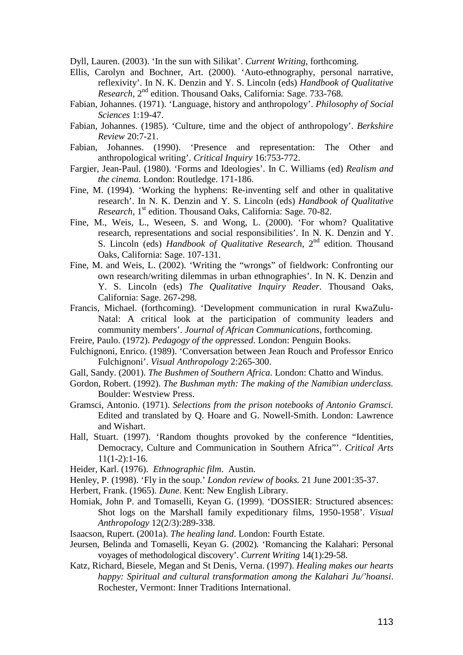Dyll, Lauren. (2003). 'In the sun with Silikat'. *Current Writing*, forthcoming.

- Ellis, Carolyn and Bochner, Art. (2000). 'Auto-ethnography, personal narrative, reflexivity'. In N. K. Denzin and Y. S. Lincoln (eds) *Handbook of Qualitative Research*, 2nd edition. Thousand Oaks, California: Sage. 733-768.
- Fabian, Johannes. (1971). 'Language, history and anthropology'. *Philosophy of Social Sciences* 1:19-47.
- Fabian, Johannes. (1985). 'Culture, time and the object of anthropology'. *Berkshire Review* 20:7-21.
- Fabian, Johannes. (1990). 'Presence and representation: The Other and anthropological writing'. *Critical Inquiry* 16:753-772.
- Fargier, Jean-Paul. (1980). 'Forms and Ideologies'. In C. Williams (ed) *Realism and the cinema*. London: Routledge. 171-186.
- Fine, M. (1994). 'Working the hyphens: Re-inventing self and other in qualitative research'. In N. K. Denzin and Y. S. Lincoln (eds) *Handbook of Qualitative Research*, 1<sup>st</sup> edition. Thousand Oaks, California: Sage. 70-82.
- Fine, M., Weis, L., Weseen, S. and Wong, L. (2000). 'For whom? Qualitative research, representations and social responsibilities'. In N. K. Denzin and Y. S. Lincoln (eds) *Handbook of Qualitative Research*, 2<sup>nd</sup> edition. Thousand Oaks, California: Sage. 107-131.
- Fine, M. and Weis, L. (2002). 'Writing the "wrongs" of fieldwork: Confronting our own research/writing dilemmas in urban ethnographies'. In N. K. Denzin and Y. S. Lincoln (eds) *The Qualitative Inquiry Reader*. Thousand Oaks, California: Sage. 267-298.
- Francis, Michael. (forthcoming). 'Development communication in rural KwaZulu-Natal: A critical look at the participation of community leaders and community members'. *Journal of African Communications*, forthcoming.
- Freire, Paulo. (1972). *Pedagogy of the oppressed*. London: Penguin Books.
- Fulchignoni, Enrico. (1989). 'Conversation between Jean Rouch and Professor Enrico Fulchignoni'. *Visual Anthropology* 2:265-300.
- Gall, Sandy. (2001). *The Bushmen of Southern Africa*. London: Chatto and Windus.
- Gordon, Robert. (1992). *The Bushman myth: The making of the Namibian underclass.* Boulder: Westview Press.
- Gramsci, Antonio. (1971). *Selections from the prison notebooks of Antonio Gramsci.* Edited and translated by Q. Hoare and G. Nowell-Smith. London: Lawrence and Wishart.
- Hall, Stuart. (1997). 'Random thoughts provoked by the conference "Identities, Democracy, Culture and Communication in Southern Africa"'. *Critical Arts* 11(1-2):1-16.
- Heider, Karl. (1976). *Ethnographic film*. Austin.
- Henley, P. (1998). 'Fly in the soup.' *London review of books.* 21 June 2001:35-37.
- Herbert, Frank. (1965). *Dune*. Kent: New English Library.
- Homiak, John P. and Tomaselli, Keyan G. (1999). 'DOSSIER: Structured absences: Shot logs on the Marshall family expeditionary films, 1950-1958'. *Visual Anthropology* 12(2/3):289-338.
- Isaacson, Rupert. (2001a). *The healing land*. London: Fourth Estate.
- Jeursen, Belinda and Tomaselli, Keyan G. (2002). 'Romancing the Kalahari: Personal voyages of methodological discovery'. *Current Writing* 14(1):29-58.
- Katz, Richard, Biesele, Megan and St Denis, Verna. (1997). *Healing makes our hearts happy: Spiritual and cultural transformation among the Kalahari Ju/'hoansi*. Rochester, Vermont: Inner Traditions International.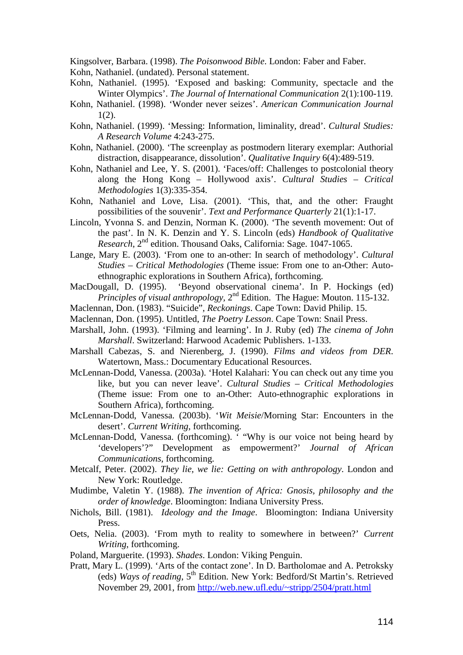Kingsolver, Barbara. (1998). *The Poisonwood Bible*. London: Faber and Faber.

- Kohn, Nathaniel. (undated). Personal statement.
- Kohn, Nathaniel. (1995). 'Exposed and basking: Community, spectacle and the Winter Olympics'. *The Journal of International Communication* 2(1):100-119.
- Kohn, Nathaniel. (1998). 'Wonder never seizes'. *American Communication Journal* 1(2).
- Kohn, Nathaniel. (1999). 'Messing: Information, liminality, dread'. *Cultural Studies: A Research Volume* 4:243-275.
- Kohn, Nathaniel. (2000). 'The screenplay as postmodern literary exemplar: Authorial distraction, disappearance, dissolution'. *Qualitative Inquiry* 6(4):489-519.
- Kohn, Nathaniel and Lee, Y. S. (2001). 'Faces/off: Challenges to postcolonial theory along the Hong Kong – Hollywood axis'. *Cultural Studies – Critical Methodologies* 1(3):335-354.
- Kohn, Nathaniel and Love, Lisa. (2001). 'This, that, and the other: Fraught possibilities of the souvenir'. *Text and Performance Quarterly* 21(1):1-17.
- Lincoln, Yvonna S. and Denzin, Norman K. (2000). 'The seventh movement: Out of the past'. In N. K. Denzin and Y. S. Lincoln (eds) *Handbook of Qualitative Research*, 2nd edition. Thousand Oaks, California: Sage. 1047-1065.
- Lange, Mary E. (2003). 'From one to an-other: In search of methodology'. *Cultural Studies – Critical Methodologies* (Theme issue: From one to an-Other: Autoethnographic explorations in Southern Africa), forthcoming.
- MacDougall, D. (1995). 'Beyond observational cinema'. In P. Hockings (ed) *Principles of visual anthropology,* 2<sup>nd</sup> Edition. The Hague: Mouton. 115-132.
- Maclennan, Don. (1983). "Suicide", *Reckonings*. Cape Town: David Philip. 15.
- Maclennan, Don. (1995). Untitled, *The Poetry Lesson*. Cape Town: Snail Press.
- Marshall, John. (1993). 'Filming and learning'. In J. Ruby (ed) *The cinema of John Marshall*. Switzerland: Harwood Academic Publishers. 1-133.
- Marshall Cabezas, S. and Nierenberg, J. (1990). *Films and videos from DER*. Watertown, Mass.: Documentary Educational Resources.
- McLennan-Dodd, Vanessa. (2003a). 'Hotel Kalahari: You can check out any time you like, but you can never leave'. *Cultural Studies – Critical Methodologies* (Theme issue: From one to an-Other: Auto-ethnographic explorations in Southern Africa), forthcoming.
- McLennan-Dodd, Vanessa. (2003b). '*Wit Meisie*/Morning Star: Encounters in the desert'. *Current Writing*, forthcoming.
- McLennan-Dodd, Vanessa. (forthcoming). ' "Why is our voice not being heard by 'developers'?" Development as empowerment?' *Journal of African Communications*, forthcoming.
- Metcalf, Peter. (2002). *They lie, we lie: Getting on with anthropology*. London and New York: Routledge.
- Mudimbe, Valetin Y. (1988). *The invention of Africa: Gnosis, philosophy and the order of knowledge*. Bloomington: Indiana University Press.
- Nichols, Bill. (1981). *Ideology and the Image*. Bloomington: Indiana University Press.
- Oets, Nelia. (2003). 'From myth to reality to somewhere in between?' *Current Writing*, forthcoming.
- Poland, Marguerite. (1993). *Shades*. London: Viking Penguin.
- Pratt, Mary L. (1999). 'Arts of the contact zone'. In D. Bartholomae and A. Petroksky (eds) *Ways of reading*, 5th Edition. New York: Bedford/St Martin's. Retrieved November 29, 2001, from http://web.new.ufl.edu/~stripp/2504/pratt.html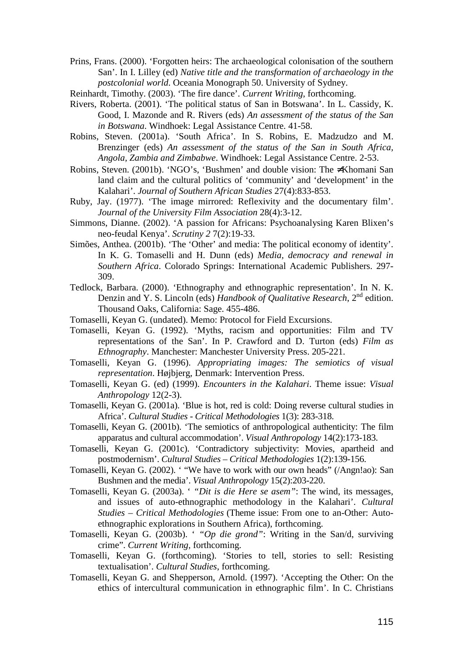- Prins, Frans. (2000). 'Forgotten heirs: The archaeological colonisation of the southern San'. In I. Lilley (ed) *Native title and the transformation of archaeology in the postcolonial world*. Oceania Monograph 50. University of Sydney.
- Reinhardt, Timothy. (2003). 'The fire dance'. *Current Writing*, forthcoming.
- Rivers, Roberta. (2001). 'The political status of San in Botswana'. In L. Cassidy, K. Good, I. Mazonde and R. Rivers (eds) *An assessment of the status of the San in Botswana*. Windhoek: Legal Assistance Centre. 41-58.
- Robins, Steven. (2001a). 'South Africa'. In S. Robins, E. Madzudzo and M. Brenzinger (eds) *An assessment of the status of the San in South Africa, Angola, Zambia and Zimbabwe*. Windhoek: Legal Assistance Centre. 2-53.
- Robins, Steven. (2001b). 'NGO's, 'Bushmen' and double vision: The ≠Khomani San land claim and the cultural politics of 'community' and 'development' in the Kalahari'. *Journal of Southern African Studies* 27(4):833-853.
- Ruby, Jay. (1977). 'The image mirrored: Reflexivity and the documentary film'. *Journal of the University Film Association* 28(4):3-12.
- Simmons, Dianne. (2002). 'A passion for Africans: Psychoanalysing Karen Blixen's neo-feudal Kenya'. *Scrutiny 2* 7(2):19-33.
- Simões, Anthea. (2001b). 'The 'Other' and media: The political economy of identity'. In K. G. Tomaselli and H. Dunn (eds) *Media, democracy and renewal in Southern Africa*. Colorado Springs: International Academic Publishers. 297- 309.
- Tedlock, Barbara. (2000). 'Ethnography and ethnographic representation'. In N. K. Denzin and Y. S. Lincoln (eds) *Handbook of Qualitative Research*, 2<sup>nd</sup> edition. Thousand Oaks, California: Sage. 455-486.
- Tomaselli, Keyan G. (undated). Memo: Protocol for Field Excursions.
- Tomaselli, Keyan G. (1992). 'Myths, racism and opportunities: Film and TV representations of the San'. In P. Crawford and D. Turton (eds) *Film as Ethnography*. Manchester: Manchester University Press. 205-221.
- Tomaselli, Keyan G. (1996). *Appropriating images: The semiotics of visual representation*. Højbjerg, Denmark: Intervention Press.
- Tomaselli, Keyan G. (ed) (1999). *Encounters in the Kalahari*. Theme issue: *Visual Anthropology* 12(2-3).
- Tomaselli, Keyan G. (2001a). 'Blue is hot, red is cold: Doing reverse cultural studies in Africa'. *Cultural Studies - Critical Methodologies* 1(3): 283-318.
- Tomaselli, Keyan G. (2001b). 'The semiotics of anthropological authenticity: The film apparatus and cultural accommodation'. *Visual Anthropology* 14(2):173-183.
- Tomaselli, Keyan G. (2001c). 'Contradictory subjectivity: Movies, apartheid and postmodernism'. *Cultural Studies – Critical Methodologies* 1(2):139-156.
- Tomaselli, Keyan G. (2002). ' "We have to work with our own heads" (/Angn!ao): San Bushmen and the media'. *Visual Anthropology* 15(2):203-220.
- Tomaselli, Keyan G. (2003a). ' *"Dit is die Here se asem"*: The wind, its messages, and issues of auto-ethnographic methodology in the Kalahari'. *Cultural Studies – Critical Methodologies* (Theme issue: From one to an-Other: Autoethnographic explorations in Southern Africa), forthcoming.
- Tomaselli, Keyan G. (2003b). ' *"Op die grond"*: Writing in the San/d, surviving crime". *Current Writing,* forthcoming.
- Tomaselli, Keyan G. (forthcoming). 'Stories to tell, stories to sell: Resisting textualisation'. *Cultural Studies*, forthcoming.
- Tomaselli, Keyan G. and Shepperson, Arnold. (1997). 'Accepting the Other: On the ethics of intercultural communication in ethnographic film'. In C. Christians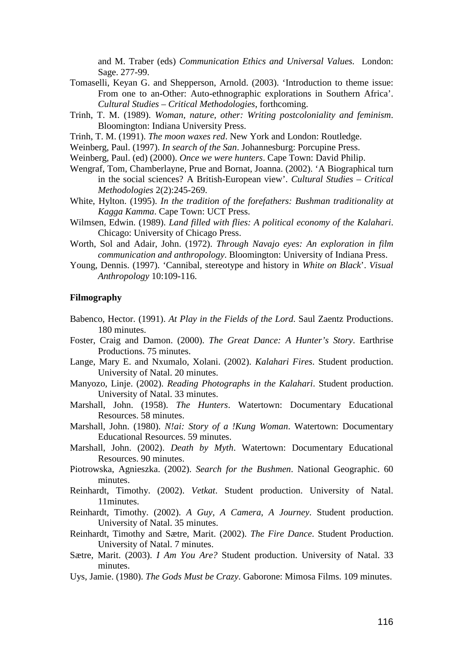and M. Traber (eds) *Communication Ethics and Universal Values.* London: Sage. 277-99.

- Tomaselli, Keyan G. and Shepperson, Arnold. (2003). 'Introduction to theme issue: From one to an-Other: Auto-ethnographic explorations in Southern Africa'. *Cultural Studies – Critical Methodologies*, forthcoming.
- Trinh, T. M. (1989). *Woman, nature, other: Writing postcoloniality and feminism*. Bloomington: Indiana University Press.
- Trinh, T. M. (1991). *The moon waxes red*. New York and London: Routledge.
- Weinberg, Paul. (1997). *In search of the San*. Johannesburg: Porcupine Press.
- Weinberg, Paul. (ed) (2000). *Once we were hunters*. Cape Town: David Philip.
- Wengraf, Tom, Chamberlayne, Prue and Bornat, Joanna. (2002). 'A Biographical turn in the social sciences? A British-European view'. *Cultural Studies – Critical Methodologies* 2(2):245-269.
- White, Hylton. (1995). *In the tradition of the forefathers: Bushman traditionality at Kagga Kamma*. Cape Town: UCT Press.
- Wilmsen, Edwin. (1989). *Land filled with flies: A political economy of the Kalahari*. Chicago: University of Chicago Press.
- Worth, Sol and Adair, John. (1972). *Through Navajo eyes: An exploration in film communication and anthropology*. Bloomington: University of Indiana Press.
- Young, Dennis. (1997). 'Cannibal, stereotype and history in *White on Black*'. *Visual Anthropology* 10:109-116.

### **Filmography**

- Babenco, Hector. (1991). *At Play in the Fields of the Lord*. Saul Zaentz Productions. 180 minutes.
- Foster, Craig and Damon. (2000). *The Great Dance: A Hunter's Story*. Earthrise Productions. 75 minutes.
- Lange, Mary E. and Nxumalo, Xolani. (2002). *Kalahari Fires*. Student production. University of Natal. 20 minutes.
- Manyozo, Linje. (2002). *Reading Photographs in the Kalahari*. Student production. University of Natal. 33 minutes.
- Marshall, John. (1958). *The Hunters*. Watertown: Documentary Educational Resources. 58 minutes.
- Marshall, John. (1980). *N!ai: Story of a !Kung Woman*. Watertown: Documentary Educational Resources. 59 minutes.
- Marshall, John. (2002). *Death by Myth*. Watertown: Documentary Educational Resources. 90 minutes.
- Piotrowska, Agnieszka. (2002). *Search for the Bushmen*. National Geographic. 60 minutes.
- Reinhardt, Timothy. (2002). *Vetkat*. Student production. University of Natal. 11minutes.
- Reinhardt, Timothy. (2002). *A Guy, A Camera, A Journey*. Student production. University of Natal. 35 minutes.
- Reinhardt, Timothy and Sætre, Marit. (2002). *The Fire Dance*. Student Production. University of Natal. 7 minutes.
- Sætre, Marit. (2003). *I Am You Are?* Student production. University of Natal. 33 minutes.
- Uys, Jamie. (1980). *The Gods Must be Crazy*. Gaborone: Mimosa Films. 109 minutes.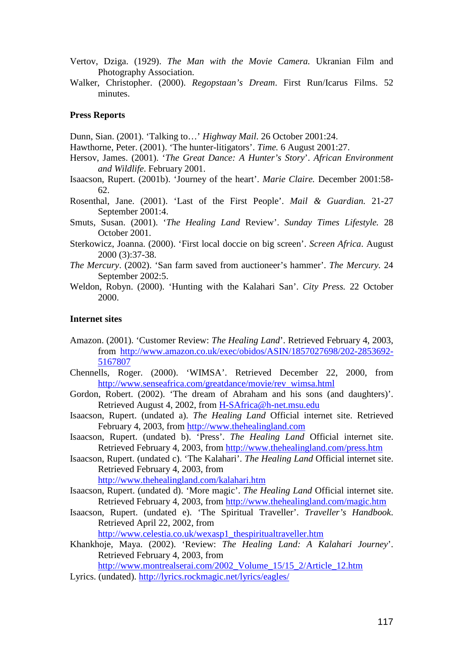- Vertov, Dziga. (1929). *The Man with the Movie Camera.* Ukranian Film and Photography Association.
- Walker, Christopher. (2000). *Regopstaan's Dream*. First Run/Icarus Films. 52 minutes.

### **Press Reports**

Dunn, Sian. (2001). 'Talking to…' *Highway Mail.* 26 October 2001:24.

- Hawthorne, Peter. (2001). 'The hunter-litigators'. *Time.* 6 August 2001:27.
- Hersov, James. (2001). '*The Great Dance: A Hunter's Story*'. *African Environment and Wildlife*. February 2001.
- Isaacson, Rupert. (2001b). 'Journey of the heart'. *Marie Claire.* December 2001:58- 62.
- Rosenthal, Jane. (2001). 'Last of the First People'. *Mail & Guardian.* 21-27 September 2001:4.
- Smuts, Susan. (2001). '*The Healing Land* Review'. *Sunday Times Lifestyle.* 28 October 2001.
- Sterkowicz, Joanna. (2000). 'First local doccie on big screen'. *Screen Africa*. August 2000 (3):37-38.
- *The Mercury*. (2002). 'San farm saved from auctioneer's hammer'. *The Mercury.* 24 September 2002:5.
- Weldon, Robyn. (2000). 'Hunting with the Kalahari San'. *City Press.* 22 October 2000.

### **Internet sites**

- Amazon. (2001). 'Customer Review: *The Healing Land*'. Retrieved February 4, 2003, from http://www.amazon.co.uk/exec/obidos/ASIN/1857027698/202-2853692- 5167807
- Chennells, Roger. (2000). 'WIMSA'. Retrieved December 22, 2000, from http://www.senseafrica.com/greatdance/movie/rev\_wimsa.html
- Gordon, Robert. (2002). 'The dream of Abraham and his sons (and daughters)'. Retrieved August 4, 2002, from H-SAfrica@h-net.msu.edu
- Isaacson, Rupert. (undated a). *The Healing Land* Official internet site. Retrieved February 4, 2003, from http://www.thehealingland.com
- Isaacson, Rupert. (undated b). 'Press'. *The Healing Land* Official internet site. Retrieved February 4, 2003, from http://www.thehealingland.com/press.htm
- Isaacson, Rupert. (undated c). 'The Kalahari'. *The Healing Land* Official internet site. Retrieved February 4, 2003, from http://www.thehealingland.com/kalahari.htm
- Isaacson, Rupert. (undated d). 'More magic'. *The Healing Land* Official internet site. Retrieved February 4, 2003, from http://www.thehealingland.com/magic.htm
- Isaacson, Rupert. (undated e). 'The Spiritual Traveller'. *Traveller's Handbook*. Retrieved April 22, 2002, from http://www.celestia.co.uk/wexasp1\_thespiritualtraveller.htm

Khankhoje, Maya. (2002). 'Review: *The Healing Land: A Kalahari Journey*'. Retrieved February 4, 2003, from

http://www.montrealserai.com/2002\_Volume\_15/15\_2/Article\_12.htm

Lyrics. (undated). http://lyrics.rockmagic.net/lyrics/eagles/